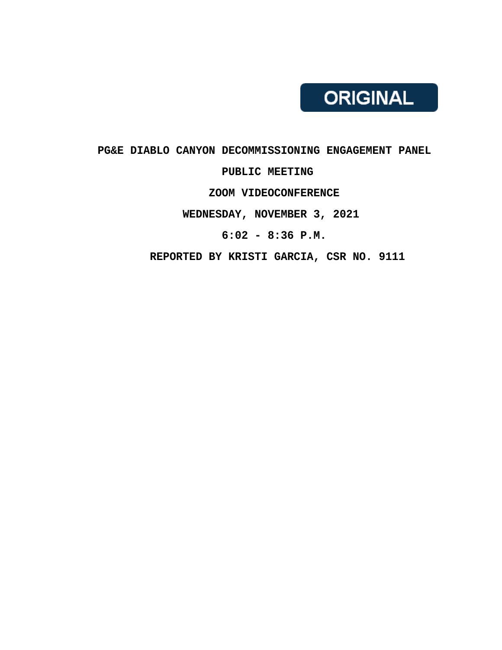# PG&E DIABLO CANYON DECOMMISSIONING ENGAGEMENT PANEL PUBLIC MEETING ZOOM VIDEOCONFERENCE WEDNESDAY, NOVEMBER 3, 2021 6:02 - 8:36 P.M.

REPORTED BY KRISTI GARCIA, CSR NO. 9111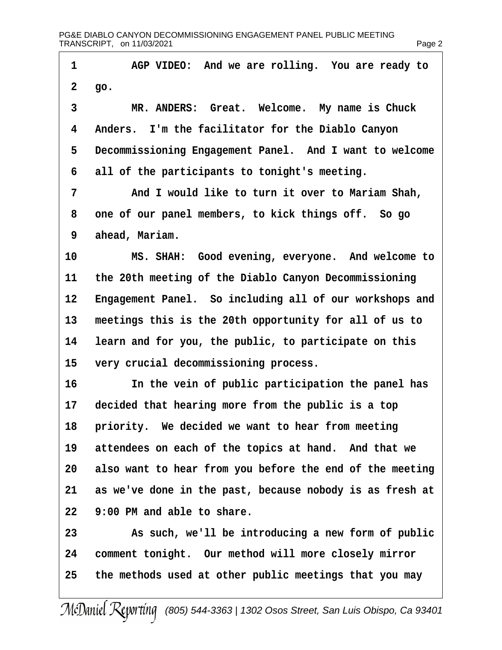| 1  | AGP VIDEO: And we are rolling. You are ready to          |
|----|----------------------------------------------------------|
|    | 2 go.                                                    |
| 3  | MR. ANDERS: Great. Welcome. My name is Chuck             |
| 4  | Anders. I'm the facilitator for the Diablo Canyon        |
| 5  | Decommissioning Engagement Panel. And I want to welcome  |
| 6  | all of the participants to tonight's meeting.            |
| 7  | And I would like to turn it over to Mariam Shah,         |
| 8  | one of our panel members, to kick things off. So go      |
| 9  | ahead, Mariam.                                           |
| 10 | MS. SHAH: Good evening, everyone. And welcome to         |
| 11 | the 20th meeting of the Diablo Canyon Decommissioning    |
| 12 | Engagement Panel. So including all of our workshops and  |
| 13 | meetings this is the 20th opportunity for all of us to   |
| 14 | learn and for you, the public, to participate on this    |
| 15 | very crucial decommissioning process.                    |
| 16 | In the vein of public participation the panel has        |
| 17 | decided that hearing more from the public is a top       |
|    | 18 priority. We decided we want to hear from meeting     |
| 19 | attendees on each of the topics at hand. And that we     |
| 20 | also want to hear from you before the end of the meeting |
| 21 | as we've done in the past, because nobody is as fresh at |
| 22 | 9:00 PM and able to share.                               |
| 23 | As such, we'll be introducing a new form of public       |
| 24 | comment tonight. Our method will more closely mirror     |
| 25 | the methods used at other public meetings that you may   |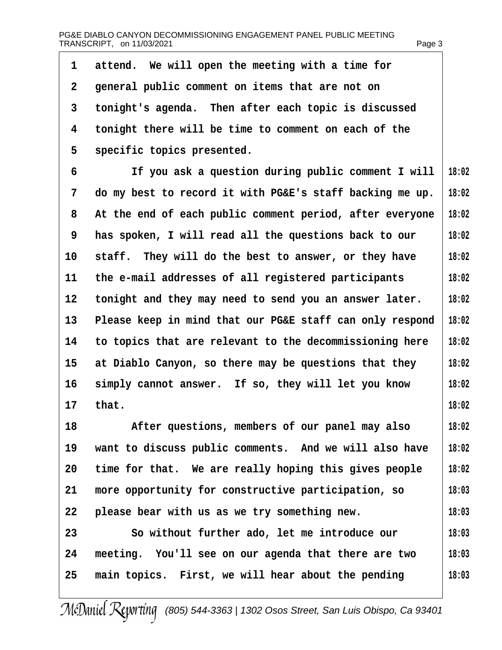| 1               | attend. We will open the meeting with a time for         |       |
|-----------------|----------------------------------------------------------|-------|
| 2               | general public comment on items that are not on          |       |
| 3               | tonight's agenda. Then after each topic is discussed     |       |
| 4               | tonight there will be time to comment on each of the     |       |
| 5               | specific topics presented.                               |       |
| 6               | If you ask a question during public comment I will       | 18:02 |
| 7               | do my best to record it with PG&E's staff backing me up. | 18:02 |
| 8               | At the end of each public comment period, after everyone | 18:02 |
| 9               | has spoken, I will read all the questions back to our    | 18:02 |
| 10              | staff. They will do the best to answer, or they have     | 18:02 |
| 11              | the e-mail addresses of all registered participants      | 18:02 |
| 12 <sup>°</sup> | tonight and they may need to send you an answer later.   | 18:02 |
| 13              | Please keep in mind that our PG&E staff can only respond | 18:02 |
| 14              | to topics that are relevant to the decommissioning here  | 18:02 |
| 15              | at Diablo Canyon, so there may be questions that they    | 18:02 |
| 16              | simply cannot answer. If so, they will let you know      | 18:02 |
| 17              | that.                                                    | 18:02 |
| 18              | After questions, members of our panel may also           | 18:02 |
| 19              | want to discuss public comments. And we will also have   | 18:02 |
| 20              | time for that. We are really hoping this gives people    | 18:02 |
| 21              | more opportunity for constructive participation, so      | 18:03 |
| 22              | please bear with us as we try something new.             | 18:03 |
| 23              | So without further ado, let me introduce our             | 18:03 |
| 24              | meeting. You'll see on our agenda that there are two     | 18:03 |
| 25              | main topics. First, we will hear about the pending       | 18:03 |
|                 |                                                          |       |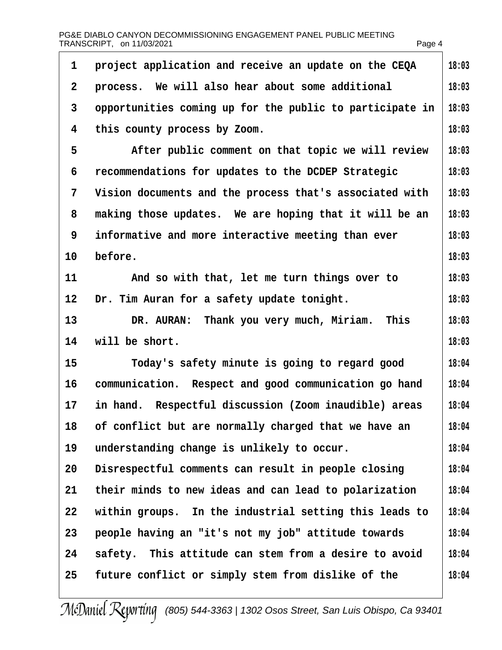| 1              | project application and receive an update on the CEQA    | 18:03 |
|----------------|----------------------------------------------------------|-------|
| $\overline{2}$ | process. We will also hear about some additional         | 18:03 |
| 3              | opportunities coming up for the public to participate in | 18:03 |
| 4              | this county process by Zoom.                             | 18:03 |
| 5              | After public comment on that topic we will review        | 18:03 |
| 6              | recommendations for updates to the DCDEP Strategic       | 18:03 |
| 7              | Vision documents and the process that's associated with  | 18:03 |
| 8              | making those updates. We are hoping that it will be an   | 18:03 |
| 9              | informative and more interactive meeting than ever       | 18:03 |
| 10             | before.                                                  | 18:03 |
| 11             | And so with that, let me turn things over to             | 18:03 |
| $12 \,$        | Dr. Tim Auran for a safety update tonight.               | 18:03 |
| 13             | DR. AURAN: Thank you very much, Miriam. This             | 18:03 |
| 14             | will be short.                                           | 18:03 |
| 15             | Today's safety minute is going to regard good            | 18:04 |
| 16             | communication. Respect and good communication go hand    | 18:04 |
| 17             | in hand. Respectful discussion (Zoom inaudible) areas    | 18:04 |
| 18             | of conflict but are normally charged that we have an     | 18:04 |
| 19             | understanding change is unlikely to occur.               | 18:04 |
| 20             | Disrespectful comments can result in people closing      | 18:04 |
| 21             | their minds to new ideas and can lead to polarization    | 18:04 |
| 22             | within groups. In the industrial setting this leads to   | 18:04 |
| 23             | people having an "it's not my job" attitude towards      | 18:04 |
| 24             | safety. This attitude can stem from a desire to avoid    | 18:04 |
| 25             | future conflict or simply stem from dislike of the       | 18:04 |
|                |                                                          |       |

I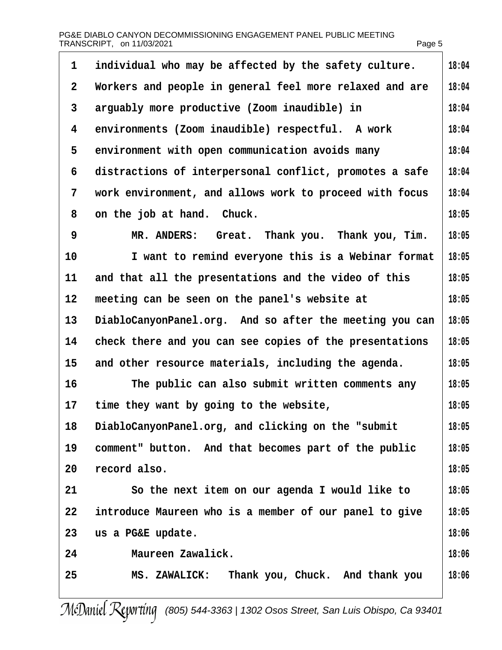| 1            | individual who may be affected by the safety culture.   | 18:04 |
|--------------|---------------------------------------------------------|-------|
| $\mathbf{2}$ | Workers and people in general feel more relaxed and are | 18:04 |
| 3            | arguably more productive (Zoom inaudible) in            | 18:04 |
| 4            | environments (Zoom inaudible) respectful. A work        | 18:04 |
| 5            | environment with open communication avoids many         | 18:04 |
| 6            | distractions of interpersonal conflict, promotes a safe | 18:04 |
| 7            | work environment, and allows work to proceed with focus | 18:04 |
| 8            | on the job at hand. Chuck.                              | 18:05 |
| 9            | MR. ANDERS: Great. Thank you. Thank you, Tim.           | 18:05 |
| 10           | I want to remind everyone this is a Webinar format      | 18:05 |
| 11           | and that all the presentations and the video of this    | 18:05 |
| 12           | meeting can be seen on the panel's website at           | 18:05 |
| 13           | DiabloCanyonPanel.org. And so after the meeting you can | 18:05 |
| 14           | check there and you can see copies of the presentations | 18:05 |
| 15           | and other resource materials, including the agenda.     | 18:05 |
| 16           | The public can also submit written comments any         | 18:05 |
| 17           | time they want by going to the website,                 | 18:05 |
| 18           | DiabloCanyonPanel.org, and clicking on the "submit"     | 18:05 |
| 19           | comment" button. And that becomes part of the public    | 18:05 |
| 20           | record also.                                            | 18:05 |
| 21           | So the next item on our agenda I would like to          | 18:05 |
| 22           | introduce Maureen who is a member of our panel to give  | 18:05 |
| 23           | us a PG&E update.                                       | 18:06 |
| 24           | Maureen Zawalick.                                       | 18:06 |
| 25           | MS. ZAWALICK: Thank you, Chuck. And thank you           | 18:06 |
|              |                                                         |       |

 $\overline{\phantom{a}}$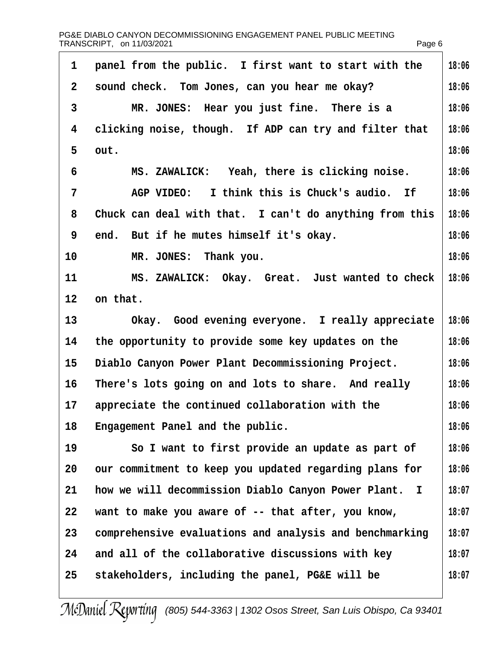| 1               | panel from the public. I first want to start with the   | 18:06 |
|-----------------|---------------------------------------------------------|-------|
| $\overline{2}$  | sound check. Tom Jones, can you hear me okay?           | 18:06 |
| 3               | MR. JONES: Hear you just fine. There is a               | 18:06 |
| 4               | clicking noise, though. If ADP can try and filter that  | 18:06 |
| 5               | out.                                                    | 18:06 |
| 6               | MS. ZAWALICK: Yeah, there is clicking noise.            | 18:06 |
| 7               | AGP VIDEO: I think this is Chuck's audio. If            | 18:06 |
| 8               | Chuck can deal with that. I can't do anything from this | 18:06 |
| 9               | end. But if he mutes himself it's okay.                 | 18:06 |
| 10              | MR. JONES: Thank you.                                   | 18:06 |
| 11              | MS. ZAWALICK: Okay. Great. Just wanted to check         | 18:06 |
| 12 <sub>2</sub> | on that.                                                |       |
| 13              | Okay. Good evening everyone. I really appreciate        | 18:06 |
| 14              | the opportunity to provide some key updates on the      | 18:06 |
| 15              | Diablo Canyon Power Plant Decommissioning Project.      | 18:06 |
| 16              | There's lots going on and lots to share. And really     | 18:06 |
| 17              | appreciate the continued collaboration with the         | 18:06 |
| 18              | Engagement Panel and the public.                        | 18:06 |
| 19              | So I want to first provide an update as part of         | 18:06 |
| 20              | our commitment to keep you updated regarding plans for  | 18:06 |
| 21              | how we will decommission Diablo Canyon Power Plant. I   | 18:07 |
| 22              | want to make you aware of -- that after, you know,      | 18:07 |
| 23              | comprehensive evaluations and analysis and benchmarking | 18:07 |
| 24              | and all of the collaborative discussions with key       | 18:07 |
| 25              | stakeholders, including the panel, PG&E will be         | 18:07 |
|                 |                                                         |       |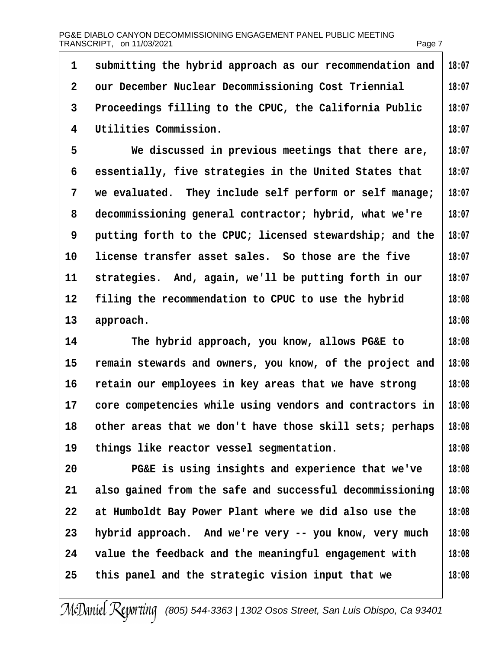| 1              | submitting the hybrid approach as our recommendation and | 18:07 |
|----------------|----------------------------------------------------------|-------|
| $\overline{2}$ | our December Nuclear Decommissioning Cost Triennial      | 18:07 |
| 3              | Proceedings filling to the CPUC, the California Public   | 18:07 |
| 4              | Utilities Commission.                                    | 18:07 |
| 5              | We discussed in previous meetings that there are,        | 18:07 |
| 6              | essentially, five strategies in the United States that   | 18:07 |
| 7              | we evaluated. They include self perform or self manage;  | 18:07 |
| 8              | decommissioning general contractor; hybrid, what we're   | 18:07 |
| 9              | putting forth to the CPUC; licensed stewardship; and the | 18:07 |
| 10             | license transfer asset sales. So those are the five      | 18:07 |
| 11             | strategies. And, again, we'll be putting forth in our    | 18:07 |
| 12             | filing the recommendation to CPUC to use the hybrid      | 18:08 |
| 13             | approach.                                                | 18:08 |
| 14             | The hybrid approach, you know, allows PG&E to            | 18:08 |
| 15             | remain stewards and owners, you know, of the project and | 18:08 |
| 16             | retain our employees in key areas that we have strong    | 18:08 |
| 17             | core competencies while using vendors and contractors in | 18:08 |
| 18             | other areas that we don't have those skill sets; perhaps | 18:08 |
| 19             | things like reactor vessel segmentation.                 | 18:08 |
| 20             | PG&E is using insights and experience that we've         | 18:08 |
| 21             | also gained from the safe and successful decommissioning | 18:08 |
| 22             | at Humboldt Bay Power Plant where we did also use the    | 18:08 |
| 23             | hybrid approach. And we're very -- you know, very much   | 18:08 |
| 24             | value the feedback and the meaningful engagement with    | 18:08 |
| 25             | this panel and the strategic vision input that we        | 18:08 |
|                |                                                          |       |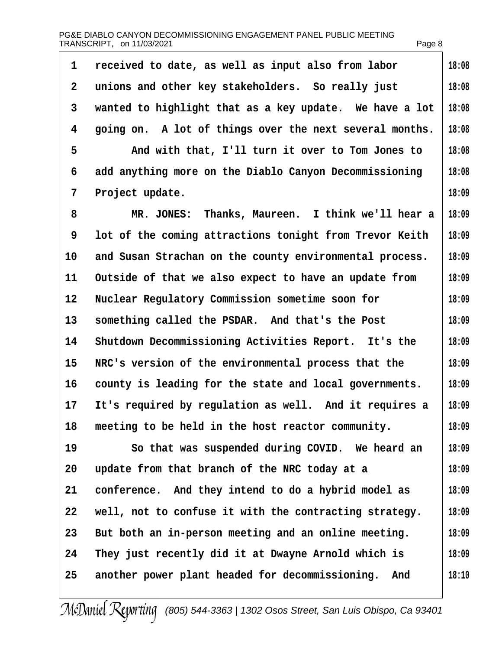| PG&E DIABLO CANYON DECOMMISSIONING ENGAGEMENT PANEL PUBLIC MEETING |        |
|--------------------------------------------------------------------|--------|
| TRANSCRIPT, on 11/03/2021                                          | Page 8 |

| 1                 | received to date, as well as input also from labor      | 18:08 |
|-------------------|---------------------------------------------------------|-------|
| 2                 | unions and other key stakeholders. So really just       | 18:08 |
| 3                 | wanted to highlight that as a key update. We have a lot | 18:08 |
| 4                 | going on. A lot of things over the next several months. | 18:08 |
| 5                 | And with that, I'll turn it over to Tom Jones to        | 18:08 |
| 6                 | add anything more on the Diablo Canyon Decommissioning  | 18:08 |
| 7                 | Project update.                                         | 18:09 |
| 8                 | MR. JONES: Thanks, Maureen. I think we'll hear a        | 18:09 |
| 9                 | lot of the coming attractions tonight from Trevor Keith | 18:09 |
| 10                | and Susan Strachan on the county environmental process. | 18:09 |
| 11                | Outside of that we also expect to have an update from   | 18:09 |
| $12 \overline{ }$ | Nuclear Regulatory Commission sometime soon for         | 18:09 |
| 13                | something called the PSDAR. And that's the Post         | 18:09 |
| 14                | Shutdown Decommissioning Activities Report. It's the    | 18:09 |
| 15                | NRC's version of the environmental process that the     | 18:09 |
| 16                | county is leading for the state and local governments.  | 18:09 |
| 17                | It's required by regulation as well. And it requires a  | 18:09 |
| 18                | meeting to be held in the host reactor community.       | 18:09 |
| 19                | So that was suspended during COVID. We heard an         | 18:09 |
| 20                | update from that branch of the NRC today at a           | 18:09 |
| 21                | conference. And they intend to do a hybrid model as     | 18:09 |
| 22                | well, not to confuse it with the contracting strategy.  | 18:09 |
| 23                | But both an in-person meeting and an online meeting.    | 18:09 |
| 24                | They just recently did it at Dwayne Arnold which is     | 18:09 |
| 25                | another power plant headed for decommissioning. And     | 18:10 |
|                   |                                                         |       |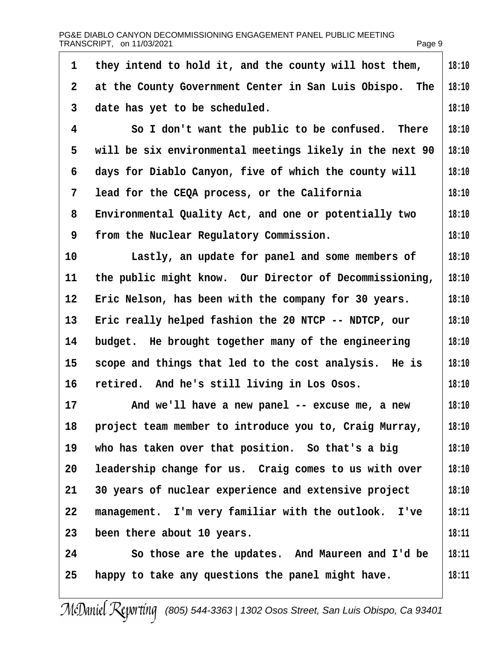|                | PG&E DIABLO CANYON DECOMMISSIONING ENGAGEMENT PANEL PUBLIC MEETING<br>TRANSCRIPT, on 11/03/2021 | Page 9 |
|----------------|-------------------------------------------------------------------------------------------------|--------|
| 1              | they intend to hold it, and the county will host them,                                          | 18:10  |
| $\overline{2}$ | at the County Government Center in San Luis Obispo. The                                         | 18:10  |
| 3              | date has yet to be scheduled.                                                                   | 18:10  |
| $\overline{4}$ | So I don't want the public to be confused. There                                                | 18:10  |
| 5              | will be six environmental meetings likely in the next 90                                        | 18:10  |
| 6              | days for Diablo Canyon, five of which the county will                                           | 18:10  |
| 7              | lead for the CEQA process, or the California                                                    | 18:10  |
| 8              | Environmental Quality Act, and one or potentially two                                           | 18:10  |
| 9              | from the Nuclear Regulatory Commission.                                                         | 18:10  |
| 10             | Lastly, an update for panel and some members of                                                 | 18:10  |
| 11             | the public might know. Our Director of Decommissioning,                                         | 18:10  |
| 12             | Eric Nelson, has been with the company for 30 years.                                            | 18:10  |
| 13             | Eric really helped fashion the 20 NTCP -- NDTCP, our                                            | 18:10  |
| 14             | budget. He brought together many of the engineering                                             | 18:10  |
| 15             | scope and things that led to the cost analysis. He is                                           | 18:10  |
| 16             | retired. And he's still living in Los Osos.                                                     | 18:10  |
| 17             | And we'll have a new panel -- excuse me, a new                                                  | 18:10  |
| 18             | project team member to introduce you to, Craig Murray,                                          | 18:10  |
| 19             | who has taken over that position. So that's a big                                               | 18:10  |
| 20             | leadership change for us. Craig comes to us with over                                           | 18:10  |
| 21             | 30 years of nuclear experience and extensive project                                            | 18:10  |
| 22             | management. I'm very familiar with the outlook. I've                                            | 18:11  |
| 23             | been there about 10 years.                                                                      | 18:11  |
| 24             | So those are the updates. And Maureen and I'd be                                                | 18:11  |
| 25             | happy to take any questions the panel might have.                                               | 18:11  |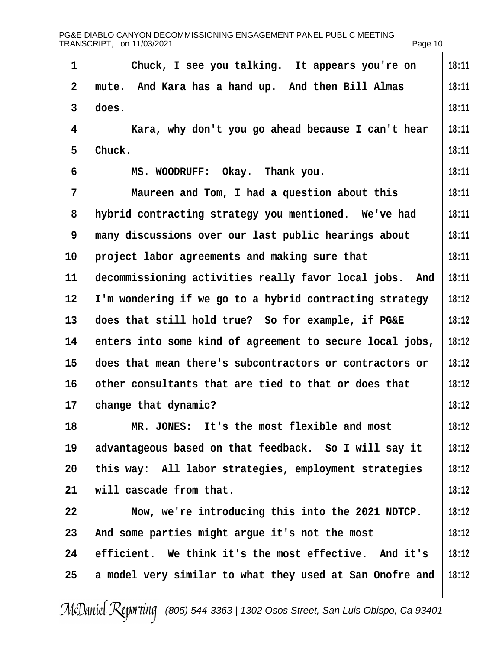| 1  | Chuck, I see you talking. It appears you're on           | 18:11 |
|----|----------------------------------------------------------|-------|
| 2  | mute. And Kara has a hand up. And then Bill Almas        | 18:11 |
| 3  | does.                                                    | 18:11 |
| 4  | Kara, why don't you go ahead because I can't hear        | 18:11 |
| 5  | Chuck.                                                   | 18:11 |
| 6  | MS. WOODRUFF: Okay. Thank you.                           | 18:11 |
| 7  | Maureen and Tom, I had a question about this             | 18:11 |
| 8  | hybrid contracting strategy you mentioned. We've had     | 18:11 |
| 9  | many discussions over our last public hearings about     | 18:11 |
| 10 | project labor agreements and making sure that            | 18:11 |
| 11 | decommissioning activities really favor local jobs. And  | 18:11 |
| 12 | I'm wondering if we go to a hybrid contracting strategy  | 18:12 |
| 13 | does that still hold true? So for example, if PG&E       | 18:12 |
| 14 | enters into some kind of agreement to secure local jobs, | 18:12 |
| 15 | does that mean there's subcontractors or contractors or  | 18:12 |
| 16 | other consultants that are tied to that or does that     | 18:12 |
| 17 | change that dynamic?                                     | 18:12 |
| 18 | MR. JONES: It's the most flexible and most               | 18:12 |
| 19 | advantageous based on that feedback. So I will say it    | 18:12 |
| 20 | this way: All labor strategies, employment strategies    | 18:12 |
| 21 | will cascade from that.                                  | 18:12 |
| 22 | Now, we're introducing this into the 2021 NDTCP.         | 18:12 |
| 23 | And some parties might argue it's not the most           | 18:12 |
| 24 | efficient. We think it's the most effective. And it's    | 18:12 |
| 25 | a model very similar to what they used at San Onofre and | 18:12 |
|    |                                                          |       |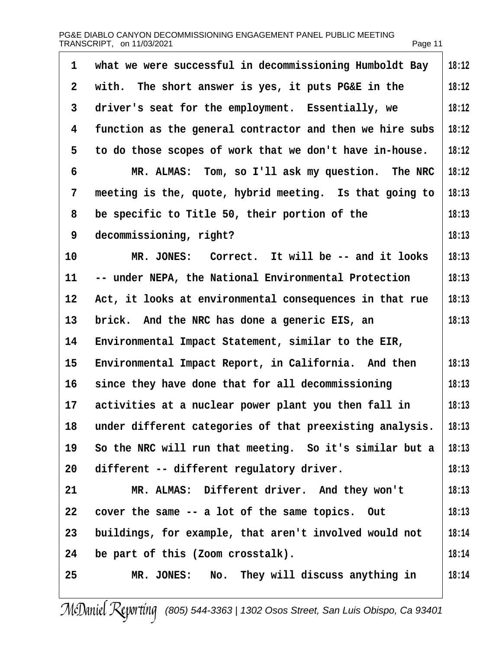| 1            | what we were successful in decommissioning Humboldt Bay  | 18:12 |
|--------------|----------------------------------------------------------|-------|
| $\mathbf{2}$ | with. The short answer is yes, it puts PG&E in the       | 18:12 |
| 3            | driver's seat for the employment. Essentially, we        | 18:12 |
| 4            | function as the general contractor and then we hire subs | 18:12 |
| 5            | to do those scopes of work that we don't have in-house.  | 18:12 |
| 6            | MR. ALMAS: Tom, so I'll ask my question. The NRC         | 18:12 |
| 7            | meeting is the, quote, hybrid meeting. Is that going to  | 18:13 |
| 8            | be specific to Title 50, their portion of the            | 18:13 |
| 9            | decommissioning, right?                                  | 18:13 |
| 10           | MR. JONES: Correct. It will be -- and it looks           | 18:13 |
| 11           | -- under NEPA, the National Environmental Protection     | 18:13 |
| 12           | Act, it looks at environmental consequences in that rue  | 18:13 |
| 13           | brick. And the NRC has done a generic EIS, an            | 18:13 |
| 14           | Environmental Impact Statement, similar to the EIR,      |       |
| 15           | Environmental Impact Report, in California. And then     | 18:13 |
| 16           | since they have done that for all decommissioning        | 18:13 |
| 17           | activities at a nuclear power plant you then fall in     | 18:13 |
| 18           | under different categories of that preexisting analysis. | 18:13 |
| 19           | So the NRC will run that meeting. So it's similar but a  | 18:13 |
| 20           | different -- different regulatory driver.                | 18:13 |
| 21           | MR. ALMAS: Different driver. And they won't              | 18:13 |
| 22           | cover the same -- a lot of the same topics. Out          | 18:13 |
| 23           | buildings, for example, that aren't involved would not   | 18:14 |
| 24           | be part of this (Zoom crosstalk).                        | 18:14 |
| 25           | MR. JONES: No. They will discuss anything in             | 18:14 |
|              |                                                          |       |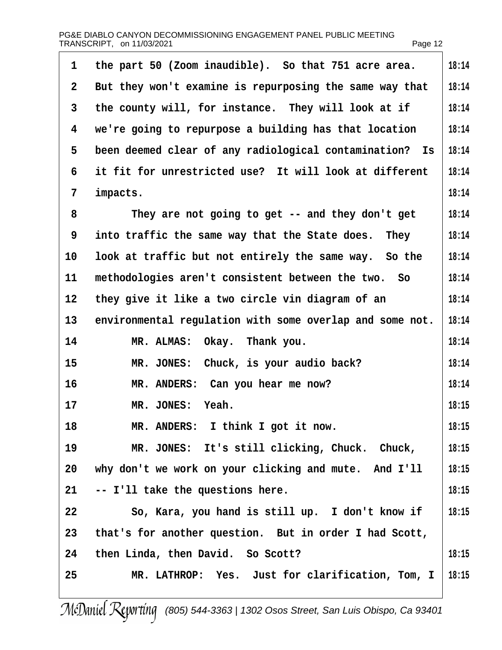|    | PG&E DIABLO CANYON DECOMMISSIONING ENGAGEMENT PANEL PUBLIC MEETING<br>TRANSCRIPT, on 11/03/2021 | Page 12 |
|----|-------------------------------------------------------------------------------------------------|---------|
| 1  | the part 50 (Zoom inaudible). So that 751 acre area.                                            | 18:14   |
| 2  | But they won't examine is repurposing the same way that                                         | 18:14   |
| 3  | the county will, for instance. They will look at if                                             | 18:14   |
| 4  | we're going to repurpose a building has that location                                           | 18:14   |
| 5  | been deemed clear of any radiological contamination? Is                                         | 18:14   |
| 6  | it fit for unrestricted use? It will look at different                                          | 18:14   |
| 7  | impacts.                                                                                        | 18:14   |
| 8  | They are not going to get -- and they don't get                                                 | 18:14   |
| 9  | into traffic the same way that the State does. They                                             | 18:14   |
| 10 | look at traffic but not entirely the same way. So the                                           | 18:14   |
| 11 | methodologies aren't consistent between the two. So                                             | 18:14   |
| 12 | they give it like a two circle vin diagram of an                                                | 18:14   |
| 13 | environmental regulation with some overlap and some not.                                        | 18:14   |
| 14 | MR. ALMAS: Okay. Thank you.                                                                     | 18:14   |
| 15 | MR. JONES: Chuck, is your audio back?                                                           | 18:14   |
| 16 | MR. ANDERS: Can you hear me now?                                                                | 18:14   |
| 17 | MR. JONES: Yeah.                                                                                | 18:15   |
| 18 | MR. ANDERS: I think I got it now.                                                               | 18:15   |
| 19 | MR. JONES: It's still clicking, Chuck. Chuck,                                                   | 18:15   |
| 20 | why don't we work on your clicking and mute. And I'll                                           | 18:15   |
| 21 | -- I'll take the questions here.                                                                | 18:15   |
| 22 | So, Kara, you hand is still up. I don't know if                                                 | 18:15   |
| 23 | that's for another question. But in order I had Scott,                                          |         |
| 24 | then Linda, then David. So Scott?                                                               | 18:15   |
| 25 | MR. LATHROP: Yes. Just for clarification, Tom, I                                                | 18:15   |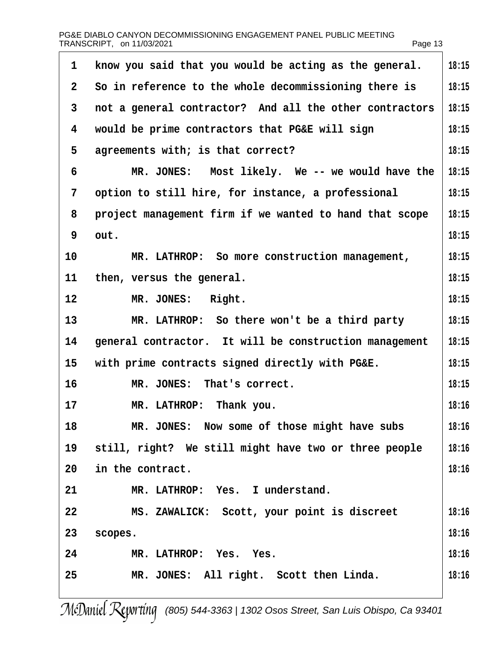|                | PG&E DIABLO CANYON DECOMMISSIONING ENGAGEMENT PANEL PUBLIC MEETING<br>TRANSCRIPT, on 11/03/2021 | Page 13 |
|----------------|-------------------------------------------------------------------------------------------------|---------|
| 1              | know you said that you would be acting as the general.                                          | 18:15   |
| $\overline{2}$ | So in reference to the whole decommissioning there is                                           | 18:15   |
| 3              | not a general contractor? And all the other contractors                                         | 18:15   |
| 4              | would be prime contractors that PG&E will sign                                                  | 18:15   |
| 5              | agreements with; is that correct?                                                               | 18:15   |
| 6              | MR. JONES: Most likely. We -- we would have the                                                 | 18:15   |
| 7              | option to still hire, for instance, a professional                                              | 18:15   |
| 8              | project management firm if we wanted to hand that scope                                         | 18:15   |
| 9              | out.                                                                                            | 18:15   |
| 10             | MR. LATHROP: So more construction management,                                                   | 18:15   |
| 11             | then, versus the general.                                                                       | 18:15   |
| 12             | MR. JONES: Right.                                                                               | 18:15   |
| 13             | MR. LATHROP: So there won't be a third party                                                    | 18:15   |
| 14             | general contractor. It will be construction management                                          | 18:15   |
| 15             | with prime contracts signed directly with PG&E.                                                 | 18:15   |
| 16             | MR. JONES: That's correct.                                                                      | 18:15   |
| 17             | MR. LATHROP: Thank you.                                                                         | 18:16   |
| 18             | MR. JONES: Now some of those might have subs                                                    | 18:16   |
| 19             | still, right? We still might have two or three people                                           | 18:16   |
| 20             | in the contract.                                                                                | 18:16   |
| 21             | MR. LATHROP: Yes. I understand.                                                                 |         |
| 22             | MS. ZAWALICK: Scott, your point is discreet                                                     | 18:16   |
| 23             | scopes.                                                                                         | 18:16   |
| 24             | MR. LATHROP: Yes. Yes.                                                                          | 18:16   |
| 25             | MR. JONES: All right. Scott then Linda.                                                         | 18:16   |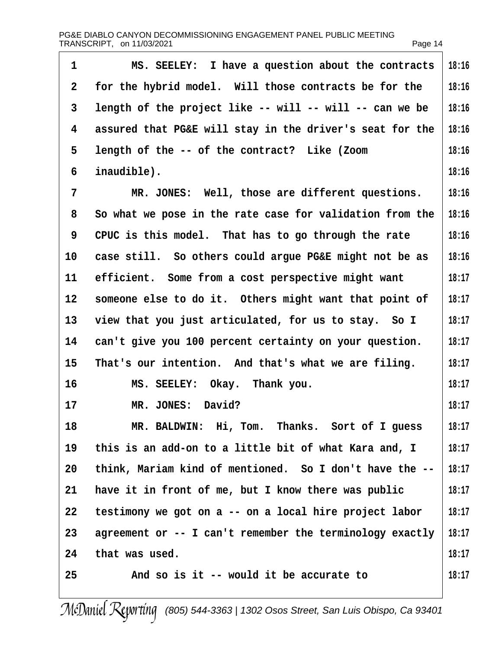| $\mathbf 1$    | MS. SEELEY: I have a question about the contracts        | 18:16 |
|----------------|----------------------------------------------------------|-------|
| 2              | for the hybrid model. Will those contracts be for the    | 18:16 |
| 3              | length of the project like -- will -- will -- can we be  | 18:16 |
| 4              | assured that PG&E will stay in the driver's seat for the | 18:16 |
| 5              | length of the -- of the contract? Like (Zoom             | 18:16 |
| 6              | inaudible).                                              | 18:16 |
| $\overline{7}$ | MR. JONES: Well, those are different questions.          | 18:16 |
| 8              | So what we pose in the rate case for validation from the | 18:16 |
| 9              | CPUC is this model. That has to go through the rate      | 18:16 |
| 10             | case still. So others could argue PG&E might not be as   | 18:16 |
| 11             | efficient. Some from a cost perspective might want       | 18:17 |
| 12             | someone else to do it. Others might want that point of   | 18:17 |
| 13             | view that you just articulated, for us to stay. So I     | 18:17 |
| 14             | can't give you 100 percent certainty on your question.   | 18:17 |
| 15             | That's our intention. And that's what we are filing.     | 18:17 |
| 16             | MS. SEELEY: Okay. Thank you.                             | 18:17 |
| 17             | MR. JONES: David?                                        | 18:17 |
| 18             | MR. BALDWIN: Hi, Tom. Thanks. Sort of I guess            | 18:17 |
| 19             | this is an add-on to a little bit of what Kara and, I    | 18:17 |
| 20             | think, Mariam kind of mentioned. So I don't have the --  | 18:17 |
| 21             | have it in front of me, but I know there was public      | 18:17 |
| 22             | testimony we got on a -- on a local hire project labor   | 18:17 |
| 23             | agreement or -- I can't remember the terminology exactly | 18:17 |
| 24             | that was used.                                           | 18:17 |
| 25             | And so is it -- would it be accurate to                  | 18:17 |
|                |                                                          |       |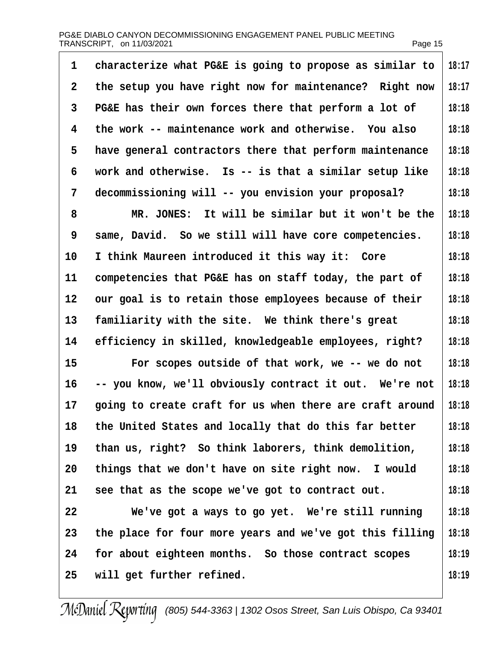| 1                 | characterize what PG&E is going to propose as similar to | 18:17 |
|-------------------|----------------------------------------------------------|-------|
| 2                 | the setup you have right now for maintenance? Right now  | 18:17 |
| 3                 | PG&E has their own forces there that perform a lot of    | 18:18 |
| 4                 | the work -- maintenance work and otherwise. You also     | 18:18 |
| 5                 | have general contractors there that perform maintenance  | 18:18 |
| 6                 | work and otherwise. Is -- is that a similar setup like   | 18:18 |
| 7                 | decommissioning will -- you envision your proposal?      | 18:18 |
| 8                 | MR. JONES: It will be similar but it won't be the        | 18:18 |
| 9                 | same, David. So we still will have core competencies.    | 18:18 |
| 10                | I think Maureen introduced it this way it: Core          | 18:18 |
| 11                | competencies that PG&E has on staff today, the part of   | 18:18 |
| $12 \overline{ }$ | our goal is to retain those employees because of their   | 18:18 |
| 13                | familiarity with the site. We think there's great        | 18:18 |
| 14                | efficiency in skilled, knowledgeable employees, right?   | 18:18 |
| 15                | For scopes outside of that work, we -- we do not         | 18:18 |
| 16                | -- you know, we'll obviously contract it out. We're not  | 18:18 |
| 17                | going to create craft for us when there are craft around | 18:18 |
| 18                | the United States and locally that do this far better    | 18:18 |
| 19                | than us, right? So think laborers, think demolition,     | 18:18 |
| 20                | things that we don't have on site right now. I would     | 18:18 |
| 21                | see that as the scope we've got to contract out.         | 18:18 |
| 22                | We've got a ways to go yet. We're still running          | 18:18 |
| 23                | the place for four more years and we've got this filling | 18:18 |
| 24                | for about eighteen months. So those contract scopes      | 18:19 |
| 25                | will get further refined.                                | 18:19 |
|                   |                                                          |       |

 $\overline{\phantom{a}}$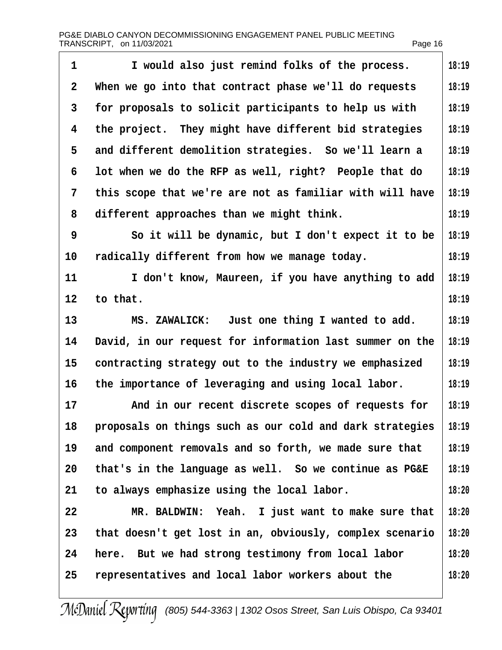| 1  | I would also just remind folks of the process.           | 18:19 |
|----|----------------------------------------------------------|-------|
| 2  | When we go into that contract phase we'll do requests    | 18:19 |
| 3  | for proposals to solicit participants to help us with    | 18:19 |
| 4  | the project. They might have different bid strategies    | 18:19 |
| 5  | and different demolition strategies. So we'll learn a    | 18:19 |
| 6  | lot when we do the RFP as well, right? People that do    | 18:19 |
| 7  | this scope that we're are not as familiar with will have | 18:19 |
| 8  | different approaches than we might think.                | 18:19 |
| 9  | So it will be dynamic, but I don't expect it to be       | 18:19 |
| 10 | radically different from how we manage today.            | 18:19 |
| 11 | I don't know, Maureen, if you have anything to add       | 18:19 |
| 12 | to that.                                                 | 18:19 |
| 13 | MS. ZAWALICK: Just one thing I wanted to add.            | 18:19 |
| 14 | David, in our request for information last summer on the | 18:19 |
| 15 | contracting strategy out to the industry we emphasized   | 18:19 |
| 16 | the importance of leveraging and using local labor.      | 18:19 |
| 17 | And in our recent discrete scopes of requests for        | 18:19 |
| 18 | proposals on things such as our cold and dark strategies | 18:19 |
| 19 | and component removals and so forth, we made sure that   | 18:19 |
| 20 | that's in the language as well. So we continue as PG&E   | 18:19 |
| 21 | to always emphasize using the local labor.               | 18:20 |
| 22 | MR. BALDWIN: Yeah. I just want to make sure that         | 18:20 |
| 23 | that doesn't get lost in an, obviously, complex scenario | 18:20 |
| 24 | here. But we had strong testimony from local labor       | 18:20 |
| 25 | representatives and local labor workers about the        | 18:20 |
|    |                                                          |       |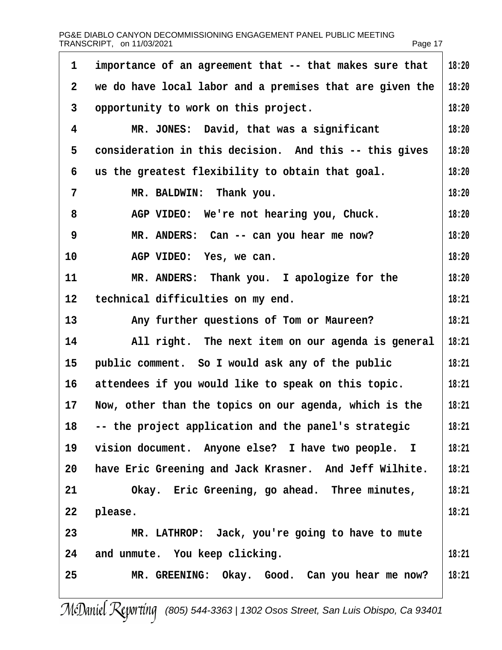| 1              | importance of an agreement that -- that makes sure that  | 18:20 |
|----------------|----------------------------------------------------------|-------|
| $\overline{2}$ | we do have local labor and a premises that are given the | 18:20 |
| 3              | opportunity to work on this project.                     | 18:20 |
| 4              | MR. JONES: David, that was a significant                 | 18:20 |
| 5              | consideration in this decision. And this -- this gives   | 18:20 |
| 6              | us the greatest flexibility to obtain that goal.         | 18:20 |
| $\overline{7}$ | MR. BALDWIN: Thank you.                                  | 18:20 |
| 8              | AGP VIDEO: We're not hearing you, Chuck.                 | 18:20 |
| 9              | MR. ANDERS: Can -- can you hear me now?                  | 18:20 |
| 10             | AGP VIDEO: Yes, we can.                                  | 18:20 |
| 11             | MR. ANDERS: Thank you. I apologize for the               | 18:20 |
| 12             | technical difficulties on my end.                        | 18:21 |
| 13             | Any further questions of Tom or Maureen?                 | 18:21 |
| 14             | All right. The next item on our agenda is general        | 18:21 |
| 15             | public comment. So I would ask any of the public         | 18:21 |
| 16             | attendees if you would like to speak on this topic.      | 18:21 |
| 17             | Now, other than the topics on our agenda, which is the   | 18:21 |
| 18             | -- the project application and the panel's strategic     | 18:21 |
| 19             | vision document. Anyone else? I have two people. I       | 18:21 |
| 20             | have Eric Greening and Jack Krasner. And Jeff Wilhite.   | 18:21 |
| 21             | Okay. Eric Greening, go ahead. Three minutes,            | 18:21 |
| 22             | please.                                                  | 18:21 |
| 23             | MR. LATHROP: Jack, you're going to have to mute          |       |
| 24             | and unmute. You keep clicking.                           | 18:21 |
| 25             | MR. GREENING: Okay. Good. Can you hear me now?           | 18:21 |
|                |                                                          |       |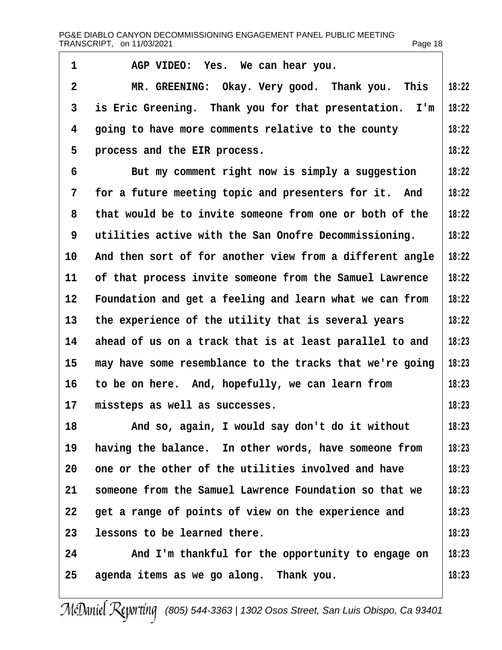1 AGP VIDEO: Yes. We can hear you. 2 MR. GREENING: Okay. Very good. Thank you. This 3 is Eric Greening. Thank you for that presentation. I'm 4 going to have more comments relative to the county 5 process and the EIR process. 6 But my comment right now is simply a suggestion 7 for a future meeting topic and presenters for it. And 8 that would be to invite someone from one or both of the 9 utilities active with the San Onofre Decommissioning. 10 And then sort of for another view from a different angle 11 of that process invite someone from the Samuel Lawrence 12 Foundation and get a feeling and learn what we can from 13 the experience of the utility that is several years 14 ahead of us on a track that is at least parallel to and 15 may have some resemblance to the tracks that we're going 16 to be on here. And, hopefully, we can learn from 17 missteps as well as successes. 18 And so, again, I would say don't do it without 19 having the balance. In other words, have someone from 20 one or the other of the utilities involved and have 21 someone from the Samuel Lawrence Foundation so that we 22 get a range of points of view on the experience and 23 lessons to be learned there. 24 And I'm thankful for the opportunity to engage on 25 agenda items as we go along. Thank you. **18:22 18:22 18:22 18:22 18:22 18:22 18:22 18:22 18:22 18:22 18:22 18:22 18:23 18:23 18:23 18:23 18:23 18:23 18:23 18:23 18:23 18:23 18:23 18:23**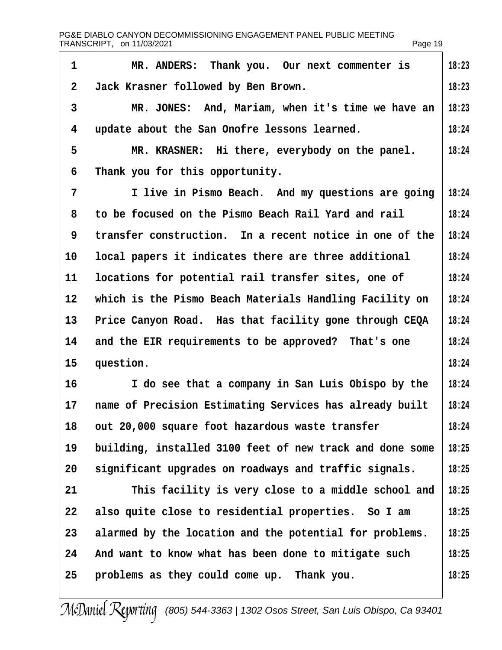| 1                 | MR. ANDERS: Thank you. Our next commenter is             | 18:23 |
|-------------------|----------------------------------------------------------|-------|
| 2                 | Jack Krasner followed by Ben Brown.                      | 18:23 |
| 3                 | MR. JONES: And, Mariam, when it's time we have an        | 18:23 |
| 4                 | update about the San Onofre lessons learned.             | 18:24 |
| 5                 | MR. KRASNER: Hi there, everybody on the panel.           | 18:24 |
| 6                 | Thank you for this opportunity.                          |       |
| 7                 | I live in Pismo Beach. And my questions are going        | 18:24 |
| 8                 | to be focused on the Pismo Beach Rail Yard and rail      | 18:24 |
| 9                 | transfer construction. In a recent notice in one of the  | 18:24 |
| 10                | local papers it indicates there are three additional     | 18:24 |
| 11                | locations for potential rail transfer sites, one of      | 18:24 |
| $12 \overline{ }$ | which is the Pismo Beach Materials Handling Facility on  | 18:24 |
| 13                | Price Canyon Road. Has that facility gone through CEQA   | 18:24 |
| 14                | and the EIR requirements to be approved? That's one      | 18:24 |
| 15                | question.                                                | 18:24 |
| 16                | I do see that a company in San Luis Obispo by the        | 18:24 |
| 17                | name of Precision Estimating Services has already built  | 18:24 |
| 18                | out 20,000 square foot hazardous waste transfer          | 18:24 |
| 19                | building, installed 3100 feet of new track and done some | 18:25 |
| 20                | significant upgrades on roadways and traffic signals.    | 18:25 |
| 21                | This facility is very close to a middle school and       | 18:25 |
| 22                | also quite close to residential properties. So I am      | 18:25 |
| 23                | alarmed by the location and the potential for problems.  | 18:25 |
| 24                | And want to know what has been done to mitigate such     | 18:25 |
| 25                | problems as they could come up. Thank you.               | 18:25 |
|                   |                                                          |       |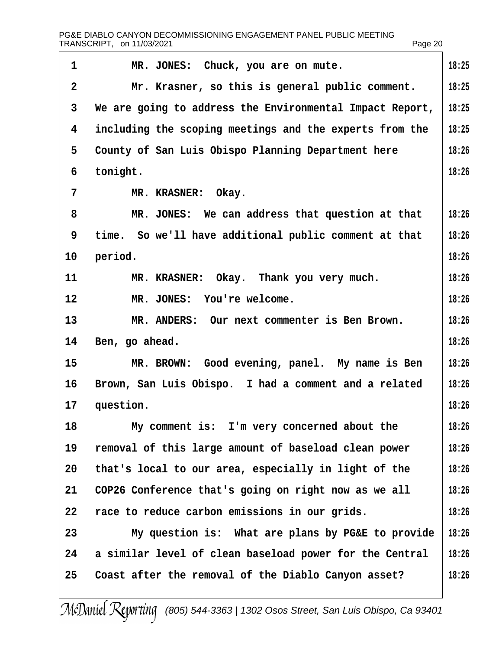| 1              | MR. JONES: Chuck, you are on mute.                       | 18:25 |
|----------------|----------------------------------------------------------|-------|
| $\overline{2}$ | Mr. Krasner, so this is general public comment.          | 18:25 |
| 3              | We are going to address the Environmental Impact Report, | 18:25 |
| 4              | including the scoping meetings and the experts from the  | 18:25 |
| 5              | County of San Luis Obispo Planning Department here       | 18:26 |
| 6              | tonight.                                                 | 18:26 |
| 7              | MR. KRASNER: Okay.                                       |       |
| 8              | MR. JONES: We can address that question at that          | 18:26 |
| 9              | time. So we'll have additional public comment at that    | 18:26 |
| 10             | period.                                                  | 18:26 |
| 11             | MR. KRASNER: Okay. Thank you very much.                  | 18:26 |
| 12             | MR. JONES: You're welcome.                               | 18:26 |
| 13             | MR. ANDERS: Our next commenter is Ben Brown.             | 18:26 |
| 14             | Ben, go ahead.                                           | 18:26 |
| 15             | MR. BROWN: Good evening, panel. My name is Ben           | 18:26 |
| 16             | Brown, San Luis Obispo. I had a comment and a related    | 18:26 |
| 17             | question.                                                | 18:26 |
| 18             | My comment is: I'm very concerned about the              | 18:26 |
| 19             | removal of this large amount of baseload clean power     | 18:26 |
| 20             | that's local to our area, especially in light of the     | 18:26 |
| 21             | COP26 Conference that's going on right now as we all     | 18:26 |
| 22             | race to reduce carbon emissions in our grids.            | 18:26 |
| 23             | My question is: What are plans by PG&E to provide        | 18:26 |
| 24             | a similar level of clean baseload power for the Central  | 18:26 |
| 25             | Coast after the removal of the Diablo Canyon asset?      | 18:26 |
|                |                                                          |       |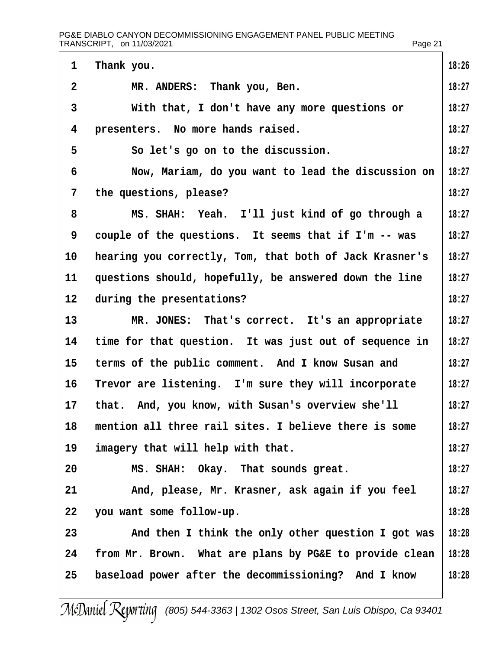| 1              | Thank you.                                              | 18:26 |
|----------------|---------------------------------------------------------|-------|
| $\overline{2}$ | MR. ANDERS: Thank you, Ben.                             | 18:27 |
| 3              | With that, I don't have any more questions or           | 18:27 |
| 4              | presenters. No more hands raised.                       | 18:27 |
| 5              | So let's go on to the discussion.                       | 18:27 |
| 6              | Now, Mariam, do you want to lead the discussion on      | 18:27 |
| 7              | the questions, please?                                  | 18:27 |
| 8              | MS. SHAH: Yeah. I'll just kind of go through a          | 18:27 |
| 9              | couple of the questions. It seems that if I'm -- was    | 18:27 |
| 10             | hearing you correctly, Tom, that both of Jack Krasner's | 18:27 |
| 11             | questions should, hopefully, be answered down the line  | 18:27 |
| 12             | during the presentations?                               | 18:27 |
| 13             | MR. JONES: That's correct. It's an appropriate          | 18:27 |
| 14             | time for that question. It was just out of sequence in  | 18:27 |
| 15             | terms of the public comment. And I know Susan and       | 18:27 |
| 16             | Trevor are listening. I'm sure they will incorporate    | 18:27 |
| 17             | that. And, you know, with Susan's overview she'll       | 18:27 |
| 18             | mention all three rail sites. I believe there is some   | 18:27 |
| 19             | imagery that will help with that.                       | 18:27 |
| 20             | MS. SHAH: Okay. That sounds great.                      | 18:27 |
| 21             | And, please, Mr. Krasner, ask again if you feel         | 18:27 |
| 22             | you want some follow-up.                                | 18:28 |
| 23             | And then I think the only other question I got was      | 18:28 |
| 24             | from Mr. Brown. What are plans by PG&E to provide clean | 18:28 |
| 25             | baseload power after the decommissioning? And I know    | 18:28 |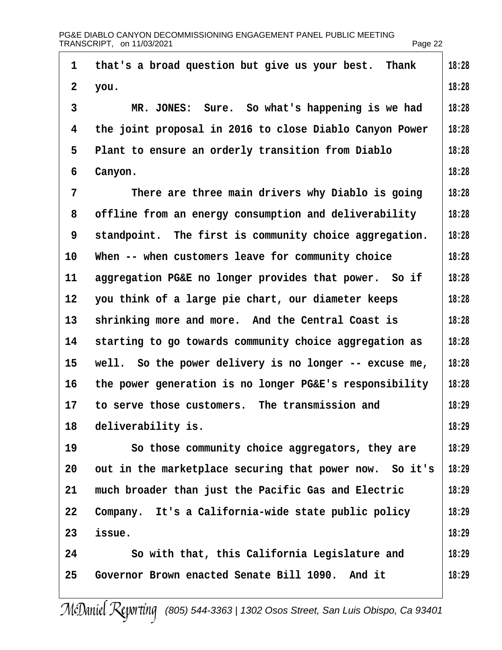| 1              | that's a broad question but give us your best. Thank    | 18:28 |
|----------------|---------------------------------------------------------|-------|
| $\overline{2}$ | you.                                                    | 18:28 |
| 3              | MR. JONES: Sure. So what's happening is we had          | 18:28 |
| 4              | the joint proposal in 2016 to close Diablo Canyon Power | 18:28 |
| 5              | Plant to ensure an orderly transition from Diablo       | 18:28 |
| 6              | Canyon.                                                 | 18:28 |
| $\overline{7}$ | There are three main drivers why Diablo is going        | 18:28 |
| 8              | offline from an energy consumption and deliverability   | 18:28 |
| 9              | standpoint. The first is community choice aggregation.  | 18:28 |
| 10             | When -- when customers leave for community choice       | 18:28 |
| 11             | aggregation PG&E no longer provides that power. So if   | 18:28 |
| 12             | you think of a large pie chart, our diameter keeps      | 18:28 |
| 13             | shrinking more and more. And the Central Coast is       | 18:28 |
| 14             | starting to go towards community choice aggregation as  | 18:28 |
| 15             | well. So the power delivery is no longer -- excuse me,  | 18:28 |
| 16             | the power generation is no longer PG&E's responsibility | 18:28 |
| 17             | to serve those customers. The transmission and          | 18:29 |
| 18             | deliverability is.                                      | 18:29 |
| 19             | So those community choice aggregators, they are         | 18:29 |
| 20             | out in the marketplace securing that power now. So it's | 18:29 |
| 21             | much broader than just the Pacific Gas and Electric     | 18:29 |
| 22             | Company. It's a California-wide state public policy     | 18:29 |
| 23             | issue.                                                  | 18:29 |
| 24             | So with that, this California Legislature and           | 18:29 |
| 25             | Governor Brown enacted Senate Bill 1090. And it         | 18:29 |
|                |                                                         |       |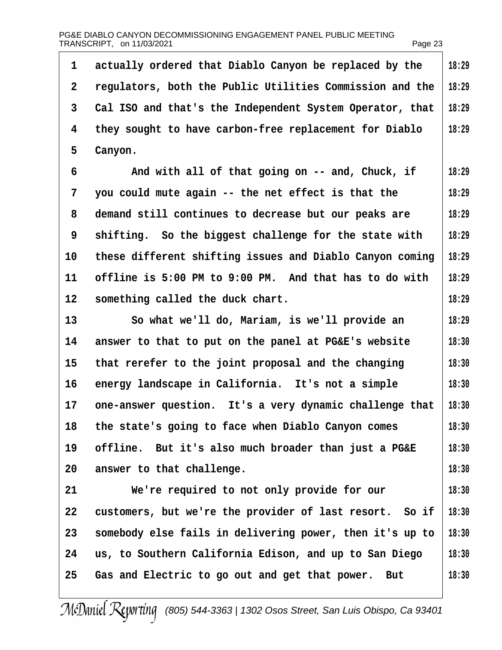| 1  | actually ordered that Diablo Canyon be replaced by the   | 18:29 |
|----|----------------------------------------------------------|-------|
| 2  | regulators, both the Public Utilities Commission and the | 18:29 |
| 3  | Cal ISO and that's the Independent System Operator, that | 18:29 |
| 4  | they sought to have carbon-free replacement for Diablo   | 18:29 |
| 5  | Canyon.                                                  |       |
| 6  | And with all of that going on -- and, Chuck, if          | 18:29 |
| 7  | you could mute again -- the net effect is that the       | 18:29 |
| 8  | demand still continues to decrease but our peaks are     | 18:29 |
| 9  | shifting. So the biggest challenge for the state with    | 18:29 |
| 10 | these different shifting issues and Diablo Canyon coming | 18:29 |
| 11 | offline is 5:00 PM to 9:00 PM. And that has to do with   | 18:29 |
| 12 | something called the duck chart.                         | 18:29 |
| 13 | So what we'll do, Mariam, is we'll provide an            | 18:29 |
| 14 | answer to that to put on the panel at PG&E's website     | 18:30 |
| 15 | that rerefer to the joint proposal and the changing      | 18:30 |
| 16 | energy landscape in California. It's not a simple        | 18:30 |
| 17 | one-answer question. It's a very dynamic challenge that  | 18:30 |
| 18 | the state's going to face when Diablo Canyon comes       | 18:30 |
| 19 | offline. But it's also much broader than just a PG&E     | 18:30 |
| 20 | answer to that challenge.                                | 18:30 |
| 21 | We're required to not only provide for our               | 18:30 |
| 22 | customers, but we're the provider of last resort. So if  | 18:30 |
| 23 | somebody else fails in delivering power, then it's up to | 18:30 |
| 24 | us, to Southern California Edison, and up to San Diego   | 18:30 |
| 25 | Gas and Electric to go out and get that power. But       | 18:30 |
|    |                                                          |       |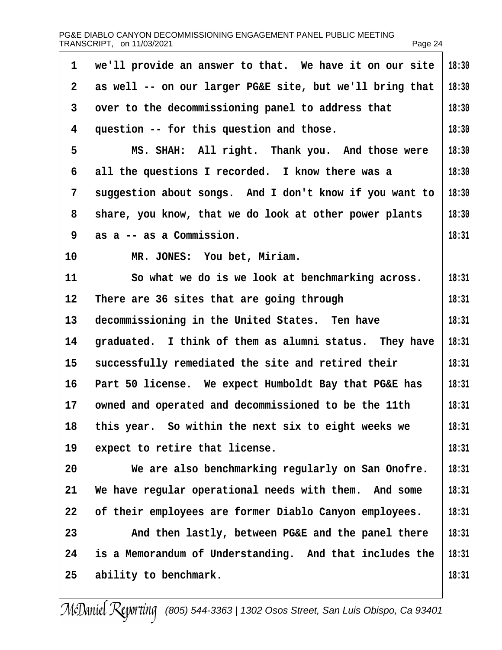| 1            | we'll provide an answer to that. We have it on our site  | 18:30 |
|--------------|----------------------------------------------------------|-------|
| $\mathbf{2}$ | as well -- on our larger PG&E site, but we'll bring that | 18:30 |
| 3            | over to the decommissioning panel to address that        | 18:30 |
| 4            | question -- for this question and those.                 | 18:30 |
| 5            | MS. SHAH: All right. Thank you. And those were           | 18:30 |
| 6            | all the questions I recorded. I know there was a         | 18:30 |
| 7            | suggestion about songs. And I don't know if you want to  | 18:30 |
| 8            | share, you know, that we do look at other power plants   | 18:30 |
| 9            | as a -- as a Commission.                                 | 18:31 |
| 10           | MR. JONES: You bet, Miriam.                              |       |
| 11           | So what we do is we look at benchmarking across.         | 18:31 |
| 12           | There are 36 sites that are going through                | 18:31 |
| 13           | decommissioning in the United States. Ten have           | 18:31 |
| 14           | graduated. I think of them as alumni status. They have   | 18:31 |
| 15           | successfully remediated the site and retired their       | 18:31 |
| 16           | Part 50 license. We expect Humboldt Bay that PG&E has    | 18:31 |
| 17           | owned and operated and decommissioned to be the 11th     | 18:31 |
| 18           | this year. So within the next six to eight weeks we      | 18:31 |
| 19           | expect to retire that license.                           | 18:31 |
| 20           | We are also benchmarking regularly on San Onofre.        | 18:31 |
| 21           | We have regular operational needs with them. And some    | 18:31 |
| 22           | of their employees are former Diablo Canyon employees.   | 18:31 |
| 23           | And then lastly, between PG&E and the panel there        | 18:31 |
| 24           | is a Memorandum of Understanding. And that includes the  | 18:31 |
| 25           | ability to benchmark.                                    | 18:31 |
|              |                                                          |       |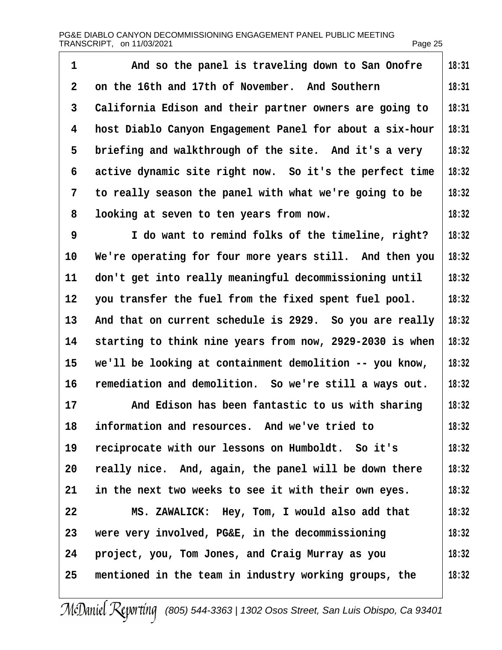| 1  | And so the panel is traveling down to San Onofre         | 18:31 |
|----|----------------------------------------------------------|-------|
| 2  | on the 16th and 17th of November. And Southern           | 18:31 |
| 3  | California Edison and their partner owners are going to  | 18:31 |
| 4  | host Diablo Canyon Engagement Panel for about a six-hour | 18:31 |
| 5  | briefing and walkthrough of the site. And it's a very    | 18:32 |
| 6  | active dynamic site right now. So it's the perfect time  | 18:32 |
| 7  | to really season the panel with what we're going to be   | 18:32 |
| 8  | looking at seven to ten years from now.                  | 18:32 |
| 9  | I do want to remind folks of the timeline, right?        | 18:32 |
| 10 | We're operating for four more years still. And then you  | 18:32 |
| 11 | don't get into really meaningful decommissioning until   | 18:32 |
| 12 | you transfer the fuel from the fixed spent fuel pool.    | 18:32 |
| 13 | And that on current schedule is 2929. So you are really  | 18:32 |
| 14 | starting to think nine years from now, 2929-2030 is when | 18:32 |
| 15 | we'll be looking at containment demolition -- you know,  | 18:32 |
| 16 | remediation and demolition. So we're still a ways out.   | 18:32 |
| 17 | And Edison has been fantastic to us with sharing         | 18:32 |
| 18 | information and resources. And we've tried to            | 18:32 |
| 19 | reciprocate with our lessons on Humboldt. So it's        | 18:32 |
| 20 | really nice. And, again, the panel will be down there    | 18:32 |
| 21 | in the next two weeks to see it with their own eyes.     | 18:32 |
| 22 | MS. ZAWALICK: Hey, Tom, I would also add that            | 18:32 |
| 23 | were very involved, PG&E, in the decommissioning         | 18:32 |
| 24 | project, you, Tom Jones, and Craig Murray as you         | 18:32 |
| 25 | mentioned in the team in industry working groups, the    | 18:32 |
|    |                                                          |       |

 $\overline{\phantom{a}}$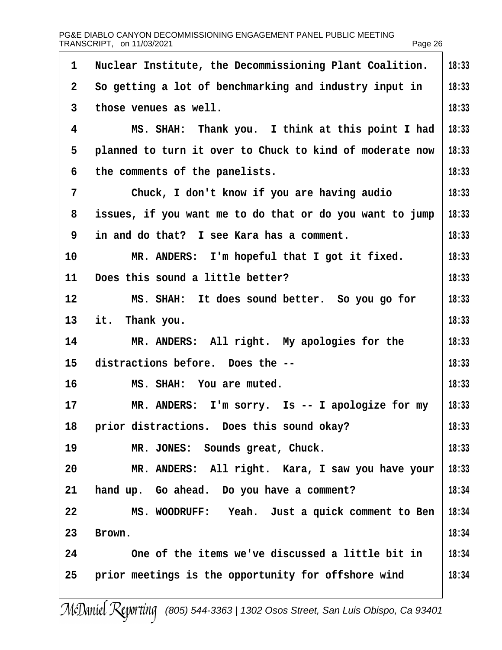| PG&E DIABLO CANYON DECOMMISSIONING ENGAGEMENT PANEL PUBLIC MEETING<br>TRANSCRIPT, on 11/03/2021 |                                                          | Page 26 |
|-------------------------------------------------------------------------------------------------|----------------------------------------------------------|---------|
| 1                                                                                               | Nuclear Institute, the Decommissioning Plant Coalition.  | 18:33   |
| $\overline{2}$                                                                                  | So getting a lot of benchmarking and industry input in   | 18:33   |
| 3                                                                                               | those venues as well.                                    | 18:33   |
| 4                                                                                               | MS. SHAH: Thank you. I think at this point I had         | 18:33   |
| 5                                                                                               | planned to turn it over to Chuck to kind of moderate now | 18:33   |
| 6                                                                                               | the comments of the panelists.                           | 18:33   |
| $\overline{7}$                                                                                  | Chuck, I don't know if you are having audio              | 18:33   |
| 8                                                                                               | issues, if you want me to do that or do you want to jump | 18:33   |
| 9                                                                                               | in and do that? I see Kara has a comment.                | 18:33   |
| 10                                                                                              | MR. ANDERS: I'm hopeful that I got it fixed.             | 18:33   |
| 11                                                                                              | Does this sound a little better?                         | 18:33   |
| 12                                                                                              | MS. SHAH: It does sound better. So you go for            | 18:33   |
| 13                                                                                              | it. Thank you.                                           | 18:33   |
| 14                                                                                              | MR. ANDERS: All right. My apologies for the              | 18:33   |
| 15                                                                                              | distractions before. Does the --                         | 18:33   |
| 16                                                                                              | MS. SHAH: You are muted.                                 | 18:33   |
| 17                                                                                              | MR. ANDERS: I'm sorry. Is -- I apologize for my          | 18:33   |
| 18                                                                                              | prior distractions. Does this sound okay?                | 18:33   |
| 19                                                                                              | MR. JONES: Sounds great, Chuck.                          | 18:33   |
| 20                                                                                              | MR. ANDERS: All right. Kara, I saw you have your         | 18:33   |
| 21                                                                                              | hand up. Go ahead. Do you have a comment?                | 18:34   |
| 22                                                                                              | MS. WOODRUFF: Yeah. Just a quick comment to Ben          | 18:34   |
| 23                                                                                              | Brown.                                                   | 18:34   |
| 24                                                                                              | One of the items we've discussed a little bit in         | 18:34   |
| 25                                                                                              | prior meetings is the opportunity for offshore wind      | 18:34   |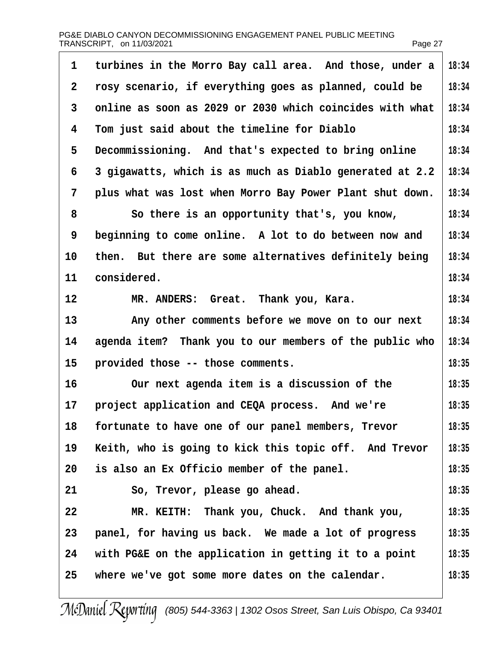| PG&E DIABLO CANYON DECOMMISSIONING ENGAGEMENT PANEL PUBLIC MEETING |         |
|--------------------------------------------------------------------|---------|
| TRANSCRIPT, on 11/03/2021                                          | Page 27 |

| 1              | turbines in the Morro Bay call area. And those, under a  | 18:34 |
|----------------|----------------------------------------------------------|-------|
| 2              | rosy scenario, if everything goes as planned, could be   | 18:34 |
| 3              | online as soon as 2029 or 2030 which coincides with what | 18:34 |
| 4              | Tom just said about the timeline for Diablo              | 18:34 |
| 5              | Decommissioning. And that's expected to bring online     | 18:34 |
| 6              | 3 gigawatts, which is as much as Diablo generated at 2.2 | 18:34 |
| $\overline{7}$ | plus what was lost when Morro Bay Power Plant shut down. | 18:34 |
| 8              | So there is an opportunity that's, you know,             | 18:34 |
| 9              | beginning to come online. A lot to do between now and    | 18:34 |
| 10             | then. But there are some alternatives definitely being   | 18:34 |
| 11             | considered.                                              | 18:34 |
| 12             | MR. ANDERS: Great. Thank you, Kara.                      | 18:34 |
| 13             | Any other comments before we move on to our next         | 18:34 |
| 14             | agenda item? Thank you to our members of the public who  | 18:34 |
| 15             | provided those -- those comments.                        | 18:35 |
| 16             | Our next agenda item is a discussion of the              | 18:35 |
| 17             | project application and CEQA process. And we're          | 18:35 |
| 18             | fortunate to have one of our panel members, Trevor       | 18:35 |
| 19             | Keith, who is going to kick this topic off. And Trevor   | 18:35 |
| 20             | is also an Ex Officio member of the panel.               | 18:35 |
| 21             | So, Trevor, please go ahead.                             | 18:35 |
| 22             | MR. KEITH: Thank you, Chuck. And thank you,              | 18:35 |
| 23             | panel, for having us back. We made a lot of progress     | 18:35 |
| 24             | with PG&E on the application in getting it to a point    | 18:35 |
| 25             | where we've got some more dates on the calendar.         | 18:35 |
|                |                                                          |       |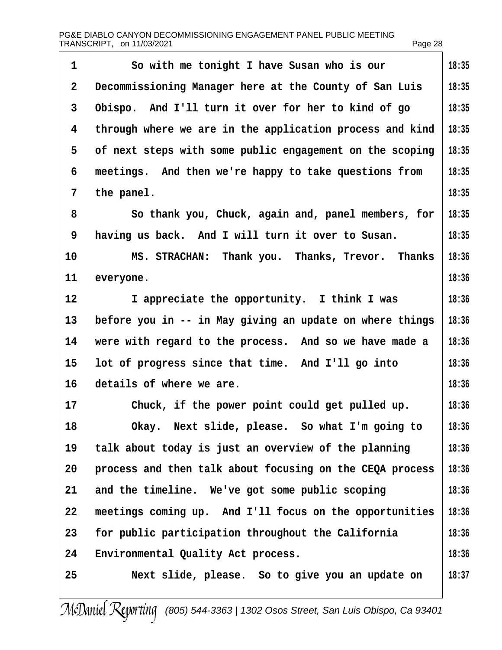| 1  | So with me tonight I have Susan who is our               | 18:35 |
|----|----------------------------------------------------------|-------|
| 2  | Decommissioning Manager here at the County of San Luis   | 18:35 |
| 3  | Obispo. And I'll turn it over for her to kind of go      | 18:35 |
| 4  | through where we are in the application process and kind | 18:35 |
| 5  | of next steps with some public engagement on the scoping | 18:35 |
| 6  | meetings. And then we're happy to take questions from    | 18:35 |
| 7  | the panel.                                               | 18:35 |
| 8  | So thank you, Chuck, again and, panel members, for       | 18:35 |
| 9  | having us back. And I will turn it over to Susan.        | 18:35 |
| 10 | MS. STRACHAN: Thank you. Thanks, Trevor. Thanks          | 18:36 |
| 11 | everyone.                                                | 18:36 |
| 12 | I appreciate the opportunity. I think I was              | 18:36 |
| 13 | before you in -- in May giving an update on where things | 18:36 |
| 14 | were with regard to the process. And so we have made a   | 18:36 |
| 15 | lot of progress since that time. And I'll go into        | 18:36 |
| 16 | details of where we are.                                 | 18:36 |
| 17 | Chuck, if the power point could get pulled up.           | 18:36 |
| 18 | Okay. Next slide, please. So what I'm going to           | 18:36 |
| 19 | talk about today is just an overview of the planning     | 18:36 |
| 20 | process and then talk about focusing on the CEQA process | 18:36 |
| 21 | and the timeline. We've got some public scoping          | 18:36 |
| 22 | meetings coming up. And I'll focus on the opportunities  | 18:36 |
| 23 | for public participation throughout the California       | 18:36 |
| 24 | <b>Environmental Quality Act process.</b>                | 18:36 |
| 25 | Next slide, please. So to give you an update on          | 18:37 |
|    |                                                          |       |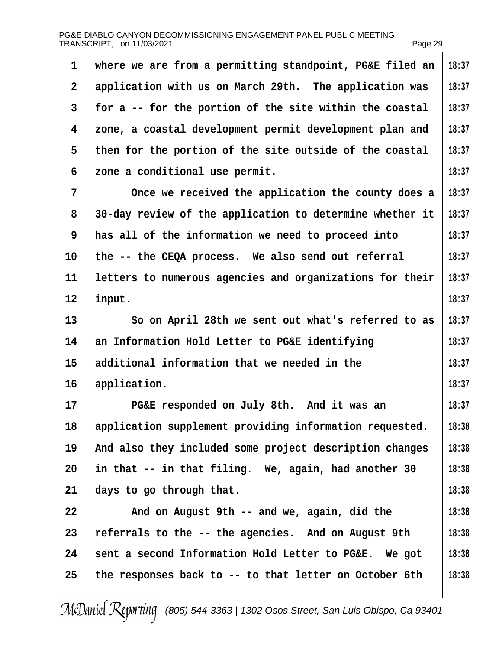|         | <b>IRANOURIPI, UII II/UJ/ZUZI</b>                        | Page za |
|---------|----------------------------------------------------------|---------|
| 1       | where we are from a permitting standpoint, PG&E filed an | 18:37   |
| 2       | application with us on March 29th. The application was   | 18:37   |
| 3       | for a -- for the portion of the site within the coastal  | 18:37   |
| 4       | zone, a coastal development permit development plan and  | 18:37   |
| 5       | then for the portion of the site outside of the coastal  | 18:37   |
| 6       | zone a conditional use permit.                           | 18:37   |
| 7       | Once we received the application the county does a       | 18:37   |
| 8       | 30-day review of the application to determine whether it | 18:37   |
| 9       | has all of the information we need to proceed into       | 18:37   |
| 10      | the -- the CEQA process. We also send out referral       | 18:37   |
| 11      | letters to numerous agencies and organizations for their | 18:37   |
| $12 \,$ | input.                                                   | 18:37   |
| 13      | So on April 28th we sent out what's referred to as       | 18:37   |
| 14      | an Information Hold Letter to PG&E identifying           | 18:37   |
| 15      | additional information that we needed in the             | 18:37   |
| 16      | application.                                             | 18:37   |
| 17      | PG&E responded on July 8th. And it was an                | 18:37   |
| 18      | application supplement providing information requested.  | 18:38   |
| 19      | And also they included some project description changes  | 18:38   |
| 20      | in that -- in that filing. We, again, had another 30     | 18:38   |
| 21      | days to go through that.                                 | 18:38   |
| 22      | And on August 9th -- and we, again, did the              | 18:38   |
| 23      | referrals to the -- the agencies. And on August 9th      | 18:38   |
| 24      | sent a second Information Hold Letter to PG&E. We got    | 18:38   |
| 25      | the responses back to -- to that letter on October 6th   | 18:38   |
|         |                                                          |         |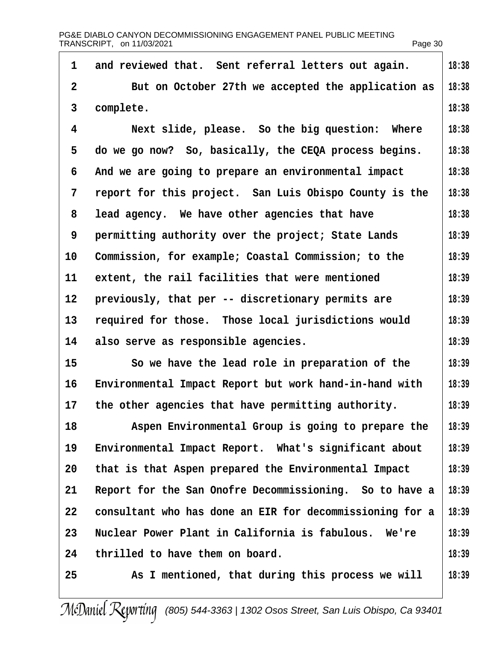|                | PG&E DIABLO CANYON DECOMMISSIONING ENGAGEMENT PANEL PUBLIC MEETING<br>TRANSCRIPT, on 11/03/2021 | Page 30 |
|----------------|-------------------------------------------------------------------------------------------------|---------|
| 1              | and reviewed that. Sent referral letters out again.                                             | 18:38   |
| $\overline{2}$ | But on October 27th we accepted the application as                                              | 18:38   |
| 3              | complete.                                                                                       | 18:38   |
| 4              | Next slide, please. So the big question: Where                                                  | 18:38   |
| 5              | do we go now? So, basically, the CEQA process begins.                                           | 18:38   |
| 6              | And we are going to prepare an environmental impact                                             | 18:38   |
| 7              | report for this project. San Luis Obispo County is the                                          | 18:38   |
| 8              | lead agency. We have other agencies that have                                                   | 18:38   |
| 9              | permitting authority over the project; State Lands                                              | 18:39   |
| 10             | Commission, for example; Coastal Commission; to the                                             | 18:39   |
| 11             | extent, the rail facilities that were mentioned                                                 | 18:39   |
| 12             | previously, that per -- discretionary permits are                                               | 18:39   |
| 13             | required for those. Those local jurisdictions would                                             | 18:39   |
| 14             | also serve as responsible agencies.                                                             | 18:39   |
| 15             | So we have the lead role in preparation of the                                                  | 18:39   |
| 16             | Environmental Impact Report but work hand-in-hand with                                          | 18:39   |
| 17             | the other agencies that have permitting authority.                                              | 18:39   |
| 18             | Aspen Environmental Group is going to prepare the                                               | 18:39   |
| 19             | Environmental Impact Report. What's significant about                                           | 18:39   |
| 20             | that is that Aspen prepared the Environmental Impact                                            | 18:39   |
| 21             | Report for the San Onofre Decommissioning. So to have a                                         | 18:39   |
| 22             | consultant who has done an EIR for decommissioning for a                                        | 18:39   |
| 23             | Nuclear Power Plant in California is fabulous. We're                                            | 18:39   |
| 24             | thrilled to have them on board.                                                                 | 18:39   |
| 25             | As I mentioned, that during this process we will                                                | 18:39   |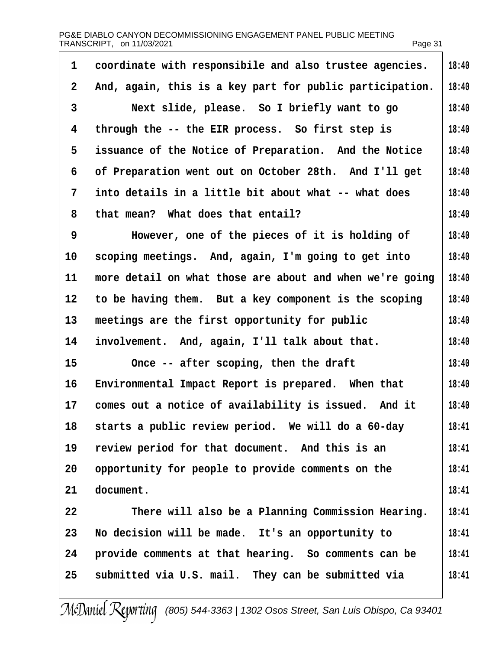| PG&E DIABLO CANYON DECOMMISSIONING ENGAGEMENT PANEL PUBLIC MEETING<br>TRANSCRIPT, on 11/03/2021 |                                                          | Page 31 |
|-------------------------------------------------------------------------------------------------|----------------------------------------------------------|---------|
| 1                                                                                               | coordinate with responsibile and also trustee agencies.  | 18:40   |
| 2                                                                                               | And, again, this is a key part for public participation. | 18:40   |
| 3                                                                                               | Next slide, please. So I briefly want to go              | 18:40   |
| 4                                                                                               | through the -- the EIR process. So first step is         | 18:40   |
| 5                                                                                               | issuance of the Notice of Preparation. And the Notice    | 18:40   |
| 6                                                                                               | of Preparation went out on October 28th. And I'll get    | 18:40   |
| 7                                                                                               | into details in a little bit about what -- what does     | 18:40   |
| 8                                                                                               | that mean? What does that entail?                        | 18:40   |
| 9                                                                                               | However, one of the pieces of it is holding of           | 18:40   |
| 10                                                                                              | scoping meetings. And, again, I'm going to get into      | 18:40   |
| 11                                                                                              | more detail on what those are about and when we're going | 18:40   |
| 12                                                                                              | to be having them. But a key component is the scoping    | 18:40   |
| 13                                                                                              | meetings are the first opportunity for public            | 18:40   |
| 14                                                                                              | involvement. And, again, I'll talk about that.           | 18:40   |
| 15                                                                                              | Once -- after scoping, then the draft                    | 18:40   |
| 16                                                                                              | Environmental Impact Report is prepared. When that       | 18:40   |
| 17                                                                                              | comes out a notice of availability is issued. And it     | 18:40   |
| 18                                                                                              | starts a public review period. We will do a 60-day       | 18:41   |
| 19                                                                                              | review period for that document. And this is an          | 18:41   |
| 20                                                                                              | opportunity for people to provide comments on the        | 18:41   |
| 21                                                                                              | document.                                                | 18:41   |
| 22                                                                                              | There will also be a Planning Commission Hearing.        | 18:41   |
| 23                                                                                              | No decision will be made. It's an opportunity to         | 18:41   |
| 24                                                                                              | provide comments at that hearing. So comments can be     | 18:41   |
| 25                                                                                              | submitted via U.S. mail. They can be submitted via       | 18:41   |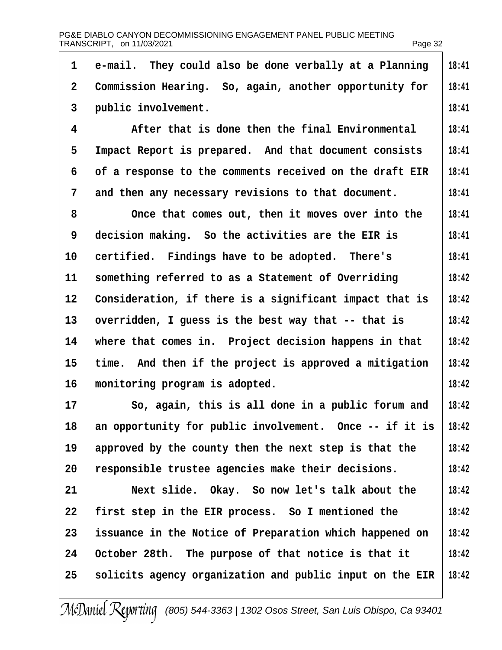| 1              | e-mail. They could also be done verbally at a Planning   | 18:41 |
|----------------|----------------------------------------------------------|-------|
| $\overline{2}$ | Commission Hearing. So, again, another opportunity for   | 18:41 |
| 3              | public involvement.                                      | 18:41 |
| 4              | After that is done then the final Environmental          | 18:41 |
| 5              | Impact Report is prepared. And that document consists    | 18:41 |
| 6              | of a response to the comments received on the draft EIR  | 18:41 |
| 7              | and then any necessary revisions to that document.       | 18:41 |
| 8              | Once that comes out, then it moves over into the         | 18:41 |
| 9              | decision making. So the activities are the EIR is        | 18:41 |
| 10             | certified. Findings have to be adopted. There's          | 18:41 |
| 11             | something referred to as a Statement of Overriding       | 18:42 |
| 12             | Consideration, if there is a significant impact that is  | 18:42 |
| 13             | overridden, I guess is the best way that -- that is      | 18:42 |
| 14             | where that comes in. Project decision happens in that    | 18:42 |
| 15             | time. And then if the project is approved a mitigation   | 18:42 |
| 16             | monitoring program is adopted.                           | 18:42 |
| 17             | So, again, this is all done in a public forum and        | 18:42 |
| 18             | an opportunity for public involvement. Once -- if it is  | 18:42 |
| 19             | approved by the county then the next step is that the    | 18:42 |
| 20             | responsible trustee agencies make their decisions.       | 18:42 |
| 21             | Next slide. Okay. So now let's talk about the            | 18:42 |
| 22             | first step in the EIR process. So I mentioned the        | 18:42 |
| 23             | issuance in the Notice of Preparation which happened on  | 18:42 |
| 24             | October 28th. The purpose of that notice is that it      | 18:42 |
| 25             | solicits agency organization and public input on the EIR | 18:42 |
|                |                                                          |       |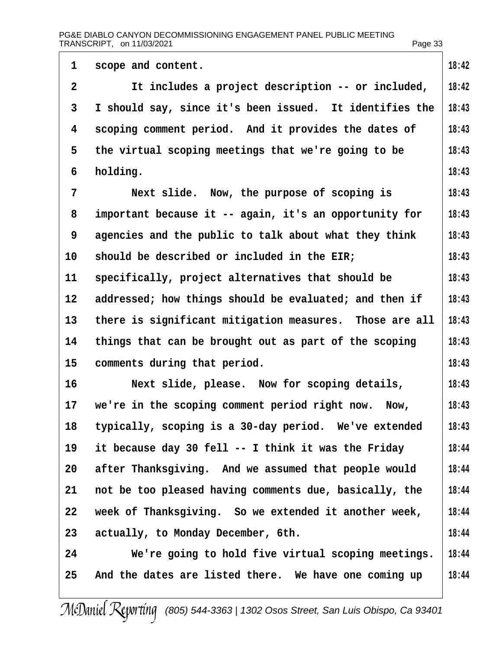|                                                                           | 18:42                                                                                                                              |
|---------------------------------------------------------------------------|------------------------------------------------------------------------------------------------------------------------------------|
|                                                                           | 18:42                                                                                                                              |
|                                                                           |                                                                                                                                    |
|                                                                           | 18:43                                                                                                                              |
| scoping comment period. And it provides the dates of                      | 18:43                                                                                                                              |
| the virtual scoping meetings that we're going to be                       | 18:43                                                                                                                              |
| holding.                                                                  | 18:43                                                                                                                              |
| Next slide. Now, the purpose of scoping is                                | 18:43                                                                                                                              |
| important because it -- again, it's an opportunity for                    | 18:43                                                                                                                              |
| agencies and the public to talk about what they think                     | 18:43                                                                                                                              |
| should be described or included in the EIR;<br>10                         | 18:43                                                                                                                              |
| specifically, project alternatives that should be                         | 18:43                                                                                                                              |
| addressed; how things should be evaluated; and then if<br>12 <sup>°</sup> | 18:43                                                                                                                              |
| 13<br>there is significant mitigation measures. Those are all             | 18:43                                                                                                                              |
| things that can be brought out as part of the scoping                     | 18:43                                                                                                                              |
| 15<br>comments during that period.                                        | 18:43                                                                                                                              |
| 16<br>Next slide, please. Now for scoping details,                        | 18:43                                                                                                                              |
| we're in the scoping comment period right now. Now,<br>17                 | 18:43                                                                                                                              |
| typically, scoping is a 30-day period. We've extended<br>18               | 18:43                                                                                                                              |
| it because day 30 fell -- I think it was the Friday                       | 18:44                                                                                                                              |
| after Thanksgiving. And we assumed that people would<br>20                | 18:44                                                                                                                              |
| not be too pleased having comments due, basically, the                    | 18:44                                                                                                                              |
| week of Thanksgiving. So we extended it another week,<br>22               | 18:44                                                                                                                              |
| 23<br>actually, to Monday December, 6th.                                  | 18:44                                                                                                                              |
| 24<br>We're going to hold five virtual scoping meetings.                  | 18:44                                                                                                                              |
| And the dates are listed there. We have one coming up<br>25               | 18:44                                                                                                                              |
|                                                                           | scope and content.<br>It includes a project description -- or included,<br>I should say, since it's been issued. It identifies the |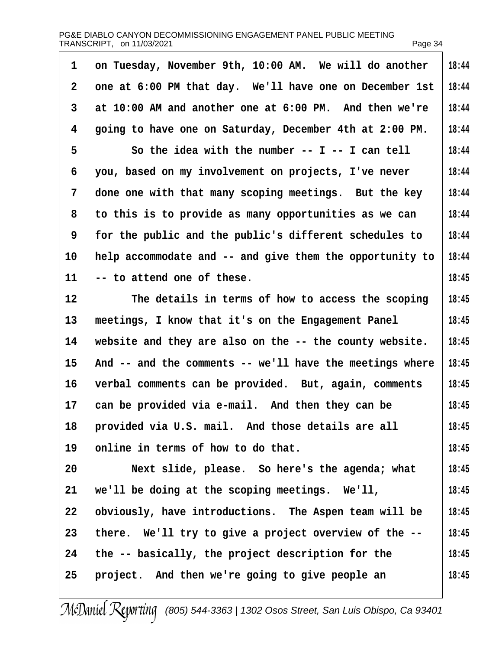| 1              | on Tuesday, November 9th, 10:00 AM. We will do another   | 18:44 |
|----------------|----------------------------------------------------------|-------|
| $\overline{2}$ | one at 6:00 PM that day. We'll have one on December 1st  | 18:44 |
| 3              | at 10:00 AM and another one at 6:00 PM. And then we're   | 18:44 |
| 4              | going to have one on Saturday, December 4th at 2:00 PM.  | 18:44 |
| 5              | So the idea with the number -- I -- I can tell           | 18:44 |
| 6              | you, based on my involvement on projects, I've never     | 18:44 |
| 7              | done one with that many scoping meetings. But the key    | 18:44 |
| 8              | to this is to provide as many opportunities as we can    | 18:44 |
| 9              | for the public and the public's different schedules to   | 18:44 |
| 10             | help accommodate and -- and give them the opportunity to | 18:44 |
| 11             | -- to attend one of these.                               | 18:45 |
| 12             | The details in terms of how to access the scoping        | 18:45 |
| 13             | meetings, I know that it's on the Engagement Panel       | 18:45 |
| 14             | website and they are also on the -- the county website.  | 18:45 |
| 15             | And -- and the comments -- we'll have the meetings where | 18:45 |
| 16             | verbal comments can be provided. But, again, comments    | 18:45 |
| 17             | can be provided via e-mail. And then they can be         | 18:45 |
| 18             | provided via U.S. mail. And those details are all        | 18:45 |
| 19             | online in terms of how to do that.                       | 18:45 |
| 20             | Next slide, please. So here's the agenda; what           | 18:45 |
| 21             | we'll be doing at the scoping meetings. We'll,           | 18:45 |
| 22             | obviously, have introductions. The Aspen team will be    | 18:45 |
| 23             | there. We'll try to give a project overview of the --    | 18:45 |
| 24             | the -- basically, the project description for the        | 18:45 |
| 25             | project. And then we're going to give people an          | 18:45 |
|                |                                                          |       |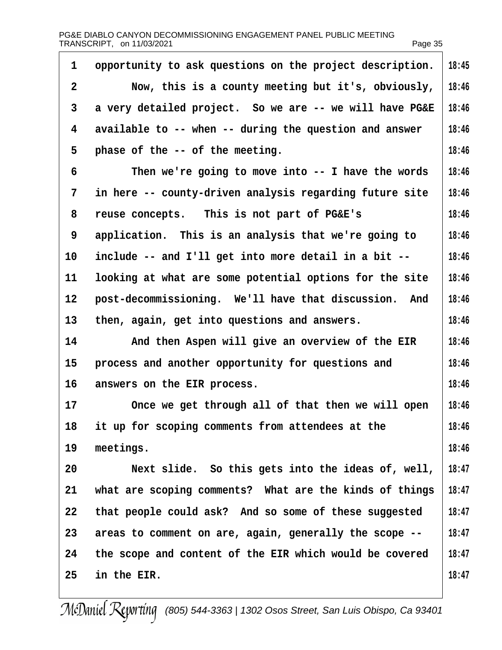| 1              | opportunity to ask questions on the project description. | 18:45 |
|----------------|----------------------------------------------------------|-------|
| $\overline{2}$ | Now, this is a county meeting but it's, obviously,       | 18:46 |
| 3              | a very detailed project. So we are -- we will have PG&E  | 18:46 |
| 4              | available to -- when -- during the question and answer   | 18:46 |
| 5              | phase of the -- of the meeting.                          | 18:46 |
| 6              | Then we're going to move into -- I have the words        | 18:46 |
| 7              | in here -- county-driven analysis regarding future site  | 18:46 |
| 8              | reuse concepts. This is not part of PG&E's               | 18:46 |
| 9              | application. This is an analysis that we're going to     | 18:46 |
| 10             | include -- and I'll get into more detail in a bit --     | 18:46 |
| 11             | looking at what are some potential options for the site  | 18:46 |
| 12             | post-decommissioning. We'll have that discussion. And    | 18:46 |
| 13             | then, again, get into questions and answers.             | 18:46 |
| 14             | And then Aspen will give an overview of the EIR          | 18:46 |
| 15             | process and another opportunity for questions and        | 18:46 |
| 16             | answers on the EIR process.                              | 18:46 |
| 17             | Once we get through all of that then we will open        | 18:46 |
| 18             | it up for scoping comments from attendees at the         | 18:46 |
| 19             | meetings.                                                | 18:46 |
| 20             | Next slide. So this gets into the ideas of, well,        | 18:47 |
| 21             | what are scoping comments? What are the kinds of things  | 18:47 |
| 22             | that people could ask? And so some of these suggested    | 18:47 |
| 23             | areas to comment on are, again, generally the scope --   | 18:47 |
| 24             | the scope and content of the EIR which would be covered  | 18:47 |
| 25             | in the EIR.                                              | 18:47 |
|                |                                                          |       |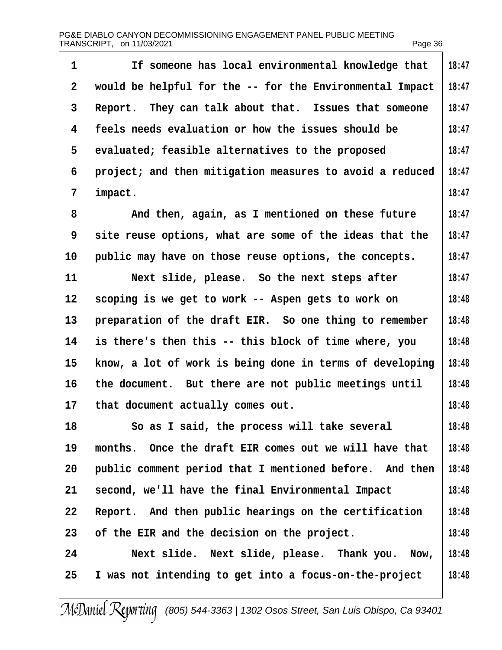| 1                 | If someone has local environmental knowledge that        | 18:47 |
|-------------------|----------------------------------------------------------|-------|
| 2                 | would be helpful for the -- for the Environmental Impact | 18:47 |
| 3                 | Report. They can talk about that. Issues that someone    | 18:47 |
| 4                 | feels needs evaluation or how the issues should be       | 18:47 |
| 5                 | evaluated; feasible alternatives to the proposed         | 18:47 |
| 6                 | project; and then mitigation measures to avoid a reduced | 18:47 |
| 7                 | impact.                                                  | 18:47 |
| 8                 | And then, again, as I mentioned on these future          | 18:47 |
| 9                 | site reuse options, what are some of the ideas that the  | 18:47 |
| 10                | public may have on those reuse options, the concepts.    | 18:47 |
| 11                | Next slide, please. So the next steps after              | 18:47 |
| $12 \overline{ }$ | scoping is we get to work -- Aspen gets to work on       | 18:48 |
| 13                | preparation of the draft EIR. So one thing to remember   | 18:48 |
| 14                | is there's then this -- this block of time where, you    | 18:48 |
| 15                | know, a lot of work is being done in terms of developing | 18:48 |
| 16                | the document. But there are not public meetings until    | 18:48 |
|                   | 17 that document actually comes out.                     | 18:48 |
| 18                | So as I said, the process will take several              | 18:48 |
| 19                | months. Once the draft EIR comes out we will have that   | 18:48 |
| 20                | public comment period that I mentioned before. And then  | 18:48 |
| 21                | second, we'll have the final Environmental Impact        | 18:48 |
| 22                | Report. And then public hearings on the certification    | 18:48 |
| 23                | of the EIR and the decision on the project.              | 18:48 |
| 24                | Next slide. Next slide, please. Thank you. Now,          | 18:48 |
| 25                | I was not intending to get into a focus-on-the-project   | 18:48 |
|                   |                                                          |       |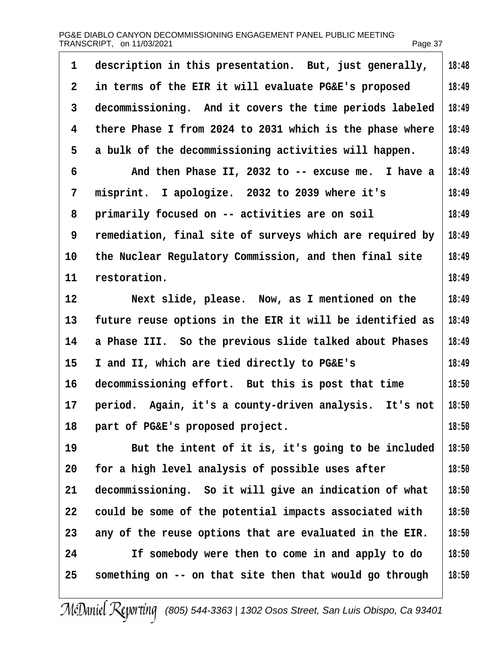| PG&E DIABLO CANYON DECOMMISSIONING ENGAGEMENT PANEL PUBLIC MEETING |         |
|--------------------------------------------------------------------|---------|
| TRANSCRIPT, on 11/03/2021                                          | Page 37 |

| 1  | description in this presentation. But, just generally,   | 18:48 |
|----|----------------------------------------------------------|-------|
| 2  | in terms of the EIR it will evaluate PG&E's proposed     | 18:49 |
| 3  | decommissioning. And it covers the time periods labeled  | 18:49 |
| 4  | there Phase I from 2024 to 2031 which is the phase where | 18:49 |
| 5  | a bulk of the decommissioning activities will happen.    | 18:49 |
| 6  | And then Phase II, 2032 to -- excuse me. I have a        | 18:49 |
| 7  | misprint. I apologize. 2032 to 2039 where it's           | 18:49 |
| 8  | primarily focused on -- activities are on soil           | 18:49 |
| 9  | remediation, final site of surveys which are required by | 18:49 |
| 10 | the Nuclear Regulatory Commission, and then final site   | 18:49 |
| 11 | restoration.                                             | 18:49 |
| 12 | Next slide, please. Now, as I mentioned on the           | 18:49 |
| 13 | future reuse options in the EIR it will be identified as | 18:49 |
| 14 | a Phase III. So the previous slide talked about Phases   | 18:49 |
| 15 | I and II, which are tied directly to PG&E's              | 18:49 |
| 16 | decommissioning effort. But this is post that time       | 18:50 |
| 17 | period. Again, it's a county-driven analysis. It's not   | 18:50 |
| 18 | part of PG&E's proposed project.                         | 18:50 |
| 19 | But the intent of it is, it's going to be included       | 18:50 |
| 20 | for a high level analysis of possible uses after         | 18:50 |
| 21 | decommissioning. So it will give an indication of what   | 18:50 |
| 22 | could be some of the potential impacts associated with   | 18:50 |
| 23 | any of the reuse options that are evaluated in the EIR.  | 18:50 |
| 24 | If somebody were then to come in and apply to do         | 18:50 |
| 25 | something on -- on that site then that would go through  | 18:50 |
|    |                                                          |       |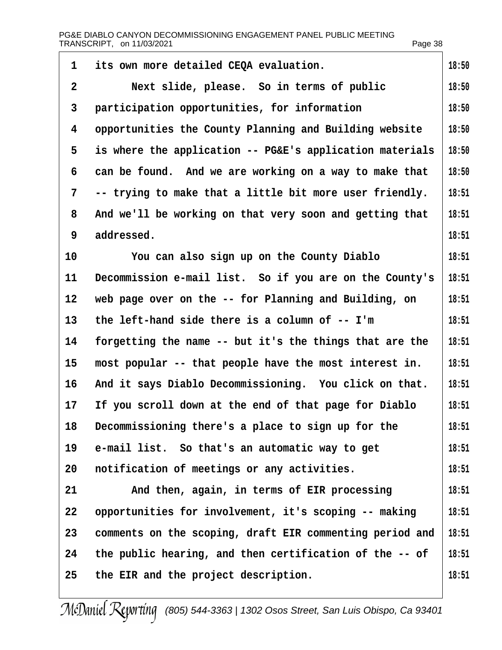| 1              | its own more detailed CEQA evaluation.                   | 18:50 |
|----------------|----------------------------------------------------------|-------|
| $\overline{2}$ | Next slide, please. So in terms of public                | 18:50 |
| 3              | participation opportunities, for information             | 18:50 |
| 4              | opportunities the County Planning and Building website   | 18:50 |
| 5              | is where the application -- PG&E's application materials | 18:50 |
| 6              | can be found. And we are working on a way to make that   | 18:50 |
| 7              | -- trying to make that a little bit more user friendly.  | 18:51 |
| 8              | And we'll be working on that very soon and getting that  | 18:51 |
| 9              | addressed.                                               | 18:51 |
| 10             | You can also sign up on the County Diablo                | 18:51 |
| 11             | Decommission e-mail list. So if you are on the County's  | 18:51 |
| 12             | web page over on the -- for Planning and Building, on    | 18:51 |
| 13             | the left-hand side there is a column of -- I'm           | 18:51 |
| 14             | forgetting the name -- but it's the things that are the  | 18:51 |
| 15             | most popular -- that people have the most interest in.   | 18:51 |
| 16             | And it says Diablo Decommissioning. You click on that.   | 18:51 |
| 17             | If you scroll down at the end of that page for Diablo    | 18:51 |
| 18             | Decommissioning there's a place to sign up for the       | 18:51 |
| 19             | e-mail list. So that's an automatic way to get           | 18:51 |
| 20             | notification of meetings or any activities.              | 18:51 |
| 21             | And then, again, in terms of EIR processing              | 18:51 |
| 22             | opportunities for involvement, it's scoping -- making    | 18:51 |
| 23             | comments on the scoping, draft EIR commenting period and | 18:51 |
| 24             | the public hearing, and then certification of the -- of  | 18:51 |
| 25             | the EIR and the project description.                     | 18:51 |
|                |                                                          |       |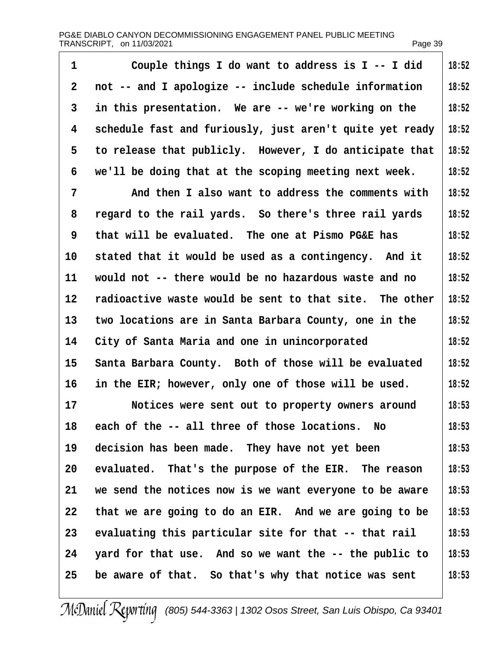| 1  | Couple things I do want to address is I -- I did         | 18:52 |
|----|----------------------------------------------------------|-------|
|    |                                                          |       |
| 2  | not -- and I apologize -- include schedule information   | 18:52 |
| 3  | in this presentation. We are -- we're working on the     | 18:52 |
| 4  | schedule fast and furiously, just aren't quite yet ready | 18:52 |
| 5  | to release that publicly. However, I do anticipate that  | 18:52 |
| 6  | we'll be doing that at the scoping meeting next week.    | 18:52 |
| 7  | And then I also want to address the comments with        | 18:52 |
| 8  | regard to the rail yards. So there's three rail yards    | 18:52 |
| 9  | that will be evaluated. The one at Pismo PG&E has        | 18:52 |
| 10 | stated that it would be used as a contingency. And it    | 18:52 |
| 11 | would not -- there would be no hazardous waste and no    | 18:52 |
| 12 | radioactive waste would be sent to that site. The other  | 18:52 |
| 13 | two locations are in Santa Barbara County, one in the    | 18:52 |
| 14 | City of Santa Maria and one in unincorporated            | 18:52 |
| 15 | Santa Barbara County. Both of those will be evaluated    | 18:52 |
| 16 | in the EIR; however, only one of those will be used.     | 18:52 |
| 17 | Notices were sent out to property owners around          | 18:53 |
| 18 | each of the -- all three of those locations. No          | 18:53 |
| 19 | decision has been made. They have not yet been           | 18:53 |
| 20 | evaluated. That's the purpose of the EIR. The reason     | 18:53 |
| 21 | we send the notices now is we want everyone to be aware  | 18:53 |
| 22 | that we are going to do an EIR. And we are going to be   | 18:53 |
| 23 | evaluating this particular site for that -- that rail    | 18:53 |
| 24 | yard for that use. And so we want the -- the public to   | 18:53 |
| 25 | be aware of that. So that's why that notice was sent     | 18:53 |
|    |                                                          |       |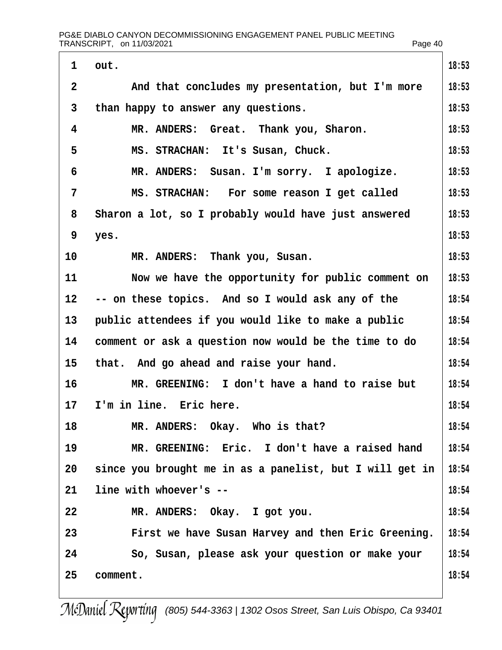| $\mathbf 1$       | out.                                                     | 18:53 |
|-------------------|----------------------------------------------------------|-------|
| $\overline{2}$    | And that concludes my presentation, but I'm more         | 18:53 |
| 3                 | than happy to answer any questions.                      | 18:53 |
| 4                 | MR. ANDERS: Great. Thank you, Sharon.                    | 18:53 |
| 5                 | MS. STRACHAN: It's Susan, Chuck.                         | 18:53 |
| 6                 | MR. ANDERS: Susan. I'm sorry. I apologize.               | 18:53 |
| $\overline{7}$    | MS. STRACHAN: For some reason I get called               | 18:53 |
| 8                 | Sharon a lot, so I probably would have just answered     | 18:53 |
| 9                 | yes.                                                     | 18:53 |
| 10                | MR. ANDERS: Thank you, Susan.                            | 18:53 |
| 11                | Now we have the opportunity for public comment on        | 18:53 |
| $12 \overline{ }$ | -- on these topics. And so I would ask any of the        | 18:54 |
| 13                | public attendees if you would like to make a public      | 18:54 |
| 14                | comment or ask a question now would be the time to do    | 18:54 |
| 15                | that. And go ahead and raise your hand.                  | 18:54 |
| 16                | MR. GREENING: I don't have a hand to raise but           | 18:54 |
| 17                | I'm in line. Eric here.                                  | 18:54 |
| 18                | MR. ANDERS: Okay. Who is that?                           | 18:54 |
| 19                | MR. GREENING: Eric. I don't have a raised hand           | 18:54 |
| 20                | since you brought me in as a panelist, but I will get in | 18:54 |
| 21                | line with whoever's --                                   | 18:54 |
| 22                | MR. ANDERS: Okay. I got you.                             | 18:54 |
| 23                | First we have Susan Harvey and then Eric Greening.       | 18:54 |
| 24                | So, Susan, please ask your question or make your         | 18:54 |
| 25                | comment.                                                 | 18:54 |
|                   |                                                          |       |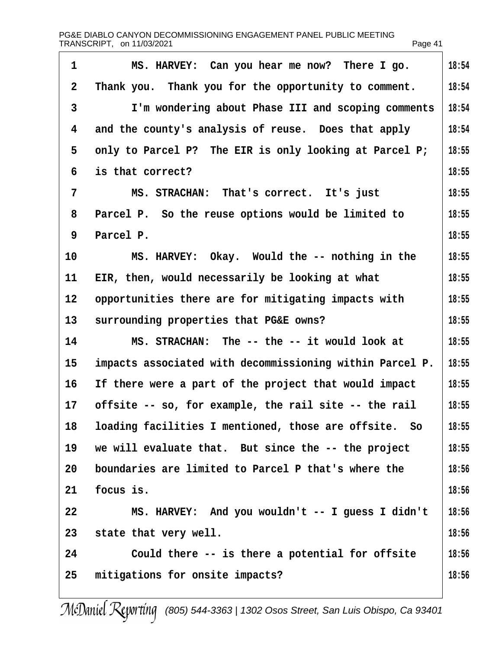| PG&E DIABLO CANYON DECOMMISSIONING ENGAGEMENT PANEL PUBLIC MEETING |         |
|--------------------------------------------------------------------|---------|
| TRANSCRIPT, on 11/03/2021                                          | Page 41 |

| $\mathbf 1$    | MS. HARVEY: Can you hear me now? There I go.             | 18:54 |
|----------------|----------------------------------------------------------|-------|
| $\overline{2}$ | Thank you. Thank you for the opportunity to comment.     | 18:54 |
| 3              | I'm wondering about Phase III and scoping comments       | 18:54 |
| 4              | and the county's analysis of reuse. Does that apply      | 18:54 |
| 5              | only to Parcel P? The EIR is only looking at Parcel P;   | 18:55 |
| 6              | is that correct?                                         | 18:55 |
| 7              | MS. STRACHAN: That's correct. It's just                  | 18:55 |
| 8              | Parcel P. So the reuse options would be limited to       | 18:55 |
| 9              | Parcel P.                                                | 18:55 |
| 10             | MS. HARVEY: Okay. Would the -- nothing in the            | 18:55 |
| 11             | EIR, then, would necessarily be looking at what          | 18:55 |
| 12             | opportunities there are for mitigating impacts with      | 18:55 |
| 13             | surrounding properties that PG&E owns?                   | 18:55 |
| 14             | MS. STRACHAN: The -- the -- it would look at             | 18:55 |
| 15             | impacts associated with decommissioning within Parcel P. | 18:55 |
| 16             | If there were a part of the project that would impact    | 18:55 |
| 17             | offsite -- so, for example, the rail site -- the rail    | 18:55 |
| 18             | loading facilities I mentioned, those are offsite. So    | 18:55 |
| 19             | we will evaluate that. But since the -- the project      | 18:55 |
| 20             | boundaries are limited to Parcel P that's where the      | 18:56 |
| 21             | focus is.                                                | 18:56 |
| 22             | MS. HARVEY: And you wouldn't -- I guess I didn't         | 18:56 |
| 23             | state that very well.                                    | 18:56 |
| 24             | Could there -- is there a potential for offsite          | 18:56 |
| 25             | mitigations for onsite impacts?                          | 18:56 |
|                |                                                          |       |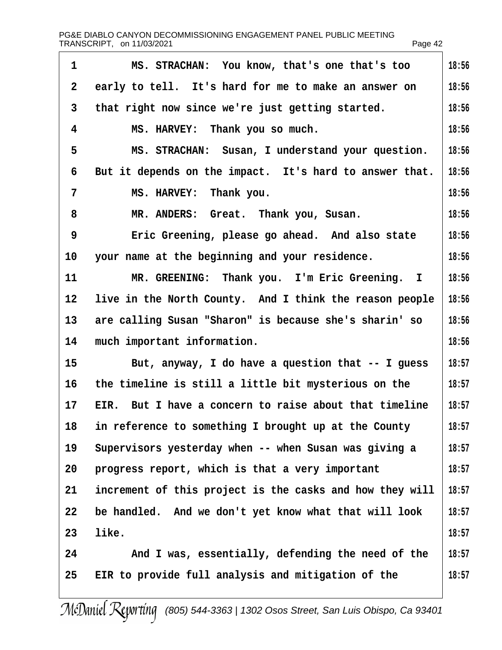| PG&E DIABLO CANYON DECOMMISSIONING ENGAGEMENT PANEL PUBLIC MEETING |         |
|--------------------------------------------------------------------|---------|
| TRANSCRIPT, on 11/03/2021                                          | Page 42 |

| 1            | MS. STRACHAN: You know, that's one that's too            | 18:56 |
|--------------|----------------------------------------------------------|-------|
| $\mathbf{2}$ | early to tell. It's hard for me to make an answer on     | 18:56 |
| 3            | that right now since we're just getting started.         | 18:56 |
| 4            | MS. HARVEY: Thank you so much.                           | 18:56 |
| 5            | MS. STRACHAN: Susan, I understand your question.         | 18:56 |
| 6            | But it depends on the impact. It's hard to answer that.  | 18:56 |
| 7            | MS. HARVEY: Thank you.                                   | 18:56 |
| 8            | MR. ANDERS: Great. Thank you, Susan.                     | 18:56 |
| 9            | Eric Greening, please go ahead. And also state           | 18:56 |
| 10           | your name at the beginning and your residence.           | 18:56 |
| 11           | MR. GREENING: Thank you. I'm Eric Greening. I            | 18:56 |
| 12           | live in the North County. And I think the reason people  | 18:56 |
| 13           | are calling Susan "Sharon" is because she's sharin' so   | 18:56 |
| 14           | much important information.                              | 18:56 |
| 15           | But, anyway, I do have a question that -- I guess        | 18:57 |
| 16           | the timeline is still a little bit mysterious on the     | 18:57 |
| 17           | EIR. But I have a concern to raise about that timeline   | 18:57 |
| 18           | in reference to something I brought up at the County     | 18:57 |
| 19           | Supervisors yesterday when -- when Susan was giving a    | 18:57 |
| 20           | progress report, which is that a very important          | 18:57 |
| 21           | increment of this project is the casks and how they will | 18:57 |
| 22           | be handled. And we don't yet know what that will look    | 18:57 |
| 23           | like.                                                    | 18:57 |
| 24           | And I was, essentially, defending the need of the        | 18:57 |
| 25           | EIR to provide full analysis and mitigation of the       | 18:57 |
|              |                                                          |       |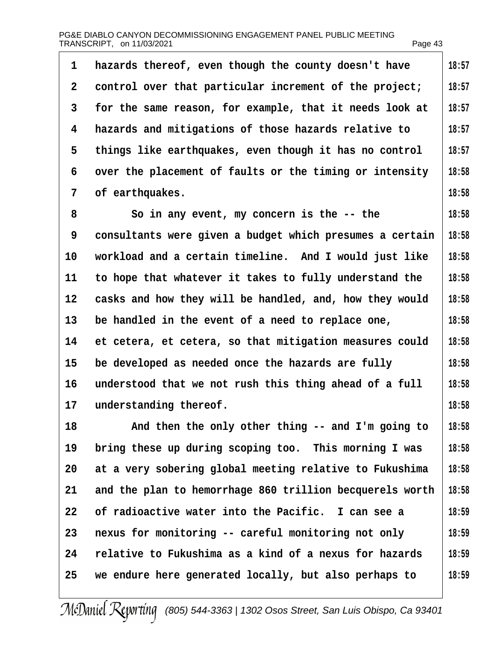| 1              | hazards thereof, even though the county doesn't have     | 18:57 |
|----------------|----------------------------------------------------------|-------|
| 2              | control over that particular increment of the project;   | 18:57 |
| 3              | for the same reason, for example, that it needs look at  | 18:57 |
| 4              | hazards and mitigations of those hazards relative to     | 18:57 |
| 5              | things like earthquakes, even though it has no control   | 18:57 |
| 6              | over the placement of faults or the timing or intensity  | 18:58 |
| $\overline{7}$ | of earthquakes.                                          | 18:58 |
| 8              | So in any event, my concern is the -- the                | 18:58 |
| 9              | consultants were given a budget which presumes a certain | 18:58 |
| 10             | workload and a certain timeline. And I would just like   | 18:58 |
| 11             | to hope that whatever it takes to fully understand the   | 18:58 |
| 12             | casks and how they will be handled, and, how they would  | 18:58 |
| 13             | be handled in the event of a need to replace one,        | 18:58 |
| 14             | et cetera, et cetera, so that mitigation measures could  | 18:58 |
| 15             | be developed as needed once the hazards are fully        | 18:58 |
| 16             | understood that we not rush this thing ahead of a full   | 18:58 |
| 17             | understanding thereof.                                   | 18:58 |
| 18             | And then the only other thing -- and I'm going to        | 18:58 |
| 19             | bring these up during scoping too. This morning I was    | 18:58 |
| 20             | at a very sobering global meeting relative to Fukushima  | 18:58 |
| 21             | and the plan to hemorrhage 860 trillion becquerels worth | 18:58 |
| 22             | of radioactive water into the Pacific. I can see a       | 18:59 |
| 23             | nexus for monitoring -- careful monitoring not only      | 18:59 |
| 24             | relative to Fukushima as a kind of a nexus for hazards   | 18:59 |
| 25             | we endure here generated locally, but also perhaps to    | 18:59 |
|                |                                                          |       |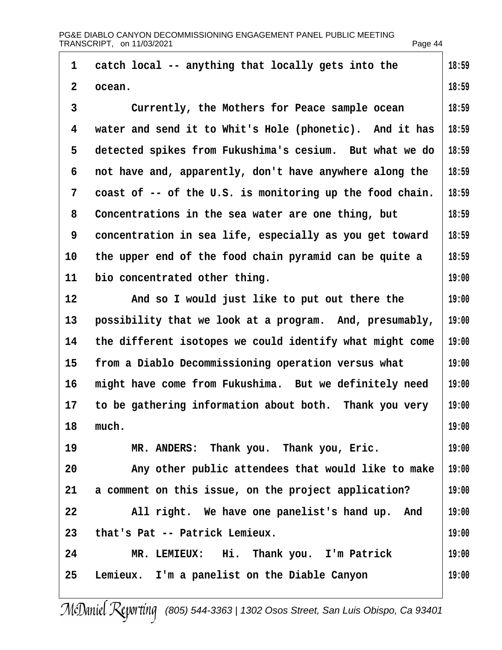|                | PG&E DIABLO CANYON DECOMMISSIONING ENGAGEMENT PANEL PUBLIC MEETING<br>TRANSCRIPT, on 11/03/2021 | Page 44 |
|----------------|-------------------------------------------------------------------------------------------------|---------|
| 1              | catch local -- anything that locally gets into the                                              | 18:59   |
| $\overline{2}$ | ocean.                                                                                          | 18:59   |
| 3              | Currently, the Mothers for Peace sample ocean                                                   | 18:59   |
| 4              | water and send it to Whit's Hole (phonetic). And it has                                         | 18:59   |
| 5              | detected spikes from Fukushima's cesium. But what we do                                         | 18:59   |
| 6              | not have and, apparently, don't have anywhere along the                                         | 18:59   |
| 7              | coast of -- of the U.S. is monitoring up the food chain.                                        | 18:59   |
| 8              | Concentrations in the sea water are one thing, but                                              | 18:59   |
| 9              | concentration in sea life, especially as you get toward                                         | 18:59   |
| 10             | the upper end of the food chain pyramid can be quite a                                          | 18:59   |
| 11             | bio concentrated other thing.                                                                   | 19:00   |
| 12             | And so I would just like to put out there the                                                   | 19:00   |
| 13             | possibility that we look at a program. And, presumably,                                         | 19:00   |
| 14             | the different isotopes we could identify what might come                                        | 19:00   |
| 15             | from a Diablo Decommissioning operation versus what                                             | 19:00   |
| 16             | might have come from Fukushima. But we definitely need                                          | 19:00   |
| 17             | to be gathering information about both. Thank you very                                          | 19:00   |
| 18             | much.                                                                                           | 19:00   |
| 19             | MR. ANDERS: Thank you. Thank you, Eric.                                                         | 19:00   |
| 20             | Any other public attendees that would like to make                                              | 19:00   |
| 21             | a comment on this issue, on the project application?                                            | 19:00   |
| 22             | All right. We have one panelist's hand up. And                                                  | 19:00   |
| 23             | that's Pat -- Patrick Lemieux.                                                                  | 19:00   |
| 24             | MR. LEMIEUX: Hi. Thank you. I'm Patrick                                                         | 19:00   |
| 25             | Lemieux. I'm a panelist on the Diable Canyon                                                    | 19:00   |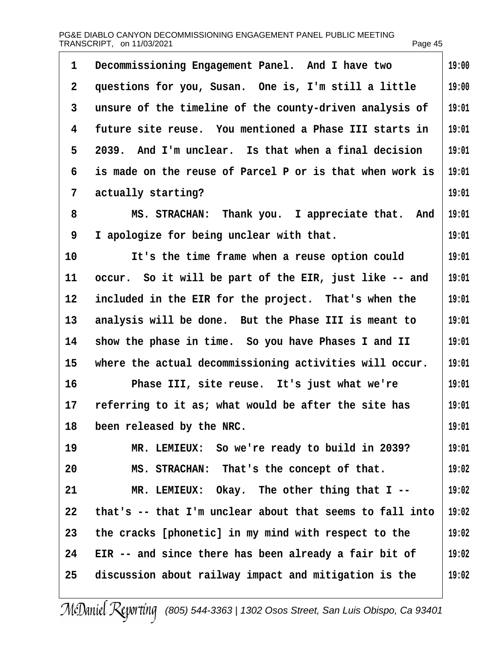| 1                 | Decommissioning Engagement Panel. And I have two         | 19:00 |
|-------------------|----------------------------------------------------------|-------|
| 2                 | questions for you, Susan. One is, I'm still a little     | 19:00 |
| 3                 | unsure of the timeline of the county-driven analysis of  | 19:01 |
| 4                 | future site reuse. You mentioned a Phase III starts in   | 19:01 |
| 5                 | 2039. And I'm unclear. Is that when a final decision     | 19:01 |
| 6                 | is made on the reuse of Parcel P or is that when work is | 19:01 |
| 7                 | actually starting?                                       | 19:01 |
| 8                 | MS. STRACHAN: Thank you. I appreciate that. And          | 19:01 |
| 9                 | I apologize for being unclear with that.                 | 19:01 |
| 10                | It's the time frame when a reuse option could            | 19:01 |
| 11                | occur. So it will be part of the EIR, just like -- and   | 19:01 |
| $12 \overline{ }$ | included in the EIR for the project. That's when the     | 19:01 |
| 13                | analysis will be done. But the Phase III is meant to     | 19:01 |
| 14                | show the phase in time. So you have Phases I and II      | 19:01 |
| 15                | where the actual decommissioning activities will occur.  | 19:01 |
| 16                | Phase III, site reuse. It's just what we're              | 19:01 |
| 17                | referring to it as; what would be after the site has     | 19:01 |
| 18                | been released by the NRC.                                | 19:01 |
| 19                | MR. LEMIEUX: So we're ready to build in 2039?            | 19:01 |
| 20                | MS. STRACHAN: That's the concept of that.                | 19:02 |
| 21                | MR. LEMIEUX: Okay. The other thing that I --             | 19:02 |
| 22                | that's -- that I'm unclear about that seems to fall into | 19:02 |
| 23                | the cracks [phonetic] in my mind with respect to the     | 19:02 |
| 24                | EIR -- and since there has been already a fair bit of    | 19:02 |
| 25                | discussion about railway impact and mitigation is the    | 19:02 |
|                   |                                                          |       |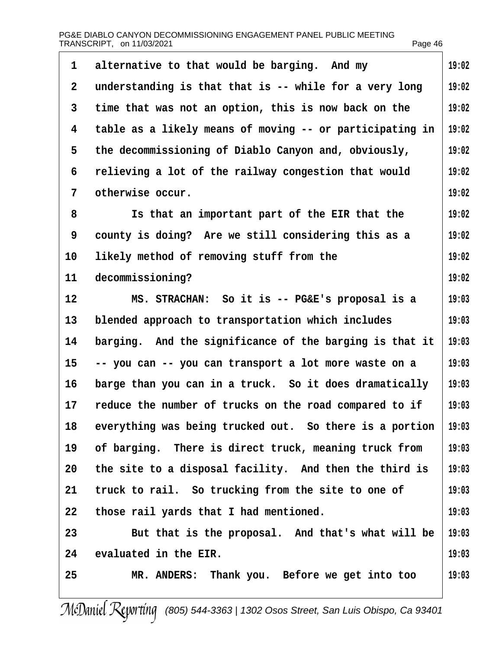| 1            | alternative to that would be barging. And my             | 19:02 |
|--------------|----------------------------------------------------------|-------|
| $\mathbf{2}$ | understanding is that that is -- while for a very long   | 19:02 |
| 3            | time that was not an option, this is now back on the     | 19:02 |
| 4            | table as a likely means of moving -- or participating in | 19:02 |
| 5            | the decommissioning of Diablo Canyon and, obviously,     | 19:02 |
| 6            | relieving a lot of the railway congestion that would     | 19:02 |
| 7            | otherwise occur.                                         | 19:02 |
| 8            | Is that an important part of the EIR that the            | 19:02 |
| 9            | county is doing? Are we still considering this as a      | 19:02 |
| 10           | likely method of removing stuff from the                 | 19:02 |
| 11           | decommissioning?                                         | 19:02 |
| 12           | MS. STRACHAN: So it is -- PG&E's proposal is a           | 19:03 |
| 13           | blended approach to transportation which includes        | 19:03 |
| 14           | barging. And the significance of the barging is that it  | 19:03 |
| 15           | -- you can -- you can transport a lot more waste on a    | 19:03 |
| 16           | barge than you can in a truck. So it does dramatically   | 19:03 |
| 17           | reduce the number of trucks on the road compared to if   | 19:03 |
| 18           | everything was being trucked out. So there is a portion  | 19:03 |
| 19           | of barging. There is direct truck, meaning truck from    | 19:03 |
| 20           | the site to a disposal facility. And then the third is   | 19:03 |
| 21           | truck to rail. So trucking from the site to one of       | 19:03 |
| 22           | those rail yards that I had mentioned.                   | 19:03 |
| 23           | But that is the proposal. And that's what will be        | 19:03 |
| 24           | evaluated in the EIR.                                    | 19:03 |
| 25           | MR. ANDERS: Thank you. Before we get into too            | 19:03 |
|              |                                                          |       |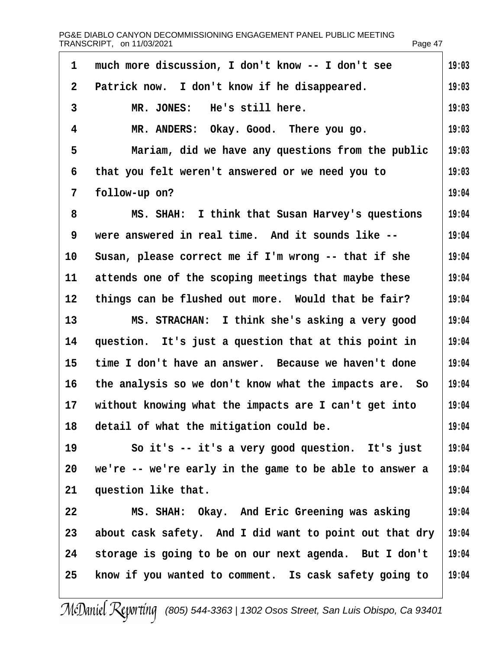|                | PG&E DIABLO CANYON DECOMMISSIONING ENGAGEMENT PANEL PUBLIC MEETING<br>TRANSCRIPT, on 11/03/2021 | Page 47 |
|----------------|-------------------------------------------------------------------------------------------------|---------|
| 1              | much more discussion, I don't know -- I don't see                                               | 19:03   |
| $\overline{2}$ | Patrick now. I don't know if he disappeared.                                                    | 19:03   |
| 3              | MR. JONES: He's still here.                                                                     | 19:03   |
| 4              | MR. ANDERS: Okay. Good. There you go.                                                           | 19:03   |
| 5              | Mariam, did we have any questions from the public                                               | 19:03   |
| 6              | that you felt weren't answered or we need you to                                                | 19:03   |
| $\overline{7}$ | follow-up on?                                                                                   | 19:04   |
| 8              | MS. SHAH: I think that Susan Harvey's questions                                                 | 19:04   |
| 9              | were answered in real time. And it sounds like --                                               | 19:04   |
| 10             | Susan, please correct me if I'm wrong -- that if she                                            | 19:04   |
| 11             | attends one of the scoping meetings that maybe these                                            | 19:04   |
| 12             | things can be flushed out more. Would that be fair?                                             | 19:04   |
| 13             | MS. STRACHAN: I think she's asking a very good                                                  | 19:04   |
| 14             | question. It's just a question that at this point in                                            | 19:04   |
| 15             | time I don't have an answer. Because we haven't done                                            | 19:04   |
|                | 16 the analysis so we don't know what the impacts are. So                                       | 19:04   |
| 17             | without knowing what the impacts are I can't get into                                           | 19:04   |
| 18             | detail of what the mitigation could be.                                                         | 19:04   |
| 19             | So it's -- it's a very good question. It's just                                                 | 19:04   |
| 20             | we're -- we're early in the game to be able to answer a                                         | 19:04   |
| 21             | question like that.                                                                             | 19:04   |
| 22             | MS. SHAH: Okay. And Eric Greening was asking                                                    | 19:04   |
| 23             | about cask safety. And I did want to point out that dry                                         | 19:04   |
| 24             | storage is going to be on our next agenda. But I don't                                          | 19:04   |
| 25             | know if you wanted to comment. Is cask safety going to                                          | 19:04   |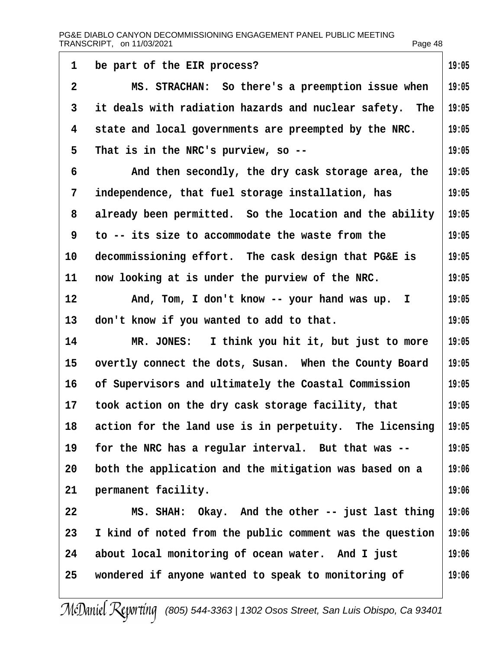| 1  | be part of the EIR process?                              | 19:05 |
|----|----------------------------------------------------------|-------|
| 2  | MS. STRACHAN: So there's a preemption issue when         | 19:05 |
| 3  | it deals with radiation hazards and nuclear safety. The  | 19:05 |
| 4  | state and local governments are preempted by the NRC.    | 19:05 |
| 5  | That is in the NRC's purview, so --                      | 19:05 |
| 6  | And then secondly, the dry cask storage area, the        | 19:05 |
| 7  | independence, that fuel storage installation, has        | 19:05 |
| 8  | already been permitted. So the location and the ability  | 19:05 |
| 9  | to -- its size to accommodate the waste from the         | 19:05 |
| 10 | decommissioning effort. The cask design that PG&E is     | 19:05 |
| 11 | now looking at is under the purview of the NRC.          | 19:05 |
| 12 | And, Tom, I don't know -- your hand was up. I            | 19:05 |
| 13 | don't know if you wanted to add to that.                 | 19:05 |
| 14 | MR. JONES: I think you hit it, but just to more          | 19:05 |
| 15 | overtly connect the dots, Susan. When the County Board   | 19:05 |
| 16 | of Supervisors and ultimately the Coastal Commission     | 19:05 |
| 17 | took action on the dry cask storage facility, that       | 19:05 |
| 18 | action for the land use is in perpetuity. The licensing  | 19:05 |
| 19 | for the NRC has a regular interval. But that was --      | 19:05 |
| 20 | both the application and the mitigation was based on a   | 19:06 |
| 21 | permanent facility.                                      | 19:06 |
| 22 | MS. SHAH: Okay. And the other -- just last thing         | 19:06 |
| 23 | I kind of noted from the public comment was the question | 19:06 |
| 24 | about local monitoring of ocean water. And I just        | 19:06 |
| 25 | wondered if anyone wanted to speak to monitoring of      | 19:06 |
|    |                                                          |       |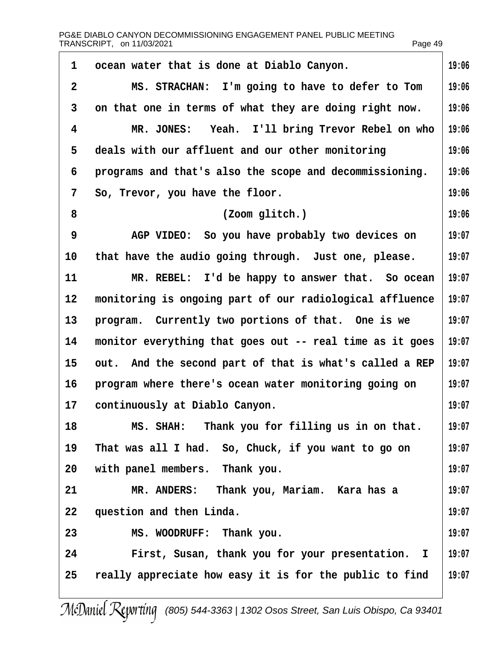| 1              | ocean water that is done at Diablo Canyon.               | 19:06 |
|----------------|----------------------------------------------------------|-------|
| $\overline{2}$ | MS. STRACHAN: I'm going to have to defer to Tom          | 19:06 |
| 3              | on that one in terms of what they are doing right now.   | 19:06 |
| 4              | MR. JONES: Yeah. I'll bring Trevor Rebel on who          | 19:06 |
| 5              | deals with our affluent and our other monitoring         | 19:06 |
| 6              | programs and that's also the scope and decommissioning.  | 19:06 |
| 7              | So, Trevor, you have the floor.                          | 19:06 |
| 8              | (Zoom glitch.)                                           | 19:06 |
| 9              | AGP VIDEO: So you have probably two devices on           | 19:07 |
| 10             | that have the audio going through. Just one, please.     | 19:07 |
| 11             | MR. REBEL: I'd be happy to answer that. So ocean         | 19:07 |
| 12             | monitoring is ongoing part of our radiological affluence | 19:07 |
| 13             | program. Currently two portions of that. One is we       | 19:07 |
| 14             | monitor everything that goes out -- real time as it goes | 19:07 |
| 15             | out. And the second part of that is what's called a REP  | 19:07 |
| 16             | program where there's ocean water monitoring going on    | 19:07 |
| 17             | continuously at Diablo Canyon.                           | 19:07 |
| 18             | MS. SHAH: Thank you for filling us in on that.           | 19:07 |
| 19             | That was all I had. So, Chuck, if you want to go on      | 19:07 |
| 20             | with panel members. Thank you.                           | 19:07 |
| 21             | MR. ANDERS: Thank you, Mariam. Kara has a                | 19:07 |
| 22             | question and then Linda.                                 | 19:07 |
| 23             | MS. WOODRUFF: Thank you.                                 | 19:07 |
| 24             | First, Susan, thank you for your presentation. I         | 19:07 |
| 25             | really appreciate how easy it is for the public to find  | 19:07 |
|                |                                                          |       |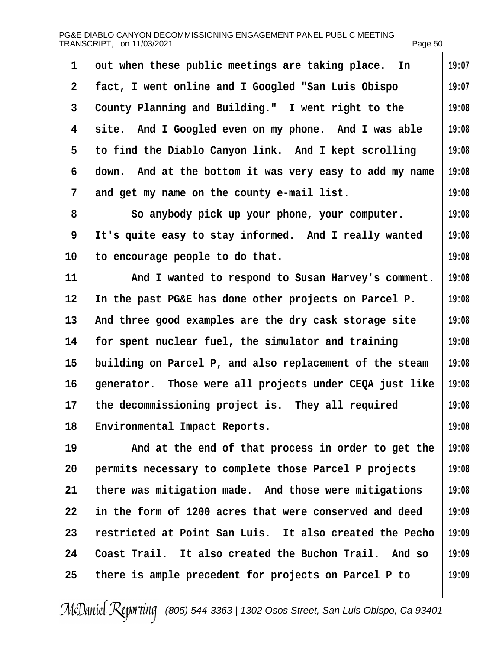|                 | PG&E DIABLO CANYON DECOMMISSIONING ENGAGEMENT PANEL PUBLIC MEETING<br>TRANSCRIPT, on 11/03/2021 | Page 50 |
|-----------------|-------------------------------------------------------------------------------------------------|---------|
| 1               | out when these public meetings are taking place. In                                             | 19:07   |
| $\mathbf{2}$    | fact, I went online and I Googled "San Luis Obispo"                                             | 19:07   |
| 3               | County Planning and Building." I went right to the                                              | 19:08   |
| 4               | site. And I Googled even on my phone. And I was able                                            | 19:08   |
| 5               | to find the Diablo Canyon link. And I kept scrolling                                            | 19:08   |
| 6               | down. And at the bottom it was very easy to add my name                                         | 19:08   |
| 7               | and get my name on the county e-mail list.                                                      | 19:08   |
| 8               | So anybody pick up your phone, your computer.                                                   | 19:08   |
| 9               | It's quite easy to stay informed. And I really wanted                                           | 19:08   |
| 10              | to encourage people to do that.                                                                 | 19:08   |
| 11              | And I wanted to respond to Susan Harvey's comment.                                              | 19:08   |
| 12 <sub>2</sub> | In the past PG&E has done other projects on Parcel P.                                           | 19:08   |
| 13              | And three good examples are the dry cask storage site                                           | 19:08   |
| 14              | for spent nuclear fuel, the simulator and training                                              | 19:08   |
| 15              | building on Parcel P, and also replacement of the steam                                         | 19:08   |
| 16              | generator. Those were all projects under CEQA just like                                         | 19:08   |
| 17              | the decommissioning project is. They all required                                               | 19:08   |
| 18              | <b>Environmental Impact Reports.</b>                                                            | 19:08   |
| 19              | And at the end of that process in order to get the                                              | 19:08   |
| 20              | permits necessary to complete those Parcel P projects                                           | 19:08   |
| 21              | there was mitigation made. And those were mitigations                                           | 19:08   |
| 22              | in the form of 1200 acres that were conserved and deed                                          | 19:09   |
| 23              | restricted at Point San Luis. It also created the Pecho                                         | 19:09   |
| 24              | Coast Trail. It also created the Buchon Trail. And so                                           | 19:09   |
| 25              | there is ample precedent for projects on Parcel P to                                            | 19:09   |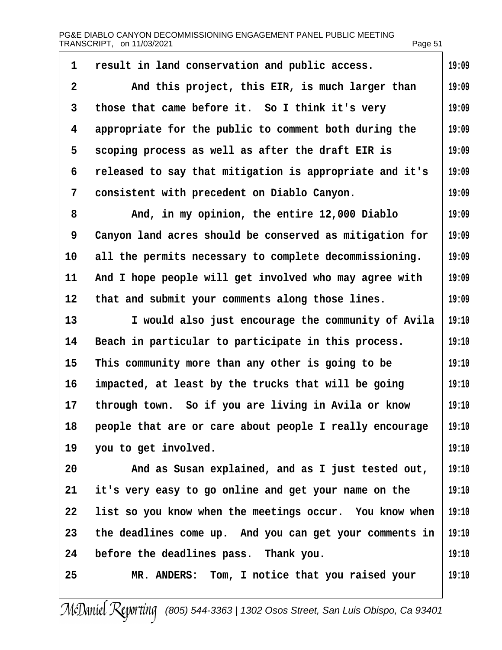| 1              | result in land conservation and public access.          | 19:09 |
|----------------|---------------------------------------------------------|-------|
| $\overline{2}$ | And this project, this EIR, is much larger than         | 19:09 |
| 3              | those that came before it. So I think it's very         | 19:09 |
| 4              | appropriate for the public to comment both during the   | 19:09 |
| 5              | scoping process as well as after the draft EIR is       | 19:09 |
| 6              | released to say that mitigation is appropriate and it's | 19:09 |
| 7              | consistent with precedent on Diablo Canyon.             | 19:09 |
| 8              | And, in my opinion, the entire 12,000 Diablo            | 19:09 |
| 9              | Canyon land acres should be conserved as mitigation for | 19:09 |
| 10             | all the permits necessary to complete decommissioning.  | 19:09 |
| 11             | And I hope people will get involved who may agree with  | 19:09 |
| 12             | that and submit your comments along those lines.        | 19:09 |
| 13             | I would also just encourage the community of Avila      | 19:10 |
| 14             | Beach in particular to participate in this process.     | 19:10 |
| 15             | This community more than any other is going to be       | 19:10 |
| 16             | impacted, at least by the trucks that will be going     | 19:10 |
| 17             | through town. So if you are living in Avila or know     | 19:10 |
| 18             | people that are or care about people I really encourage | 19:10 |
| 19             | you to get involved.                                    | 19:10 |
| 20             | And as Susan explained, and as I just tested out,       | 19:10 |
| 21             | it's very easy to go online and get your name on the    | 19:10 |
| 22             | list so you know when the meetings occur. You know when | 19:10 |
| 23             | the deadlines come up. And you can get your comments in | 19:10 |
| 24             | before the deadlines pass. Thank you.                   | 19:10 |
| 25             | MR. ANDERS: Tom, I notice that you raised your          | 19:10 |
|                |                                                         |       |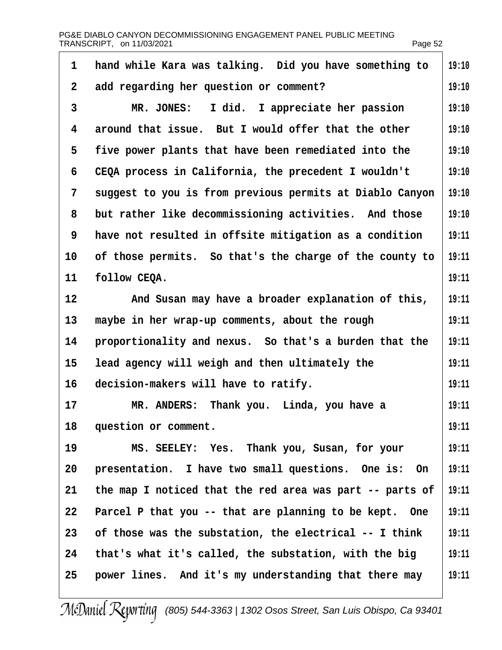| 1              | hand while Kara was talking. Did you have something to   | 19:10 |
|----------------|----------------------------------------------------------|-------|
| $\overline{2}$ | add regarding her question or comment?                   | 19:10 |
| 3              | MR. JONES: I did. I appreciate her passion               | 19:10 |
| 4              | around that issue. But I would offer that the other      | 19:10 |
| 5              | five power plants that have been remediated into the     | 19:10 |
| 6              | CEQA process in California, the precedent I wouldn't     | 19:10 |
| 7              | suggest to you is from previous permits at Diablo Canyon | 19:10 |
| 8              | but rather like decommissioning activities. And those    | 19:10 |
| 9              | have not resulted in offsite mitigation as a condition   | 19:11 |
| 10             | of those permits. So that's the charge of the county to  | 19:11 |
| 11             | follow CEQA.                                             | 19:11 |
| 12             | And Susan may have a broader explanation of this,        | 19:11 |
| 13             | maybe in her wrap-up comments, about the rough           | 19:11 |
| 14             | proportionality and nexus. So that's a burden that the   | 19:11 |
| 15             | lead agency will weigh and then ultimately the           | 19:11 |
| 16             | decision-makers will have to ratify.                     | 19:11 |
| 17             | MR. ANDERS: Thank you. Linda, you have a                 | 19:11 |
| 18             | question or comment.                                     | 19:11 |
| 19             | MS. SEELEY: Yes. Thank you, Susan, for your              | 19:11 |
| 20             | presentation. I have two small questions. One is: On     | 19:11 |
| 21             | the map I noticed that the red area was part -- parts of | 19:11 |
| 22             | Parcel P that you -- that are planning to be kept. One   | 19:11 |
| 23             | of those was the substation, the electrical -- I think   | 19:11 |
| 24             | that's what it's called, the substation, with the big    | 19:11 |
| 25             | power lines. And it's my understanding that there may    | 19:11 |
|                |                                                          |       |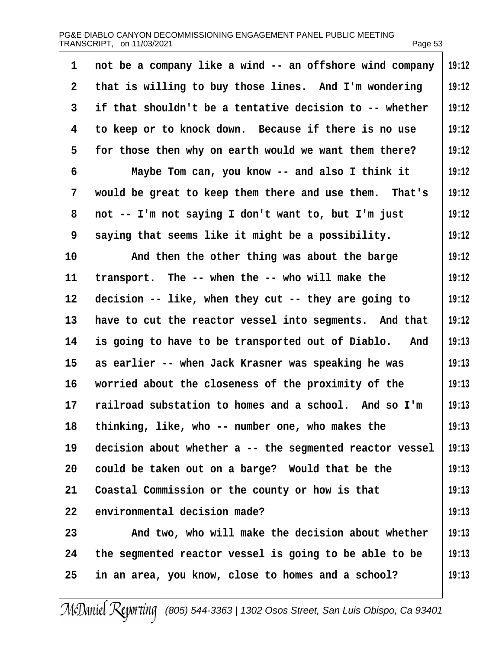| 1            | not be a company like a wind -- an offshore wind company | 19:12 |
|--------------|----------------------------------------------------------|-------|
| $\mathbf{2}$ | that is willing to buy those lines. And I'm wondering    | 19:12 |
| 3            | if that shouldn't be a tentative decision to -- whether  | 19:12 |
| 4            | to keep or to knock down. Because if there is no use     | 19:12 |
| 5            | for those then why on earth would we want them there?    | 19:12 |
| 6            | Maybe Tom can, you know -- and also I think it           | 19:12 |
| 7            | would be great to keep them there and use them. That's   | 19:12 |
| 8            | not -- I'm not saying I don't want to, but I'm just      | 19:12 |
| 9            | saying that seems like it might be a possibility.        | 19:12 |
| 10           | And then the other thing was about the barge             | 19:12 |
| 11           | transport. The -- when the -- who will make the          | 19:12 |
| 12           | decision -- like, when they cut -- they are going to     | 19:12 |
| 13           | have to cut the reactor vessel into segments. And that   | 19:12 |
| 14           | is going to have to be transported out of Diablo. And    | 19:13 |
| 15           | as earlier -- when Jack Krasner was speaking he was      | 19:13 |
| 16           | worried about the closeness of the proximity of the      | 19:13 |
| 17           | railroad substation to homes and a school. And so I'm    | 19:13 |
| 18           | thinking, like, who -- number one, who makes the         | 19:13 |
| 19           | decision about whether a -- the segmented reactor vessel | 19:13 |
| 20           | could be taken out on a barge? Would that be the         | 19:13 |
| 21           | Coastal Commission or the county or how is that          | 19:13 |
| 22           | environmental decision made?                             | 19:13 |
| 23           | And two, who will make the decision about whether        | 19:13 |
| 24           | the segmented reactor vessel is going to be able to be   | 19:13 |
| 25           | in an area, you know, close to homes and a school?       | 19:13 |
|              |                                                          |       |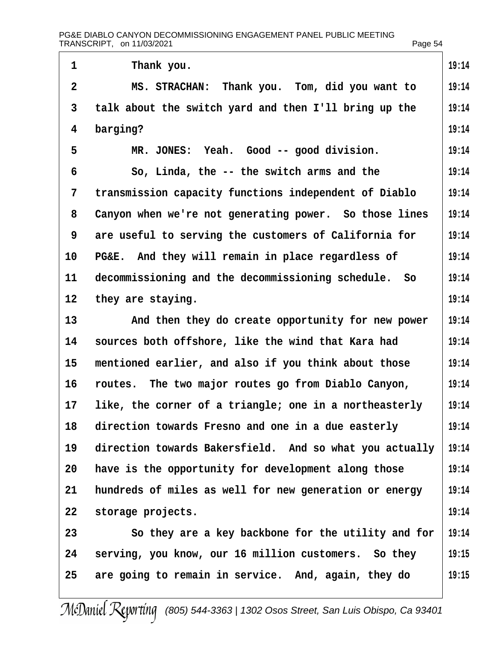| $\mathbf 1$       | Thank you.                                              | 19:14 |
|-------------------|---------------------------------------------------------|-------|
| $\overline{2}$    | MS. STRACHAN: Thank you. Tom, did you want to           | 19:14 |
| 3                 | talk about the switch yard and then I'll bring up the   | 19:14 |
| 4                 | barging?                                                | 19:14 |
| 5                 | MR. JONES: Yeah. Good -- good division.                 | 19:14 |
| 6                 | So, Linda, the -- the switch arms and the               | 19:14 |
| 7                 | transmission capacity functions independent of Diablo   | 19:14 |
| 8                 | Canyon when we're not generating power. So those lines  | 19:14 |
| 9                 | are useful to serving the customers of California for   | 19:14 |
| 10                | PG&E. And they will remain in place regardless of       | 19:14 |
| 11                | decommissioning and the decommissioning schedule. So    | 19:14 |
| $12 \overline{ }$ | they are staying.                                       | 19:14 |
| 13                | And then they do create opportunity for new power       | 19:14 |
| 14                | sources both offshore, like the wind that Kara had      | 19:14 |
| 15                | mentioned earlier, and also if you think about those    | 19:14 |
| 16                | routes. The two major routes go from Diablo Canyon,     | 19:14 |
| 17                | like, the corner of a triangle; one in a northeasterly  | 19:14 |
| 18                | direction towards Fresno and one in a due easterly      | 19:14 |
| 19                | direction towards Bakersfield. And so what you actually | 19:14 |
| 20                | have is the opportunity for development along those     | 19:14 |
| 21                | hundreds of miles as well for new generation or energy  | 19:14 |
| 22                | storage projects.                                       | 19:14 |
| 23                | So they are a key backbone for the utility and for      | 19:14 |
| 24                | serving, you know, our 16 million customers. So they    | 19:15 |
| 25                | are going to remain in service. And, again, they do     | 19:15 |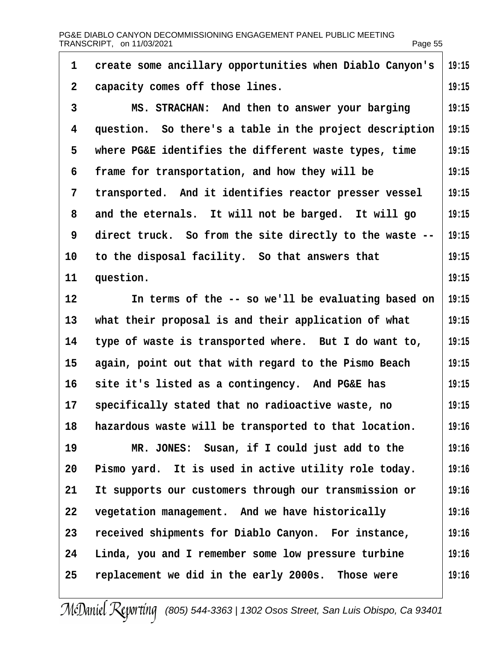| 1              | create some ancillary opportunities when Diablo Canyon's | 19:15 |
|----------------|----------------------------------------------------------|-------|
| $\overline{2}$ | capacity comes off those lines.                          | 19:15 |
| 3              | MS. STRACHAN: And then to answer your barging            | 19:15 |
| 4              | question. So there's a table in the project description  | 19:15 |
| 5              | where PG&E identifies the different waste types, time    | 19:15 |
| 6              | frame for transportation, and how they will be           | 19:15 |
| 7              | transported. And it identifies reactor presser vessel    | 19:15 |
| 8              | and the eternals. It will not be barged. It will go      | 19:15 |
| 9              | direct truck. So from the site directly to the waste --  | 19:15 |
| 10             | to the disposal facility. So that answers that           | 19:15 |
| 11             | question.                                                | 19:15 |
| 12             | In terms of the -- so we'll be evaluating based on       | 19:15 |
| 13             | what their proposal is and their application of what     | 19:15 |
| 14             | type of waste is transported where. But I do want to,    | 19:15 |
| 15             | again, point out that with regard to the Pismo Beach     | 19:15 |
| 16             | site it's listed as a contingency. And PG&E has          | 19:15 |
| 17             | specifically stated that no radioactive waste, no        | 19:15 |
| 18             | hazardous waste will be transported to that location.    | 19:16 |
| 19             | MR. JONES: Susan, if I could just add to the             | 19:16 |
| 20             | Pismo yard. It is used in active utility role today.     | 19:16 |
| 21             | It supports our customers through our transmission or    | 19:16 |
| 22             | vegetation management. And we have historically          | 19:16 |
| 23             | received shipments for Diablo Canyon. For instance,      | 19:16 |
| 24             | Linda, you and I remember some low pressure turbine      | 19:16 |
| 25             | replacement we did in the early 2000s. Those were        | 19:16 |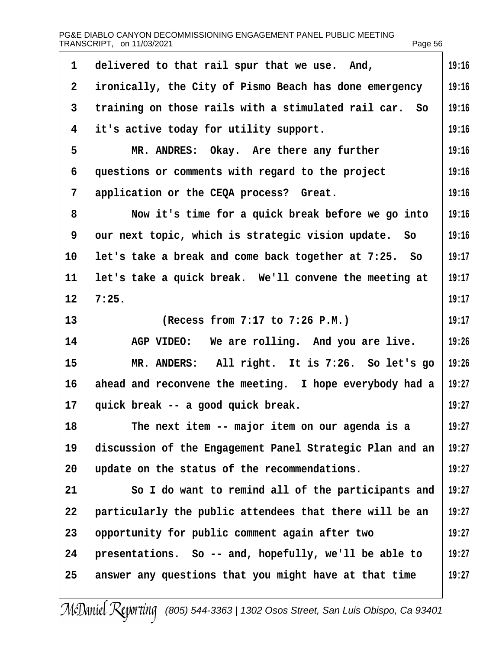| 1               | delivered to that rail spur that we use. And,            | 19:16 |
|-----------------|----------------------------------------------------------|-------|
| $\overline{2}$  | ironically, the City of Pismo Beach has done emergency   | 19:16 |
| 3               | training on those rails with a stimulated rail car. So   | 19:16 |
| 4               | it's active today for utility support.                   | 19:16 |
| 5               | MR. ANDRES: Okay. Are there any further                  | 19:16 |
| 6               | questions or comments with regard to the project         | 19:16 |
| 7               | application or the CEQA process? Great.                  | 19:16 |
| 8               | Now it's time for a quick break before we go into        | 19:16 |
| 9               | our next topic, which is strategic vision update. So     | 19:16 |
| 10              | let's take a break and come back together at 7:25. So    | 19:17 |
| 11              | let's take a quick break. We'll convene the meeting at   | 19:17 |
| 12 <sup>°</sup> | 7:25.                                                    | 19:17 |
| 13              | (Recess from 7:17 to 7:26 P.M.)                          | 19:17 |
| 14              | AGP VIDEO: We are rolling. And you are live.             | 19:26 |
| 15              | MR. ANDERS: All right. It is 7:26. So let's go           | 19:26 |
| 16              | ahead and reconvene the meeting. I hope everybody had a  | 19:27 |
| 17 <sup>2</sup> | quick break -- a good quick break.                       | 19:27 |
| 18              | The next item -- major item on our agenda is a           | 19:27 |
| 19              | discussion of the Engagement Panel Strategic Plan and an | 19:27 |
| 20              | update on the status of the recommendations.             | 19:27 |
| 21              | So I do want to remind all of the participants and       | 19:27 |
| 22              | particularly the public attendees that there will be an  | 19:27 |
| 23              | opportunity for public comment again after two           | 19:27 |
| 24              | presentations. So -- and, hopefully, we'll be able to    | 19:27 |
| 25              | answer any questions that you might have at that time    | 19:27 |
|                 |                                                          |       |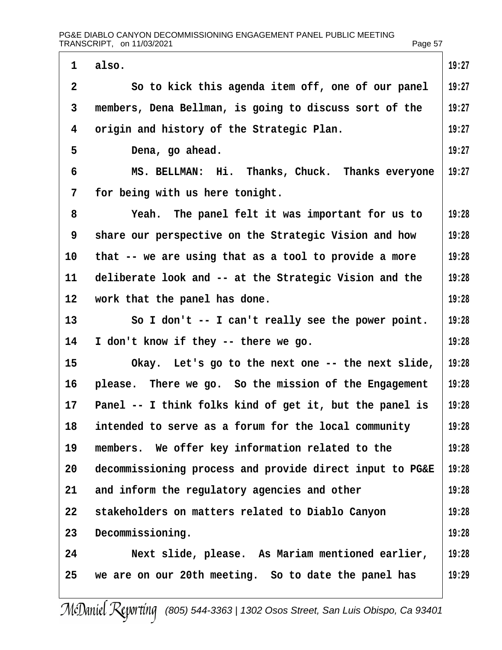|                 | PG&E DIABLO CANYON DECOMMISSIONING ENGAGEMENT PANEL PUBLIC MEETING<br>TRANSCRIPT, on 11/03/2021 | Page 57 |
|-----------------|-------------------------------------------------------------------------------------------------|---------|
| 1               | also.                                                                                           | 19:27   |
| $\overline{2}$  | So to kick this agenda item off, one of our panel                                               | 19:27   |
| 3               | members, Dena Bellman, is going to discuss sort of the                                          | 19:27   |
| 4               | origin and history of the Strategic Plan.                                                       | 19:27   |
| 5               | Dena, go ahead.                                                                                 | 19:27   |
| 6               | MS. BELLMAN: Hi. Thanks, Chuck. Thanks everyone                                                 | 19:27   |
| 7               | for being with us here tonight.                                                                 |         |
| 8               | Yeah. The panel felt it was important for us to                                                 | 19:28   |
| 9               | share our perspective on the Strategic Vision and how                                           | 19:28   |
| 10              | that -- we are using that as a tool to provide a more                                           | 19:28   |
| 11              | deliberate look and -- at the Strategic Vision and the                                          | 19:28   |
| 12 <sub>2</sub> | work that the panel has done.                                                                   | 19:28   |
| 13              | So I don't -- I can't really see the power point.                                               | 19:28   |
| 14              | I don't know if they -- there we go.                                                            | 19:28   |
| 15              | Okay. Let's go to the next one -- the next slide,                                               | 19:28   |
| 16              | please. There we go. So the mission of the Engagement                                           | 19:28   |
| 17              | Panel -- I think folks kind of get it, but the panel is                                         | 19:28   |
| 18              | intended to serve as a forum for the local community                                            | 19:28   |
| 19              | members. We offer key information related to the                                                | 19:28   |
| 20              | decommissioning process and provide direct input to PG&E                                        | 19:28   |
| 21              | and inform the regulatory agencies and other                                                    | 19:28   |
| 22              | stakeholders on matters related to Diablo Canyon                                                | 19:28   |
| 23              | Decommissioning.                                                                                | 19:28   |
| 24              | Next slide, please. As Mariam mentioned earlier,                                                | 19:28   |
| 25              | we are on our 20th meeting. So to date the panel has                                            | 19:29   |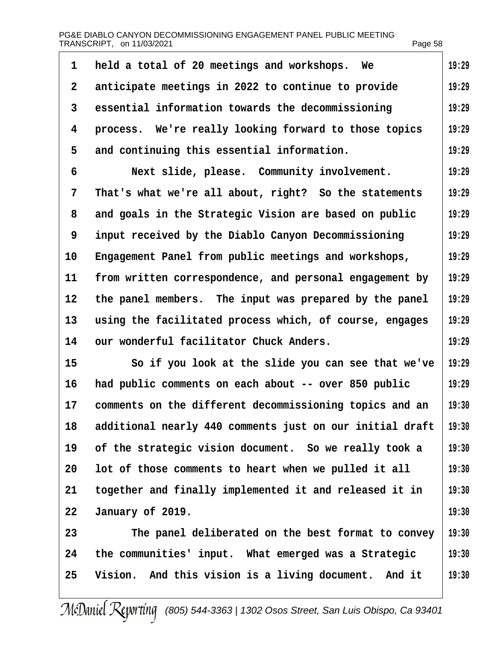| 1  | held a total of 20 meetings and workshops. We            | 19:29 |
|----|----------------------------------------------------------|-------|
| 2  | anticipate meetings in 2022 to continue to provide       | 19:29 |
| 3  | essential information towards the decommissioning        | 19:29 |
| 4  | process. We're really looking forward to those topics    | 19:29 |
| 5  | and continuing this essential information.               | 19:29 |
| 6  | Next slide, please. Community involvement.               | 19:29 |
| 7  | That's what we're all about, right? So the statements    | 19:29 |
| 8  | and goals in the Strategic Vision are based on public    | 19:29 |
| 9  | input received by the Diablo Canyon Decommissioning      | 19:29 |
| 10 | Engagement Panel from public meetings and workshops,     | 19:29 |
| 11 | from written correspondence, and personal engagement by  | 19:29 |
| 12 | the panel members. The input was prepared by the panel   | 19:29 |
| 13 | using the facilitated process which, of course, engages  | 19:29 |
| 14 | our wonderful facilitator Chuck Anders.                  | 19:29 |
| 15 | So if you look at the slide you can see that we've       | 19:29 |
| 16 | had public comments on each about -- over 850 public     | 19:29 |
| 17 | comments on the different decommissioning topics and an  | 19:30 |
| 18 | additional nearly 440 comments just on our initial draft | 19:30 |
| 19 | of the strategic vision document. So we really took a    | 19:30 |
| 20 | lot of those comments to heart when we pulled it all     | 19:30 |
| 21 | together and finally implemented it and released it in   | 19:30 |
| 22 | January of 2019.                                         | 19:30 |
| 23 | The panel deliberated on the best format to convey       | 19:30 |
| 24 | the communities' input. What emerged was a Strategic     | 19:30 |
| 25 | Vision. And this vision is a living document. And it     | 19:30 |
|    |                                                          |       |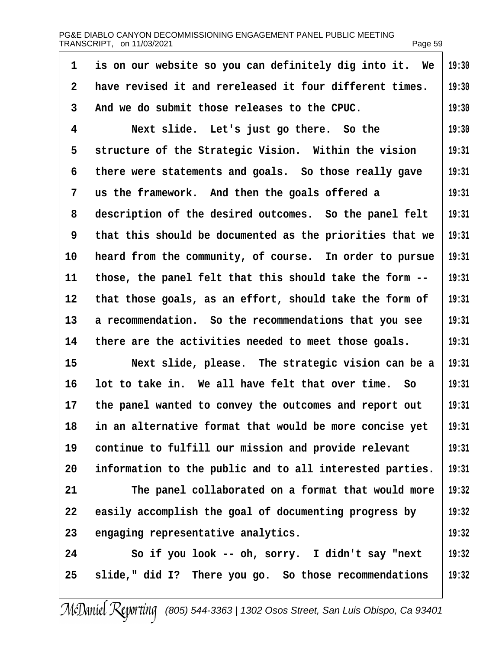|    | PG&E DIABLO CANYON DECOMMISSIONING ENGAGEMENT PANEL PUBLIC MEETING<br>TRANSCRIPT, on 11/03/2021 | Page 59 |
|----|-------------------------------------------------------------------------------------------------|---------|
| 1  | is on our website so you can definitely dig into it. We                                         | 19:30   |
| 2  | have revised it and rereleased it four different times.                                         | 19:30   |
| 3  | And we do submit those releases to the CPUC.                                                    | 19:30   |
| 4  | Next slide. Let's just go there. So the                                                         | 19:30   |
| 5  | structure of the Strategic Vision. Within the vision                                            | 19:31   |
| 6  | there were statements and goals. So those really gave                                           | 19:31   |
| 7  | us the framework. And then the goals offered a                                                  | 19:31   |
| 8  | description of the desired outcomes. So the panel felt                                          | 19:31   |
| 9  | that this should be documented as the priorities that we                                        | 19:31   |
| 10 | heard from the community, of course. In order to pursue                                         | 19:31   |
| 11 | those, the panel felt that this should take the form --                                         | 19:31   |
| 12 | that those goals, as an effort, should take the form of                                         | 19:31   |
| 13 | a recommendation. So the recommendations that you see                                           | 19:31   |
| 14 | there are the activities needed to meet those goals.                                            | 19:31   |
| 15 | Next slide, please. The strategic vision can be a                                               | 19:31   |
| 16 | lot to take in. We all have felt that over time. So                                             | 19:31   |
| 17 | the panel wanted to convey the outcomes and report out                                          | 19:31   |
| 18 | in an alternative format that would be more concise yet                                         | 19:31   |
| 19 | continue to fulfill our mission and provide relevant                                            | 19:31   |
| 20 | information to the public and to all interested parties.                                        | 19:31   |
| 21 | The panel collaborated on a format that would more                                              | 19:32   |
| 22 | easily accomplish the goal of documenting progress by                                           | 19:32   |
| 23 | engaging representative analytics.                                                              | 19:32   |
| 24 | So if you look -- oh, sorry. I didn't say "next"                                                | 19:32   |
| 25 | slide," did I? There you go. So those recommendations                                           | 19:32   |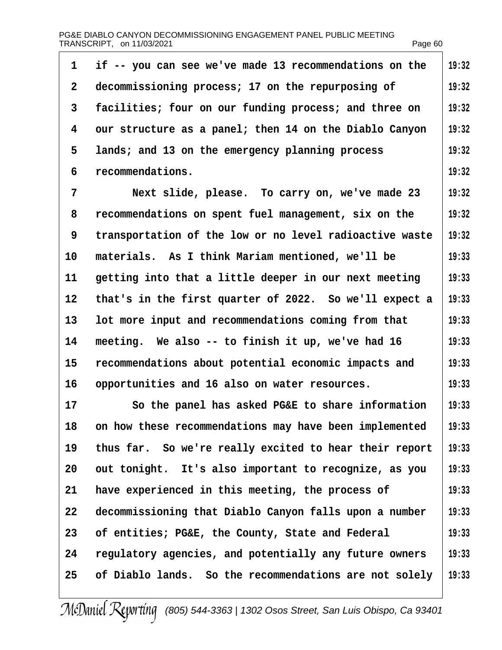| 1                 | if -- you can see we've made 13 recommendations on the  | 19:32 |
|-------------------|---------------------------------------------------------|-------|
| 2                 | decommissioning process; 17 on the repurposing of       | 19:32 |
| 3                 | facilities; four on our funding process; and three on   | 19:32 |
| 4                 | our structure as a panel; then 14 on the Diablo Canyon  | 19:32 |
| 5                 | lands; and 13 on the emergency planning process         | 19:32 |
| 6                 | recommendations.                                        | 19:32 |
| 7                 | Next slide, please. To carry on, we've made 23          | 19:32 |
| 8                 | recommendations on spent fuel management, six on the    | 19:32 |
| 9                 | transportation of the low or no level radioactive waste | 19:32 |
| 10                | materials. As I think Mariam mentioned, we'll be        | 19:33 |
| 11                | getting into that a little deeper in our next meeting   | 19:33 |
| $12 \overline{ }$ | that's in the first quarter of 2022. So we'll expect a  | 19:33 |
| 13                | lot more input and recommendations coming from that     | 19:33 |
| 14                | meeting. We also -- to finish it up, we've had 16       | 19:33 |
| 15                | recommendations about potential economic impacts and    | 19:33 |
| 16                | opportunities and 16 also on water resources.           | 19:33 |
| 17                | So the panel has asked PG&E to share information        | 19:33 |
| 18                | on how these recommendations may have been implemented  | 19:33 |
| 19                | thus far. So we're really excited to hear their report  | 19:33 |
| 20                | out tonight. It's also important to recognize, as you   | 19:33 |
| 21                | have experienced in this meeting, the process of        | 19:33 |
| 22                | decommissioning that Diablo Canyon falls upon a number  | 19:33 |
| 23                | of entities; PG&E, the County, State and Federal        | 19:33 |
| 24                | regulatory agencies, and potentially any future owners  | 19:33 |
| 25                | of Diablo lands. So the recommendations are not solely  | 19:33 |
|                   |                                                         |       |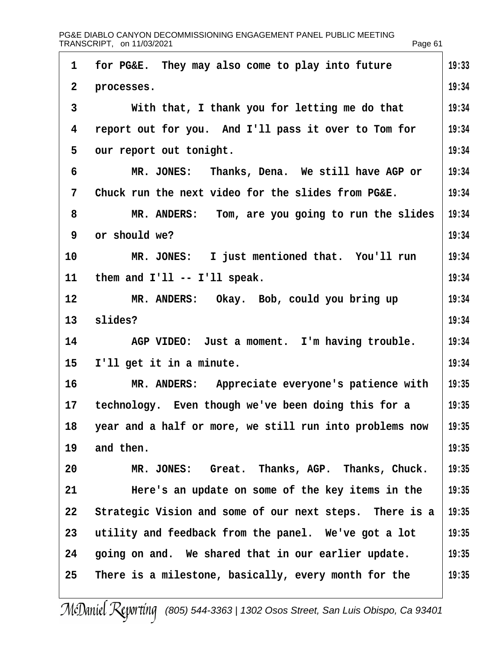|                | PG&E DIABLO CANYON DECOMMISSIONING ENGAGEMENT PANEL PUBLIC MEETING<br>TRANSCRIPT, on 11/03/2021 | Page 61 |
|----------------|-------------------------------------------------------------------------------------------------|---------|
| 1              | for PG&E. They may also come to play into future                                                | 19:33   |
| $\overline{2}$ | processes.                                                                                      | 19:34   |
| 3              | With that, I thank you for letting me do that                                                   | 19:34   |
| 4              | report out for you. And I'll pass it over to Tom for                                            | 19:34   |
| 5              | our report out tonight.                                                                         | 19:34   |
| 6              | MR. JONES: Thanks, Dena. We still have AGP or                                                   | 19:34   |
| 7              | Chuck run the next video for the slides from PG&E.                                              | 19:34   |
| 8              | MR. ANDERS: Tom, are you going to run the slides                                                | 19:34   |
| 9              | or should we?                                                                                   | 19:34   |
| 10             | MR. JONES: I just mentioned that. You'll run                                                    | 19:34   |
| 11             | them and I'll -- I'll speak.                                                                    | 19:34   |
| 12             | MR. ANDERS: Okay. Bob, could you bring up                                                       | 19:34   |
| 13             | slides?                                                                                         | 19:34   |
| 14             | AGP VIDEO: Just a moment. I'm having trouble.                                                   | 19:34   |
| 15             | I'll get it in a minute.                                                                        | 19:34   |
| 16             | MR. ANDERS: Appreciate everyone's patience with                                                 | 19:35   |
| 17             | technology. Even though we've been doing this for a                                             | 19:35   |
| 18             | year and a half or more, we still run into problems now                                         | 19:35   |
| 19             | and then.                                                                                       | 19:35   |
| 20             | MR. JONES: Great. Thanks, AGP. Thanks, Chuck.                                                   | 19:35   |
| 21             | Here's an update on some of the key items in the                                                | 19:35   |
| 22             | Strategic Vision and some of our next steps. There is a                                         | 19:35   |
| 23             | utility and feedback from the panel. We've got a lot                                            | 19:35   |
| 24             | going on and. We shared that in our earlier update.                                             | 19:35   |
| 25             | There is a milestone, basically, every month for the                                            | 19:35   |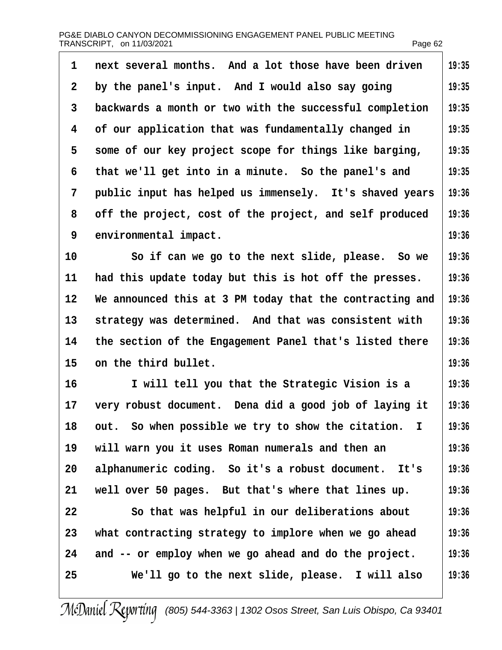| 1  | next several months. And a lot those have been driven    | 19:35 |
|----|----------------------------------------------------------|-------|
| 2  | by the panel's input. And I would also say going         | 19:35 |
| 3  | backwards a month or two with the successful completion  | 19:35 |
| 4  | of our application that was fundamentally changed in     | 19:35 |
| 5  | some of our key project scope for things like barging,   | 19:35 |
| 6  | that we'll get into in a minute. So the panel's and      | 19:35 |
| 7  | public input has helped us immensely. It's shaved years  | 19:36 |
| 8  | off the project, cost of the project, and self produced  | 19:36 |
| 9  | environmental impact.                                    | 19:36 |
| 10 | So if can we go to the next slide, please. So we         | 19:36 |
| 11 | had this update today but this is hot off the presses.   | 19:36 |
| 12 | We announced this at 3 PM today that the contracting and | 19:36 |
| 13 | strategy was determined. And that was consistent with    | 19:36 |
| 14 | the section of the Engagement Panel that's listed there  | 19:36 |
| 15 | on the third bullet.                                     | 19:36 |
| 16 | I will tell you that the Strategic Vision is a           | 19:36 |
| 17 | very robust document. Dena did a good job of laying it   | 19:36 |
| 18 | out. So when possible we try to show the citation. I     | 19:36 |
| 19 | will warn you it uses Roman numerals and then an         | 19:36 |
| 20 | alphanumeric coding. So it's a robust document. It's     | 19:36 |
| 21 | well over 50 pages. But that's where that lines up.      | 19:36 |
| 22 | So that was helpful in our deliberations about           | 19:36 |
| 23 | what contracting strategy to implore when we go ahead    | 19:36 |
| 24 | and -- or employ when we go ahead and do the project.    | 19:36 |
| 25 | We'll go to the next slide, please. I will also          | 19:36 |
|    |                                                          |       |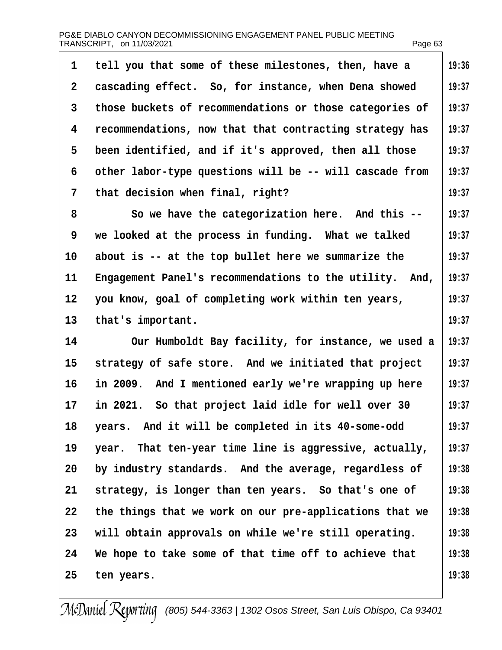| PG&E DIABLO CANYON DECOMMISSIONING ENGAGEMENT PANEL PUBLIC MEETING |         |
|--------------------------------------------------------------------|---------|
| TRANSCRIPT, on 11/03/2021                                          | Page 63 |

| 1                 | tell you that some of these milestones, then, have a    | 19:36 |
|-------------------|---------------------------------------------------------|-------|
| 2                 | cascading effect. So, for instance, when Dena showed    | 19:37 |
| 3                 | those buckets of recommendations or those categories of | 19:37 |
| 4                 | recommendations, now that that contracting strategy has | 19:37 |
| 5                 | been identified, and if it's approved, then all those   | 19:37 |
| 6                 | other labor-type questions will be -- will cascade from | 19:37 |
| 7                 | that decision when final, right?                        | 19:37 |
| 8                 | So we have the categorization here. And this --         | 19:37 |
| 9                 | we looked at the process in funding. What we talked     | 19:37 |
| 10                | about is -- at the top bullet here we summarize the     | 19:37 |
| 11                | Engagement Panel's recommendations to the utility. And, | 19:37 |
| $12 \overline{ }$ | you know, goal of completing work within ten years,     | 19:37 |
| 13                | that's important.                                       | 19:37 |
| 14                | Our Humboldt Bay facility, for instance, we used a      | 19:37 |
| 15                | strategy of safe store. And we initiated that project   | 19:37 |
| 16                | in 2009. And I mentioned early we're wrapping up here   | 19:37 |
| 17                | in 2021. So that project laid idle for well over 30     | 19:37 |
| 18                | years. And it will be completed in its 40-some-odd      | 19:37 |
| 19                | year. That ten-year time line is aggressive, actually,  | 19:37 |
| 20                | by industry standards. And the average, regardless of   | 19:38 |
| 21                | strategy, is longer than ten years. So that's one of    | 19:38 |
| 22                | the things that we work on our pre-applications that we | 19:38 |
| 23                | will obtain approvals on while we're still operating.   | 19:38 |
| 24                | We hope to take some of that time off to achieve that   | 19:38 |
| 25                | ten years.                                              | 19:38 |
|                   |                                                         |       |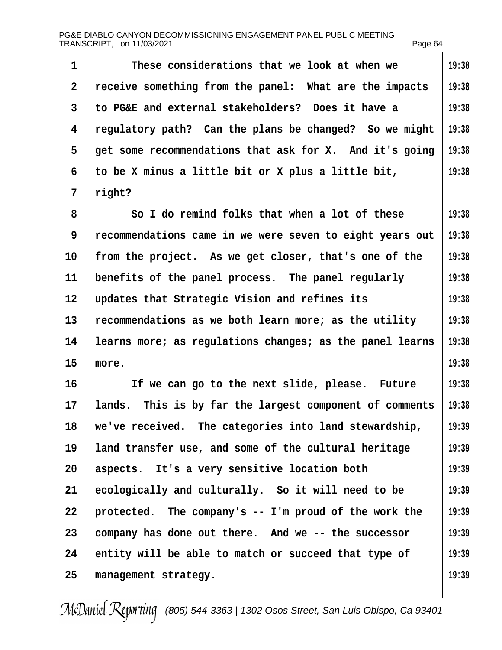| PG&E DIABLO CANYON DECOMMISSIONING ENGAGEMENT PANEL PUBLIC MEETING |         |
|--------------------------------------------------------------------|---------|
| TRANSCRIPT, on 11/03/2021                                          | Page 64 |

| 1               | These considerations that we look at when we             | 19:38 |
|-----------------|----------------------------------------------------------|-------|
| 2               | receive something from the panel: What are the impacts   | 19:38 |
| 3               | to PG&E and external stakeholders? Does it have a        | 19:38 |
| 4               | regulatory path? Can the plans be changed? So we might   | 19:38 |
| 5               | get some recommendations that ask for X. And it's going  | 19:38 |
| 6               | to be X minus a little bit or X plus a little bit,       | 19:38 |
| 7               | right?                                                   |       |
| 8               | So I do remind folks that when a lot of these            | 19:38 |
| 9               | recommendations came in we were seven to eight years out | 19:38 |
| 10              | from the project. As we get closer, that's one of the    | 19:38 |
| 11              | benefits of the panel process. The panel regularly       | 19:38 |
| 12 <sub>2</sub> | updates that Strategic Vision and refines its            | 19:38 |
| 13              | recommendations as we both learn more; as the utility    | 19:38 |
| 14              | learns more; as regulations changes; as the panel learns | 19:38 |
| 15              | more.                                                    | 19:38 |
| 16              | If we can go to the next slide, please. Future           | 19:38 |
| 17              | lands. This is by far the largest component of comments  | 19:38 |
| 18              | we've received. The categories into land stewardship,    | 19:39 |
| 19              | land transfer use, and some of the cultural heritage     | 19:39 |
| 20              | aspects. It's a very sensitive location both             | 19:39 |
| 21              | ecologically and culturally. So it will need to be       | 19:39 |
| 22              | protected. The company's -- I'm proud of the work the    | 19:39 |
| 23              | company has done out there. And we -- the successor      | 19:39 |
| 24              | entity will be able to match or succeed that type of     | 19:39 |
| 25              | management strategy.                                     | 19:39 |
|                 |                                                          |       |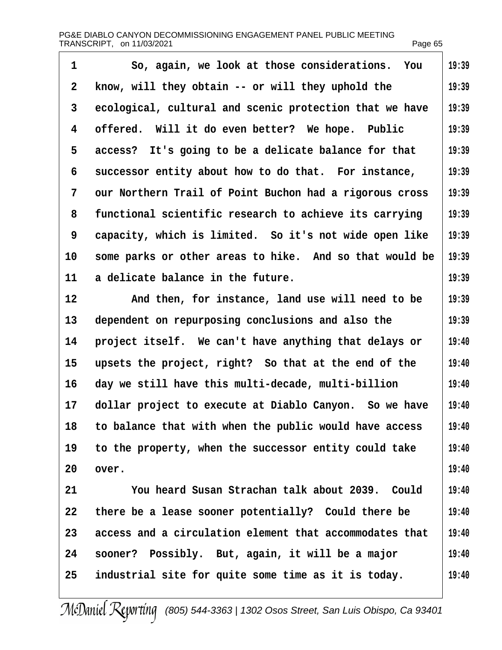| 1  | So, again, we look at those considerations. You         | 19:39 |
|----|---------------------------------------------------------|-------|
| 2  | know, will they obtain -- or will they uphold the       | 19:39 |
| 3  | ecological, cultural and scenic protection that we have | 19:39 |
| 4  | offered. Will it do even better? We hope. Public        | 19:39 |
| 5  | access? It's going to be a delicate balance for that    | 19:39 |
| 6  | successor entity about how to do that. For instance,    | 19:39 |
| 7  | our Northern Trail of Point Buchon had a rigorous cross | 19:39 |
| 8  | functional scientific research to achieve its carrying  | 19:39 |
| 9  | capacity, which is limited. So it's not wide open like  | 19:39 |
| 10 | some parks or other areas to hike. And so that would be | 19:39 |
| 11 | a delicate balance in the future.                       | 19:39 |
| 12 | And then, for instance, land use will need to be        | 19:39 |
| 13 | dependent on repurposing conclusions and also the       | 19:39 |
| 14 | project itself. We can't have anything that delays or   | 19:40 |
| 15 | upsets the project, right? So that at the end of the    | 19:40 |
| 16 | day we still have this multi-decade, multi-billion      | 19:40 |
| 17 | dollar project to execute at Diablo Canyon. So we have  | 19:40 |
| 18 | to balance that with when the public would have access  | 19:40 |
| 19 | to the property, when the successor entity could take   | 19:40 |
| 20 | over.                                                   | 19:40 |
| 21 | You heard Susan Strachan talk about 2039. Could         | 19:40 |
| 22 | there be a lease sooner potentially? Could there be     | 19:40 |
| 23 | access and a circulation element that accommodates that | 19:40 |
| 24 | sooner? Possibly. But, again, it will be a major        | 19:40 |
| 25 | industrial site for quite some time as it is today.     | 19:40 |
|    |                                                         |       |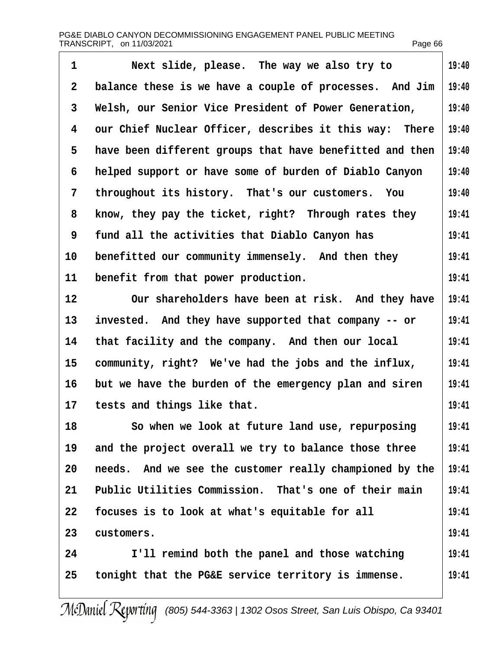| $\mathbf{1}$ | Next slide, please. The way we also try to               | 19:40 |
|--------------|----------------------------------------------------------|-------|
| 2            | balance these is we have a couple of processes. And Jim  | 19:40 |
| 3            | Welsh, our Senior Vice President of Power Generation,    | 19:40 |
| 4            | our Chief Nuclear Officer, describes it this way: There  | 19:40 |
| 5            | have been different groups that have benefitted and then | 19:40 |
| 6            | helped support or have some of burden of Diablo Canyon   | 19:40 |
| 7            | throughout its history. That's our customers. You        | 19:40 |
| 8            | know, they pay the ticket, right? Through rates they     | 19:41 |
| 9            | fund all the activities that Diablo Canyon has           | 19:41 |
| 10           | benefitted our community immensely. And then they        | 19:41 |
| 11           | benefit from that power production.                      | 19:41 |
| 12           | Our shareholders have been at risk. And they have        | 19:41 |
| 13           | invested. And they have supported that company -- or     | 19:41 |
| 14           | that facility and the company. And then our local        | 19:41 |
| 15           | community, right? We've had the jobs and the influx,     | 19:41 |
| 16           | but we have the burden of the emergency plan and siren   | 19:41 |
| 17           | tests and things like that.                              | 19:41 |
| 18           | So when we look at future land use, repurposing          | 19:41 |
| 19           | and the project overall we try to balance those three    | 19:41 |
| 20           | needs. And we see the customer really championed by the  | 19:41 |
| 21           | Public Utilities Commission. That's one of their main    | 19:41 |
| 22           | focuses is to look at what's equitable for all           | 19:41 |
| 23           | customers.                                               | 19:41 |
| 24           | I'll remind both the panel and those watching            | 19:41 |
| 25           | tonight that the PG&E service territory is immense.      | 19:41 |
|              |                                                          |       |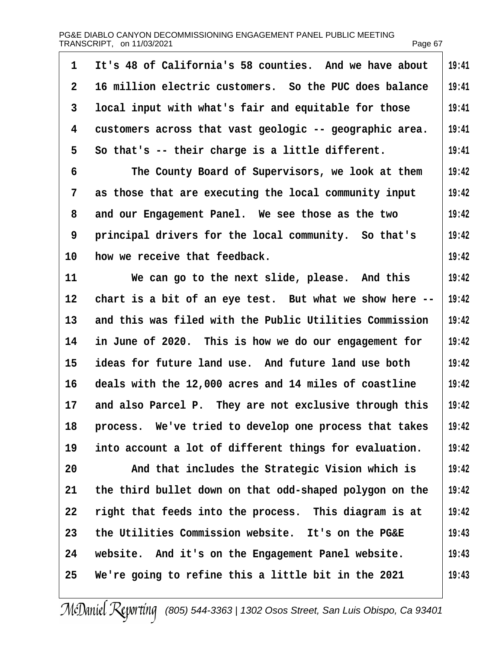| 1               | It's 48 of California's 58 counties. And we have about  | 19:41 |
|-----------------|---------------------------------------------------------|-------|
| $\overline{2}$  | 16 million electric customers. So the PUC does balance  | 19:41 |
| 3               | local input with what's fair and equitable for those    | 19:41 |
| 4               | customers across that vast geologic -- geographic area. | 19:41 |
| 5               | So that's -- their charge is a little different.        | 19:41 |
| 6               | The County Board of Supervisors, we look at them        | 19:42 |
| 7               | as those that are executing the local community input   | 19:42 |
| 8               | and our Engagement Panel. We see those as the two       | 19:42 |
| 9               | principal drivers for the local community. So that's    | 19:42 |
| 10              | how we receive that feedback.                           | 19:42 |
| 11              | We can go to the next slide, please. And this           | 19:42 |
| 12 <sup>°</sup> | chart is a bit of an eye test. But what we show here -- | 19:42 |
| 13              | and this was filed with the Public Utilities Commission | 19:42 |
| 14              | in June of 2020. This is how we do our engagement for   | 19:42 |
| 15              | ideas for future land use. And future land use both     | 19:42 |
| 16              | deals with the 12,000 acres and 14 miles of coastline   | 19:42 |
| 17              | and also Parcel P. They are not exclusive through this  | 19:42 |
| 18              | process. We've tried to develop one process that takes  | 19:42 |
| 19              | into account a lot of different things for evaluation.  | 19:42 |
| 20              | And that includes the Strategic Vision which is         | 19:42 |
| 21              | the third bullet down on that odd-shaped polygon on the | 19:42 |
| 22              | right that feeds into the process. This diagram is at   | 19:42 |
| 23              | the Utilities Commission website. It's on the PG&E      | 19:43 |
| 24              | website. And it's on the Engagement Panel website.      | 19:43 |
| 25              | We're going to refine this a little bit in the 2021     | 19:43 |
|                 |                                                         |       |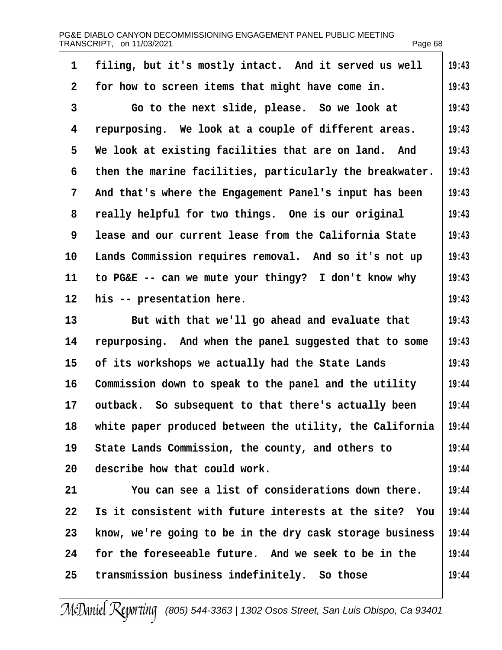| 1              | filing, but it's mostly intact. And it served us well    | 19:43 |
|----------------|----------------------------------------------------------|-------|
| $\overline{2}$ | for how to screen items that might have come in.         | 19:43 |
| 3              | Go to the next slide, please. So we look at              | 19:43 |
| 4              | repurposing. We look at a couple of different areas.     | 19:43 |
| 5              | We look at existing facilities that are on land. And     | 19:43 |
| 6              | then the marine facilities, particularly the breakwater. | 19:43 |
| 7              | And that's where the Engagement Panel's input has been   | 19:43 |
| 8              | really helpful for two things. One is our original       | 19:43 |
| 9              | lease and our current lease from the California State    | 19:43 |
| 10             | Lands Commission requires removal. And so it's not up    | 19:43 |
| 11             | to PG&E -- can we mute your thingy? I don't know why     | 19:43 |
| 12             | his -- presentation here.                                | 19:43 |
| 13             | But with that we'll go ahead and evaluate that           | 19:43 |
| 14             | repurposing. And when the panel suggested that to some   | 19:43 |
| 15             | of its workshops we actually had the State Lands         | 19:43 |
| 16             | Commission down to speak to the panel and the utility    | 19:44 |
| 17             | outback. So subsequent to that there's actually been     | 19:44 |
| 18             | white paper produced between the utility, the California | 19:44 |
| 19             | State Lands Commission, the county, and others to        | 19:44 |
| 20             | describe how that could work.                            | 19:44 |
| 21             | You can see a list of considerations down there.         | 19:44 |
| 22             | Is it consistent with future interests at the site? You  | 19:44 |
| 23             | know, we're going to be in the dry cask storage business | 19:44 |
| 24             | for the foreseeable future. And we seek to be in the     | 19:44 |
| 25             | transmission business indefinitely. So those             | 19:44 |
|                |                                                          |       |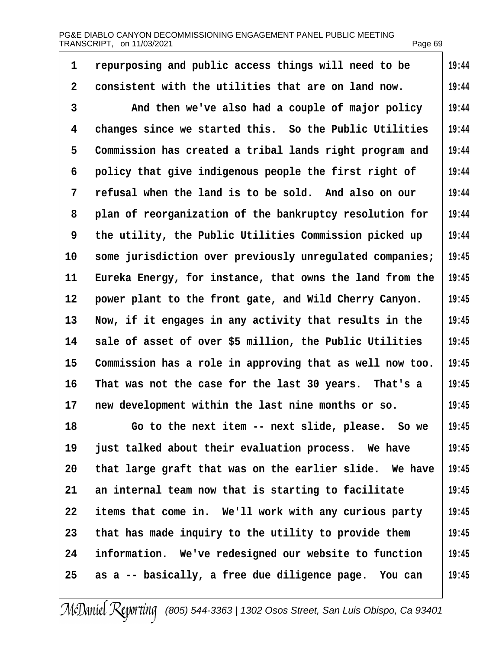PG&E DIABLO CANYON DECOMMISSIONING ENGAGEMENT PANEL PUBLIC MEETING TRANSCRIPT, on 11/03/2021 Page 69: Page 69: Page 69: Page 69: Page 69: Page 69: Page 69: Page 69: Page 69: Page 69: Page 69: Page 69: Page 69: Page 69: Page 69: Page 69: Page 69: Page 69: Page 69: Page 7: Page 7: Page 7

| repurposing and public access things will need to be<br>consistent with the utilities that are on land now.<br>And then we've also had a couple of major policy | 19:44<br>19:44<br>19:44 |
|-----------------------------------------------------------------------------------------------------------------------------------------------------------------|-------------------------|
|                                                                                                                                                                 |                         |
|                                                                                                                                                                 |                         |
|                                                                                                                                                                 |                         |
| changes since we started this. So the Public Utilities                                                                                                          | 19:44                   |
| Commission has created a tribal lands right program and                                                                                                         | 19:44                   |
| policy that give indigenous people the first right of                                                                                                           | 19:44                   |
| refusal when the land is to be sold. And also on our                                                                                                            | 19:44                   |
| plan of reorganization of the bankruptcy resolution for                                                                                                         | 19:44                   |
| the utility, the Public Utilities Commission picked up                                                                                                          | 19:44                   |
| some jurisdiction over previously unregulated companies;                                                                                                        | 19:45                   |
| Eureka Energy, for instance, that owns the land from the                                                                                                        | 19:45                   |
| power plant to the front gate, and Wild Cherry Canyon.                                                                                                          | 19:45                   |
| Now, if it engages in any activity that results in the                                                                                                          | 19:45                   |
| sale of asset of over \$5 million, the Public Utilities                                                                                                         | 19:45                   |
| Commission has a role in approving that as well now too.                                                                                                        | 19:45                   |
| That was not the case for the last 30 years. That's a                                                                                                           | 19:45                   |
| new development within the last nine months or so.                                                                                                              | 19:45                   |
| Go to the next item -- next slide, please. So we                                                                                                                | 19:45                   |
| just talked about their evaluation process. We have                                                                                                             | 19:45                   |
| that large graft that was on the earlier slide. We have                                                                                                         | 19:45                   |
| an internal team now that is starting to facilitate                                                                                                             | 19:45                   |
| items that come in. We'll work with any curious party                                                                                                           | 19:45                   |
| that has made inquiry to the utility to provide them                                                                                                            | 19:45                   |
| information. We've redesigned our website to function                                                                                                           | 19:45                   |
| as a -- basically, a free due diligence page. You can                                                                                                           | 19:45                   |
|                                                                                                                                                                 |                         |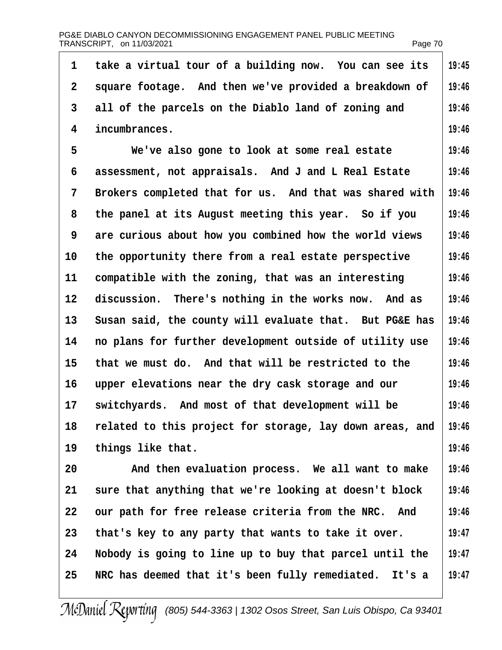| PG&E DIABLO CANYON DECOMMISSIONING ENGAGEMENT PANEL PUBLIC MEETING |         |
|--------------------------------------------------------------------|---------|
| TRANSCRIPT, on 11/03/2021                                          | Page 70 |

| 1               | take a virtual tour of a building now. You can see its   | 19:45 |
|-----------------|----------------------------------------------------------|-------|
| 2               | square footage. And then we've provided a breakdown of   | 19:46 |
| 3               | all of the parcels on the Diablo land of zoning and      | 19:46 |
| 4               | incumbrances.                                            | 19:46 |
| 5               | We've also gone to look at some real estate              | 19:46 |
| 6               | assessment, not appraisals. And J and L Real Estate      | 19:46 |
| 7               | Brokers completed that for us. And that was shared with  | 19:46 |
| 8               | the panel at its August meeting this year. So if you     | 19:46 |
| 9               | are curious about how you combined how the world views   | 19:46 |
| 10              | the opportunity there from a real estate perspective     | 19:46 |
| 11              | compatible with the zoning, that was an interesting      | 19:46 |
| 12              | discussion. There's nothing in the works now. And as     | 19:46 |
| 13 <sup>°</sup> | Susan said, the county will evaluate that. But PG&E has  | 19:46 |
| 14              | no plans for further development outside of utility use  | 19:46 |
| 15              | that we must do. And that will be restricted to the      | 19:46 |
| 16              | upper elevations near the dry cask storage and our       | 19:46 |
| 17              | switchyards. And most of that development will be        | 19:46 |
| 18              | related to this project for storage, lay down areas, and | 19:46 |
| 19              | things like that.                                        | 19:46 |
| 20              | And then evaluation process. We all want to make         | 19:46 |
| 21              | sure that anything that we're looking at doesn't block   | 19:46 |
| 22              | our path for free release criteria from the NRC. And     | 19:46 |
| 23              | that's key to any party that wants to take it over.      | 19:47 |
| 24              | Nobody is going to line up to buy that parcel until the  | 19:47 |
| 25              | NRC has deemed that it's been fully remediated. It's a   | 19:47 |
|                 |                                                          |       |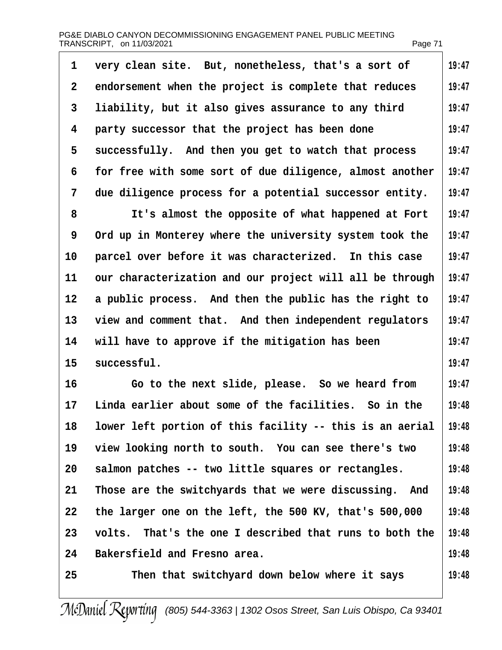| 1  | very clean site. But, nonetheless, that's a sort of      | 19:47 |
|----|----------------------------------------------------------|-------|
| 2  | endorsement when the project is complete that reduces    | 19:47 |
| 3  | liability, but it also gives assurance to any third      | 19:47 |
| 4  | party successor that the project has been done           | 19:47 |
| 5  | successfully. And then you get to watch that process     | 19:47 |
| 6  | for free with some sort of due diligence, almost another | 19:47 |
| 7  | due diligence process for a potential successor entity.  | 19:47 |
| 8  | It's almost the opposite of what happened at Fort        | 19:47 |
| 9  | Ord up in Monterey where the university system took the  | 19:47 |
| 10 | parcel over before it was characterized. In this case    | 19:47 |
| 11 | our characterization and our project will all be through | 19:47 |
| 12 | a public process. And then the public has the right to   | 19:47 |
| 13 | view and comment that. And then independent regulators   | 19:47 |
| 14 | will have to approve if the mitigation has been          | 19:47 |
| 15 | successful.                                              | 19:47 |
| 16 | Go to the next slide, please. So we heard from           | 19:47 |
| 17 | Linda earlier about some of the facilities. So in the    | 19:48 |
| 18 | lower left portion of this facility -- this is an aerial | 19:48 |
| 19 | view looking north to south. You can see there's two     | 19:48 |
| 20 | salmon patches -- two little squares or rectangles.      | 19:48 |
| 21 | Those are the switchyards that we were discussing. And   | 19:48 |
| 22 | the larger one on the left, the 500 KV, that's 500,000   | 19:48 |
| 23 | volts. That's the one I described that runs to both the  | 19:48 |
| 24 | Bakersfield and Fresno area.                             | 19:48 |
| 25 | Then that switchyard down below where it says            | 19:48 |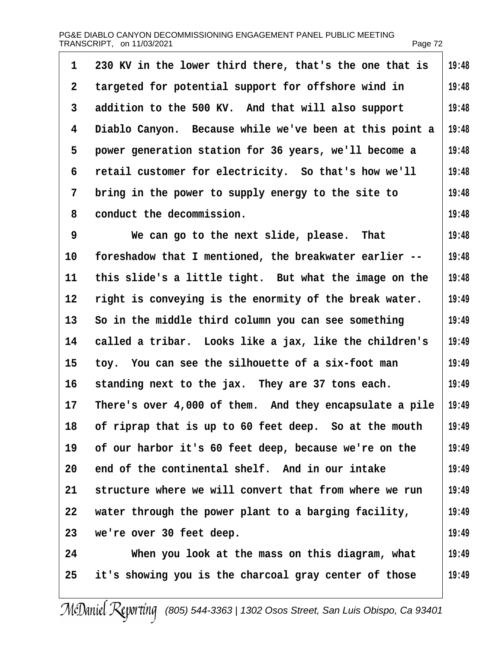| PG&E DIABLO CANYON DECOMMISSIONING ENGAGEMENT PANEL PUBLIC MEETING |         |
|--------------------------------------------------------------------|---------|
| TRANSCRIPT, on 11/03/2021                                          | Page 72 |

| 1  | 230 KV in the lower third there, that's the one that is | 19:48 |
|----|---------------------------------------------------------|-------|
| 2  | targeted for potential support for offshore wind in     | 19:48 |
| 3  | addition to the 500 KV. And that will also support      | 19:48 |
| 4  | Diablo Canyon. Because while we've been at this point a | 19:48 |
| 5  | power generation station for 36 years, we'll become a   | 19:48 |
| 6  | retail customer for electricity. So that's how we'll    | 19:48 |
| 7  | bring in the power to supply energy to the site to      | 19:48 |
| 8  | conduct the decommission.                               | 19:48 |
| 9  | We can go to the next slide, please. That               | 19:48 |
| 10 | foreshadow that I mentioned, the breakwater earlier --  | 19:48 |
| 11 | this slide's a little tight. But what the image on the  | 19:48 |
| 12 | right is conveying is the enormity of the break water.  | 19:49 |
| 13 | So in the middle third column you can see something     | 19:49 |
| 14 | called a tribar. Looks like a jax, like the children's  | 19:49 |
| 15 | toy. You can see the silhouette of a six-foot man       | 19:49 |
| 16 | standing next to the jax. They are 37 tons each.        | 19:49 |
| 17 | There's over 4,000 of them. And they encapsulate a pile | 19:49 |
| 18 | of riprap that is up to 60 feet deep. So at the mouth   | 19:49 |
| 19 | of our harbor it's 60 feet deep, because we're on the   | 19:49 |
| 20 | end of the continental shelf. And in our intake         | 19:49 |
| 21 | structure where we will convert that from where we run  | 19:49 |
| 22 | water through the power plant to a barging facility,    | 19:49 |
| 23 | we're over 30 feet deep.                                | 19:49 |
| 24 | When you look at the mass on this diagram, what         | 19:49 |
| 25 | it's showing you is the charcoal gray center of those   | 19:49 |
|    |                                                         |       |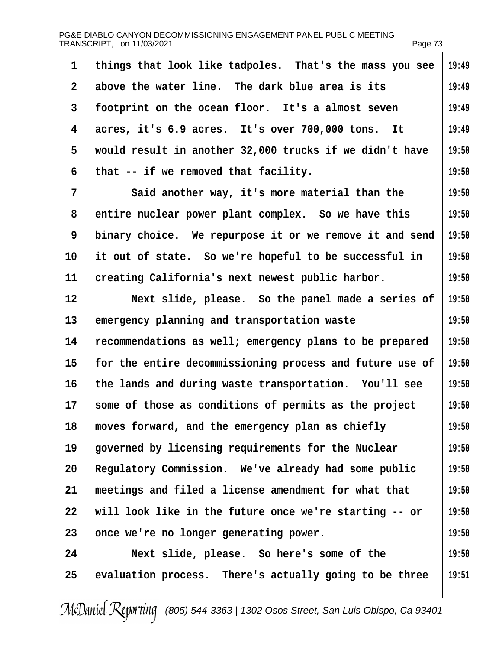<span id="page-72-0"></span>

| 1              | things that look like tadpoles. That's the mass you see  | 19:49 |
|----------------|----------------------------------------------------------|-------|
| 2              | above the water line. The dark blue area is its          | 19:49 |
| 3              | footprint on the ocean floor. It's a almost seven        | 19:49 |
| 4              | acres, it's 6.9 acres. It's over 700,000 tons. It        | 19:49 |
| 5              | would result in another 32,000 trucks if we didn't have  | 19:50 |
| 6              | that -- if we removed that facility.                     | 19:50 |
| $\overline{7}$ | Said another way, it's more material than the            | 19:50 |
| 8              | entire nuclear power plant complex. So we have this      | 19:50 |
| 9              | binary choice. We repurpose it or we remove it and send  | 19:50 |
| 10             | it out of state. So we're hopeful to be successful in    | 19:50 |
| 11             | creating California's next newest public harbor.         | 19:50 |
| 12             | Next slide, please. So the panel made a series of        | 19:50 |
| 13             | emergency planning and transportation waste              | 19:50 |
| 14             | recommendations as well; emergency plans to be prepared  | 19:50 |
| 15             | for the entire decommissioning process and future use of | 19:50 |
| 16             | the lands and during waste transportation. You'll see    | 19:50 |
| 17             | some of those as conditions of permits as the project    | 19:50 |
| 18             | moves forward, and the emergency plan as chiefly         | 19:50 |
| 19             | governed by licensing requirements for the Nuclear       | 19:50 |
| 20             | Regulatory Commission. We've already had some public     | 19:50 |
| 21             | meetings and filed a license amendment for what that     | 19:50 |
| 22             | will look like in the future once we're starting -- or   | 19:50 |
| 23             | once we're no longer generating power.                   | 19:50 |
| 24             | Next slide, please. So here's some of the                | 19:50 |
| 25             | evaluation process. There's actually going to be three   | 19:51 |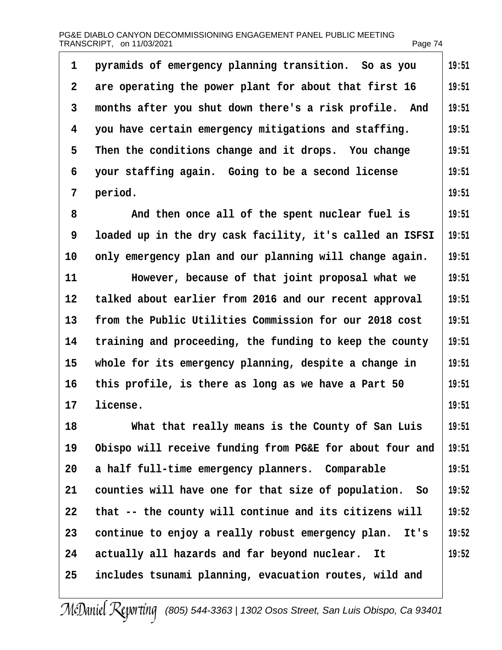<span id="page-73-0"></span>

| 1                 | pyramids of emergency planning transition. So as you     | 19:51 |
|-------------------|----------------------------------------------------------|-------|
| $\overline{2}$    | are operating the power plant for about that first 16    | 19:51 |
| 3                 | months after you shut down there's a risk profile. And   | 19:51 |
| 4                 | you have certain emergency mitigations and staffing.     | 19:51 |
| 5                 | Then the conditions change and it drops. You change      | 19:51 |
| 6                 | your staffing again. Going to be a second license        | 19:51 |
| 7                 | period.                                                  | 19:51 |
| 8                 | And then once all of the spent nuclear fuel is           | 19:51 |
| 9                 | loaded up in the dry cask facility, it's called an ISFSI | 19:51 |
| 10                | only emergency plan and our planning will change again.  | 19:51 |
| 11                | However, because of that joint proposal what we          | 19:51 |
| $12 \overline{ }$ | talked about earlier from 2016 and our recent approval   | 19:51 |
| 13                | from the Public Utilities Commission for our 2018 cost   | 19:51 |
| 14                | training and proceeding, the funding to keep the county  | 19:51 |
| 15                | whole for its emergency planning, despite a change in    | 19:51 |
| 16                | this profile, is there as long as we have a Part 50      | 19:51 |
| 17                | license.                                                 | 19:51 |
| 18                | What that really means is the County of San Luis         | 19:51 |
| 19                | Obispo will receive funding from PG&E for about four and | 19:51 |
| 20                | a half full-time emergency planners. Comparable          | 19:51 |
| 21                | counties will have one for that size of population. So   | 19:52 |
| 22                | that -- the county will continue and its citizens will   | 19:52 |
| 23                | continue to enjoy a really robust emergency plan. It's   | 19:52 |
| 24                | actually all hazards and far beyond nuclear. It          | 19:52 |
| 25                | includes tsunami planning, evacuation routes, wild and   |       |
|                   |                                                          |       |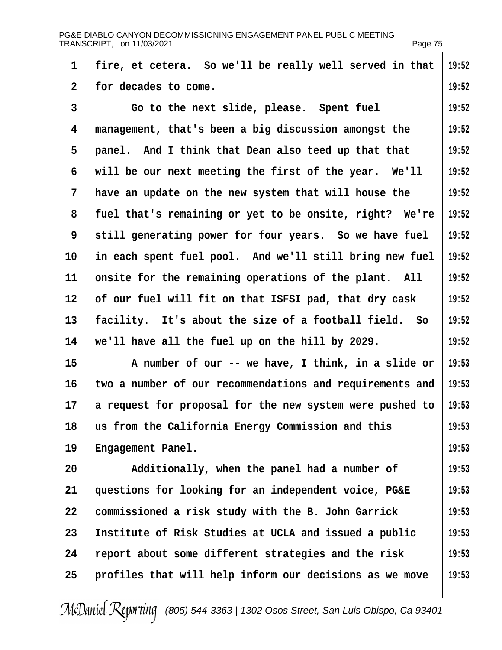<span id="page-74-0"></span>

|                 | PG&E DIABLO CANYON DECOMMISSIONING ENGAGEMENT PANEL PUBLIC MEETING<br>TRANSCRIPT, on 11/03/2021 | Page 75 |
|-----------------|-------------------------------------------------------------------------------------------------|---------|
| 1               | fire, et cetera. So we'll be really well served in that                                         | 19:52   |
| $\overline{2}$  | for decades to come.                                                                            | 19:52   |
| 3               | Go to the next slide, please. Spent fuel                                                        | 19:52   |
| 4               | management, that's been a big discussion amongst the                                            | 19:52   |
| 5               | panel. And I think that Dean also teed up that that                                             | 19:52   |
| 6               | will be our next meeting the first of the year. We'll                                           | 19:52   |
| 7               | have an update on the new system that will house the                                            | 19:52   |
| 8               | fuel that's remaining or yet to be onsite, right? We're                                         | 19:52   |
| 9               | still generating power for four years. So we have fuel                                          | 19:52   |
| 10              | in each spent fuel pool. And we'll still bring new fuel                                         | 19:52   |
| 11              | onsite for the remaining operations of the plant. All                                           | 19:52   |
| 12 <sup>°</sup> | of our fuel will fit on that ISFSI pad, that dry cask                                           | 19:52   |
| 13              | facility. It's about the size of a football field. So                                           | 19:52   |
| 14              | we'll have all the fuel up on the hill by 2029.                                                 | 19:52   |
| 15              | A number of our -- we have, I think, in a slide or                                              | 19:53   |
| 16              | two a number of our recommendations and requirements and                                        | 19:53   |
| 17              | a request for proposal for the new system were pushed to                                        | 19:53   |
| 18              | us from the California Energy Commission and this                                               | 19:53   |
| 19              | Engagement Panel.                                                                               | 19:53   |
| 20              | Additionally, when the panel had a number of                                                    | 19:53   |
| 21              | questions for looking for an independent voice, PG&E                                            | 19:53   |
| 22              | commissioned a risk study with the B. John Garrick                                              | 19:53   |
| 23              | Institute of Risk Studies at UCLA and issued a public                                           | 19:53   |
| 24              | report about some different strategies and the risk                                             | 19:53   |
| 25              | profiles that will help inform our decisions as we move                                         | 19:53   |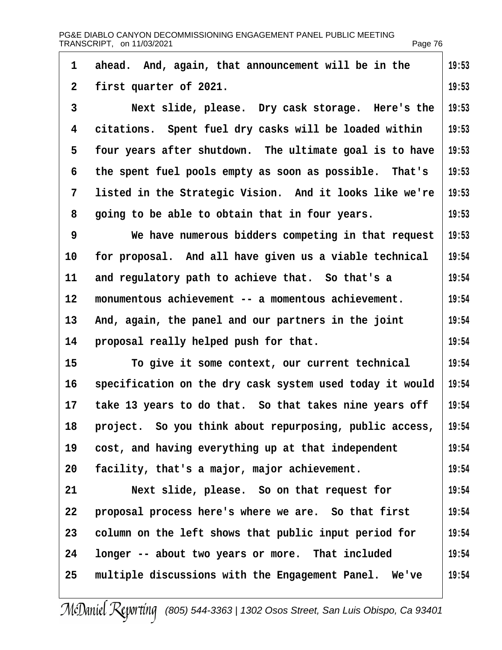<span id="page-75-0"></span>

| PG&E DIABLO CANYON DECOMMISSIONING ENGAGEMENT PANEL PUBLIC MEETING |         |
|--------------------------------------------------------------------|---------|
| TRANSCRIPT, on 11/03/2021                                          | Page 76 |

| 1  | ahead. And, again, that announcement will be in the      | 19:53 |
|----|----------------------------------------------------------|-------|
| 2  | first quarter of 2021.                                   | 19:53 |
| 3  | Next slide, please. Dry cask storage. Here's the         | 19:53 |
| 4  | citations. Spent fuel dry casks will be loaded within    | 19:53 |
| 5  | four years after shutdown. The ultimate goal is to have  | 19:53 |
| 6  | the spent fuel pools empty as soon as possible. That's   | 19:53 |
| 7  | listed in the Strategic Vision. And it looks like we're  | 19:53 |
| 8  | going to be able to obtain that in four years.           | 19:53 |
| 9  | We have numerous bidders competing in that request       | 19:53 |
| 10 | for proposal. And all have given us a viable technical   | 19:54 |
| 11 | and regulatory path to achieve that. So that's a         | 19:54 |
| 12 | monumentous achievement -- a momentous achievement.      | 19:54 |
| 13 | And, again, the panel and our partners in the joint      | 19:54 |
| 14 | proposal really helped push for that.                    | 19:54 |
| 15 | To give it some context, our current technical           | 19:54 |
| 16 | specification on the dry cask system used today it would | 19:54 |
| 17 | take 13 years to do that. So that takes nine years off   | 19:54 |
| 18 | project. So you think about repurposing, public access,  | 19:54 |
| 19 | cost, and having everything up at that independent       | 19:54 |
| 20 | facility, that's a major, major achievement.             | 19:54 |
| 21 | Next slide, please. So on that request for               | 19:54 |
| 22 | proposal process here's where we are. So that first      | 19:54 |
| 23 | column on the left shows that public input period for    | 19:54 |
| 24 | longer -- about two years or more. That included         | 19:54 |
| 25 | multiple discussions with the Engagement Panel. We've    | 19:54 |
|    |                                                          |       |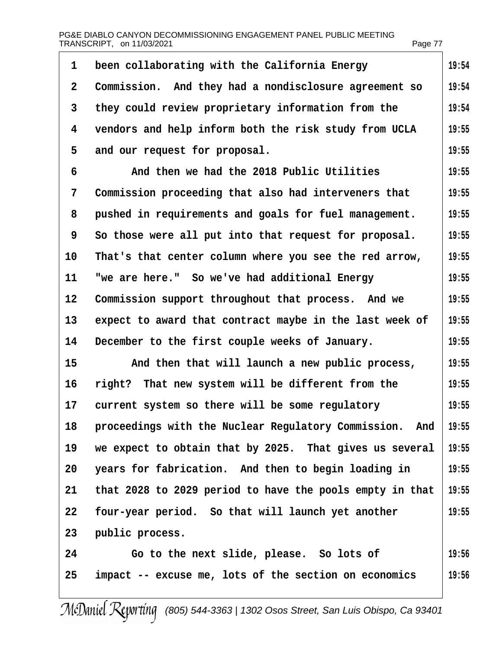<span id="page-76-0"></span>1 been collaborating with the California Energy 2 Commission. And they had a nondisclosure agreement so 3 they could review proprietary information from the 4 vendors and help inform both the risk study from UCLA 5 and our request for proposal. ·6· · · · ·And then we had the 2018 Public Utilities 7 Commission proceeding that also had interveners that 8 pushed in requirements and goals for fuel management. 9 So those were all put into that request for proposal. 10 That's that center column where you see the red arrow, 11 "we are here." So we've had additional Energy 12 Commission support throughout that process. And we 13 expect to award that contract maybe in the last week of 14 December to the first couple weeks of January. 15 And then that will launch a new public process, 16 right? That new system will be different from the 17 current system so there will be some regulatory 18 proceedings with the Nuclear Regulatory Commission. And 19 we expect to obtain that by 2025. That gives us several 20 years for fabrication. And then to begin loading in 21 that 2028 to 2029 period to have the pools empty in that 22 four-year period. So that will launch yet another 23 public process. 24 Go to the next slide, please. So lots of 25 impact -- excuse me, lots of the section on economics **19:54 19:54 19:54 19:55 19:55 19:55 19:55 19:55 19:55 19:55 19:55 19:55 19:55 19:55 19:55 19:55 19:55 19:55 19:55 19:55 19:55 19:55 19:56 19:56**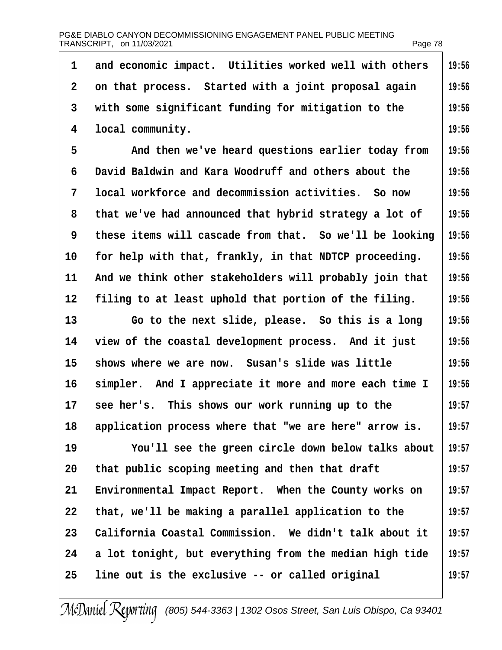<span id="page-77-0"></span>

| 1  | and economic impact. Utilities worked well with others  | 19:56 |
|----|---------------------------------------------------------|-------|
| 2  | on that process. Started with a joint proposal again    | 19:56 |
| 3  | with some significant funding for mitigation to the     | 19:56 |
| 4  | local community.                                        | 19:56 |
| 5  | And then we've heard questions earlier today from       | 19:56 |
| 6  | David Baldwin and Kara Woodruff and others about the    | 19:56 |
| 7  | local workforce and decommission activities. So now     | 19:56 |
| 8  | that we've had announced that hybrid strategy a lot of  | 19:56 |
| 9  | these items will cascade from that. So we'll be looking | 19:56 |
| 10 | for help with that, frankly, in that NDTCP proceeding.  | 19:56 |
| 11 | And we think other stakeholders will probably join that | 19:56 |
| 12 | filing to at least uphold that portion of the filing.   | 19:56 |
| 13 | Go to the next slide, please. So this is a long         | 19:56 |
| 14 | view of the coastal development process. And it just    | 19:56 |
| 15 | shows where we are now. Susan's slide was little        | 19:56 |
| 16 | simpler. And I appreciate it more and more each time I  | 19:56 |
| 17 | see her's. This shows our work running up to the        | 19:57 |
| 18 | application process where that "we are here" arrow is.  | 19:57 |
| 19 | You'll see the green circle down below talks about      | 19:57 |
| 20 | that public scoping meeting and then that draft         | 19:57 |
| 21 | Environmental Impact Report. When the County works on   | 19:57 |
| 22 | that, we'll be making a parallel application to the     | 19:57 |
| 23 | California Coastal Commission. We didn't talk about it  | 19:57 |
| 24 | a lot tonight, but everything from the median high tide | 19:57 |
| 25 | line out is the exclusive -- or called original         | 19:57 |
|    |                                                         |       |

 $\overline{\phantom{a}}$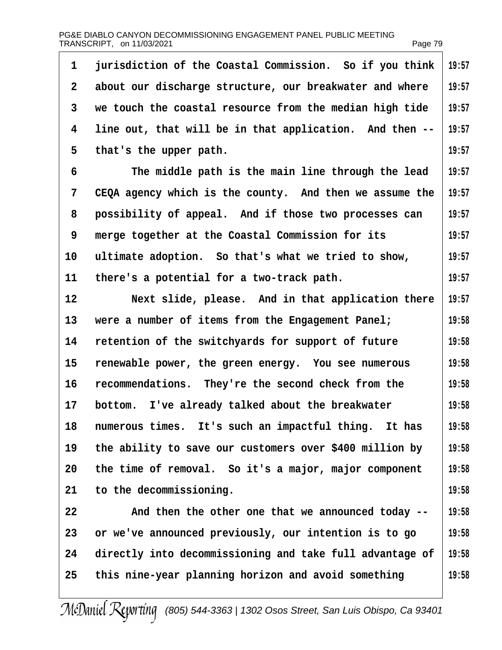<span id="page-78-0"></span>

| 1            | jurisdiction of the Coastal Commission. So if you think  | 19:57 |
|--------------|----------------------------------------------------------|-------|
| $\mathbf{2}$ | about our discharge structure, our breakwater and where  | 19:57 |
| 3            | we touch the coastal resource from the median high tide  | 19:57 |
| 4            | line out, that will be in that application. And then --  | 19:57 |
| 5            | that's the upper path.                                   | 19:57 |
| 6            | The middle path is the main line through the lead        | 19:57 |
| 7            | CEQA agency which is the county. And then we assume the  | 19:57 |
| 8            | possibility of appeal. And if those two processes can    | 19:57 |
| 9            | merge together at the Coastal Commission for its         | 19:57 |
| 10           | ultimate adoption. So that's what we tried to show,      | 19:57 |
| 11           | there's a potential for a two-track path.                | 19:57 |
| 12           | Next slide, please. And in that application there        | 19:57 |
| 13           | were a number of items from the Engagement Panel;        | 19:58 |
| 14           | retention of the switchyards for support of future       | 19:58 |
| 15           | renewable power, the green energy. You see numerous      | 19:58 |
| 16           | recommendations. They're the second check from the       | 19:58 |
| 17           | bottom. I've already talked about the breakwater         | 19:58 |
| 18           | numerous times. It's such an impactful thing. It has     | 19:58 |
| 19           | the ability to save our customers over \$400 million by  | 19:58 |
| 20           | the time of removal. So it's a major, major component    | 19:58 |
| 21           | to the decommissioning.                                  | 19:58 |
| 22           | And then the other one that we announced today --        | 19:58 |
| 23           | or we've announced previously, our intention is to go    | 19:58 |
| 24           | directly into decommissioning and take full advantage of | 19:58 |
| 25           | this nine-year planning horizon and avoid something      | 19:58 |
|              |                                                          |       |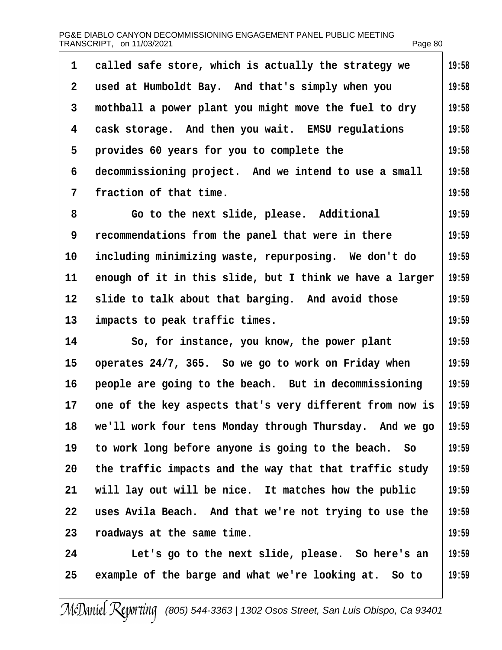<span id="page-79-0"></span>

| 1            | called safe store, which is actually the strategy we     | 19:58 |
|--------------|----------------------------------------------------------|-------|
| $\mathbf{2}$ | used at Humboldt Bay. And that's simply when you         | 19:58 |
| 3            | mothball a power plant you might move the fuel to dry    | 19:58 |
| 4            | cask storage. And then you wait. EMSU regulations        | 19:58 |
| 5            | provides 60 years for you to complete the                | 19:58 |
| 6            | decommissioning project. And we intend to use a small    | 19:58 |
| 7            | fraction of that time.                                   | 19:58 |
| 8            | Go to the next slide, please. Additional                 | 19:59 |
| 9            | recommendations from the panel that were in there        | 19:59 |
| 10           | including minimizing waste, repurposing. We don't do     | 19:59 |
| 11           | enough of it in this slide, but I think we have a larger | 19:59 |
| 12           | slide to talk about that barging. And avoid those        | 19:59 |
| 13           | impacts to peak traffic times.                           | 19:59 |
| 14           | So, for instance, you know, the power plant              | 19:59 |
| 15           | operates 24/7, 365. So we go to work on Friday when      | 19:59 |
| 16           | people are going to the beach. But in decommissioning    | 19:59 |
| 17           | one of the key aspects that's very different from now is | 19:59 |
| 18           | we'll work four tens Monday through Thursday. And we go  | 19:59 |
| 19           | to work long before anyone is going to the beach. So     | 19:59 |
| 20           | the traffic impacts and the way that that traffic study  | 19:59 |
| 21           | will lay out will be nice. It matches how the public     | 19:59 |
| 22           | uses Avila Beach. And that we're not trying to use the   | 19:59 |
| 23           | roadways at the same time.                               | 19:59 |
| 24           | Let's go to the next slide, please. So here's an         | 19:59 |
| 25           | example of the barge and what we're looking at. So to    | 19:59 |
|              |                                                          |       |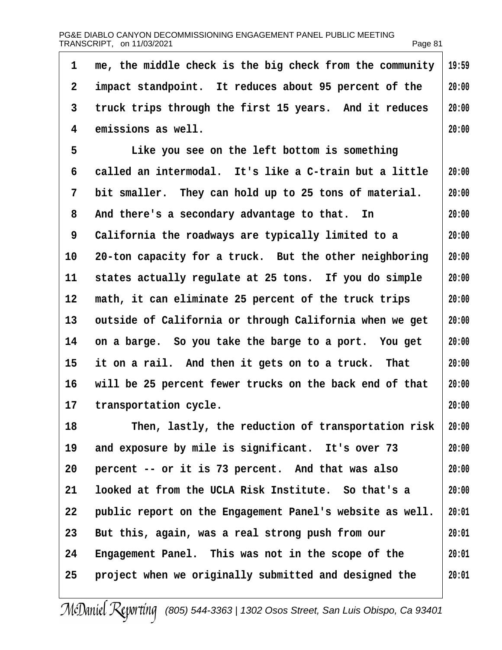<span id="page-80-0"></span>

|                |                                                          | ι αγο σι |
|----------------|----------------------------------------------------------|----------|
| 1              | me, the middle check is the big check from the community | 19:59    |
| $\overline{2}$ | impact standpoint. It reduces about 95 percent of the    | 20:00    |
| 3              | truck trips through the first 15 years. And it reduces   | 20:00    |
| 4              | emissions as well.                                       | 20:00    |
| 5              | Like you see on the left bottom is something             |          |
| 6              | called an intermodal. It's like a C-train but a little   | 20:00    |
| 7              | bit smaller. They can hold up to 25 tons of material.    | 20:00    |
| 8              | And there's a secondary advantage to that. In            | 20:00    |
| 9              | California the roadways are typically limited to a       | 20:00    |
| 10             | 20-ton capacity for a truck. But the other neighboring   | 20:00    |
| 11             | states actually regulate at 25 tons. If you do simple    | 20:00    |
| 12             | math, it can eliminate 25 percent of the truck trips     | 20:00    |
| 13             | outside of California or through California when we get  | 20:00    |
| 14             | on a barge. So you take the barge to a port. You get     | 20:00    |
| 15             | it on a rail. And then it gets on to a truck. That       | 20:00    |
| 16             | will be 25 percent fewer trucks on the back end of that  | 20:00    |
| 17             | transportation cycle.                                    | 20:00    |
| 18             | Then, lastly, the reduction of transportation risk       | 20:00    |
| 19             | and exposure by mile is significant. It's over 73        | 20:00    |
| 20             | percent -- or it is 73 percent. And that was also        | 20:00    |
| 21             | looked at from the UCLA Risk Institute. So that's a      | 20:00    |
| 22             | public report on the Engagement Panel's website as well. | 20:01    |
| 23             | But this, again, was a real strong push from our         | 20:01    |
| 24             | Engagement Panel. This was not in the scope of the       | 20:01    |
| 25             | project when we originally submitted and designed the    | 20:01    |
|                |                                                          |          |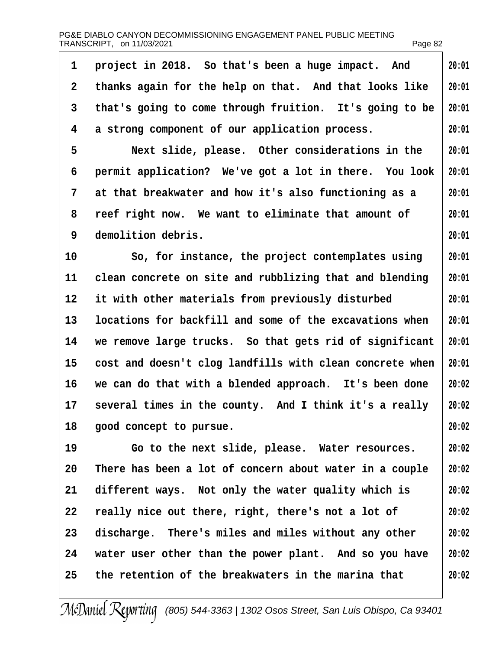<span id="page-81-0"></span>

| 1               | project in 2018. So that's been a huge impact. And       | 20:01 |
|-----------------|----------------------------------------------------------|-------|
| $\overline{2}$  | thanks again for the help on that. And that looks like   | 20:01 |
| 3               | that's going to come through fruition. It's going to be  | 20:01 |
| 4               | a strong component of our application process.           | 20:01 |
| 5               | Next slide, please. Other considerations in the          | 20:01 |
| 6               | permit application? We've got a lot in there. You look   | 20:01 |
| 7               | at that breakwater and how it's also functioning as a    | 20:01 |
| 8               | reef right now. We want to eliminate that amount of      | 20:01 |
| 9               | demolition debris.                                       | 20:01 |
| 10              | So, for instance, the project contemplates using         | 20:01 |
| 11              | clean concrete on site and rubblizing that and blending  | 20:01 |
| 12 <sup>°</sup> | it with other materials from previously disturbed        | 20:01 |
| 13              | locations for backfill and some of the excavations when  | 20:01 |
| 14              | we remove large trucks. So that gets rid of significant  | 20:01 |
| 15              | cost and doesn't clog landfills with clean concrete when | 20:01 |
| 16              | we can do that with a blended approach. It's been done   | 20:02 |
| 17              | several times in the county. And I think it's a really   | 20:02 |
| 18              | good concept to pursue.                                  | 20:02 |
| 19              | Go to the next slide, please. Water resources.           | 20:02 |
| 20              | There has been a lot of concern about water in a couple  | 20:02 |
| 21              | different ways. Not only the water quality which is      | 20:02 |
| 22              | really nice out there, right, there's not a lot of       | 20:02 |
| 23              | discharge. There's miles and miles without any other     | 20:02 |
| 24              | water user other than the power plant. And so you have   | 20:02 |
| 25              | the retention of the breakwaters in the marina that      | 20:02 |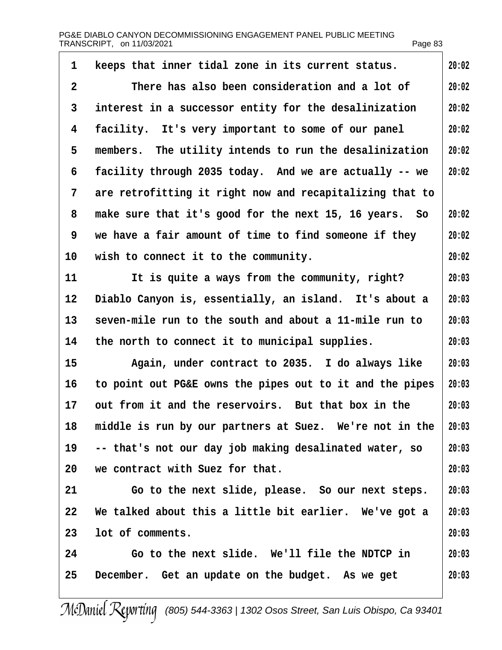<span id="page-82-0"></span>

| 20:02<br>20:02<br>20:02<br>20:02<br>20:02<br>20:02<br>20:02<br>20:02 |
|----------------------------------------------------------------------|
|                                                                      |
|                                                                      |
|                                                                      |
|                                                                      |
|                                                                      |
|                                                                      |
|                                                                      |
|                                                                      |
|                                                                      |
| 20:02                                                                |
| 20:03                                                                |
| 20:03                                                                |
| 20:03                                                                |
| 20:03                                                                |
| 20:03                                                                |
| 20:03                                                                |
| 20:03                                                                |
| 20:03                                                                |
| 20:03                                                                |
| 20:03                                                                |
| 20:03                                                                |
| 20:03                                                                |
| 20:03                                                                |
| 20:03                                                                |
| 20:03                                                                |
|                                                                      |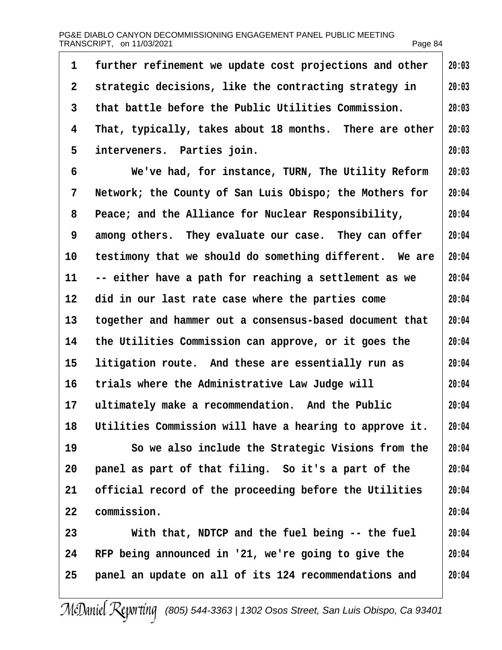<span id="page-83-0"></span>

| 1               | further refinement we update cost projections and other | 20:03 |
|-----------------|---------------------------------------------------------|-------|
| $\overline{2}$  | strategic decisions, like the contracting strategy in   | 20:03 |
| 3               | that battle before the Public Utilities Commission.     | 20:03 |
| 4               | That, typically, takes about 18 months. There are other | 20:03 |
| 5               | interveners. Parties join.                              | 20:03 |
| 6               | We've had, for instance, TURN, The Utility Reform       | 20:03 |
| 7               | Network; the County of San Luis Obispo; the Mothers for | 20:04 |
| 8               | Peace; and the Alliance for Nuclear Responsibility,     | 20:04 |
| 9               | among others. They evaluate our case. They can offer    | 20:04 |
| 10              | testimony that we should do something different. We are | 20:04 |
| 11              | -- either have a path for reaching a settlement as we   | 20:04 |
| 12              | did in our last rate case where the parties come        | 20:04 |
| 13 <sup>°</sup> | together and hammer out a consensus-based document that | 20:04 |
| 14              | the Utilities Commission can approve, or it goes the    | 20:04 |
| 15              | litigation route. And these are essentially run as      | 20:04 |
| 16              | trials where the Administrative Law Judge will          | 20:04 |
| 17              | ultimately make a recommendation. And the Public        | 20:04 |
| 18              | Utilities Commission will have a hearing to approve it. | 20:04 |
| 19              | So we also include the Strategic Visions from the       | 20:04 |
| 20              | panel as part of that filing. So it's a part of the     | 20:04 |
| 21              | official record of the proceeding before the Utilities  | 20:04 |
| 22              | commission.                                             | 20:04 |
| 23              | With that, NDTCP and the fuel being -- the fuel         | 20:04 |
| 24              | RFP being announced in '21, we're going to give the     | 20:04 |
| 25              | panel an update on all of its 124 recommendations and   | 20:04 |
|                 |                                                         |       |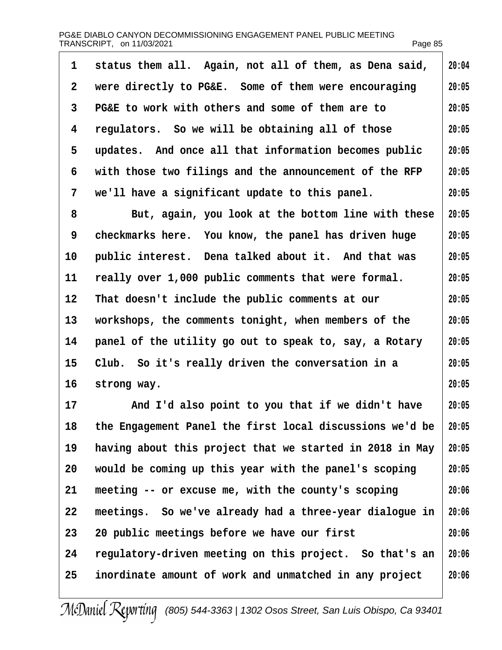<span id="page-84-0"></span>

| 1              | status them all. Again, not all of them, as Dena said,   | 20:04 |
|----------------|----------------------------------------------------------|-------|
| $\overline{2}$ | were directly to PG&E. Some of them were encouraging     | 20:05 |
| 3              | PG&E to work with others and some of them are to         | 20:05 |
| 4              | regulators. So we will be obtaining all of those         | 20:05 |
| 5              | updates. And once all that information becomes public    | 20:05 |
| 6              | with those two filings and the announcement of the RFP   | 20:05 |
| 7              | we'll have a significant update to this panel.           | 20:05 |
| 8              | But, again, you look at the bottom line with these       | 20:05 |
| 9              | checkmarks here. You know, the panel has driven huge     | 20:05 |
| 10             | public interest. Dena talked about it. And that was      | 20:05 |
| 11             | really over 1,000 public comments that were formal.      | 20:05 |
| 12             | That doesn't include the public comments at our          | 20:05 |
| 13             | workshops, the comments tonight, when members of the     | 20:05 |
| 14             | panel of the utility go out to speak to, say, a Rotary   | 20:05 |
| 15             | Club. So it's really driven the conversation in a        | 20:05 |
| 16             | strong way.                                              | 20:05 |
| 17             | And I'd also point to you that if we didn't have         | 20:05 |
| 18             | the Engagement Panel the first local discussions we'd be | 20:05 |
| 19             | having about this project that we started in 2018 in May | 20:05 |
| 20             | would be coming up this year with the panel's scoping    | 20:05 |
| 21             | meeting -- or excuse me, with the county's scoping       | 20:06 |
| 22             | meetings. So we've already had a three-year dialogue in  | 20:06 |
| 23             | 20 public meetings before we have our first              | 20:06 |
| 24             | regulatory-driven meeting on this project. So that's an  | 20:06 |
| 25             | inordinate amount of work and unmatched in any project   | 20:06 |
|                |                                                          |       |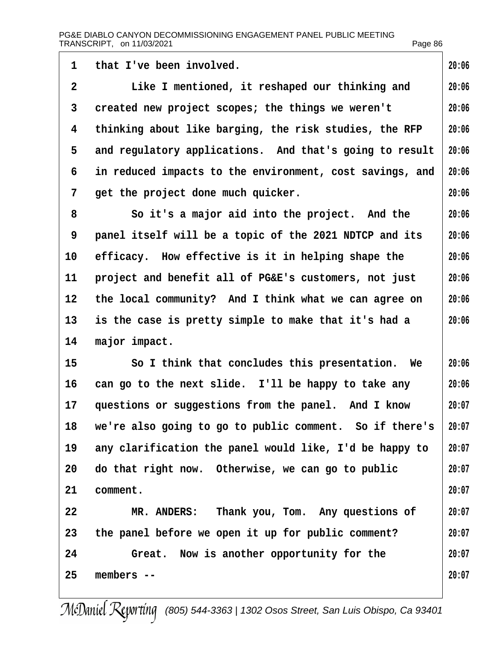<span id="page-85-0"></span>

| 1               | that I've been involved.                                 | 20:06 |
|-----------------|----------------------------------------------------------|-------|
| $\overline{2}$  | Like I mentioned, it reshaped our thinking and           | 20:06 |
| 3               | created new project scopes; the things we weren't        | 20:06 |
| 4               | thinking about like barging, the risk studies, the RFP   | 20:06 |
| 5               | and regulatory applications. And that's going to result  | 20:06 |
| 6               | in reduced impacts to the environment, cost savings, and | 20:06 |
| 7               | get the project done much quicker.                       | 20:06 |
| 8               | So it's a major aid into the project. And the            | 20:06 |
| 9               | panel itself will be a topic of the 2021 NDTCP and its   | 20:06 |
| 10              | efficacy. How effective is it in helping shape the       | 20:06 |
| 11              | project and benefit all of PG&E's customers, not just    | 20:06 |
| 12 <sub>2</sub> | the local community? And I think what we can agree on    | 20:06 |
| 13              | is the case is pretty simple to make that it's had a     | 20:06 |
| 14              | major impact.                                            |       |
| 15              | So I think that concludes this presentation. We          | 20:06 |
| 16              | can go to the next slide. I'll be happy to take any      | 20:06 |
| 17              | questions or suggestions from the panel. And I know      | 20:07 |
| 18              | we're also going to go to public comment. So if there's  | 20:07 |
| 19              | any clarification the panel would like, I'd be happy to  | 20:07 |
| 20              | do that right now. Otherwise, we can go to public        | 20:07 |
| 21              | comment.                                                 | 20:07 |
| 22              | MR. ANDERS: Thank you, Tom. Any questions of             | 20:07 |
| 23              | the panel before we open it up for public comment?       | 20:07 |
| 24              | Great. Now is another opportunity for the                | 20:07 |
| 25              | members --                                               | 20:07 |
|                 |                                                          |       |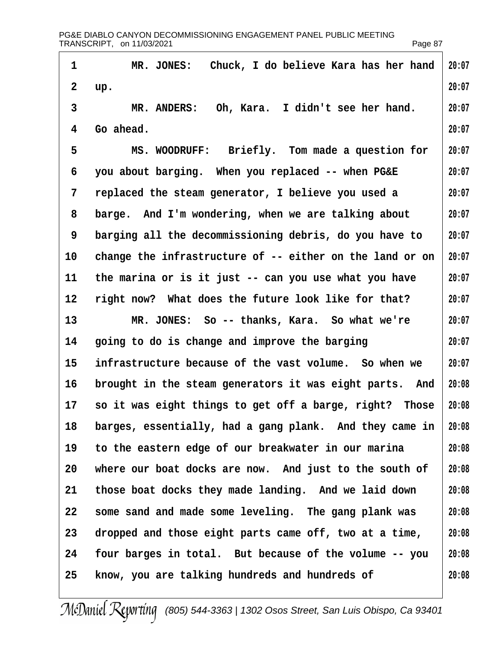<span id="page-86-0"></span>1 MR. JONES: Chuck, I do believe Kara has her hand 2 up. 3 MR. ANDERS: Oh, Kara. I didn't see her hand. 4 Go ahead. 5 MS. WOODRUFF: Briefly. Tom made a question for 6 you about barging. When you replaced -- when PG&E 7 replaced the steam generator, I believe you used a 8 barge. And I'm wondering, when we are talking about 9 barging all the decommissioning debris, do you have to 10 change the infrastructure of -- either on the land or on 11 the marina or is it just -- can you use what you have 12 right now? What does the future look like for that? 13 MR. JONES: So -- thanks, Kara. So what we're 14 going to do is change and improve the barging 15 infrastructure because of the vast volume. So when we 16 brought in the steam generators it was eight parts. And 17 so it was eight things to get off a barge, right? Those 18 barges, essentially, had a gang plank. And they came in 19 to the eastern edge of our breakwater in our marina 20 where our boat docks are now. And just to the south of 21 those boat docks they made landing. And we laid down 22 some sand and made some leveling. The gang plank was 23 dropped and those eight parts came off, two at a time, 24 four barges in total. But because of the volume -- you 25 know, you are talking hundreds and hundreds of **20:07 20:07 20:07 20:07 20:07 20:07 20:07 20:07 20:07 20:07 20:07 20:07 20:07 20:07 20:07 20:08 20:08 20:08 20:08 20:08 20:08 20:08 20:08 20:08 20:08**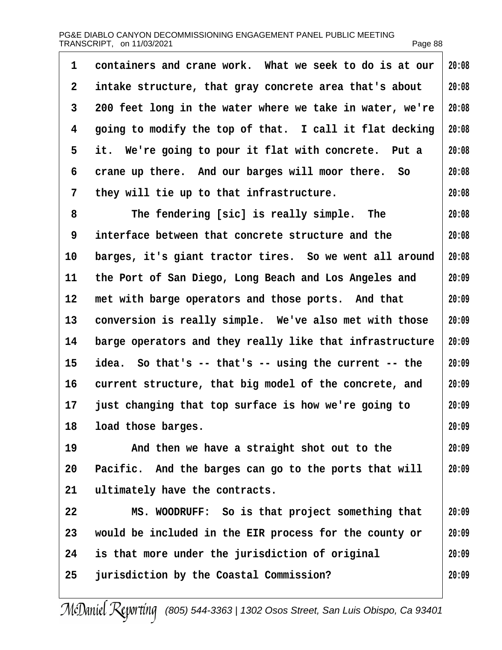<span id="page-87-0"></span>

| 1  | containers and crane work. What we seek to do is at our  | 20:08 |
|----|----------------------------------------------------------|-------|
| 2  | intake structure, that gray concrete area that's about   | 20:08 |
| 3  | 200 feet long in the water where we take in water, we're | 20:08 |
| 4  | going to modify the top of that. I call it flat decking  | 20:08 |
| 5  | it. We're going to pour it flat with concrete. Put a     | 20:08 |
| 6  | crane up there. And our barges will moor there. So       | 20:08 |
| 7  | they will tie up to that infrastructure.                 | 20:08 |
| 8  | The fendering [sic] is really simple. The                | 20:08 |
| 9  | interface between that concrete structure and the        | 20:08 |
| 10 | barges, it's giant tractor tires. So we went all around  | 20:08 |
| 11 | the Port of San Diego, Long Beach and Los Angeles and    | 20:09 |
| 12 | met with barge operators and those ports. And that       | 20:09 |
| 13 | conversion is really simple. We've also met with those   | 20:09 |
| 14 | barge operators and they really like that infrastructure | 20:09 |
| 15 | idea. So that's -- that's -- using the current -- the    | 20:09 |
| 16 | current structure, that big model of the concrete, and   | 20:09 |
|    | 17 just changing that top surface is how we're going to  | 20:09 |
| 18 | load those barges.                                       | 20:09 |
| 19 | And then we have a straight shot out to the              | 20:09 |
| 20 | Pacific. And the barges can go to the ports that will    | 20:09 |
| 21 | ultimately have the contracts.                           |       |
| 22 | MS. WOODRUFF: So is that project something that          | 20:09 |
| 23 | would be included in the EIR process for the county or   | 20:09 |
| 24 | is that more under the jurisdiction of original          | 20:09 |
| 25 | jurisdiction by the Coastal Commission?                  | 20:09 |
|    |                                                          |       |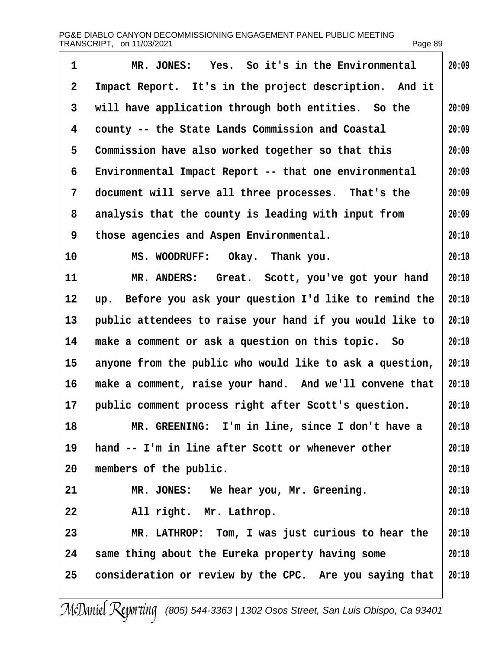<span id="page-88-0"></span>

| $\mathbf 1$    | MR. JONES: Yes. So it's in the Environmental             | 20:09 |
|----------------|----------------------------------------------------------|-------|
| $\overline{2}$ | Impact Report. It's in the project description. And it   |       |
| 3              | will have application through both entities. So the      | 20:09 |
| 4              | county -- the State Lands Commission and Coastal         | 20:09 |
| 5              | Commission have also worked together so that this        | 20:09 |
| 6              | Environmental Impact Report -- that one environmental    | 20:09 |
| 7              | document will serve all three processes. That's the      | 20:09 |
| 8              | analysis that the county is leading with input from      | 20:09 |
| 9              | those agencies and Aspen Environmental.                  | 20:10 |
| 10             | MS. WOODRUFF: Okay. Thank you.                           | 20:10 |
| 11             | MR. ANDERS: Great. Scott, you've got your hand           | 20:10 |
| 12             | up. Before you ask your question I'd like to remind the  | 20:10 |
| 13             | public attendees to raise your hand if you would like to | 20:10 |
| 14             | make a comment or ask a question on this topic. So       | 20:10 |
| 15             | anyone from the public who would like to ask a question, | 20:10 |
| 16             | make a comment, raise your hand. And we'll convene that  | 20:10 |
|                | 17 public comment process right after Scott's question.  | 20:10 |
| 18             | MR. GREENING: I'm in line, since I don't have a          | 20:10 |
| 19             | hand -- I'm in line after Scott or whenever other        | 20:10 |
| 20             | members of the public.                                   | 20:10 |
| 21             | MR. JONES: We hear you, Mr. Greening.                    | 20:10 |
| 22             | All right. Mr. Lathrop.                                  | 20:10 |
| 23             | MR. LATHROP: Tom, I was just curious to hear the         | 20:10 |
| 24             | same thing about the Eureka property having some         | 20:10 |
| 25             | consideration or review by the CPC. Are you saying that  | 20:10 |
|                |                                                          |       |

 $\overline{\phantom{a}}$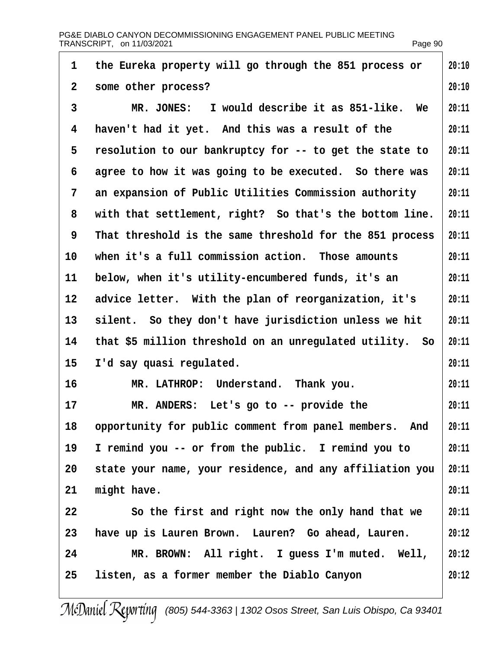<span id="page-89-0"></span>

| 1               | the Eureka property will go through the 851 process or   | 20:10 |
|-----------------|----------------------------------------------------------|-------|
| 2               | some other process?                                      | 20:10 |
| 3               | MR. JONES: I would describe it as 851-like. We           | 20:11 |
| 4               | haven't had it yet. And this was a result of the         | 20:11 |
| 5               | resolution to our bankruptcy for -- to get the state to  | 20:11 |
| 6               | agree to how it was going to be executed. So there was   | 20:11 |
| 7               | an expansion of Public Utilities Commission authority    | 20:11 |
| 8               | with that settlement, right? So that's the bottom line.  | 20:11 |
| 9               | That threshold is the same threshold for the 851 process | 20:11 |
| 10              | when it's a full commission action. Those amounts        | 20:11 |
| 11              | below, when it's utility-encumbered funds, it's an       | 20:11 |
| 12 <sup>°</sup> | advice letter. With the plan of reorganization, it's     | 20:11 |
| 13 <sup>°</sup> | silent. So they don't have jurisdiction unless we hit    | 20:11 |
| 14              | that \$5 million threshold on an unregulated utility. So | 20:11 |
| 15              | I'd say quasi regulated.                                 | 20:11 |
| 16              | MR. LATHROP: Understand. Thank you.                      | 20:11 |
| 17              | MR. ANDERS: Let's go to -- provide the                   | 20:11 |
| 18              | opportunity for public comment from panel members. And   | 20:11 |
| 19              | I remind you -- or from the public. I remind you to      | 20:11 |
| 20              | state your name, your residence, and any affiliation you | 20:11 |
| 21              | might have.                                              | 20:11 |
| 22              | So the first and right now the only hand that we         | 20:11 |
| 23              | have up is Lauren Brown. Lauren? Go ahead, Lauren.       | 20:12 |
| 24              | MR. BROWN: All right. I guess I'm muted. Well,           | 20:12 |
| 25              | listen, as a former member the Diablo Canyon             | 20:12 |
|                 |                                                          |       |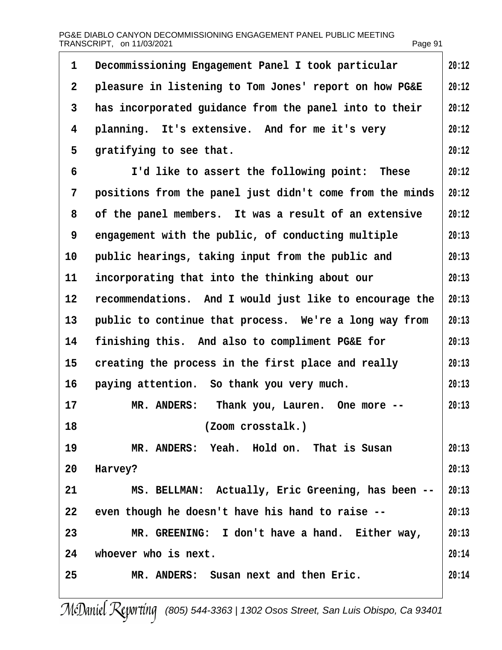<span id="page-90-0"></span>

| 1              | Decommissioning Engagement Panel I took particular       | 20:12 |
|----------------|----------------------------------------------------------|-------|
| $\overline{2}$ | pleasure in listening to Tom Jones' report on how PG&E   | 20:12 |
| 3              | has incorporated guidance from the panel into to their   | 20:12 |
| 4              | planning. It's extensive. And for me it's very           | 20:12 |
| 5              | gratifying to see that.                                  | 20:12 |
| 6              | I'd like to assert the following point: These            | 20:12 |
| 7              | positions from the panel just didn't come from the minds | 20:12 |
| 8              | of the panel members. It was a result of an extensive    | 20:12 |
| 9              | engagement with the public, of conducting multiple       | 20:13 |
| 10             | public hearings, taking input from the public and        | 20:13 |
| 11             | incorporating that into the thinking about our           | 20:13 |
| 12             | recommendations. And I would just like to encourage the  | 20:13 |
| 13             | public to continue that process. We're a long way from   | 20:13 |
| 14             | finishing this. And also to compliment PG&E for          | 20:13 |
| 15             | creating the process in the first place and really       | 20:13 |
| 16             | paying attention. So thank you very much.                | 20:13 |
| 17             | MR. ANDERS: Thank you, Lauren. One more --               | 20:13 |
| 18             | (Zoom crosstalk.)                                        |       |
| 19             | MR. ANDERS: Yeah. Hold on. That is Susan                 | 20:13 |
| 20             | Harvey?                                                  | 20:13 |
| 21             | MS. BELLMAN: Actually, Eric Greening, has been --        | 20:13 |
| 22             | even though he doesn't have his hand to raise --         | 20:13 |
| 23             | MR. GREENING: I don't have a hand. Either way,           | 20:13 |
| 24             | whoever who is next.                                     | 20:14 |
| 25             | MR. ANDERS: Susan next and then Eric.                    | 20:14 |
|                |                                                          |       |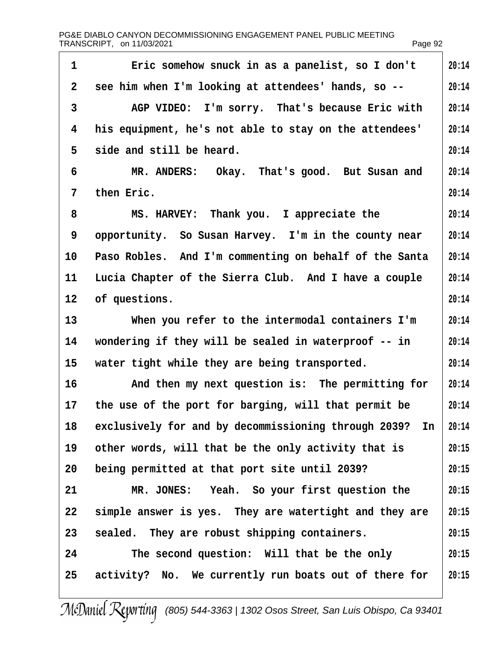<span id="page-91-0"></span>

| 1               | Eric somehow snuck in as a panelist, so I don't            | 20:14 |
|-----------------|------------------------------------------------------------|-------|
| 2 <sup>1</sup>  | see him when I'm looking at attendees' hands, so --        | 20:14 |
| 3               | AGP VIDEO: I'm sorry. That's because Eric with             | 20:14 |
| 4               | his equipment, he's not able to stay on the attendees'     | 20:14 |
| 5               | side and still be heard.                                   | 20:14 |
| 6               | MR. ANDERS: Okay. That's good. But Susan and               | 20:14 |
| 7               | then Eric.                                                 | 20:14 |
| 8               | MS. HARVEY: Thank you. I appreciate the                    | 20:14 |
| 9               | opportunity. So Susan Harvey. I'm in the county near       | 20:14 |
| 10              | Paso Robles. And I'm commenting on behalf of the Santa     | 20:14 |
| 11              | Lucia Chapter of the Sierra Club. And I have a couple      | 20:14 |
| 12 <sup>°</sup> | of questions.                                              | 20:14 |
| 13              | When you refer to the intermodal containers I'm            | 20:14 |
| 14              | wondering if they will be sealed in waterproof -- in       | 20:14 |
| 15 <sub>1</sub> | water tight while they are being transported.              | 20:14 |
| 16              | And then my next question is: The permitting for           | 20:14 |
| 17              | the use of the port for barging, will that permit be       | 20:14 |
|                 | 18 exclusively for and by decommissioning through 2039? In | 20:14 |
| 19              | other words, will that be the only activity that is        | 20:15 |
| 20              | being permitted at that port site until 2039?              | 20:15 |
| 21              | MR. JONES: Yeah. So your first question the                | 20:15 |
| 22              | simple answer is yes. They are watertight and they are     | 20:15 |
| 23              | sealed. They are robust shipping containers.               | 20:15 |
| 24              | The second question: Will that be the only                 | 20:15 |
| 25              | activity? No. We currently run boats out of there for      | 20:15 |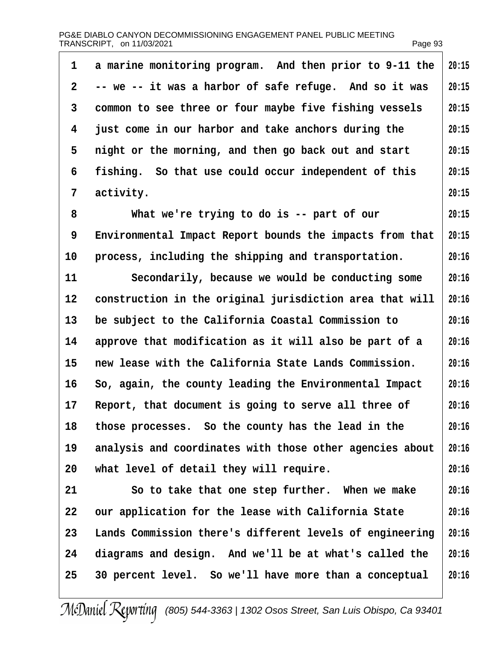<span id="page-92-0"></span>

| 1  | a marine monitoring program. And then prior to 9-11 the  | 20:15 |
|----|----------------------------------------------------------|-------|
| 2  | -- we -- it was a harbor of safe refuge. And so it was   | 20:15 |
| 3  | common to see three or four maybe five fishing vessels   | 20:15 |
| 4  | just come in our harbor and take anchors during the      | 20:15 |
| 5  | night or the morning, and then go back out and start     | 20:15 |
| 6  | fishing. So that use could occur independent of this     | 20:15 |
| 7  | activity.                                                | 20:15 |
| 8  | What we're trying to do is -- part of our                | 20:15 |
| 9  | Environmental Impact Report bounds the impacts from that | 20:15 |
| 10 | process, including the shipping and transportation.      | 20:16 |
| 11 | Secondarily, because we would be conducting some         | 20:16 |
| 12 | construction in the original jurisdiction area that will | 20:16 |
| 13 | be subject to the California Coastal Commission to       | 20:16 |
| 14 | approve that modification as it will also be part of a   | 20:16 |
| 15 | new lease with the California State Lands Commission.    | 20:16 |
| 16 | So, again, the county leading the Environmental Impact   | 20:16 |
| 17 | Report, that document is going to serve all three of     | 20:16 |
| 18 | those processes. So the county has the lead in the       | 20:16 |
| 19 | analysis and coordinates with those other agencies about | 20:16 |
| 20 | what level of detail they will require.                  | 20:16 |
| 21 | So to take that one step further. When we make           | 20:16 |
| 22 | our application for the lease with California State      | 20:16 |
| 23 | Lands Commission there's different levels of engineering | 20:16 |
| 24 | diagrams and design. And we'll be at what's called the   | 20:16 |
| 25 | 30 percent level. So we'll have more than a conceptual   | 20:16 |
|    |                                                          |       |

 $\overline{\phantom{a}}$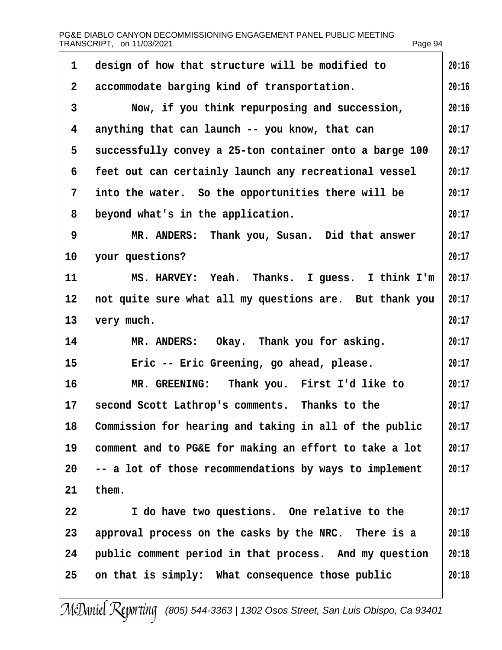<span id="page-93-0"></span>

|                | PG&E DIABLO CANYON DECOMMISSIONING ENGAGEMENT PANEL PUBLIC MEETING<br>TRANSCRIPT, on 11/03/2021 | Page 94 |
|----------------|-------------------------------------------------------------------------------------------------|---------|
| 1              | design of how that structure will be modified to                                                | 20:16   |
| 2              | accommodate barging kind of transportation.                                                     | 20:16   |
| 3              | Now, if you think repurposing and succession,                                                   | 20:16   |
| 4              | anything that can launch -- you know, that can                                                  | 20:17   |
| 5              | successfully convey a 25-ton container onto a barge 100                                         | 20:17   |
| 6              | feet out can certainly launch any recreational vessel                                           | 20:17   |
| $\overline{7}$ | into the water. So the opportunities there will be                                              | 20:17   |
| 8              | beyond what's in the application.                                                               | 20:17   |
| 9              | MR. ANDERS: Thank you, Susan. Did that answer                                                   | 20:17   |
| 10             | your questions?                                                                                 | 20:17   |
| 11             | MS. HARVEY: Yeah. Thanks. I guess. I think I'm                                                  | 20:17   |
| 12             | not quite sure what all my questions are. But thank you                                         | 20:17   |
| 13             | very much.                                                                                      | 20:17   |
| 14             | MR. ANDERS: Okay. Thank you for asking.                                                         | 20:17   |
| 15             | Eric -- Eric Greening, go ahead, please.                                                        | 20:17   |
| 16             | MR. GREENING: Thank you. First I'd like to                                                      | 20:17   |
| 17             | second Scott Lathrop's comments. Thanks to the                                                  | 20:17   |
| 18             | Commission for hearing and taking in all of the public                                          | 20:17   |
| 19             | comment and to PG&E for making an effort to take a lot                                          | 20:17   |
| 20             | -- a lot of those recommendations by ways to implement                                          | 20:17   |
| 21             | them.                                                                                           |         |
| 22             | I do have two questions. One relative to the                                                    | 20:17   |
| 23             | approval process on the casks by the NRC. There is a                                            | 20:18   |
| 24             | public comment period in that process. And my question                                          | 20:18   |
| 25             | on that is simply: What consequence those public                                                | 20:18   |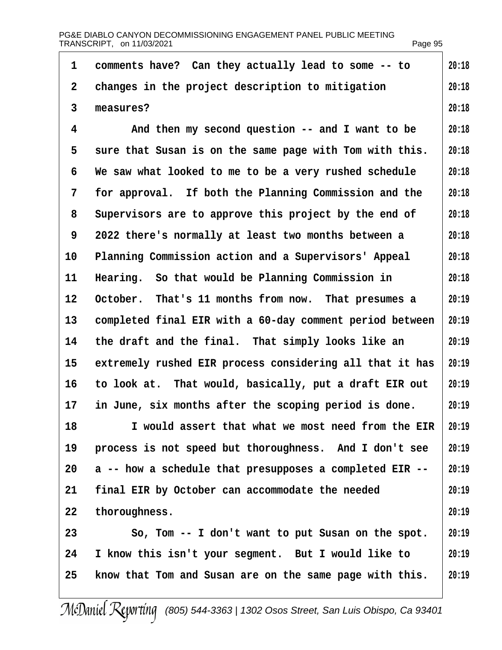<span id="page-94-0"></span>

| 1  | comments have? Can they actually lead to some -- to      | 20:18 |
|----|----------------------------------------------------------|-------|
| 2  | changes in the project description to mitigation         | 20:18 |
| 3  | measures?                                                | 20:18 |
| 4  | And then my second question -- and I want to be          | 20:18 |
| 5  | sure that Susan is on the same page with Tom with this.  | 20:18 |
| 6  | We saw what looked to me to be a very rushed schedule    | 20:18 |
| 7  | for approval. If both the Planning Commission and the    | 20:18 |
| 8  | Supervisors are to approve this project by the end of    | 20:18 |
| 9  | 2022 there's normally at least two months between a      | 20:18 |
| 10 | Planning Commission action and a Supervisors' Appeal     | 20:18 |
| 11 | Hearing. So that would be Planning Commission in         | 20:18 |
| 12 | October. That's 11 months from now. That presumes a      | 20:19 |
| 13 | completed final EIR with a 60-day comment period between | 20:19 |
| 14 | the draft and the final. That simply looks like an       | 20:19 |
| 15 | extremely rushed EIR process considering all that it has | 20:19 |
| 16 | to look at. That would, basically, put a draft EIR out   | 20:19 |
| 17 | in June, six months after the scoping period is done.    | 20:19 |
| 18 | I would assert that what we most need from the EIR       | 20:19 |
| 19 | process is not speed but thoroughness. And I don't see   | 20:19 |
| 20 | a -- how a schedule that presupposes a completed EIR --  | 20:19 |
| 21 | final EIR by October can accommodate the needed          | 20:19 |
| 22 | thoroughness.                                            | 20:19 |
| 23 | So, Tom -- I don't want to put Susan on the spot.        | 20:19 |
| 24 | I know this isn't your segment. But I would like to      | 20:19 |
| 25 | know that Tom and Susan are on the same page with this.  | 20:19 |
|    |                                                          |       |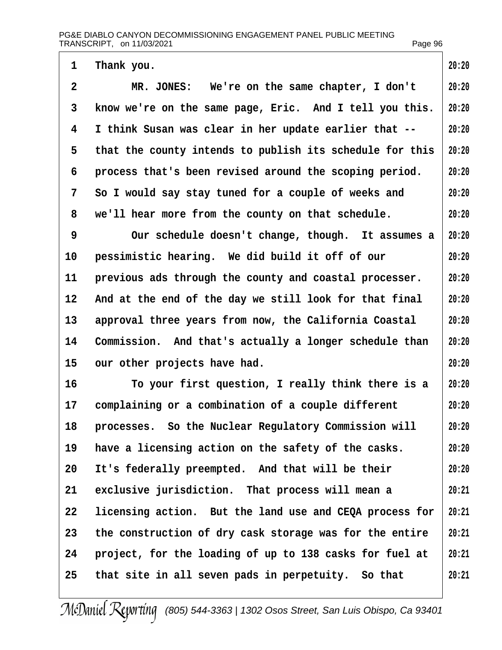<span id="page-95-0"></span>

| 1              | Thank you.                                               | 20:20 |
|----------------|----------------------------------------------------------|-------|
| $\overline{2}$ | MR. JONES: We're on the same chapter, I don't            | 20:20 |
| 3              | know we're on the same page, Eric. And I tell you this.  | 20:20 |
| 4              | I think Susan was clear in her update earlier that --    | 20:20 |
| 5              | that the county intends to publish its schedule for this | 20:20 |
| 6              | process that's been revised around the scoping period.   | 20:20 |
| 7              | So I would say stay tuned for a couple of weeks and      | 20:20 |
| 8              | we'll hear more from the county on that schedule.        | 20:20 |
| 9              | Our schedule doesn't change, though. It assumes a        | 20:20 |
| 10             | pessimistic hearing. We did build it off of our          | 20:20 |
| 11             | previous ads through the county and coastal processer.   | 20:20 |
| 12             | And at the end of the day we still look for that final   | 20:20 |
| 13             | approval three years from now, the California Coastal    | 20:20 |
| 14             | Commission. And that's actually a longer schedule than   | 20:20 |
| 15             | our other projects have had.                             | 20:20 |
| 16             | To your first question, I really think there is a        | 20:20 |
| 17             | complaining or a combination of a couple different       | 20:20 |
| 18             | processes. So the Nuclear Regulatory Commission will     | 20:20 |
| 19             | have a licensing action on the safety of the casks.      | 20:20 |
| 20             | It's federally preempted. And that will be their         | 20:20 |
| 21             | exclusive jurisdiction. That process will mean a         | 20:21 |
| 22             | licensing action. But the land use and CEQA process for  | 20:21 |
| 23             | the construction of dry cask storage was for the entire  | 20:21 |
| 24             | project, for the loading of up to 138 casks for fuel at  | 20:21 |
| 25             | that site in all seven pads in perpetuity. So that       | 20:21 |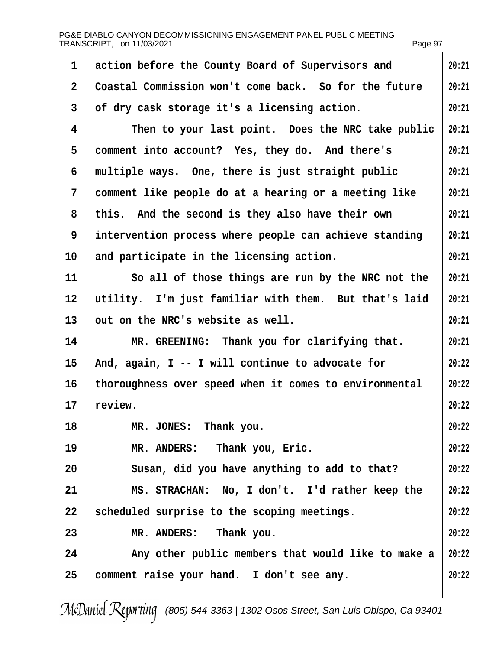<span id="page-96-0"></span>

| PG&E DIABLO CANYON DECOMMISSIONING ENGAGEMENT PANEL PUBLIC MEETING |         |
|--------------------------------------------------------------------|---------|
| TRANSCRIPT, on 11/03/2021                                          | Page 97 |

| 1  | action before the County Board of Supervisors and<br>20:21 |       |  |  |
|----|------------------------------------------------------------|-------|--|--|
| 2  | Coastal Commission won't come back. So for the future      | 20:21 |  |  |
| 3  | of dry cask storage it's a licensing action.               | 20:21 |  |  |
| 4  | Then to your last point. Does the NRC take public          | 20:21 |  |  |
| 5  | comment into account? Yes, they do. And there's            | 20:21 |  |  |
| 6  | multiple ways. One, there is just straight public          | 20:21 |  |  |
| 7  | comment like people do at a hearing or a meeting like      | 20:21 |  |  |
| 8  | this. And the second is they also have their own           | 20:21 |  |  |
| 9  | intervention process where people can achieve standing     | 20:21 |  |  |
| 10 | and participate in the licensing action.                   | 20:21 |  |  |
| 11 | So all of those things are run by the NRC not the          | 20:21 |  |  |
| 12 | utility. I'm just familiar with them. But that's laid      | 20:21 |  |  |
| 13 | out on the NRC's website as well.                          | 20:21 |  |  |
| 14 | MR. GREENING: Thank you for clarifying that.               | 20:21 |  |  |
| 15 | And, again, I -- I will continue to advocate for           | 20:22 |  |  |
| 16 | thoroughness over speed when it comes to environmental     | 20:22 |  |  |
| 17 | review.                                                    | 20:22 |  |  |
| 18 | MR. JONES: Thank you.                                      | 20:22 |  |  |
| 19 | MR. ANDERS: Thank you, Eric.                               | 20:22 |  |  |
| 20 | Susan, did you have anything to add to that?               | 20:22 |  |  |
| 21 | MS. STRACHAN: No, I don't. I'd rather keep the             | 20:22 |  |  |
| 22 | scheduled surprise to the scoping meetings.                | 20:22 |  |  |
| 23 | MR. ANDERS: Thank you.                                     | 20:22 |  |  |
| 24 | Any other public members that would like to make a         | 20:22 |  |  |
| 25 | comment raise your hand. I don't see any.                  | 20:22 |  |  |
|    |                                                            |       |  |  |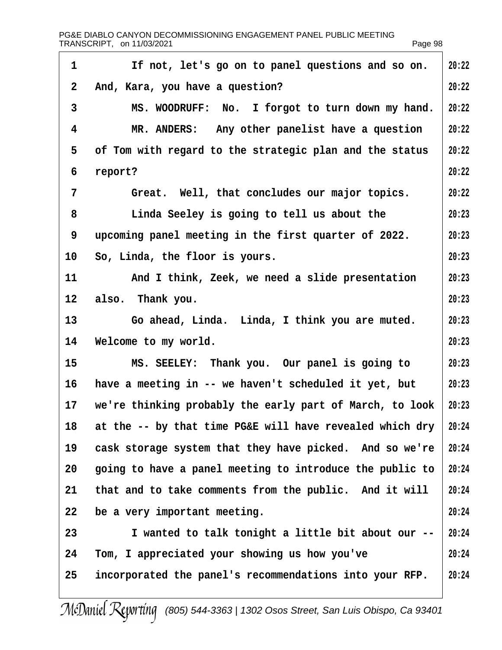<span id="page-97-0"></span>

| PG&E DIABLO CANYON DECOMMISSIONING ENGAGEMENT PANEL PUBLIC MEETING<br>TRANSCRIPT, on 11/03/2021 |                                                          | Page 98 |
|-------------------------------------------------------------------------------------------------|----------------------------------------------------------|---------|
| $\mathbf 1$                                                                                     | If not, let's go on to panel questions and so on.        | 20:22   |
| 2                                                                                               | And, Kara, you have a question?                          | 20:22   |
| 3                                                                                               | MS. WOODRUFF: No. I forgot to turn down my hand.         | 20:22   |
| 4                                                                                               | MR. ANDERS: Any other panelist have a question           | 20:22   |
| 5                                                                                               | of Tom with regard to the strategic plan and the status  | 20:22   |
| 6                                                                                               | report?                                                  | 20:22   |
| $\overline{7}$                                                                                  | Great. Well, that concludes our major topics.            | 20:22   |
| 8                                                                                               | Linda Seeley is going to tell us about the               | 20:23   |
| 9                                                                                               | upcoming panel meeting in the first quarter of 2022.     | 20:23   |
| 10                                                                                              | So, Linda, the floor is yours.                           | 20:23   |
| 11                                                                                              | And I think, Zeek, we need a slide presentation          | 20:23   |
| 12                                                                                              | also. Thank you.                                         | 20:23   |
| 13                                                                                              | Go ahead, Linda. Linda, I think you are muted.           | 20:23   |
| 14                                                                                              | Welcome to my world.                                     | 20:23   |
| 15                                                                                              | MS. SEELEY: Thank you. Our panel is going to             | 20:23   |
| 16                                                                                              | have a meeting in -- we haven't scheduled it yet, but    | 20:23   |
| 17                                                                                              | we're thinking probably the early part of March, to look | 20:23   |
| 18                                                                                              | at the -- by that time PG&E will have revealed which dry | 20:24   |
| 19                                                                                              | cask storage system that they have picked. And so we're  | 20:24   |
| 20                                                                                              | going to have a panel meeting to introduce the public to | 20:24   |
| 21                                                                                              | that and to take comments from the public. And it will   | 20:24   |
| 22                                                                                              | be a very important meeting.                             | 20:24   |
| 23                                                                                              | I wanted to talk tonight a little bit about our --       | 20:24   |
| 24                                                                                              | Tom, I appreciated your showing us how you've            | 20:24   |
| 25                                                                                              | incorporated the panel's recommendations into your RFP.  | 20:24   |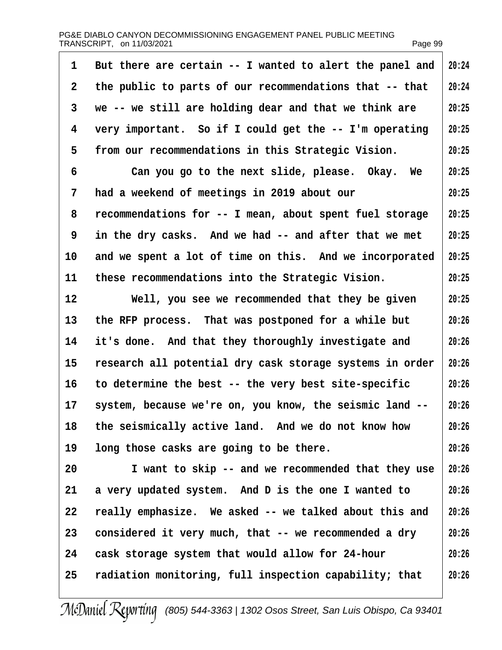<span id="page-98-0"></span>

| 1            | But there are certain -- I wanted to alert the panel and | 20:24 |
|--------------|----------------------------------------------------------|-------|
| $\mathbf{2}$ | the public to parts of our recommendations that -- that  | 20:24 |
| 3            | we -- we still are holding dear and that we think are    | 20:25 |
| 4            | very important. So if I could get the -- I'm operating   | 20:25 |
| 5            | from our recommendations in this Strategic Vision.       | 20:25 |
| 6            | Can you go to the next slide, please. Okay. We           | 20:25 |
| 7            | had a weekend of meetings in 2019 about our              | 20:25 |
| 8            | recommendations for -- I mean, about spent fuel storage  | 20:25 |
| 9            | in the dry casks. And we had -- and after that we met    | 20:25 |
| 10           | and we spent a lot of time on this. And we incorporated  | 20:25 |
| 11           | these recommendations into the Strategic Vision.         | 20:25 |
| $12 \,$      | Well, you see we recommended that they be given          | 20:25 |
| 13           | the RFP process. That was postponed for a while but      | 20:26 |
| 14           | it's done. And that they thoroughly investigate and      | 20:26 |
| 15           | research all potential dry cask storage systems in order | 20:26 |
| 16           | to determine the best -- the very best site-specific     | 20:26 |
| 17           | system, because we're on, you know, the seismic land --  | 20:26 |
| 18           | the seismically active land. And we do not know how      | 20:26 |
| 19           | long those casks are going to be there.                  | 20:26 |
| 20           | I want to skip -- and we recommended that they use       | 20:26 |
| 21           | a very updated system. And D is the one I wanted to      | 20:26 |
| 22           | really emphasize. We asked -- we talked about this and   | 20:26 |
| 23           | considered it very much, that -- we recommended a dry    | 20:26 |
| 24           | cask storage system that would allow for 24-hour         | 20:26 |
| 25           | radiation monitoring, full inspection capability; that   | 20:26 |
|              |                                                          |       |

 $\overline{\phantom{a}}$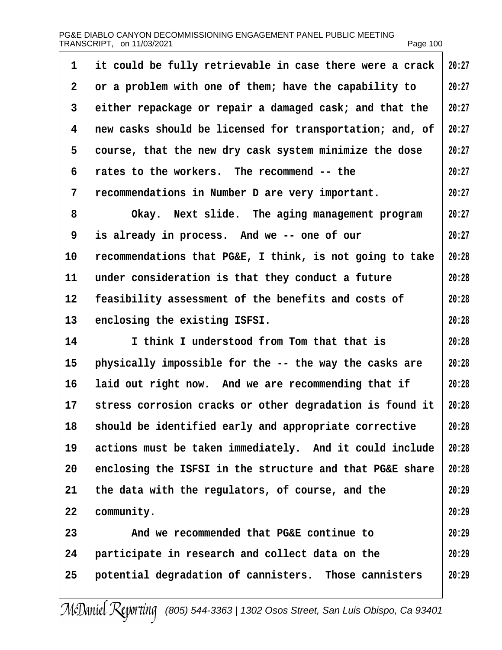<span id="page-99-0"></span>PG&E DIABLO CANYON DECOMMISSIONING ENGAGEMENT PANEL PUBLIC MEETING TRANSCRIPT, on 11/03/2021 Page 100

| 1                 | it could be fully retrievable in case there were a crack | 20:27 |
|-------------------|----------------------------------------------------------|-------|
| $\overline{2}$    | or a problem with one of them; have the capability to    | 20:27 |
| 3                 | either repackage or repair a damaged cask; and that the  | 20:27 |
| 4                 | new casks should be licensed for transportation; and, of | 20:27 |
| 5                 | course, that the new dry cask system minimize the dose   | 20:27 |
| 6                 | rates to the workers. The recommend -- the               | 20:27 |
| 7                 | recommendations in Number D are very important.          | 20:27 |
| 8                 | Okay. Next slide. The aging management program           | 20:27 |
| 9                 | is already in process. And we -- one of our              | 20:27 |
| 10                | recommendations that PG&E, I think, is not going to take | 20:28 |
| 11                | under consideration is that they conduct a future        | 20:28 |
| $12 \overline{ }$ | feasibility assessment of the benefits and costs of      | 20:28 |
| 13                | enclosing the existing ISFSI.                            | 20:28 |
| 14                | I think I understood from Tom that that is               | 20:28 |
| 15                | physically impossible for the -- the way the casks are   | 20:28 |
| 16                | laid out right now. And we are recommending that if      | 20:28 |
| 17                | stress corrosion cracks or other degradation is found it | 20:28 |
| 18                | should be identified early and appropriate corrective    | 20:28 |
| 19                | actions must be taken immediately. And it could include  | 20:28 |
| 20                | enclosing the ISFSI in the structure and that PG&E share | 20:28 |
| 21                | the data with the regulators, of course, and the         | 20:29 |
| 22                | community.                                               | 20:29 |
| 23                | And we recommended that PG&E continue to                 | 20:29 |
| 24                | participate in research and collect data on the          | 20:29 |
| 25                | potential degradation of cannisters. Those cannisters    | 20:29 |
|                   |                                                          |       |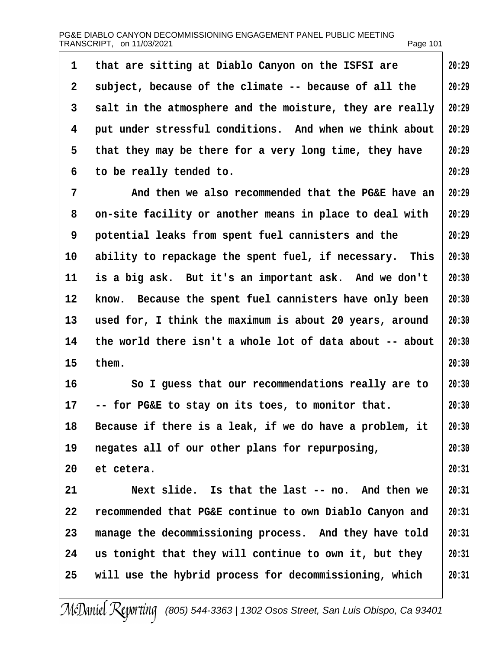<span id="page-100-0"></span>

| PG&E DIABLO CANYON DECOMMISSIONING ENGAGEMENT PANEL PUBLIC MEETING |          |
|--------------------------------------------------------------------|----------|
| TRANSCRIPT, on 11/03/2021                                          | Page 101 |

| 1               | that are sitting at Diablo Canyon on the ISFSI are       | 20:29 |
|-----------------|----------------------------------------------------------|-------|
| 2               | subject, because of the climate -- because of all the    | 20:29 |
| 3               | salt in the atmosphere and the moisture, they are really | 20:29 |
| 4               | put under stressful conditions. And when we think about  | 20:29 |
| 5               | that they may be there for a very long time, they have   | 20:29 |
| 6               | to be really tended to.                                  | 20:29 |
| 7               | And then we also recommended that the PG&E have an       | 20:29 |
| 8               | on-site facility or another means in place to deal with  | 20:29 |
| 9               | potential leaks from spent fuel cannisters and the       | 20:29 |
| 10              | ability to repackage the spent fuel, if necessary. This  | 20:30 |
| 11              | is a big ask. But it's an important ask. And we don't    | 20:30 |
| 12              | know. Because the spent fuel cannisters have only been   | 20:30 |
| 13              | used for, I think the maximum is about 20 years, around  | 20:30 |
| 14              | the world there isn't a whole lot of data about -- about | 20:30 |
| 15 <sub>1</sub> | them.                                                    | 20:30 |
| 16              | So I guess that our recommendations really are to        | 20:30 |
|                 | 17 -- for PG&E to stay on its toes, to monitor that.     | 20:30 |
| 18              | Because if there is a leak, if we do have a problem, it  | 20:30 |
| 19              | negates all of our other plans for repurposing,          | 20:30 |
| 20              | et cetera.                                               | 20:31 |
| 21              | Next slide. Is that the last -- no. And then we          | 20:31 |
| 22              | recommended that PG&E continue to own Diablo Canyon and  | 20:31 |
| 23              | manage the decommissioning process. And they have told   | 20:31 |
| 24              | us tonight that they will continue to own it, but they   | 20:31 |
| 25              | will use the hybrid process for decommissioning, which   | 20:31 |
|                 |                                                          |       |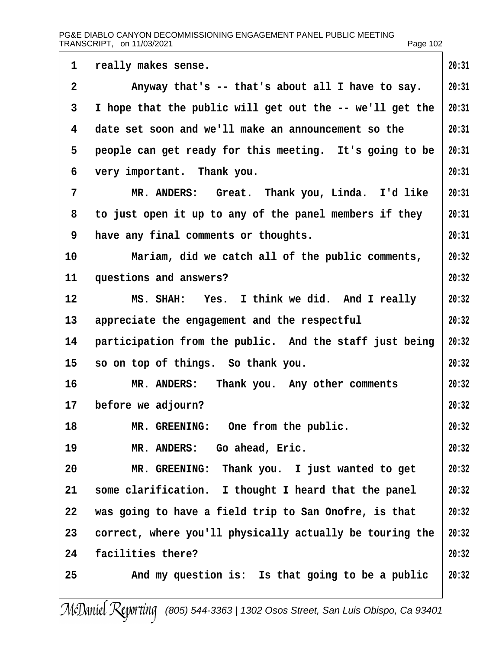<span id="page-101-0"></span>

| 1              | really makes sense.                                      | 20:31 |  |  |
|----------------|----------------------------------------------------------|-------|--|--|
| $\overline{2}$ | Anyway that's -- that's about all I have to say.         |       |  |  |
| 3              | I hope that the public will get out the -- we'll get the | 20:31 |  |  |
| 4              | date set soon and we'll make an announcement so the      | 20:31 |  |  |
| 5              | people can get ready for this meeting. It's going to be  | 20:31 |  |  |
| 6              | very important. Thank you.                               | 20:31 |  |  |
| 7              | MR. ANDERS: Great. Thank you, Linda. I'd like            | 20:31 |  |  |
| 8              | to just open it up to any of the panel members if they   | 20:31 |  |  |
| 9              | have any final comments or thoughts.                     | 20:31 |  |  |
| 10             | Mariam, did we catch all of the public comments,         | 20:32 |  |  |
| 11             | questions and answers?                                   | 20:32 |  |  |
| 12             | MS. SHAH: Yes. I think we did. And I really              | 20:32 |  |  |
| 13             | appreciate the engagement and the respectful             | 20:32 |  |  |
| 14             | participation from the public. And the staff just being  | 20:32 |  |  |
| 15             | so on top of things. So thank you.                       | 20:32 |  |  |
| 16             | MR. ANDERS: Thank you. Any other comments                | 20:32 |  |  |
| 17             | before we adjourn?                                       | 20:32 |  |  |
| 18             | MR. GREENING: One from the public.                       | 20:32 |  |  |
| 19             | MR. ANDERS: Go ahead, Eric.                              | 20:32 |  |  |
| 20             | MR. GREENING: Thank you. I just wanted to get            | 20:32 |  |  |
| 21             | some clarification. I thought I heard that the panel     | 20:32 |  |  |
| 22             | was going to have a field trip to San Onofre, is that    | 20:32 |  |  |
| 23             | correct, where you'll physically actually be touring the | 20:32 |  |  |
| 24             | facilities there?                                        | 20:32 |  |  |
| 25             | And my question is: Is that going to be a public         | 20:32 |  |  |
|                |                                                          |       |  |  |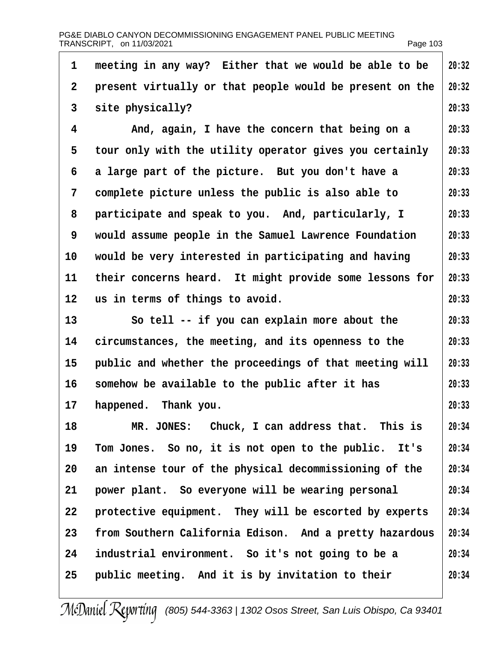<span id="page-102-0"></span>

| 1  | meeting in any way? Either that we would be able to be   | 20:32 |
|----|----------------------------------------------------------|-------|
| 2  | present virtually or that people would be present on the | 20:32 |
| 3  | site physically?                                         | 20:33 |
| 4  | And, again, I have the concern that being on a           | 20:33 |
| 5  | tour only with the utility operator gives you certainly  | 20:33 |
| 6  | a large part of the picture. But you don't have a        | 20:33 |
| 7  | complete picture unless the public is also able to       | 20:33 |
| 8  | participate and speak to you. And, particularly, I       | 20:33 |
| 9  | would assume people in the Samuel Lawrence Foundation    | 20:33 |
| 10 | would be very interested in participating and having     | 20:33 |
| 11 | their concerns heard. It might provide some lessons for  | 20:33 |
| 12 | us in terms of things to avoid.                          | 20:33 |
| 13 | So tell -- if you can explain more about the             | 20:33 |
| 14 | circumstances, the meeting, and its openness to the      | 20:33 |
| 15 | public and whether the proceedings of that meeting will  | 20:33 |
| 16 | somehow be available to the public after it has          | 20:33 |
| 17 | happened. Thank you.                                     | 20:33 |
| 18 | MR. JONES: Chuck, I can address that. This is            | 20:34 |
| 19 | Tom Jones. So no, it is not open to the public. It's     | 20:34 |
| 20 | an intense tour of the physical decommissioning of the   | 20:34 |
| 21 | power plant. So everyone will be wearing personal        | 20:34 |
| 22 | protective equipment. They will be escorted by experts   | 20:34 |
| 23 | from Southern California Edison. And a pretty hazardous  | 20:34 |
| 24 | industrial environment. So it's not going to be a        | 20:34 |
| 25 | public meeting. And it is by invitation to their         | 20:34 |
|    |                                                          |       |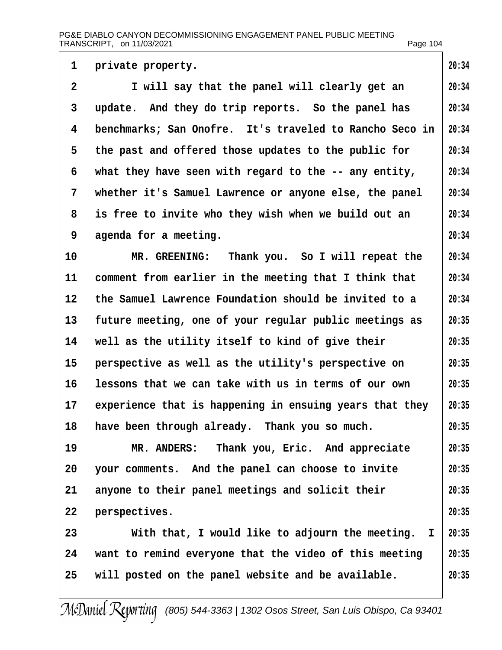#### PG&E DIABLO CANYON DECOMMISSIONING ENGAGEMENT PANEL PUBLIC MEETING TRANSCRIPT, on 11/03/2021 Page 104

| 1              | private property.                                       | 20:34 |
|----------------|---------------------------------------------------------|-------|
| $\overline{2}$ | I will say that the panel will clearly get an           | 20:34 |
| 3              | update. And they do trip reports. So the panel has      | 20:34 |
| 4              | benchmarks; San Onofre. It's traveled to Rancho Seco in | 20:34 |
| 5              | the past and offered those updates to the public for    | 20:34 |
| 6              | what they have seen with regard to the -- any entity,   | 20:34 |
| 7              | whether it's Samuel Lawrence or anyone else, the panel  | 20:34 |
| 8              | is free to invite who they wish when we build out an    | 20:34 |
| 9              | agenda for a meeting.                                   | 20:34 |
| 10             | MR. GREENING: Thank you. So I will repeat the           | 20:34 |
| 11             | comment from earlier in the meeting that I think that   | 20:34 |
| 12             | the Samuel Lawrence Foundation should be invited to a   | 20:34 |
| 13             | future meeting, one of your regular public meetings as  | 20:35 |
| 14             | well as the utility itself to kind of give their        | 20:35 |
| 15             | perspective as well as the utility's perspective on     | 20:35 |
| 16             | lessons that we can take with us in terms of our own    | 20:35 |
| 17             | experience that is happening in ensuing years that they | 20:35 |
| 18             | have been through already. Thank you so much.           | 20:35 |
| 19             | MR. ANDERS: Thank you, Eric. And appreciate             | 20:35 |
| 20             | your comments. And the panel can choose to invite       | 20:35 |
| 21             | anyone to their panel meetings and solicit their        | 20:35 |
| 22             | perspectives.                                           | 20:35 |
| 23             | With that, I would like to adjourn the meeting. I       | 20:35 |
| 24             | want to remind everyone that the video of this meeting  | 20:35 |
| 25             | will posted on the panel website and be available.      | 20:35 |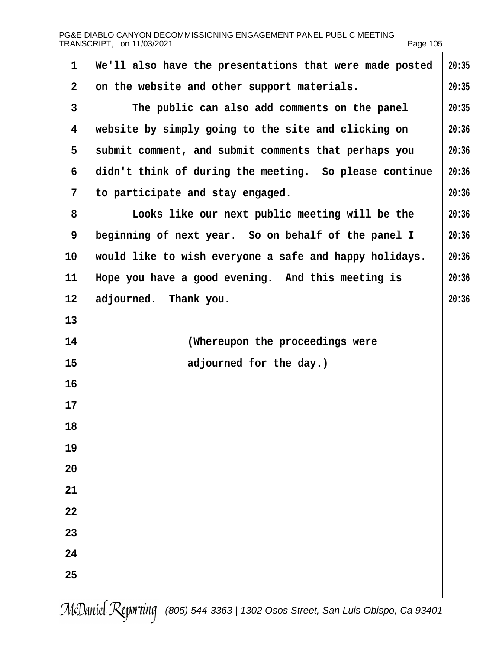| 1               | We'll also have the presentations that were made posted | 20:35 |
|-----------------|---------------------------------------------------------|-------|
| $\overline{2}$  | on the website and other support materials.             | 20:35 |
| 3               | The public can also add comments on the panel           | 20:35 |
| 4               | website by simply going to the site and clicking on     | 20:36 |
| 5               | submit comment, and submit comments that perhaps you    | 20:36 |
| 6               | didn't think of during the meeting. So please continue  | 20:36 |
| 7               | to participate and stay engaged.                        | 20:36 |
| 8               | Looks like our next public meeting will be the          | 20:36 |
| 9               | beginning of next year. So on behalf of the panel I     | 20:36 |
| 10              | would like to wish everyone a safe and happy holidays.  | 20:36 |
| 11              | Hope you have a good evening. And this meeting is       | 20:36 |
| 12 <sub>2</sub> | adjourned. Thank you.                                   | 20:36 |
| 13              |                                                         |       |
| 14              | (Whereupon the proceedings were                         |       |
| 15              | adjourned for the day.)                                 |       |
| 16              |                                                         |       |
| 17              |                                                         |       |
| 18              |                                                         |       |
| 19              |                                                         |       |
| 20              |                                                         |       |
| 21              |                                                         |       |
| 22              |                                                         |       |
| 23              |                                                         |       |
| 24              |                                                         |       |
| 25              |                                                         |       |
|                 |                                                         |       |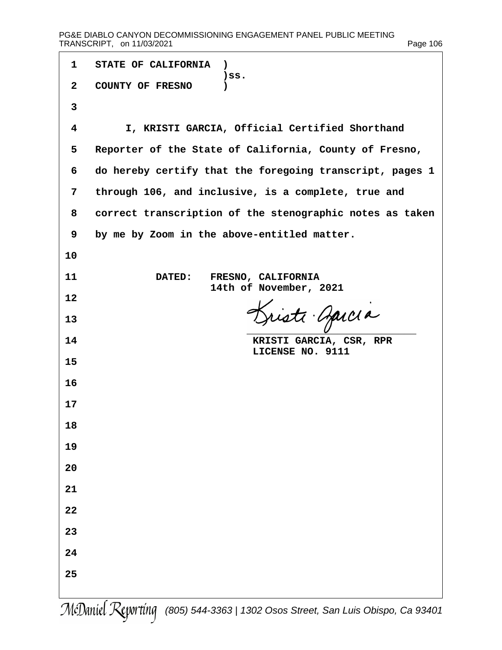| 1              | STATE OF CALIFORNIA)                                     |
|----------------|----------------------------------------------------------|
| $\overline{2}$ | )SS.<br><b>COUNTY OF FRESNO</b><br>$\mathcal{E}$         |
| 3              |                                                          |
| 4              | I, KRISTI GARCIA, Official Certified Shorthand           |
| 5              | Reporter of the State of California, County of Fresno,   |
| 6              | do hereby certify that the foregoing transcript, pages 1 |
| 7              | through 106, and inclusive, is a complete, true and      |
| 8              | correct transcription of the stenographic notes as taken |
| 9              | by me by Zoom in the above-entitled matter.              |
| 10             |                                                          |
| 11             | DATED: FRESNO, CALIFORNIA<br>14th of November, 2021      |
| 12             |                                                          |
| 13             |                                                          |
| 14             | KRISTI GARCIA, CSR, RPR<br>LICENSE NO. 9111              |
| 15             |                                                          |
| 16             |                                                          |
| 17             |                                                          |
| 18             |                                                          |
| 19             |                                                          |
| 20             |                                                          |
| 21             |                                                          |
| 22             |                                                          |
| 23             |                                                          |
| 24             |                                                          |
| 25             |                                                          |
|                |                                                          |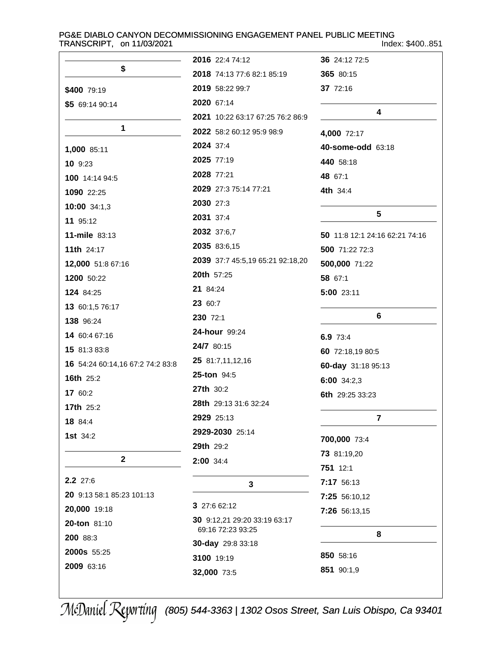# PG&E DIABLO CANYON DECOMMISSIONING ENGAGEMENT PANEL PUBLIC MEETING<br>Inde

Index: \$400..851

| \$                               | 2016 22:4 74:12                   | 36 24:12 72:5                  |
|----------------------------------|-----------------------------------|--------------------------------|
|                                  | <b>2018</b> 74:13 77:6 82:1 85:19 | 365 80:15                      |
| \$400 79:19                      | 2019 58:22 99:7                   | 37 72:16                       |
| \$5 69:14 90:14                  | 2020 67:14                        | 4                              |
| $\mathbf 1$                      | 2021 10:22 63:17 67:25 76:2 86:9  |                                |
|                                  | 2022 58:2 60:12 95:9 98:9         | 4,000 72:17                    |
| 1,000 85:11                      | 2024 37:4                         | 40-some-odd 63:18              |
| 10 9:23                          | 2025 77:19                        | 440 58:18                      |
| 100 14:14 94:5                   | 2028 77:21                        | 48 67:1                        |
| 1090 22:25                       | 2029 27:3 75:14 77:21             | 4th 34:4                       |
| 10:00 34:1,3                     | 2030 27:3                         |                                |
| 11 95:12                         | 2031 37:4                         | 5                              |
| 11-mile 83:13                    | 2032 37:6,7                       | 50 11:8 12:1 24:16 62:21 74:16 |
| <b>11th 24:17</b>                | 2035 83:6,15                      | 500 71:22 72:3                 |
| 12,000 51:8 67:16                | 2039 37:7 45:5,19 65:21 92:18,20  | 500,000 71:22                  |
| 1200 50:22                       | 20th 57:25                        | 58 67:1                        |
| 124 84:25                        | 21 84:24                          | 5:00 23:11                     |
| 13 60:1,5 76:17                  | 23 60:7                           |                                |
| 138 96:24                        | 230 72:1                          | 6                              |
| 14 60:4 67:16                    | <b>24-hour</b> 99:24              | 6.9 73:4                       |
| 15 81:3 83:8                     | 24/7 80:15                        | 60 72:18,19 80:5               |
| 16 54:24 60:14,16 67:2 74:2 83:8 | 25 81:7,11,12,16                  | 60-day 31:18 95:13             |
| <b>16th 25:2</b>                 | <b>25-ton 94:5</b>                | 6:00 34:2,3                    |
| 17 60:2                          | <b>27th 30:2</b>                  | 6th 29:25 33:23                |
| <b>17th 25:2</b>                 | 28th 29:13 31:6 32:24             |                                |
| 18 84:4                          | 2929 25:13                        | $\overline{\mathbf{r}}$        |
| 1st 34:2                         | 2929-2030 25:14                   | 700,000 73:4                   |
|                                  | 29th 29:2                         | 73 81:19,20                    |
| $\mathbf{2}$                     | 2:00 34:4                         | 751 12:1                       |
| 2.2 27:6                         |                                   | 7:17 56:13                     |
| 20 9:13 58:1 85:23 101:13        | 3                                 |                                |
| 20,000 19:18                     | 3 27:6 62:12                      | 7:25 56:10,12                  |
| 20-ton 81:10                     | 30 9:12,21 29:20 33:19 63:17      | 7:26 56:13,15                  |
| 200 88:3                         | 69:16 72:23 93:25                 | 8                              |
| 2000s 55:25                      | 30-day 29:8 33:18                 |                                |
| 2009 63:16                       | 3100 19:19                        | 850 58:16                      |
|                                  | 32,000 73:5                       | 851 90:1,9                     |
|                                  |                                   |                                |

(805) 544-3363 | 1302 Osos Street, San Luis Obispo, Ca 93401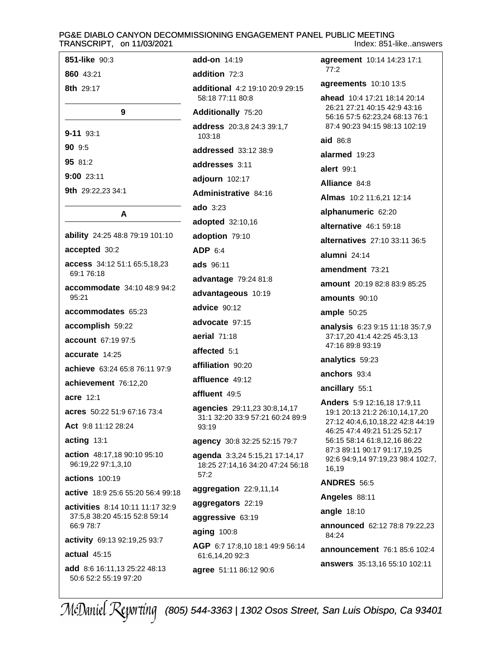851-like 90:3 860 43:21 8th 29:17 9  $9 - 11$  93:1 90 9:5 95 81:2  $9:00$  23:11 9th 29:22,23 34:1 A ability 24:25 48:8 79:19 101:10 accepted 30:2 access 34:12 51:1 65:5,18,23 69:1 76:18 accommodate 34:10 48:9 94:2 95:21 accommodates 65:23 accomplish 59:22 account 67:19 97:5 accurate  $14.25$ achieve 63:24 65:8 76:11 97:9 achievement 76:12,20 acre 12:1 acres 50:22 51:9 67:16 73:4 Act 9:8 11:12 28:24 acting 13:1 action 48:17,18 90:10 95:10 96:19,22 97:1,3,10  $57:2$ **actions** 100:19 active 18:9 25:6 55:20 56:4 99:18 activities 8:14 10:11 11:17 32:9 37:5.8 38:20 45:15 52:8 59:14 66:9 78:7 activity 69:13 92:19,25 93:7 actual 45:15 add 8:6 16:11,13 25:22 48:13 50:6 52:2 55:19 97:20

add-on 14:19 addition 72:3 additional 4:2 19:10 20:9 29:15 58:18 77:11 80:8 **Additionally 75:20** address 20:3,8 24:3 39:1,7 103:18 addressed 33:12 38:9 addresses 3:11 adjourn 102:17 Administrative 84:16 ado 3:23 adopted 32:10,16 adoption 79:10 ADP 6:4 ads 96:11 advantage 79:24 81:8 advantageous 10:19 advice 90:12 advocate 97:15 aerial  $71:18$ affected 5:1 affiliation 90:20 affluence 49:12 affluent 49:5 agencies 29:11,23 30:8,14,17 31:1 32:20 33:9 57:21 60:24 89:9 93:19 agency 30:8 32:25 52:15 79:7 agenda 3:3,24 5:15,21 17:14,17 18:25 27:14,16 34:20 47:24 56:18 aggregation 22:9,11,14 aggregators 22:19 aggressive 63:19 aging 100:8 AGP 6:7 17:8,10 18:1 49:9 56:14 61:6,14,20 92:3 agree 51:11 86:12 90:6

Index: 851-like..answers agreement 10:14 14:23 17:1  $77:2$ agreements 10:10 13:5 ahead 10:4 17:21 18:14 20:14 26:21 27:21 40:15 42:9 43:16 56:16 57:5 62:23,24 68:13 76:1 87:4 90:23 94:15 98:13 102:19 aid 86:8 alarmed 19:23 alert 99.1 Alliance 84:8 Almas 10:2 11:6,21 12:14 alphanumeric 62:20 alternative 46:1 59:18 alternatives 27:10 33:11 36:5 alumni 24:14 amendment 73:21 amount 20:19 82:8 83:9 85:25 amounts 90:10 ample  $50:25$ **analysis** 6:23 9:15 11:18 35:7,9 37:17,20 41:4 42:25 45:3,13 47:16 89:8 93:19 analytics 59:23 anchors 93:4 ancillary 55:1 Anders 5:9 12:16,18 17:9,11 19:1 20:13 21:2 26:10.14.17.20 27:12 40:4,6,10,18,22 42:8 44:19

46:25 47:4 49:21 51:25 52:17 56:15 58:14 61:8,12,16 86:22 87:3 89:11 90:17 91:17,19,25 92:6 94:9,14 97:19,23 98:4 102:7, 16,19

**ANDRES 56:5** 

Angeles 88:11

angle 18:10

announced 62:12 78:8 79:22,23 84:24

announcement 76:1 85:6 102:4

answers 35:13,16 55:10 102:11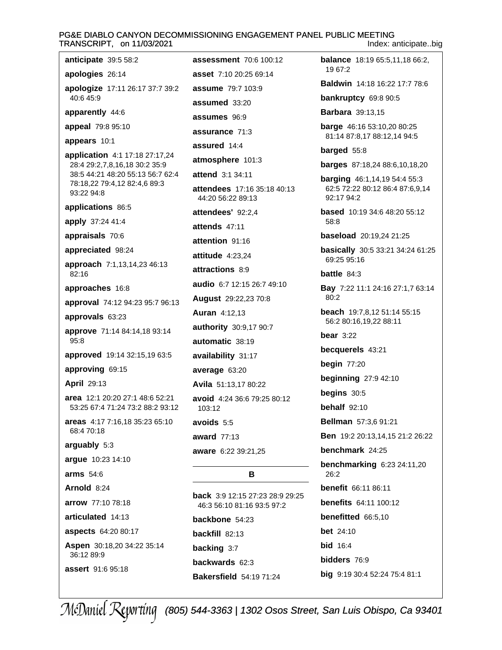#### PG&E DIABLO CANYON DECOMMISSIONING ENGAGEMENT PANEL PUBLIC MEETING TRANSCRIPT, on 11/03/2021 Index: anticipate..big

apologies 26:14 apologize 17:11 26:17 37:7 39:2 40:6 45:9

apparently 44:6

anticipate 39:5 58:2

appeal 79:8 95:10

appears 10:1

application 4:1 17:18 27:17,24 28:4 29:2.7.8.16.18 30:2 35:9 38:5 44:21 48:20 55:13 56:7 62:4 78:18,22 79:4,12 82:4,6 89:3 93:22 94:8

applications 86:5

apply 37:24 41:4

appraisals 70:6

appreciated 98:24

approach 7:1,13,14,23 46:13  $82.16$ 

approaches 16:8

approval 74:12 94:23 95:7 96:13

approvals 63:23

approve 71:14 84:14,18 93:14 95:8

approved 19:14 32:15,19 63:5

approving 69:15

**April 29:13** 

area 12:1 20:20 27:1 48:6 52:21 53:25 67:4 71:24 73:2 88:2 93:12

areas 4:17 7:16.18 35:23 65:10 68:4 70:18

arguably 5:3

argue 10:23 14:10

arms  $54:6$ 

Arnold 8:24

arrow 77:10 78:18

articulated 14:13

aspects 64:20 80:17

Aspen 30:18,20 34:22 35:14 36:12 89:9

assert 91:6 95:18

assessment 70:6 100:12 asset 7:10 20:25 69:14 **assume** 79:7 103:9 assumed 33:20 assumes 96:9 assurance 71:3 assured 14:4 atmosphere 101:3 attend 3:1 34:11 attendees 17:16 35:18 40:13 44:20 56:22 89:13 attendees' 92:2.4 attends 47:11 attention 91:16 attitude 4:23,24 attractions 8:9 audio 6:7 12:15 26:7 49:10 August 29:22,23 70:8 **Auran** 4:12,13 authority 30:9,17 90:7 automatic 38:19 availability 31:17 average 63:20 Avila 51:13,17 80:22 avoid 4:24 36:6 79:25 80:12 103:12 avoids 5:5 award  $77:13$ aware 6:22 39:21.25

# B

back 3:9 12:15 27:23 28:9 29:25 46:3 56:10 81:16 93:5 97:2 backbone 54:23 backfill 82:13 backing 3:7 backwards 62:3 **Bakersfield** 54:19 71:24

**balance** 18:19 65:5,11,18 66:2, 19 67:2

Baldwin 14:18 16:22 17:7 78:6

bankruptcy 69:8 90:5

**Barbara** 39:13,15

barge 46:16 53:10,20 80:25 81:14 87:8,17 88:12,14 94:5

# barged 55:8

**barges** 87:18,24 88:6,10,18,20

**barging** 46:1,14,19 54:4 55:3 62:5 72:22 80:12 86:4 87:6,9,14 92:17 94:2

based 10:19 34:6 48:20 55:12 58:8

baseload 20:19,24 21:25

basically 30:5 33:21 34:24 61:25 69:25 95:16

# battle  $84:3$

Bay 7:22 11:1 24:16 27:1,7 63:14  $80:2$ 

beach 19:7,8,12 51:14 55:15 56:2 80:16,19,22 88:11

bear  $3:22$ 

becquerels 43:21

begin  $77:20$ 

**beginning** 27:9 42:10

begins  $30:5$ 

**behalf** 92:10

Bellman 57:3.6 91:21

Ben 19:2 20:13,14,15 21:2 26:22

benchmark 24:25

**benchmarking 6:23 24:11,20**  $26:2$ 

benefit 66:11 86:11

**benefits** 64:11 100:12

benefitted 66:5.10

**bet** 24:10

**bid** 16:4

bidders 76:9

big 9:19 30:4 52:24 75:4 81:1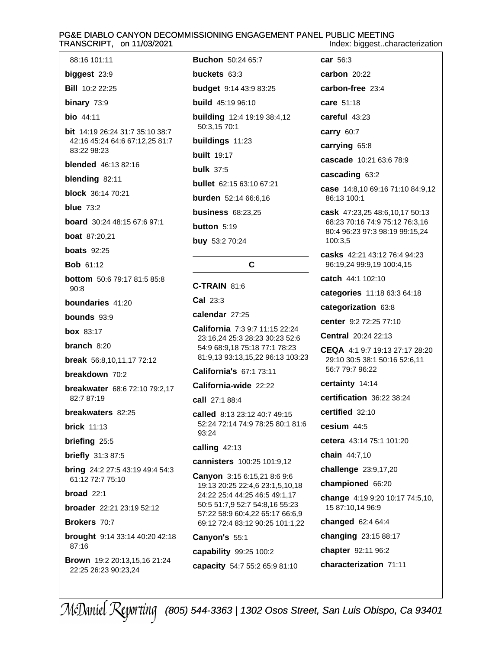#### PG&E DIABLO CANYON DECOMMISSIONING ENGAGEMENT PANEL PUBLIC MEETING TRANSCRIPT, on 11/03/2021 Index: biggest..characterization

**Buchon** 50:24 65:7 car 56:3 buckets  $63:3$ **budget** 9:14 43:9 83:25 **build** 45:19 96:10 **building** 12:4 19:19 38:4,12 50:3,15 70:1 bit 14:19 26:24 31:7 35:10 38:7 buildings 11:23 **built** 19:17 **bulk 37:5 bullet** 62:15 63:10 67:21 burden 52:14 66:6,16 **business 68:23.25** button 5:19 buy 53:2 70:24 C. C-TRAIN 81:6  $Cal<sub>23:3</sub>$ calendar 27:25 California 7:3 9:7 11:15 22:24 23:16,24 25:3 28:23 30:23 52:6 54:9 68:9,18 75:18 77:1 78:23 81:9,13 93:13,15,22 96:13 103:23 California's 67:1 73:11 California-wide 22:22 call 27:1 88:4 called 8:13 23:12 40:7 49:15 52:24 72:14 74:9 78:25 80:1 81:6 93:24 calling 42:13 cannisters 100:25 101:9,12

**Canyon** 3:15 6:15,21 8:6 9:6 19:13 20:25 22:4,6 23:1,5,10,18 24:22 25:4 44:25 46:5 49:1,17 50:5 51:7,9 52:7 54:8,16 55:23 57:22 58:9 60:4,22 65:17 66:6,9 69:12 72:4 83:12 90:25 101:1,22

Canyon's 55:1 capability 99:25 100:2 capacity 54:7 55:2 65:9 81:10 carbon  $20:22$ carbon-free 23:4 care 51:18 careful 43:23 carry 60:7 carrying 65:8 cascade 10:21 63:6 78:9 cascading 63:2 case 14:8,10 69:16 71:10 84:9,12 86:13 100:1 cask 47:23,25 48:6,10,17 50:13

68:23 70:16 74:9 75:12 76:3,16 80:4 96:23 97:3 98:19 99:15.24 100:3,5

casks 42:21 43:12 76:4 94:23 96:19.24 99:9.19 100:4.15

catch 44:1 102:10

categories 11:18 63:3 64:18

categorization 63:8

center 9:2 72:25 77:10

Central 20:24 22:13

CEQA 4:1 9:7 19:13 27:17 28:20 29:10 30:5 38:1 50:16 52:6.11 56:7 79:7 96:22

certainty 14:14

certification 36:22 38:24

certified 32:10

 $c$ esium  $44.5$ 

cetera 43:14 75:1 101:20

chain 44:7,10

challenge 23:9,17,20

championed 66:20

change 4:19 9:20 10:17 74:5,10, 15 87:10,14 96:9

**changed** 62:4 64:4

changing 23:15 88:17

chapter 92:11 96:2

characterization 71:11

42:16 45:24 64:6 67:12,25 81:7 83:22 98:23 **blended** 46:13 82:16 blending 82:11 block 36:14 70:21 blue  $73:2$ board 30:24 48:15 67:6 97:1 **boat** 87:20.21 **boats** 92:25 **Bob 61:12 bottom** 50:6 79:17 81:5 85:8  $Q \cap R$ boundaries 41:20 bounds 93:9 **box** 83:17 branch  $8:20$ break 56:8,10,11,17 72:12

88:16 101:11

biggest  $23:9$ 

**Bill** 10:2 22:25

binary 73:9

**bio** 44:11

breakdown 70:2

breakwater 68:6 72:10 79:2,17 82:7 87:19

breakwaters 82:25

**brick** 11:13

briefing 25:5

**briefly** 31:3 87:5

**bring** 24:2 27:5 43:19 49:4 54:3 61:12 72:7 75:10

broad  $22:1$ 

broader 22:21 23:19 52:12

Brokers 70:7

**brought** 9:14 33:14 40:20 42:18  $87.16$ 

**Brown** 19:2 20:13,15,16 21:24 22:25 26:23 90:23,24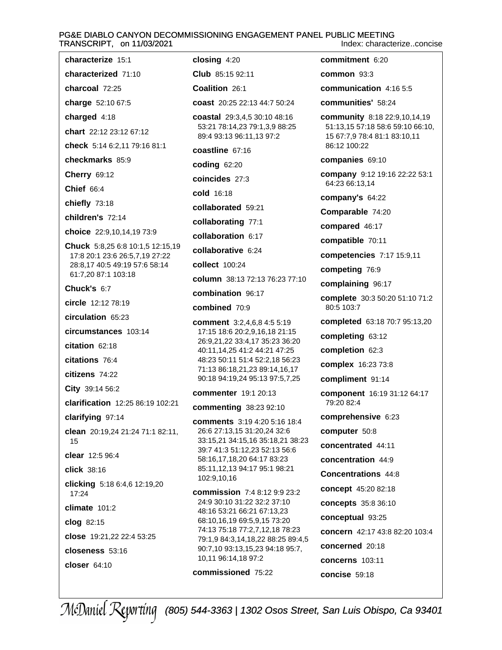#### PG&E DIABLO CANYON DECOMMISSIONING ENGAGEMENT PANEL PUBLIC MEETING TRANSCRIPT, on 11/03/2021 Index: characterize..concise

characterize 15:1 closing  $4:20$ characterized 71:10 Club 85:15 92:11 charcoal 72:25 Coalition 26:1 charge 52:10 67:5 coast 20:25 22:13 44:7 50:24 charged 4:18 coastal 29:3,4,5 30:10 48:16 53:21 78:14,23 79:1,3,9 88:25 chart 22:12 23:12 67:12 89:4 93:13 96:11,13 97:2 check 5:14 6:2,11 79:16 81:1 coastline 67:16 checkmarks 85:9 **coding 62:20 Cherry 69:12** coincides 27:3 Chief 66:4 cold 16:18 chiefly 73:18 collaborated 59:21 children's 72:14 collaborating 77:1 choice 22:9.10.14.19 73:9 collaboration 6:17 Chuck 5:8,25 6:8 10:1,5 12:15,19 collaborative 6:24 17:8 20:1 23:6 26:5,7,19 27:22 28:8,17 40:5 49:19 57:6 58:14 collect 100:24 61:7,20 87:1 103:18 column 38:13 72:13 76:23 77:10 Chuck's 6:7 combination 96:17 circle 12:12 78:19 combined 70:9 circulation 65:23 **comment** 3:2,4,6,8 4:5 5:19 circumstances 103:14 17:15 18:6 20:2,9,16,18 21:15 26:9,21,22 33:4,17 35:23 36:20 citation 62:18 40:11,14,25 41:2 44:21 47:25 citations 76:4 48:23 50:11 51:4 52:2,18 56:23 71:13 86:18,21,23 89:14,16,17 citizens 74:22 90:18 94:19,24 95:13 97:5,7,25 City 39:14 56:2 commenter 19:1 20:13 clarification 12:25 86:19 102:21 commenting 38:23 92:10 clarifying 97:14 **comments** 3:19 4:20 5:16 18:4 26:6 27:13,15 31:20,24 32:6 clean 20:19,24 21:24 71:1 82:11, 33:15,21 34:15,16 35:18,21 38:23 15 39:7 41:3 51:12,23 52:13 56:6 clear 12:5 96:4 58:16,17,18,20 64:17 83:23 85:11,12,13 94:17 95:1 98:21 click 38:16 102:9,10,16 clicking 5:18 6:4,6 12:19,20 **commission** 7:4 8:12 9:9 23:2  $17:24$ 24:9 30:10 31:22 32:2 37:10 climate  $101:2$ 48:16 53:21 66:21 67:13,23 68:10,16,19 69:5,9,15 73:20 clog 82:15 74:13 75:18 77:2,7,12,18 78:23 close 19:21,22 22:4 53:25 79:1,9 84:3,14,18,22 88:25 89:4,5 90:7,10 93:13,15,23 94:18 95:7, closeness 53:16 10,11 96:14,18 97:2 closer  $64:10$ commissioned 75:22

commitment 6:20 common  $93:3$ communication 4:16 5:5 communities' 58:24 community 8:18 22:9,10,14,19 51:13,15 57:18 58:6 59:10 66:10, 15 67:7,9 78:4 81:1 83:10,11 86:12 100:22 companies 69:10 company 9:12 19:16 22:22 53:1 64:23 66:13,14 company's 64:22 Comparable 74:20 compared 46:17 compatible 70:11 competencies 7:17 15:9,11 competing 76:9 complaining 96:17 complete 30:3 50:20 51:10 71:2 80:5 103:7 completed 63:18 70:7 95:13,20 completing 63:12 completion 62:3 complex 16:23 73:8 compliment 91:14 component 16:19 31:12 64:17 79:20 82:4 comprehensive 6:23 computer 50:8 concentrated 44:11 concentration 44:9 **Concentrations 44:8** concept 45:20 82:18 concepts 35:8 36:10 conceptual 93:25 concern 42:17 43:8 82:20 103:4 concerned 20:18 concerns 103:11 concise 59:18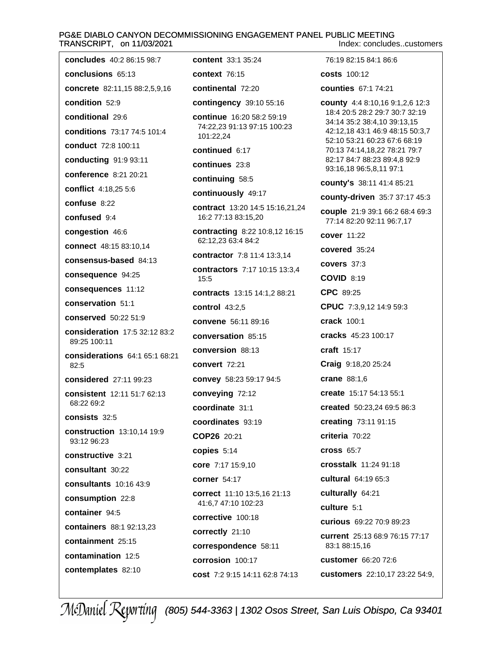#### PG&E DIABLO CANYON DECOMMISSIONING ENGAGEMENT PANEL PUBLIC MEETING TRANSCRIPT, on 11/03/2021 Index: concludes..customers

concludes 40:2 86:15 98:7 76:19 82:15 84:1 86:6 content 33:1 35:24 conclusions 65:13 **context 76:15** costs 100:12 concrete 82:11,15 88:2,5,9,16 continental 72:20 **counties** 67:1 74:21 contingency 39:10 55:16 county 4:4 8:10,16 9:1,2,6 12:3 18:4 20:5 28:2 29:7 30:7 32:19 continue 16:20 58:2 59:19 34:14 35:2 38:4,10 39:13,15 74:22,23 91:13 97:15 100:23 conditions 73:17 74:5 101:4 42:12,18 43:1 46:9 48:15 50:3,7 101:22,24 52:10 53:21 60:23 67:6 68:19 conduct 72:8 100:11 continued 6:17 70:13 74:14,18,22 78:21 79:7 82:17 84:7 88:23 89:4,8 92:9 conducting 91:9 93:11 continues 23:8 conference 8:21 20:21 continuing 58:5 conflict 4:18.25 5:6 continuously 49:17 contract 13:20 14:5 15:16,21,24 16:2 77:13 83:15,20 contracting 8:22 10:8,12 16:15 cover 11:22 62:12,23 63:4 84:2 connect 48:15 83:10,14 covered 35:24 **contractor** 7:8 11:4 13:3.14 consensus-based 84:13 covers 37:3 contractors 7:17 10:15 13:3.4 consequence 94:25  $15:5$ **COVID 8:19** consequences 11:12 CPC 89:25 contracts 13:15 14:1,2 88:21 conservation 51:1 **control** 43:2.5 conserved 50:22 51:9 convene 56:11 89:16 crack 100:1 consideration 17:5 32:12 83:2 conversation 85:15 conversion 88:13 craft 15:17 considerations 64:1 65:1 68:21 convert 72:21 considered 27:11 99:23 convey 58:23 59:17 94:5 crane 88:1,6 conveying 72:12 consistent 12:11 51:7 62:13 coordinate 31:1 coordinates 93:19

consists  $32:5$ construction 13:10.14 19:9 93:12 96:23 constructive 3:21 consultant 30:22 **consultants** 10:16 43:9 consumption 22:8 container 94:5 containers 88:1 92:13.23 containment 25:15 contamination 12:5

contemplates 82:10

condition 52:9

confuse 8:22

confused 9:4

89:25 100:11

68:22 69:2

82:5

congestion 46:6

conditional 29:6

41:6,7 47:10 102:23 corrective 100:18 correctly 21:10 correspondence 58:11 corrosion 100:17

cost 7:2 9:15 14:11 62:8 74:13

correct 11:10 13:5.16 21:13

COP26 20:21

copies  $5:14$ 

corner 54:17

core 7:17 15:9,10

93:16,18 96:5,8,11 97:1 county's 38:11 41:4 85:21 county-driven 35:7 37:17 45:3 couple 21:9 39:1 66:2 68:4 69:3 77:14 82:20 92:11 96:7,17 CPUC 7:3,9,12 14:9 59:3 cracks 45:23 100:17 Craig 9:18,20 25:24 create 15:17 54:13 55:1 created 50:23,24 69:5 86:3 creating 73:11 91:15 criteria 70:22 **cross 65:7** crosstalk 11:24 91:18 cultural 64:19 65:3 culturally 64:21 culture 5:1 curious 69:22 70:9 89:23 current 25:13 68:9 76:15 77:17 83:1 88:15,16 customer 66:20 72:6 customers 22:10,17 23:22 54:9,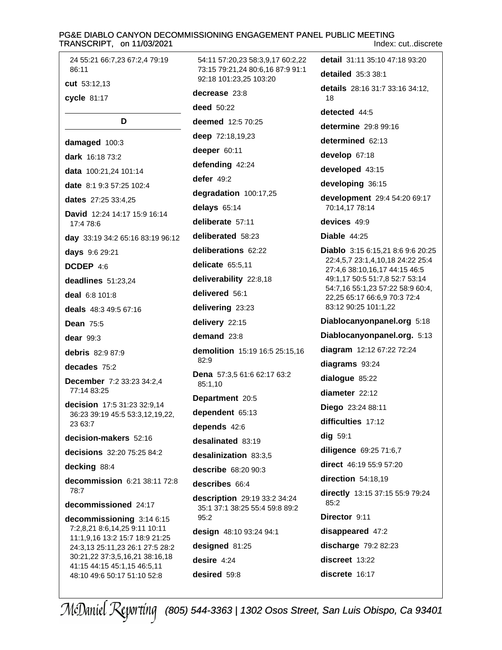#### PG&E DIABLO CANYON DECOMMISSIONING ENGAGEMENT PANEL PUBLIC MEETING TRANSCRIPT, on 11/03/2021 Index: cut..discrete

54:11 57:20,23 58:3,9,17 60:2,22

24 55:21 66:7,23 67:2,4 79:19 86:11 cut 53:12.13

cycle 81:17

### D

damaged 100:3 dark 16:18 73:2 data 100:21.24 101:14 date 8:1 9:3 57:25 102:4 dates 27:25 33:4.25 David 12:24 14:17 15:9 16:14 17:4 78:6 day 33:19 34:2 65:16 83:19 96:12 days 9:6 29:21 DCDEP 4:6 deadlines 51:23.24 deal  $6.8101.8$ deals 48:3 49:5 67:16 **Dean 75:5** dear  $99:3$ **debris** 82:9 87:9 decades 75:2 **December** 7:2 33:23 34:2.4 77:14 83:25 decision 17:5 31:23 32:9,14 36:23 39:19 45:5 53:3,12,19,22, 23 63:7 decision-makers 52:16 decisions 32:20 75:25 84:2 decking 88:4 decommission 6:21 38:11 72:8 78:7 decommissioned 24:17 decommissioning 3:14 6:15 7:2,8,21 8:6,14,25 9:11 10:11 11:1,9,16 13:2 15:7 18:9 21:25 24:3,13 25:11,23 26:1 27:5 28:2

30:21.22 37:3.5.16.21 38:16.18

41:15 44:15 45:1,15 46:5,11

48:10 49:6 50:17 51:10 52:8

73:15 79:21.24 80:6.16 87:9 91:1 92:18 101:23.25 103:20 decrease 23:8 **deed** 50:22 deemed 12:5 70:25 deep 72:18,19,23 deeper 60:11 defending 42:24 defer  $49:2$ degradation 100:17,25 delays 65:14 deliberate 57:11 deliberated 58:23 deliberations 62:22 delicate 65:5.11 deliverability 22:8,18 delivered 56:1 delivering 23:23 delivery 22:15 demand 23:8 demolition 15:19 16:5 25:15,16  $82:9$ Dena 57:3,5 61:6 62:17 63:2 85:1.10 Department 20:5 dependent 65:13 depends 42:6 desalinated 83:19 desalinization 83:3,5 describe 68:20 90:3 describes 66:4 description 29:19 33:2 34:24 35:1 37:1 38:25 55:4 59:8 89:2  $95.2$ design 48:10 93:24 94:1 designed 81:25 desire  $4:24$ desired 59:8

detail 31:11 35:10 47:18 93:20 detailed  $35:333:1$ details 28:16 31:7 33:16 34:12, 18 detected 44:5 determine 29:8 99:16 determined 62:13 develop 67:18 developed 43:15 developing 36:15 development 29:4 54:20 69:17 70:14,17 78:14 devices 49:9 Diable  $44:25$ Diablo 3:15 6:15,21 8:6 9:6 20:25 22:4,5,7 23:1,4,10,18 24:22 25:4 27:4,6 38:10,16,17 44:15 46:5 49:1,17 50:5 51:7,8 52:7 53:14 54:7,16 55:1,23 57:22 58:9 60:4, 22,25 65:17 66:6,9 70:3 72:4 83:12 90:25 101:1,22 Diablocanyonpanel.org 5:18 Diablocanyonpanel.org. 5:13 diagram 12:12 67:22 72:24 diagrams 93:24 dialogue 85:22 diameter 22:12 Diego 23:24 88:11 difficulties 17:12  $dig$  59:1 diligence 69:25 71:6,7 direct 46:19 55:9 57:20 direction 54:18,19 directly 13:15 37:15 55:9 79:24  $85:2$ Director 9:11 disappeared 47:2 discharge 79:2 82:23 discreet 13:22 discrete 16:17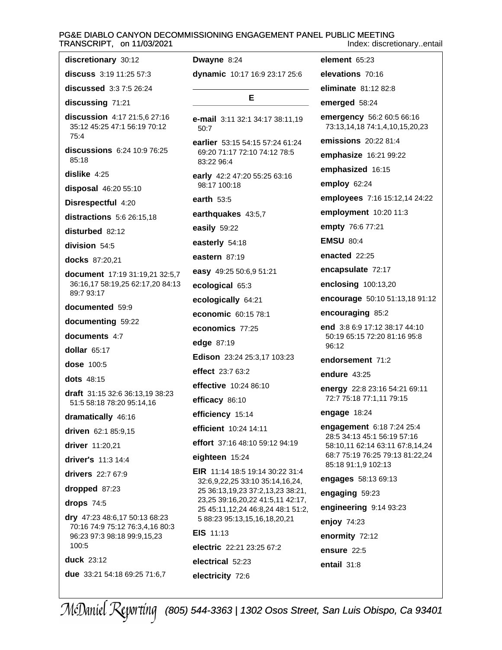# PG&E DIABLO CANYON DECOMMISSIONING ENGAGEMENT PANEL PUBLIC MEETING TRANSCRIPT, on 11/03/2021

| discretionary 30:12                                                  | Dwayne 8:24                                                                   |  |
|----------------------------------------------------------------------|-------------------------------------------------------------------------------|--|
| discuss $3:19$ 11:25 57:3                                            | dynamic 10:17 16:9 23:17 25:6                                                 |  |
| discussed 3:3 7:5 26:24                                              |                                                                               |  |
| discussing 71:21                                                     | Е                                                                             |  |
| discussion 4:17 21:5,6 27:16<br>35:12 45:25 47:1 56:19 70:12<br>75:4 | <b>e-mail</b> $3:11$ $32:1$ $34:17$ $38:11,19$<br>50:7                        |  |
| discussions 6:24 10:9 76:25<br>85:18                                 | earlier 53:15 54:15 57:24 61:24<br>69:20 71:17 72:10 74:12 78:5<br>83:22 96:4 |  |
| dislike $4:25$                                                       | early 42:2 47:20 55:25 63:16                                                  |  |
| disposal 46:20 55:10                                                 | 98:17 100:18                                                                  |  |
| Disrespectful 4:20                                                   | earth $53:5$                                                                  |  |
| distractions 5:6 26:15,18                                            | earthquakes 43:5,7                                                            |  |
| disturbed 82:12                                                      | easily 59:22                                                                  |  |
| division 54:5                                                        | easterly 54:18                                                                |  |
| docks 87:20,21                                                       | eastern 87:19                                                                 |  |
| document 17:19 31:19,21 32:5,7                                       | easy 49:25 50:6,9 51:21                                                       |  |
| 36:16,17 58:19,25 62:17,20 84:13<br>89:7 93:17                       | ecological 65:3                                                               |  |
| documented 59:9                                                      | ecologically 64:21                                                            |  |
| documenting 59:22                                                    | economic 60:15 78:1                                                           |  |
| documents 4:7                                                        | economics 77:25                                                               |  |
| dollar $65:17$                                                       | edge 87:19                                                                    |  |
| <b>dose</b> 100:5                                                    | Edison 23:24 25:3,17 103:23                                                   |  |
| dots $48:15$                                                         | effect 23:7 63:2                                                              |  |
|                                                                      | <b>effective</b> 10:24 86:10                                                  |  |
| <b>draft</b> $31:1532:636:13,1938:23$<br>51:5 58:18 78:20 95:14,16   | efficacy 86:10                                                                |  |
| dramatically 46:16                                                   | efficiency 15:14                                                              |  |
| driven 62:1 85:9,15                                                  | efficient 10:24 14:11                                                         |  |
| driver 11:20,21                                                      | effort 37:16 48:10 59:12 94:19                                                |  |
| driver's 11:3 14:4                                                   | eighteen 15:24                                                                |  |
| drivers 22:7 67:9                                                    | EIR 11:14 18:5 19:14 30:22 31:4                                               |  |
| dropped 87:23                                                        | 32:6,9,22,25 33:10 35:14,16,24,<br>25 36:13,19,23 37:2,13,23 38:21,           |  |
| drops $74:5$                                                         | 23,25 39:16,20,22 41:5,11 42:17,                                              |  |
| dry $47:2348:6,1750:1368:23$<br>70:16 74:9 75:12 76:3,4,16 80:3      | 25 45:11, 12, 24 46: 8, 24 48: 1 51: 2,<br>5 88:23 95:13,15,16,18,20,21       |  |
| 96:23 97:3 98:18 99:9,15,23                                          | EIS 11:13                                                                     |  |
| 100:5                                                                | electric 22:21 23:25 67:2                                                     |  |
| duck 23:12                                                           | electrical 52:23                                                              |  |
| due 33:21 54:18 69:25 71:6,7                                         | electricity 72:6                                                              |  |

Index: discretionary..entail element 65:23 elevations 70:16 eliminate 81:12 82:8 emerged 58:24 emergency 56:2 60:5 66:16 73:13,14,18 74:1,4,10,15,20,23 emissions 20:22 81:4 emphasize 16:21 99:22 emphasized 16:15 employ 62:24 employees 7:16 15:12,14 24:22 employment 10:20 11:3 empty 76:6 77:21 **EMSU 80:4** enacted 22:25 encapsulate 72:17 enclosing 100:13,20 encourage 50:10 51:13,18 91:12 encouraging 85:2 end 3:8 6:9 17:12 38:17 44:10 50:19 65:15 72:20 81:16 95:8 96:12 endorsement 71:2 endure 43:25 energy 22:8 23:16 54:21 69:11 72:7 75:18 77:1,11 79:15 engage 18:24 engagement 6:18 7:24 25:4 28:5 34:13 45:1 56:19 57:16 58:10,11 62:14 63:11 67:8,14,24 68:7 75:19 76:25 79:13 81:22,24 85:18 91:1,9 102:13 engages 58:13 69:13 engaging 59:23 engineering 9:14 93:23 enjoy 74:23 enormity 72:12 ensure 22:5 entail 31:8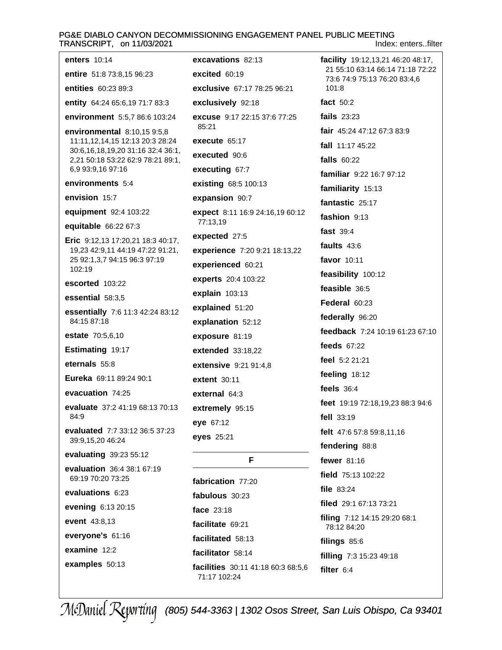# PG&E DIABLO CANYON DECOMMISSIONING ENGAGEMENT PANEL PUBLIC MEETING TRANSCRIPT, on 11/03/2021

Index: enters..filter

| enters $10:14$                                                        | exo        |
|-----------------------------------------------------------------------|------------|
| entire 51:8 73:8,15 96:23                                             | exo        |
| <b>entities</b> 60:23 89:3                                            | exo        |
| entity 64:24 65:6,19 71:7 83:3                                        | exo        |
| <b>environment</b> 5:5,7 86:6 103:24                                  | exo        |
| <b>environmental</b> 8:10,15 9:5,8                                    | 85         |
| 11:11,12,14,15 12:13 20:3 28:24<br>30:6,16,18,19,20 31:16 32:4 36:1,  | exc        |
| 2,21 50:18 53:22 62:9 78:21 89:1,                                     | exc        |
| 6,9 93:9,16 97:16                                                     | exc        |
| environments 5:4                                                      | exi        |
| envision 15:7                                                         | exp        |
| equipment 92:4 103:22                                                 | exp<br>77  |
| equitable 66:22 67:3                                                  | exr        |
| Eric 9:12,13 17:20,21 18:3 40:17,<br>19,23 42:9,11 44:19 47:22 91:21, | exp        |
| 25 92:1,3,7 94:15 96:3 97:19                                          | exr        |
| 102:19                                                                | exr        |
| escorted 103:22                                                       | exp        |
| essential 58:3,5                                                      | exp        |
| essentially 7:6 11:3 42:24 83:12<br>84:15 87:18                       | exp        |
| <b>estate</b> 70:5,6,10                                               | exp        |
| Estimating 19:17                                                      | ext        |
| eternals 55:8                                                         | ext        |
| Eureka 69:11 89:24 90:1                                               | ext        |
| evacuation 74:25                                                      | ext        |
| evaluate 37:2 41:19 68:13 70:13<br>84:9                               | ext        |
| evaluated 7:7 33:12 36:5 37:23<br>39:9,15,20 46:24                    | eye<br>eye |
| evaluating 39:23 55:12                                                |            |
| evaluation 36:4 38:1 67:19<br>69:19 70:20 73:25                       | fab        |
| evaluations 6:23                                                      | fab        |
| evening 6:13 20:15                                                    | fac        |
| event 43:8,13                                                         | fac        |
| everyone's 61:16                                                      | fac        |
| examine 12:2                                                          | fac        |
| examples 50:13                                                        | fac        |
|                                                                       |            |

**cavations** 82:13  $circled$  60:19 clusive 67:17 78:25 96:21 clusively 92:18 cuse 9:17 22:15 37:6 77:25  $5:21$ ecute 65:17 ecuted 90:6 ecuting 67:7 sting 68:5 100:13 pansion 90:7 oect 8:11 16:9 24:16,19 60:12  $7:13,19$ oected 27:5 **perience** 7:20 9:21 18:13,22 oerienced 60:21 **perts** 20:4 103:22  $plain 103:13$ olained 51:20 **olanation** 52:12 **posure** 81:19 ended 33:18,22 **ensive** 9:21 91:4,8 ent 30:11 ernal 64:3 remely 95:15  $967:12$ es 25:21 F

```
rication 77:20
 ulous 30:23
 e 23:18
 ilitate 69:21
 ilitated 58:13
 ilitator 58:14
 ilities 30:11 41:18 60:3 68:5.6
71:17 102:24
```
facility 19:12,13,21 46:20 48:17, 21 55:10 63:14 66:14 71:18 72:22 73:6 74:9 75:13 76:20 83:4.6 101:8 fact 50:2 fails  $23:23$ fair 45:24 47:12 67:3 83:9 fall 11:17 45:22 falls  $60:22$ familiar 9:22 16:7 97:12 familiarity 15:13 fantastic 25:17 fashion 9:13 fast 39:4 faults 43:6 favor 10:11 feasibility 100:12 feasible 36:5 Federal 60:23 federally 96:20 feedback 7:24 10:19 61:23 67:10 feeds  $67:22$ feel 5:2 21:21 feeling 18:12 feels  $36:4$ feet 19:19 72:18,19,23 88:3 94:6 fell  $33:19$ felt 47:6 57:8 59:8,11,16 fendering 88:8 fewer 81:16 field 75:13 102:22 file 83:24 filed 29:1 67:13 73:21 filing 7:12 14:15 29:20 68:1 78:12 84:20 filings 85:6 filling 7:3 15:23 49:18 filter  $6:4$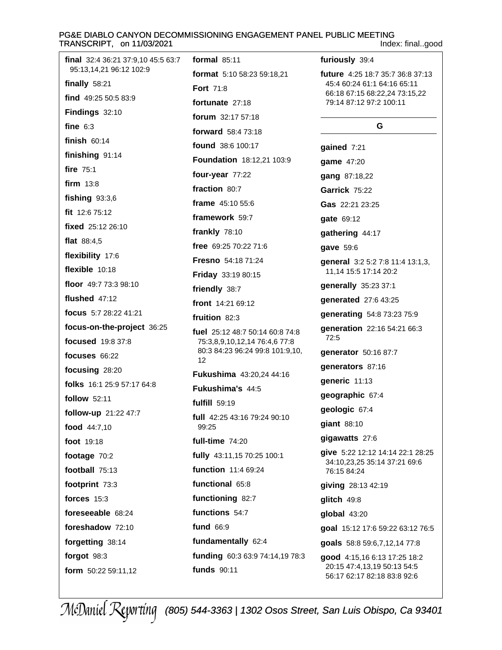# PG&E DIABLO CANYON DECOMMISSIONING ENGAGEMENT PANEL PUBLIC MEETING<br>TRANSCRIPT, on 11/03/2021

| final 32:4 36:21 37:9,10 45:5 63:7 | formal $85:11$                                        | furiously 39:4                                                                             |
|------------------------------------|-------------------------------------------------------|--------------------------------------------------------------------------------------------|
| 95:13,14,21 96:12 102:9            | format 5:10 58:23 59:18,21                            | future 4:25 18:7 35:7 36:8 37:13                                                           |
| finally $58:21$                    | <b>Fort 71:8</b>                                      | 45:4 60:24 61:1 64:16 65:11<br>66:18 67:15 68:22,24 73:15,22                               |
| find 49:25 50:5 83:9               | fortunate 27:18                                       | 79:14 87:12 97:2 100:11                                                                    |
| Findings 32:10                     | forum 32:17 57:18                                     |                                                                                            |
| fine $6:3$                         | <b>forward</b> 58:4 73:18                             | G                                                                                          |
| finish $60:14$                     | found 38:6 100:17                                     | gained 7:21                                                                                |
| finishing 91:14                    | Foundation 18:12,21 103:9                             | game 47:20                                                                                 |
| fire 75:1                          | four-year 77:22                                       | gang 87:18,22                                                                              |
| firm $13:8$                        | fraction 80:7                                         | Garrick 75:22                                                                              |
| fishing $93:3,6$                   | frame 45:10 55:6                                      | Gas 22:21 23:25                                                                            |
| fit 12:6 75:12                     | framework 59:7                                        | gate 69:12                                                                                 |
| fixed 25:12 26:10                  | frankly 78:10                                         | gathering 44:17                                                                            |
| flat $88:4,5$                      | free $69:2570:2271:6$                                 | gave 59:6                                                                                  |
| flexibility 17:6                   | Fresno 54:18 71:24                                    | general 3:2 5:2 7:8 11:4 13:1,3,                                                           |
| flexible 10:18                     | Friday 33:19 80:15                                    | 11,14 15:5 17:14 20:2                                                                      |
| floor 49:7 73:3 98:10              | friendly 38:7                                         | generally 35:23 37:1                                                                       |
| flushed 47:12                      | front 14:21 69:12                                     | generated 27:6 43:25                                                                       |
| focus 5:7 28:22 41:21              | fruition 82:3                                         | generating 54:8 73:23 75:9                                                                 |
| focus-on-the-project 36:25         | fuel 25:12 48:7 50:14 60:8 74:8                       | generation 22:16 54:21 66:3                                                                |
| focused 19:8 37:8                  | 75:3,8,9,10,12,14 76:4,6 77:8                         | 72:5                                                                                       |
| focuses $66:22$                    | 80:3 84:23 96:24 99:8 101:9,10,<br>12                 | generator 50:16 87:7                                                                       |
| focusing 28:20                     | Fukushima 43:20,24 44:16                              | generators 87:16                                                                           |
| folks 16:1 25:9 57:17 64:8         | Fukushima's 44:5                                      | generic 11:13                                                                              |
| follow 52:11                       | fulfill 59:19                                         | geographic 67:4                                                                            |
| follow-up 21:22 47:7               | full 42:25 43:16 79:24 90:10                          | geologic 67:4                                                                              |
| food 44:7,10                       | 99:25                                                 | giant 88:10                                                                                |
| foot 19:18                         | full-time 74:20                                       | gigawatts 27:6                                                                             |
| footage 70:2                       | fully 43:11,15 70:25 100:1                            | give 5:22 12:12 14:14 22:1 28:25<br>34:10,23,25 35:14 37:21 69:6                           |
| football 75:13                     | function 11:4 69:24                                   | 76:15 84:24                                                                                |
| footprint 73:3                     | functional 65:8                                       | giving 28:13 42:19                                                                         |
| forces $15:3$                      | functioning 82:7                                      | glitch 49:8                                                                                |
| foreseeable 68:24                  | functions 54:7                                        | global 43:20                                                                               |
| foreshadow 72:10                   | fund 66:9                                             | goal 15:12 17:6 59:22 63:12 76:5                                                           |
| forgetting 38:14                   | fundamentally 62:4                                    | goals 58:8 59:6,7,12,14 77:8                                                               |
| forgot 98:3<br>form 50:22 59:11,12 | funding 60:3 63:9 74:14,19 78:3<br><b>funds</b> 90:11 | good 4:15,16 6:13 17:25 18:2<br>20:15 47:4,13,19 50:13 54:5<br>56:17 62:17 82:18 83:8 92:6 |
|                                    |                                                       |                                                                                            |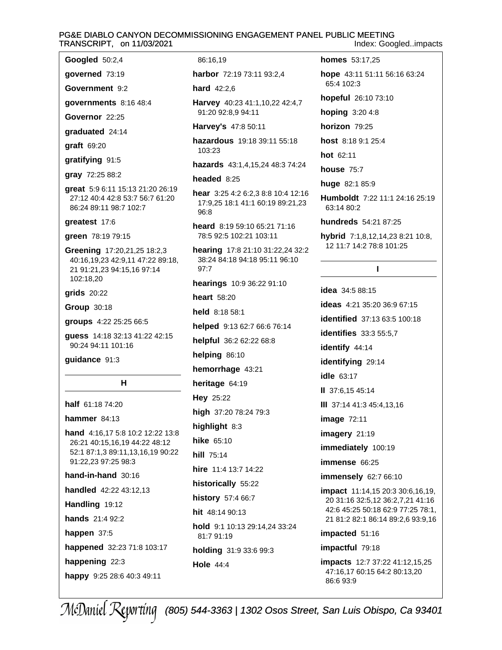# PG&E DIABLO CANYON DECOMMISSIONING ENGAGEMENT PANEL PUBLIC MEETING TRANSCRIPT, on 11/03/2021

Googled 50:2,4

governed 73:19 Government 9:2

governments 8:16 48:4

Governor 22:25

graduated 24:14

**graft** 69:20

gratifying 91:5

gray 72:25 88:2

great 5:9 6:11 15:13 21:20 26:19 27:12 40:4 42:8 53:7 56:7 61:20 86:24 89:11 98:7 102:7

greatest 17:6

green 78:19 79:15

Greening 17:20,21,25 18:2,3 40:16,19,23 42:9,11 47:22 89:18, 21 91:21,23 94:15,16 97:14 102:18,20

grids 20:22

Group 30:18

groups 4:22 25:25 66:5

quess 14:18 32:13 41:22 42:15 90:24 94:11 101:16

guidance 91:3

# н

half 61:18 74:20

hammer  $84:13$ 

hand 4:16,17 5:8 10:2 12:22 13:8 26:21 40:15,16,19 44:22 48:12 52:1 87:1,3 89:11,13,16,19 90:22 91:22,23 97:25 98:3

hand-in-hand 30:16

handled 42:22 43:12,13

Handling 19:12

hands 21:4 92:2

happen 37:5

happened 32:23 71:8 103:17

happening 22:3

happy 9:25 28:6 40:3 49:11

86:16.19

harbor 72:19 73:11 93:2.4

hard 42:2.6

Harvey 40:23 41:1,10,22 42:4,7 91:20 92:8,9 94:11

Harvey's 47:8 50:11

hazardous 19:18 39:11 55:18 103:23

hazards 43:1,4,15,24 48:3 74:24

# headed  $8:25$

hear 3:25 4:2 6:2,3 8:8 10:4 12:16 17:9,25 18:1 41:1 60:19 89:21,23 96:8

heard 8:19 59:10 65:21 71:16 78:5 92:5 102:21 103:11

hearing 17:8 21:10 31:22,24 32:2 38:24 84:18 94:18 95:11 96:10  $97.7$ 

hearings 10:9 36:22 91:10

heart 58:20

held 8:18 58:1

helped 9:13 62:7 66:6 76:14

helpful 36:2 62:22 68:8

helping 86:10

hemorrhage 43:21

heritage 64:19

Hey 25:22

high 37:20 78:24 79:3

highlight 8:3

hike 65:10

hill 75:14

hire 11:4 13:7 14:22

historically 55:22

history 57:4 66:7

hit 48:14 90:13

hold 9:1 10:13 29:14,24 33:24 81:7 91:19

holding 31:9 33:6 99:3

**Hole 44:4** 

**homes** 53:17.25

hope 43:11 51:11 56:16 63:24 65:4 102:3

hopeful 26:10 73:10

hoping 3:20 4:8

horizon 79:25

host 8:18 9:1 25:4

hot 62:11

house 75:7

huge 82:1 85:9

Humboldt 7:22 11:1 24:16 25:19 63:14 80:2

hundreds 54:21 87:25

hybrid 7:1.8.12.14.23 8:21 10:8. 12 11:7 14:2 78:8 101:25

 $\mathbf{I}$ 

**idea** 34:5 88:15 **ideas** 4:21 35:20 36:9 67:15 **identified** 37:13 63:5 100:18 **identifies** 33:3 55:5.7 identify 44:14 identifying 29:14 idle 63:17 II 37:6.15 45:14 III 37:14 41:3 45:4,13,16 **image 72:11** imagery 21:19 immediately 100:19 immense 66:25 immensely 62:7 66:10 impact 11:14,15 20:3 30:6,16,19, 20 31:16 32:5,12 36:2,7,21 41:16 42:6 45:25 50:18 62:9 77:25 78:1, 21 81:2 82:1 86:14 89:2,6 93:9,16 impacted 51:16 impactful 79:18 impacts 12:7 37:22 41:12,15,25 47:16,17 60:15 64:2 80:13,20

86:693:9

# Index: Googled..impacts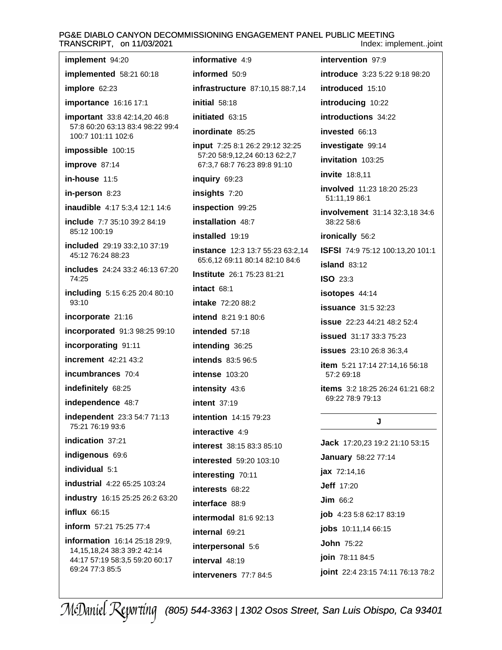#### PG&E DIABLO CANYON DECOMMISSIONING ENGAGEMENT PANEL PUBLIC MEETING TRANSCRIPT, on 11/03/2021 Index: implement..joint

informative 4:9

informed  $50:9$ 

initial 58:18

intervention 97:9 **introduce** 3:23 5:22 9:18 98:20 infrastructure 87:10.15 88:7.14 introduced 15:10 introducing 10:22 introductions 34:22 invested 66:13 investigate 99:14 invitation 103:25

**invite** 18:8.11

involved 11:23 18:20 25:23 51:11,19 86:1

involvement 31:14 32:3,18 34:6 38:22 58:6

ironically 56:2

ISFSI 74:9 75:12 100:13,20 101:1

 $island 83:12$ 

**ISO 23:3** 

isotopes 44:14

**issuance** 31:5 32:23

**issue** 22:23 44:21 48:2 52:4

**issued** 31:17 33:3 75:23

**issues** 23:10 26:8 36:3.4

item 5:21 17:14 27:14,16 56:18 57:2 69:18

items 3:2 18:25 26:24 61:21 68:2 69:22 78:9 79:13

J

Jack 17:20,23 19:2 21:10 53:15 **January** 58:22 77:14 **jax**  $72:14,16$ **Jeff** 17:20  $Jim 66:2$ job 4:23 5:8 62:17 83:19 jobs 10:11,14 66:15 **John 75:22** join 78:11 84:5 joint 22:4 23:15 74:11 76:13 78:2

implemented 58:21 60:18 implore  $62:23$ importance 16:16 17:1 important 33:8 42:14,20 46:8 57:8 60:20 63:13 83:4 98:22 99:4 100:7 101:11 102:6 impossible 100:15 improve 87:14 in-house  $11:5$ in-person 8:23 inaudible 4:17 5:3,4 12:1 14:6 include 7:7 35:10 39:2 84:19 85:12 100:19 included 29:19 33:2,10 37:19 45:12 76:24 88:23 includes 24:24 33:2 46:13 67:20 74:25 including 5:15 6:25 20:4 80:10 93:10 incorporate 21:16 incorporated 91:3 98:25 99:10 incorporating 91:11 **increment** 42:21 43:2 incumbrances 70:4 indefinitely 68:25 independence 48:7 independent 23:3 54:7 71:13 75:21 76:19 93:6 indication 37:21 indigenous 69:6 individual 5:1 **industrial** 4:22 65:25 103:24 industry 16:15 25:25 26:2 63:20  $influx$  66:15 inform 57:21 75:25 77:4 information 16:14 25:18 29:9. 14, 15, 18, 24 38: 3 39: 2 42: 14 44:17 57:19 58:3,5 59:20 60:17 69:24 77:3 85:5

implement 94:20

initiated 63:15 inordinate 85:25 input 7:25 8:1 26:2 29:12 32:25 57:20 58:9,12,24 60:13 62:2,7 67:3.7 68:7 76:23 89:8 91:10 inquiry 69:23 insights 7:20 inspection 99:25 installation 48:7 installed 19:19 **instance** 12:3 13:7 55:23 63:2,14 65:6.12 69:11 80:14 82:10 84:6 Institute 26:1 75:23 81:21 intact 68:1 intake 72:20 88:2 intend 8:21 9:1 80:6 intended 57:18 intending 36:25 intends 83:5 96:5 **intense** 103:20 intensity 43:6 **intent** 37:19 **intention** 14:15 79:23 interactive 4:9 interest 38:15 83:3 85:10 interested 59:20 103:10 interesting 70:11 interests 68:22 interface 88.9 **intermodal** 81:6 92:13 internal 69:21 interpersonal 5:6 interval 48:19 interveners 77:7 84:5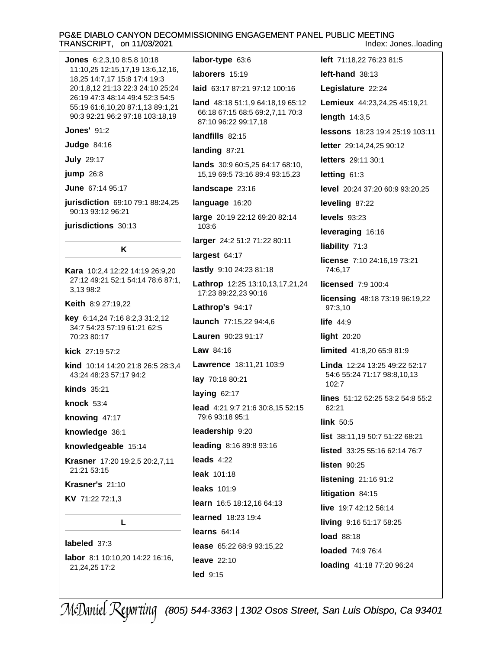#### PG&E DIABLO CANYON DECOMMISSIONING ENGAGEMENT PANEL PUBLIC MEETING TRANSCRIPT, on 11/03/2021 Index: Jones..loading

left 71:18.22 76:23 81:5 Jones 6:2.3.10 8:5.8 10:18 labor-type  $63:6$ 11:10.25 12:15.17.19 13:6.12.16. laborers 15:19  $left$ -hand  $38:13$ 18,25 14:7,17 15:8 17:4 19:3 20:1,8,12 21:13 22:3 24:10 25:24 laid 63:17 87:21 97:12 100:16 Legislature 22:24 26:19 47:3 48:14 49:4 52:3 54:5 Lemieux 44:23,24,25 45:19,21 land 48:18 51:1,9 64:18,19 65:12 55:19 61:6,10,20 87:1,13 89:1,21 66:18 67:15 68:5 69:2,7,11 70:3 90:3 92:21 96:2 97:18 103:18,19 length  $14:3,5$ 87:10 96:22 99:17,18 **Jones' 91:2** lessons 18:23 19:4 25:19 103:11 landfills 82:15 **Judge 84:16** letter 29:14,24,25 90:12 landing 87:21 **July 29:17** letters 29:11 30:1 **lands** 30:9 60:5.25 64:17 68:10. jump 26:8 15,19 69:5 73:16 89:4 93:15,23 letting  $61:3$ June 67:14 95:17 level 20:24 37:20 60:9 93:20,25 landscape 23:16 jurisdiction 69:10 79:1 88:24,25 language 16:20 leveling 87:22 90:13 93:12 96:21 large 20:19 22:12 69:20 82:14 levels 93:23 jurisdictions 30:13 103:6 leveraging 16:16 larger 24:2 51:2 71:22 80:11 liability 71:3 K largest  $64:17$ license 7:10 24:16,19 73:21 lastly 9:10 24:23 81:18 74:6.17 Kara 10:2,4 12:22 14:19 26:9,20 27:12 49:21 52:1 54:14 78:6 87:1, Lathrop 12:25 13:10,13,17,21,24 licensed 7:9 100:4 3,13 98:2 17:23 89:22,23 90:16 licensing 48:18 73:19 96:19,22 Keith 8:9 27:19.22 Lathrop's 94:17 97:3,10 key 6:14,24 7:16 8:2,3 31:2,12 launch 77:15,22 94:4,6 life  $44:9$ 34:7 54:23 57:19 61:21 62:5 70:23 80:17 Lauren 90:23 91:17 light  $20:20$ kick 27:19 57:2 **Law**  $84:16$ limited 41:8,20 65:9 81:9 Lawrence 18:11,21 103:9 kind 10:14 14:20 21:8 26:5 28:3,4 Linda 12:24 13:25 49:22 52:17 43:24 48:23 57:17 94:2 54:6 55:24 71:17 98:8,10,13 lay 70:18 80:21  $102:7$ **kinds** 35:21 laying 62:17 lines 51:12 52:25 53:2 54:8 55:2 knock  $53:4$ lead 4:21 9:7 21:6 30:8.15 52:15 62:21 79:6 93:18 95:1 knowing 47:17 link 50:5 leadership 9:20 knowledge 36:1 list 38:11,19 50:7 51:22 68:21 knowledgeable 15:14 leading 8:16 89:8 93:16 listed 33:25 55:16 62:14 76:7 leads  $4:22$ Krasner 17:20 19:2,5 20:2,7,11 listen  $90:25$ 21:21 53:15 leak 101:18 listening 21:16 91:2 Krasner's 21:10 leaks 101:9 litigation 84:15 KV 71:22 72:1.3 learn 16:5 18:12,16 64:13 live 19:7 42:12 56:14 **learned** 18:23 19:4 L living 9:16 51:17 58:25 learns  $64:14$ **load** 88:18 labeled 37:3 lease 65:22 68:9 93:15,22 loaded 74:9 76:4 labor 8:1 10:10,20 14:22 16:16, leave 22:10 loading 41:18 77:20 96:24

led 9:15

21,24,25 17:2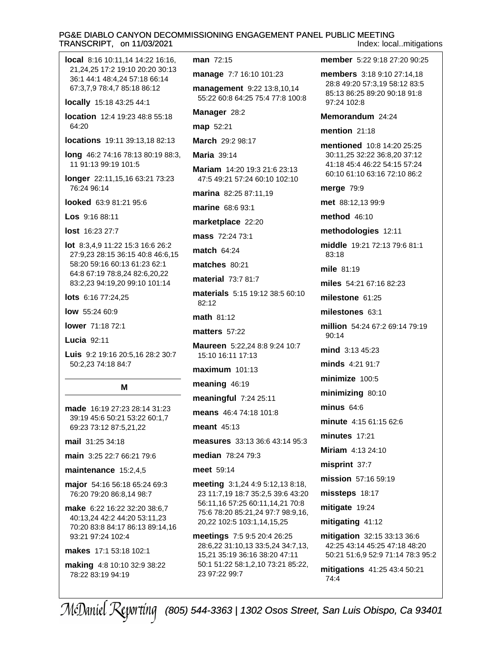# PG&E DIABLO CANYON DECOMMISSIONING ENGAGEMENT PANEL PUBLIC MEETING TRANSCRIPT. on 11/03/2021

Index: local..mitigations

| man 72:15                                                  |
|------------------------------------------------------------|
| <b>manage 7:7 16:1</b>                                     |
| management 9:<br>55:22 60:8 64:25                          |
|                                                            |
| Manager 28:2                                               |
| <b>map</b> 52:21                                           |
| <b>March</b> 29:2 98:17                                    |
| Maria 39:14                                                |
| <b>Mariam</b> 14:20 19<br>47:5 49:21 57:24                 |
| <b>marina</b> 82:25 87:                                    |
| marine 68:6 93:1                                           |
| marketplace 22:                                            |
| <b>mass</b> 72:24 73:1                                     |
| <b>match 64:24</b>                                         |
| matches 80:21                                              |
| material 73:7 81:                                          |
| materials 5:15 19<br>82:12                                 |
| math 81:12                                                 |
| matters 57:22                                              |
| <b>Maureen</b> 5:22,24<br>15:10 16:11 17:13                |
| maximum 101:13                                             |
| meaning 46:19                                              |
| meaningful 7:24                                            |
| means 46:4 74:18                                           |
| meant $45:13$                                              |
| measures 33:13                                             |
| <b>median</b> 78:24 79                                     |
|                                                            |
| meet 59:14                                                 |
| meeting 3:1,24 4<br>23 11:7,19 18:7 3<br>56:11,16 57:25 60 |
| 75:6 78:20 85:21,                                          |
| 20,22 102:5 103:<br>meetings 7:5 9:5                       |
|                                                            |

making 4:8 10:10 32:9 38:22 78:22 83:19 94:19

0 101:23

22 13:8,10,14 75:4 77:8 100:8

 $:321:623:13$ 60:10 102:10

:11,19

20

 $\overline{7}$ 

9:12 38:5 60:10

8:8 9:24 10:7 3

3

25:11

8 101:8

36:6 43:14 95:3

:3

 $:95:12,138:18,$ 35:2,5 39:6 43:20 0:11,14,21 70:8 24 97:7 98:9,16, ,14,15,25

20:4 26:25 33:5,24 34:7,13, 6 38:20 47:11 50:1 51:22 58:1,2,10 73:21 85:22, 23 97:22 99:7

member 5:22 9:18 27:20 90:25

members 3:18 9:10 27:14.18 28:8 49:20 57:3,19 58:12 83:5 85:13 86:25 89:20 90:18 91:8 97:24 102:8

Memorandum 24:24

mention  $21:18$ 

mentioned 10:8 14:20 25:25 30:11,25 32:22 36:8,20 37:12 41:18 45:4 46:22 54:15 57:24 60:10 61:10 63:16 72:10 86:2

merge 79:9

met 88:12,13 99:9

method 46:10

methodologies 12:11

middle 19:21 72:13 79:6 81:1 83:18

mile 81:19

miles 54:21 67:16 82:23

milestone 61:25

milestones 63:1

million 54:24 67:2 69:14 79:19  $90:14$ 

mind 3:13 45:23

minds 4:21 91:7

minimize 100:5

minimizing 80:10

minus  $64:6$ 

minute 4:15 61:15 62:6

 $minutes$  17:21

Miriam 4:13 24:10

misprint 37:7

mission 57:16 59:19

missteps 18:17

mitigate 19:24

mitigating 41:12

mitigation 32:15 33:13 36:6 42:25 43:14 45:25 47:18 48:20 50:21 51:6,9 52:9 71:14 78:3 95:2

mitigations 41:25 43:4 50:21 74:4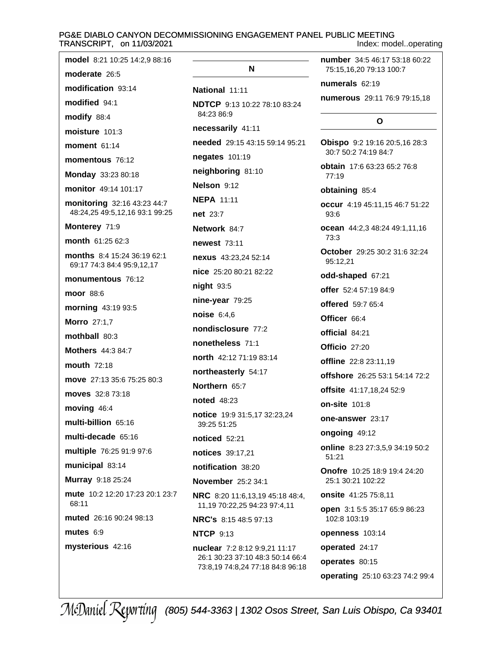# PG&E DIABLO CANYON DECOMMISSIONING ENGAGEMENT PANEL PUBLIC MEETING<br>TRANSCRIPT, on 11/03/2021

Index: model..operating

| model 8:21 10:25 14:2,9 88:16                                 |                                                                      | <b>number</b> 34:5 46:17 53:18 60:22                                |
|---------------------------------------------------------------|----------------------------------------------------------------------|---------------------------------------------------------------------|
| moderate 26:5                                                 | N                                                                    | 75:15,16,20 79:13 100:7                                             |
| modification 93:14                                            | National 11:11                                                       | numerals 62:19                                                      |
| modified 94:1                                                 | <b>NDTCP</b> 9:13 10:22 78:10 83:24                                  | numerous 29:11 76:9 79:15,18                                        |
| modify 88:4                                                   | 84:23 86:9                                                           | O                                                                   |
| moisture 101:3                                                | necessarily 41:11                                                    |                                                                     |
| moment $61:14$                                                | needed 29:15 43:15 59:14 95:21                                       | Obispo 9:2 19:16 20:5,16 28:3<br>30:7 50:2 74:19 84:7               |
| momentous 76:12                                               | negates 101:19                                                       | <b>obtain</b> 17:6 63:23 65:2 76:8                                  |
| Monday 33:23 80:18                                            | neighboring 81:10                                                    | 77:19                                                               |
| monitor 49:14 101:17                                          | Nelson 9:12                                                          | obtaining 85:4                                                      |
| monitoring 32:16 43:23 44:7<br>48:24,25 49:5,12,16 93:1 99:25 | <b>NEPA 11:11</b><br><b>net</b> 23:7                                 | occur 4:19 45:11,15 46:7 51:22<br>93:6                              |
| Monterey 71:9                                                 | Network 84:7                                                         | ocean 44:2,3 48:24 49:1,11,16                                       |
| month 61:25 62:3                                              | <b>newest</b> 73:11                                                  | 73:3                                                                |
| months 8:4 15:24 36:19 62:1<br>69:17 74:3 84:4 95:9,12,17     | nexus 43:23,24 52:14                                                 | October 29:25 30:2 31:6 32:24<br>95:12,21                           |
| monumentous 76:12                                             | nice 25:20 80:21 82:22                                               | odd-shaped 67:21                                                    |
| moor 88:6                                                     | night 93:5                                                           | offer 52:4 57:19 84:9                                               |
| morning 43:19 93:5                                            | nine-year 79:25                                                      | <b>offered</b> 59:7 65:4                                            |
| <b>Morro</b> 27:1,7                                           | noise 6:4,6                                                          | Officer 66:4                                                        |
| mothball 80:3                                                 | nondisclosure 77:2                                                   | official 84:21                                                      |
| <b>Mothers</b> 44:3 84:7                                      | nonetheless 71:1                                                     | Officio 27:20                                                       |
| <b>mouth 72:18</b>                                            | north 42:12 71:19 83:14                                              | <b>offline</b> 22:8 23:11,19                                        |
| move 27:13 35:6 75:25 80:3                                    | northeasterly 54:17                                                  | offshore 26:25 53:1 54:14 72:2                                      |
| moves 32:8 73:18                                              | Northern 65:7                                                        | offsite 41:17,18,24 52:9                                            |
| moving 46:4                                                   | <b>noted</b> 48:23                                                   | <b>on-site 101:8</b>                                                |
| multi-billion 65:16                                           | notice 19:9 31:5,17 32:23,24<br>39:25 51:25                          | one-answer 23:17                                                    |
| multi-decade 65:16                                            | <b>noticed</b> 52:21                                                 | ongoing 49:12                                                       |
| multiple 76:25 91:9 97:6                                      | notices 39:17,21                                                     | online 8:23 27:3,5,9 34:19 50:2<br>51:21                            |
| municipal 83:14                                               | notification 38:20                                                   | <b>Onofre</b> 10:25 18:9 19:4 24:20                                 |
| Murray 9:18 25:24                                             | <b>November</b> 25:2 34:1                                            | 25:1 30:21 102:22                                                   |
| mute 10:2 12:20 17:23 20:1 23:7<br>68:11                      | NRC 8:20 11:6,13,19 45:18 48:4,<br>11,19 70:22,25 94:23 97:4,11      | <b>onsite</b> 41:25 75:8,11<br><b>open</b> 3:1 5:5 35:17 65:9 86:23 |
| muted 26:16 90:24 98:13                                       | <b>NRC's</b> 8:15 48:5 97:13                                         | 102:8 103:19                                                        |
| mutes $6:9$                                                   | <b>NTCP 9:13</b>                                                     | openness 103:14                                                     |
| mysterious 42:16                                              | nuclear 7:2 8:12 9:9,21 11:17                                        | operated 24:17                                                      |
|                                                               | 26:1 30:23 37:10 48:3 50:14 66:4<br>73:8,19 74:8,24 77:18 84:8 96:18 | operates 80:15                                                      |
|                                                               |                                                                      | operating 25:10 63:23 74:2 99:4                                     |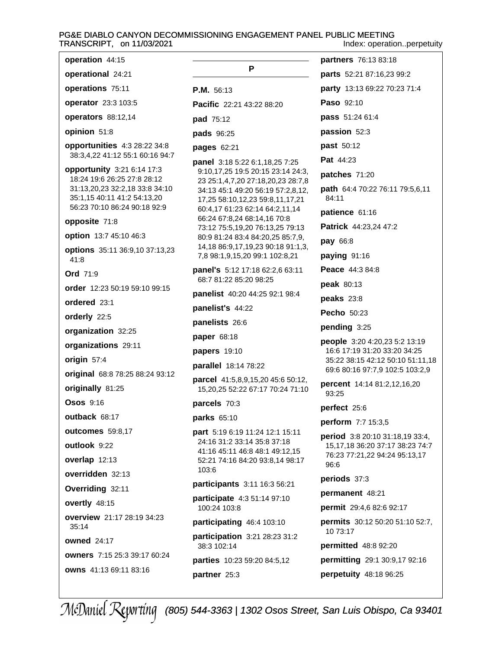#### PG&E DIABLO CANYON DECOMMISSIONING ENGAGEMENT PANEL PUBLIC MEETING TRANSCRIPT, on 11/03/2021 Index: operation..perpetuity

| operation 44:15                                                                                                                                            |                                                                                                                                                                                  |  |
|------------------------------------------------------------------------------------------------------------------------------------------------------------|----------------------------------------------------------------------------------------------------------------------------------------------------------------------------------|--|
| operational 24:21                                                                                                                                          | P                                                                                                                                                                                |  |
| operations 75:11                                                                                                                                           | P.M. 56:13                                                                                                                                                                       |  |
| operator 23:3 103:5                                                                                                                                        | Pacific 22:21 43:22 88:20                                                                                                                                                        |  |
| operators 88:12,14                                                                                                                                         | pad 75:12                                                                                                                                                                        |  |
| opinion 51:8                                                                                                                                               | pads 96:25                                                                                                                                                                       |  |
| opportunities 4:3 28:22 34:8<br>38:3,4,22 41:12 55:1 60:16 94:7                                                                                            | <b>pages 62:21</b><br>panel 3:18 5:22 6:1,18,25 7:25                                                                                                                             |  |
| opportunity 3:21 6:14 17:3<br>18:24 19:6 26:25 27:8 28:12<br>31:13,20,23 32:2,18 33:8 34:10<br>35:1,15 40:11 41:2 54:13,20<br>56:23 70:10 86:24 90:18 92:9 | 9:10,17,25 19:5 20:15 23:14 24:3,<br>23 25:1,4,7,20 27:18,20,23 28:7,8<br>34:13 45:1 49:20 56:19 57:2,8,12,<br>17,25 58:10,12,23 59:8,11,17,21<br>60:4,17 61:23 62:14 64:2,11,14 |  |
| opposite 71:8                                                                                                                                              | 66:24 67:8,24 68:14,16 70:8<br>73:12 75:5,19,20 76:13,25 79:13                                                                                                                   |  |
| option 13:7 45:10 46:3                                                                                                                                     | 80:9 81:24 83:4 84:20,25 85:7,9,                                                                                                                                                 |  |
| options 35:11 36:9,10 37:13,23<br>41:8                                                                                                                     | 14,18 86:9,17,19,23 90:18 91:1,3,<br>7,8 98:1,9,15,20 99:1 102:8,21                                                                                                              |  |
| <b>Ord</b> 71:9                                                                                                                                            | <b>panel's</b> 5:12 17:18 62:2,6 63:11<br>68:7 81:22 85:20 98:25                                                                                                                 |  |
| <b>order</b> 12:23 50:19 59:10 99:15                                                                                                                       | <b>panelist</b> 40:20 44:25 92:1 98:4                                                                                                                                            |  |
| ordered 23:1                                                                                                                                               | panelist's 44:22                                                                                                                                                                 |  |
| orderly 22:5                                                                                                                                               | panelists 26:6                                                                                                                                                                   |  |
| organization 32:25                                                                                                                                         | paper 68:18                                                                                                                                                                      |  |
| organizations 29:11                                                                                                                                        | <b>papers</b> 19:10                                                                                                                                                              |  |
| origin 57:4                                                                                                                                                | parallel 18:14 78:22                                                                                                                                                             |  |
| original 68:8 78:25 88:24 93:12                                                                                                                            | parcel 41:5,8,9,15,20 45:6 50:12,                                                                                                                                                |  |
| originally 81:25                                                                                                                                           | 15,20,25 52:22 67:17 70:24 71:10                                                                                                                                                 |  |
| $O$ sos $9:16$                                                                                                                                             | parcels 70:3                                                                                                                                                                     |  |
| <b>outback 68:17</b>                                                                                                                                       | parks 65:10                                                                                                                                                                      |  |
| outcomes 59:8,17                                                                                                                                           | part 5:19 6:19 11:24 12:1 15:11                                                                                                                                                  |  |
| outlook 9:22                                                                                                                                               | 24:16 31:2 33:14 35:8 37:18<br>41:16 45:11 46:8 48:1 49:12,15                                                                                                                    |  |
| overlap 12:13                                                                                                                                              | 52:21 74:16 84:20 93:8,14 98:17                                                                                                                                                  |  |
| overridden 32:13                                                                                                                                           | 103:6                                                                                                                                                                            |  |
| Overriding 32:11                                                                                                                                           | participants 3:11 16:3 56:21                                                                                                                                                     |  |
| overtly 48:15                                                                                                                                              | participate 4:3 51:14 97:10<br>100:24 103:8                                                                                                                                      |  |
| overview 21:17 28:19 34:23<br>35:14                                                                                                                        | participating 46:4 103:10                                                                                                                                                        |  |
| owned $24:17$                                                                                                                                              | participation 3:21 28:23 31:2<br>38:3 102:14                                                                                                                                     |  |
| owners 7:15 25:3 39:17 60:24                                                                                                                               | parties 10:23 59:20 84:5,12                                                                                                                                                      |  |
| owns 41:13 69:11 83:16                                                                                                                                     | partner 25:3                                                                                                                                                                     |  |

partners 76:13 83:18 parts 52:21 87:16,23 99:2 party 13:13 69:22 70:23 71:4 Paso 92:10 pass 51:24 61:4 passion 52:3 past 50:12 Pat 44:23 patches 71:20 path 64:4 70:22 76:11 79:5,6,11 84:11 patience 61:16 Patrick 44:23,24 47:2 pay 66:8 paying 91:16 Peace 44:3 84:8 peak 80:13 peaks 23:8 **Pecho** 50:23 pending 3:25 people 3:20 4:20,23 5:2 13:19 16:6 17:19 31:20 33:20 34:25 35:22 38:15 42:12 50:10 51:11,18 69:6 80:16 97:7,9 102:5 103:2,9 percent 14:14 81:2,12,16,20 93:25 perfect 25:6 perform 7:7 15:3,5 period 3:8 20:10 31:18,19 33:4, 15, 17, 18 36: 20 37: 17 38: 23 74: 7 76:23 77:21,22 94:24 95:13,17 96:6 periods 37:3 permanent 48:21 permit 29:4,6 82:6 92:17 **permits** 30:12 50:20 51:10 52:7, 10 73:17 permitted 48:8 92:20 permitting 29:1 30:9,17 92:16 perpetuity 48:18 96:25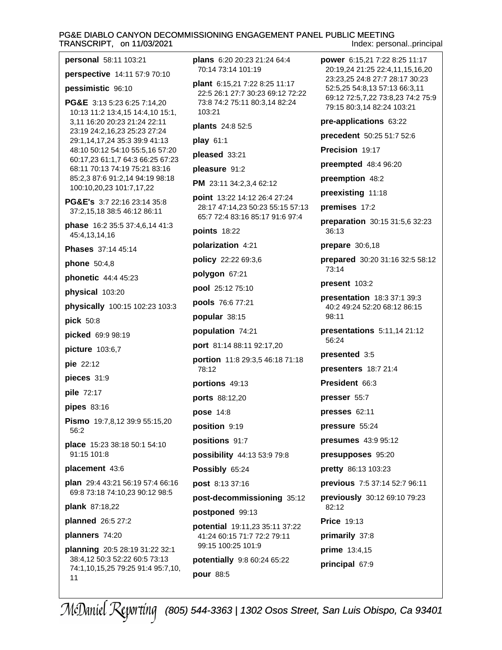#### PG&E DIABLO CANYON DECOMMISSIONING ENGAGEMENT PANEL PUBLIC MEETING TRANSCRIPT, on 11/03/2021 Index: personal..principal

| personal 58:11 103:21                                                                         | plans 6:20 20:23 21:24 64:4<br>70:14 73:14 101:19                                                            |  |
|-----------------------------------------------------------------------------------------------|--------------------------------------------------------------------------------------------------------------|--|
| perspective 14:11 57:9 70:10                                                                  |                                                                                                              |  |
| pessimistic 96:10                                                                             | plant 6:15,21 7:22 8:25 11:17<br>22:5 26:1 27:7 30:23 69:12 72:22<br>73:8 74:2 75:11 80:3,14 82:24<br>103:21 |  |
| PG&E 3:13 5:23 6:25 7:14,20<br>10:13 11:2 13:4,15 14:4,10 15:1,                               |                                                                                                              |  |
| 3,11 16:20 20:23 21:24 22:11<br>23:19 24:2,16,23 25:23 27:24<br>29:1,14,17,24 35:3 39:9 41:13 | plants 24:8 52:5                                                                                             |  |
|                                                                                               | play 61:1                                                                                                    |  |
| 48:10 50:12 54:10 55:5,16 57:20<br>60:17,23 61:1,7 64:3 66:25 67:23                           | pleased 33:21                                                                                                |  |
| 68:11 70:13 74:19 75:21 83:16                                                                 | pleasure 91:2                                                                                                |  |
| 85:2,3 87:6 91:2,14 94:19 98:18<br>100:10,20,23 101:7,17,22                                   | PM 23:11 34:2,3,4 62:12                                                                                      |  |
| <b>PG&amp;E's</b> 3:7 22:16 23:14 35:8<br>37:2,15,18 38:5 46:12 86:11                         | <b>point</b> 13:22 14:12 26:4 27:24<br>28:17 47:14,23 50:23 55:15 57:13<br>65:7 72:4 83:16 85:17 91:6 97:4   |  |
| phase 16:2 35:5 37:4,6,14 41:3<br>45:4,13,14,16                                               | points 18:22                                                                                                 |  |
| Phases 37:14 45:14                                                                            | polarization 4:21                                                                                            |  |
| policy 22:22 69:3,6<br><b>phone</b> 50:4,8                                                    |                                                                                                              |  |
| phonetic 44:4 45:23                                                                           | polygon 67:21                                                                                                |  |
| physical 103:20                                                                               | pool 25:12 75:10                                                                                             |  |
| physically 100:15 102:23 103:3                                                                | pools 76:6 77:21                                                                                             |  |
| pick 50:8                                                                                     | popular 38:15                                                                                                |  |
| picked 69:9 98:19                                                                             | population 74:21                                                                                             |  |
| picture 103:6,7                                                                               | port 81:14 88:11 92:17,20                                                                                    |  |
| pie 22:12                                                                                     | <b>portion</b> 11:8 29:3,5 46:18 71:18<br>78:12                                                              |  |
| pieces 31:9                                                                                   | portions 49:13                                                                                               |  |
| pile 72:17                                                                                    | ports 88:12,20                                                                                               |  |
| pipes 83:16                                                                                   | <b>pose 14:8</b>                                                                                             |  |
| Pismo 19:7,8,12 39:9 55:15,20<br>56:2                                                         | position 9:19                                                                                                |  |
| place 15:23 38:18 50:1 54:10                                                                  | positions 91:7                                                                                               |  |
| 91:15 101:8                                                                                   | possibility 44:13 53:9 79:8                                                                                  |  |
| placement 43:6                                                                                | Possibly 65:24                                                                                               |  |
| plan 29:4 43:21 56:19 57:4 66:16                                                              | post 8:13 37:16                                                                                              |  |
| 69:8 73:18 74:10,23 90:12 98:5                                                                | post-decommissioning 35:12                                                                                   |  |
| plank 87:18,22<br>planned 26:5 27:2                                                           | postponed 99:13                                                                                              |  |
|                                                                                               | potential 19:11,23 35:11 37:22                                                                               |  |
| planners 74:20<br>planning 20:5 28:19 31:22 32:1                                              | 41:24 60:15 71:7 72:2 79:11<br>99:15 100:25 101:9                                                            |  |
| 38:4,12 50:3 52:22 60:5 73:13                                                                 | potentially 9:8 60:24 65:22                                                                                  |  |
| 74:1,10,15,25 79:25 91:4 95:7,10,<br>11                                                       | <b>pour</b> 88:5                                                                                             |  |
|                                                                                               |                                                                                                              |  |

power 6:15,21 7:22 8:25 11:17 20:19,24 21:25 22:4,11,15,16,20 23:23,25 24:8 27:7 28:17 30:23 52:5,25 54:8,13 57:13 66:3,11 69:12 72:5,7,22 73:8,23 74:2 75:9 79:15 80:3,14 82:24 103:21 pre-applications 63:22 precedent 50:25 51:7 52:6 Precision 19:17 preempted 48:4 96:20 preemption 48:2 preexisting 11:18 premises 17:2 preparation 30:15 31:5,6 32:23 36:13 prepare 30:6,18 prepared 30:20 31:16 32:5 58:12 73:14 present 103:2 presentation 18:3 37:1 39:3 40:2 49:24 52:20 68:12 86:15 98:11 presentations 5:11,14 21:12 56:24 presented 3:5 presenters 18:7 21:4 President 66:3 presser 55:7 presses 62:11 pressure 55:24 presumes 43:9 95:12 presupposes 95:20 pretty 86:13 103:23 previous 7:5 37:14 52:7 96:11 previously 30:12 69:10 79:23 82:12 **Price 19:13** primarily 37:8 prime 13:4,15 principal 67:9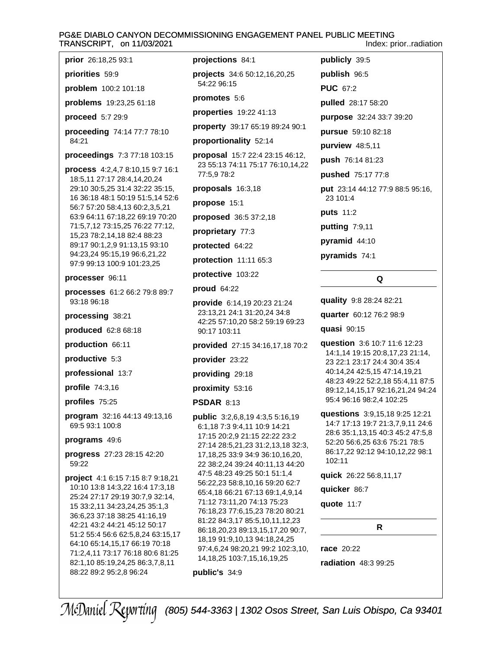#### PG&E DIABLO CANYON DECOMMISSIONING ENGAGEMENT PANEL PUBLIC MEETING TRANSCRIPT, on 11/03/2021 Index: prior..radiation

prior 26:18,25 93:1

priorities 59:9

problem 100:2 101:18

problems 19:23,25 61:18

proceed 5:7 29:9

proceeding 74:14 77:7 78:10  $84.21$ 

proceedings 7:3 77:18 103:15

process 4:2,4,7 8:10,15 9:7 16:1 18:5,11 27:17 28:4,14,20,24 29:10 30:5,25 31:4 32:22 35:15, 16 36:18 48:1 50:19 51:5,14 52:6 56:7 57:20 58:4,13 60:2,3,5,21 63:9 64:11 67:18,22 69:19 70:20 71:5,7,12 73:15,25 76:22 77:12, 15,23 78:2,14,18 82:4 88:23 89:17 90:1,2,9 91:13,15 93:10 94:23,24 95:15,19 96:6,21,22 97:9 99:13 100:9 101:23,25

processer 96:11

processes 61:2 66:2 79:8 89:7 93:18 96:18

processing 38:21

produced 62:8 68:18

production 66:11

productive 5:3

professional 13:7

profile 74:3,16

profiles 75:25

program 32:16 44:13 49:13,16 69:5 93:1 100:8

programs 49:6

progress 27:23 28:15 42:20 59:22

**project** 4:1 6:15 7:15 8:7 9:18,21 10:10 13:8 14:3,22 16:4 17:3,18 25:24 27:17 29:19 30:7,9 32:14, 15 33:2,11 34:23,24,25 35:1,3 36:6,23 37:18 38:25 41:16,19 42:21 43:2 44:21 45:12 50:17 51:2 55:4 56:6 62:5,8,24 63:15,17 64:10 65:14,15,17 66:19 70:18 71:2,4,11 73:17 76:18 80:6 81:25 82:1,10 85:19,24,25 86:3,7,8,11 88:22 89:2 95:2,8 96:24

projections 84:1

projects 34:6 50:12,16,20,25 54:22 96:15

promotes 5:6

properties 19:22 41:13

property 39:17 65:19 89:24 90:1

proportionality 52:14

proposal 15:7 22:4 23:15 46:12, 23 55:13 74:11 75:17 76:10,14,22 77:5.9 78:2

proposals 16:3,18

propose 15:1

proposed 36:5 37:2,18

proprietary 77:3

protected 64:22

protection 11:11 65:3

protective 103:22

proud 64:22

provide 6:14,19 20:23 21:24 23:13,21 24:1 31:20,24 34:8 42:25 57:10,20 58:2 59:19 69:23 90:17 103:11

**provided** 27:15 34:16,17,18 70:2

provider 23:22

providing 29:18

proximity 53:16

**PSDAR 8:13** 

**public** 3:2,6,8,19 4:3,5 5:16,19 6:1,18 7:3 9:4,11 10:9 14:21 17:15 20:2,9 21:15 22:22 23:2 27:14 28:5,21,23 31:2,13,18 32:3, 17, 18, 25 33: 9 34: 9 36: 10, 16, 20, 22 38:2,24 39:24 40:11,13 44:20 47:5 48:23 49:25 50:1 51:1,4 56:22,23 58:8,10,16 59:20 62:7 65:4,18 66:21 67:13 69:1,4,9,14 71:12 73:11,20 74:13 75:23 76:18,23 77:6,15,23 78:20 80:21 81:22 84:3,17 85:5,10,11,12,23 86:18,20,23 89:13,15,17,20 90:7, 18,19 91:9,10,13 94:18,24,25 97:4,6,24 98:20,21 99:2 102:3,10, 14, 18, 25 103: 7, 15, 16, 19, 25

### public's 34:9

publicly 39:5 publish 96:5 **PUC 67:2** pulled 28:17 58:20 purpose 32:24 33:7 39:20 pursue 59:10 82:18 purview 48:5,11 push 76:14 81:23 pushed 75:17 77:8 put 23:14 44:12 77:9 88:5 95:16, 23 101:4 puts 11:2 putting 7:9,11

pyramid  $44:10$ 

pyramids 74:1

# Q

quality 9:8 28:24 82:21

quarter 60:12 76:2 98:9

quasi 90:15

question 3:6 10:7 11:6 12:23 14:1,14 19:15 20:8,17,23 21:14, 23 22:1 23:17 24:4 30:4 35:4 40:14,24 42:5,15 47:14,19,21 48:23 49:22 52:2,18 55:4,11 87:5 89:12,14,15,17 92:16,21,24 94:24 95:4 96:16 98:2,4 102:25

questions 3:9,15,18 9:25 12:21 14:7 17:13 19:7 21:3,7,9,11 24:6 28:6 35:1,13,15 40:3 45:2 47:5,8 52:20 56:6,25 63:6 75:21 78:5 86:17,22 92:12 94:10,12,22 98:1 102:11

 $\mathsf{R}$ 

quick 26:22 56:8,11,17

quicker 86:7

quote 11:7

race 20:22 radiation 48:3 99:25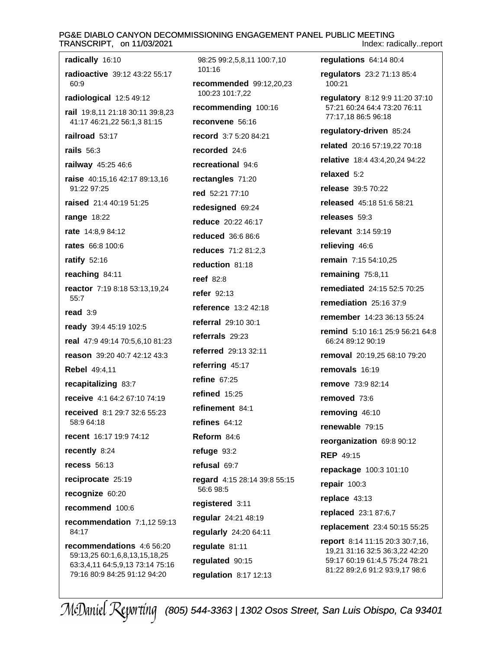#### PG&E DIABLO CANYON DECOMMISSIONING ENGAGEMENT PANEL PUBLIC MEETING TRANSCRIPT, on 11/03/2021 Index: radically..report

radically 16:10 98:25 99:2,5,8,11 100:7,10 101:16 radioactive 39:12 43:22 55:17 recommended 99:12,20,23  $60.9$ 100:23 101:7,22 radiological 12:5 49:12 recommending 100:16 rail 19:8,11 21:18 30:11 39:8,23 41:17 46:21,22 56:1,3 81:15 reconvene 56:16 railroad 53:17 record 3:7 5:20 84:21 rails  $56:3$ recorded 24:6 recreational 94:6 railway 45:25 46:6 raise 40:15,16 42:17 89:13,16 rectangles 71:20 91:22 97:25 red 52:21 77:10 raised 21:4 40:19 51:25 redesigned 69:24 **range 18:22** reduce 20:22 46:17 rate 14:8,9 84:12 **reduced** 36:6 86:6 **rates** 66:8 100:6 reduces 71:2 81:2,3 ratify  $52:16$ reduction 81:18 reaching 84:11 reef  $82:8$ reactor 7:19 8:18 53:13,19,24 refer 92:13 55:7 reference 13:2 42:18 read  $3:9$ referral 29:10 30:1 ready 39:4 45:19 102:5 referrals  $29:23$ real 47:9 49:14 70:5,6,10 81:23 referred 29:13 32:11 reason 39:20 40:7 42:12 43:3 referring 45:17 Rebel 49:4,11 refine  $67:25$ recapitalizing 83:7 refined 15:25 receive 4:1 64:2 67:10 74:19 refinement 84:1 received 8:1 29:7 32:6 55:23 58:9 64:18 refines  $64:12$ recent 16:17 19:9 74:12 Reform 84:6 recently 8:24 refuge  $93:2$ **recess** 56:13 refusal 69:7 reciprocate 25:19 regard 4:15 28:14 39:8 55:15 56:6 98:5 recognize 60:20 registered 3:11 recommend 100:6 regular 24:21 48:19 recommendation 7:1,12 59:13  $84.17$ regularly 24:20 64:11 recommendations 4:6 56:20 regulate 81:11 59:13,25 60:1,6,8,13,15,18,25 requlated 90:15 63:3,4,11 64:5,9,13 73:14 75:16 79:16 80:9 84:25 91:12 94:20 regulation  $8:17$  12:13

regulations 64:14 80:4 regulators 23:2 71:13 85:4 100:21 regulatory 8:12 9:9 11:20 37:10 57:21 60:24 64:4 73:20 76:11 77:17,18 86:5 96:18 regulatory-driven 85:24 related 20:16 57:19,22 70:18 relative 18:4 43:4.20.24 94:22 relaxed  $5.2$ release 39:5 70:22 released 45:18 51:6 58:21 releases 59:3 relevant 3:14 59:19 relieving 46:6 remain 7:15 54:10.25 remaining 75:8,11 **remediated** 24:15 52:5 70:25 remediation 25:16 37:9 remember 14:23 36:13 55:24 remind 5:10 16:1 25:9 56:21 64:8 66:24 89:12 90:19 removal 20:19,25 68:10 79:20 removals 16:19 remove 73:9 82:14 removed 73:6 removing 46:10 renewable 79:15 reorganization 69:8 90:12 **REP 49:15** repackage 100:3 101:10 repair  $100:3$ replace 43:13 replaced 23:1 87:6,7 replacement 23:4 50:15 55:25 report 8:14 11:15 20:3 30:7,16, 19,21 31:16 32:5 36:3,22 42:20 59:17 60:19 61:4,5 75:24 78:21 81:22 89:2,6 91:2 93:9,17 98:6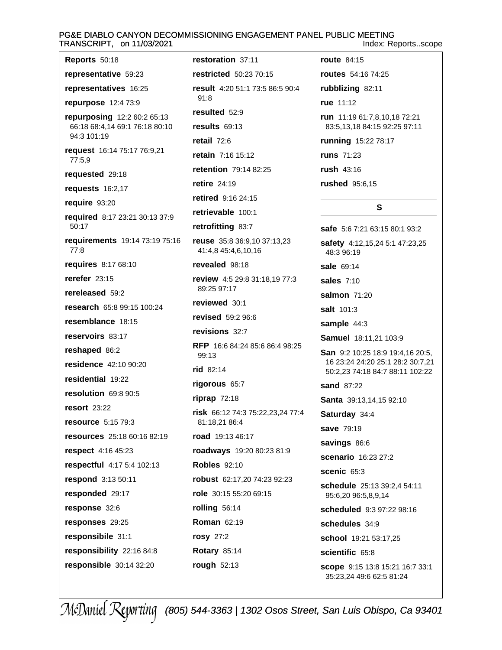# PG&E DIABLO CANYON DECOMMISSIONING ENGAGEMENT PANEL PUBLIC MEETING TRANSCRIPT, on 11/03/2021

Index: Reports..scope

| <b>Reports 50:18</b>                          | restor                    |
|-----------------------------------------------|---------------------------|
| representative 59:23                          | restric                   |
| representatives 16:25                         | result                    |
| repurpose 12:4 73:9                           | 91:8                      |
| repurposing 12:2 60:2 65:13                   | result                    |
| 66:18 68:4,14 69:1 76:18 80:10<br>94:3 101:19 | result:                   |
| request 16:14 75:17 76:9,21                   | retail                    |
| 77:5,9                                        | retain                    |
| requested 29:18                               | retenti                   |
| requests 16:2,17                              | retire                    |
| require 93:20                                 | retirec                   |
| required 8:17 23:21 30:13 37:9<br>50:17       | retriev<br>retrofi        |
| requirements 19:14 73:19 75:16<br>77:8        | reuse<br>41:4.8           |
| requires 8:17 68:10                           | reveal                    |
| rerefer $23:15$                               | review                    |
| rereleased 59:2                               | 89:25                     |
| <b>research</b> 65:8 99:15 100:24             | review                    |
| resemblance 18:15                             | revise                    |
| reservoirs 83:17                              | revisio                   |
| reshaped 86:2                                 | RFP <sub>1</sub><br>99:13 |
| residence 42:10 90:20                         | $rid$ 82                  |
| residential 19:22                             | rigoro                    |
| resolution 69:8 90:5                          | riprap                    |
| <b>resort</b> 23:22                           | risk 6                    |
| resource 5:15 79:3                            | 81:18                     |
| resources 25:18 60:16 82:19                   | road ·                    |
| respect 4:16 45:23                            | roadw                     |
| respectful 4:17 5:4 102:13                    | <b>Roble:</b>             |
| respond 3:13 50:11                            | robust                    |
| responded 29:17                               | role 3                    |
| response 32:6                                 | rolling                   |
| responses 29:25                               | Roma                      |
| responsibile 31:1                             | rosy 2                    |
| responsibility 22:16 84:8                     | <b>Rotary</b>             |
| responsible 30:14 32:20                       | rough                     |
|                                               |                           |

ation 37:11 **ted** 50:23 70:15 4:20 51:1 73:5 86:5 90:4 ed 52:9  $S$  69:13 72:6 7:16 15:12 **ion** 79:14 82:25  $24:19$  $J$  9:16 24:15 vable 100:1 **itting 83:7** 35:8 36:9,10 37:13,23 8 45:4,6,10,16 led 98:18 v 4:5 29:8 31:18,19 77:3 97:17 ved 30:1 d 59:2 96:6 **ons** 32:7 6:6 84:24 85:6 86:4 98:25  $:14$ **us** 65:7 72:18 6:12 74:3 75:22,23,24 77:4 ,21 86:4 19:13 46:17 **ays** 19:20 80:23 81:9  $$92:10$ t 62:17,20 74:23 92:23 0:15 55:20 69:15  $356:14$ n 62:19  $27:2$  $V 85:14$ 52:13

**route** 84:15 routes 54:16 74:25 rubblizing 82:11 rue 11:12 run 11:19 61:7,8,10,18 72:21 83:5,13,18 84:15 92:25 97:11 running 15:22 78:17 **runs** 71:23 rush 43:16 rushed 95:6,15  $\mathbf{s}$ safe 5:6 7:21 63:15 80:1 93:2 safety 4:12,15,24 5:1 47:23,25 48:3 96:19 sale 69:14 sales 7:10 salmon  $71:20$ salt 101:3 sample 44:3 Samuel 18:11,21 103:9 San 9:2 10:25 18:9 19:4,16 20:5, 16 23:24 24:20 25:1 28:2 30:7,21 50:2,23 74:18 84:7 88:11 102:22 **sand 87:22** 

Santa 39:13,14,15 92:10

Saturday 34:4

save 79:19

savings 86:6

scenario 16:23 27:2

scenic 65:3

schedule 25:13 39:2,4 54:11 95:6,20 96:5,8,9,14

scheduled 9:3 97:22 98:16

schedules 34:9

school 19:21 53:17,25

scientific 65:8

scope 9:15 13:8 15:21 16:7 33:1 35:23,24 49:6 62:5 81:24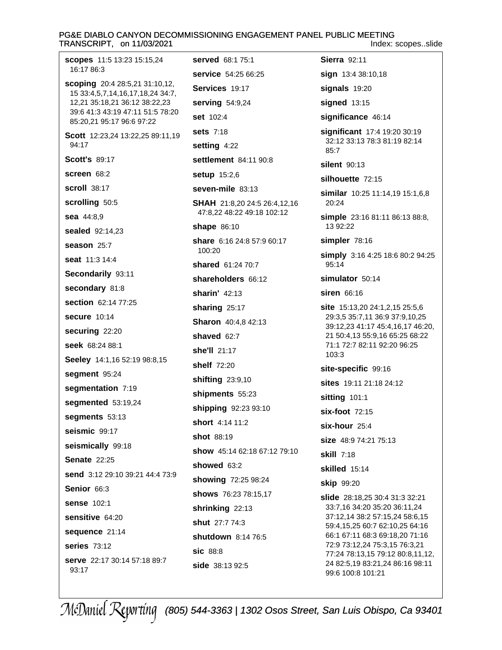#### PG&E DIABLO CANYON DECOMMISSIONING ENGAGEMENT PANEL PUBLIC MEETING TRANSCRIPT, on 11/03/2021 Index: scopes..slide

**scopes** 11:5 13:23 15:15,24 16:17 86:3 **scoping** 20:4 28:5,21 31:10,12, 15 33:4,5,7,14,16,17,18,24 34:7, 12,21 35:18,21 36:12 38:22,23 39:6 41:3 43:19 47:11 51:5 78:20 85:20,21 95:17 96:6 97:22 Scott 12:23,24 13:22,25 89:11,19 94:17 **Scott's 89:17** screen 68:2 **scroll** 38:17 scrolling 50:5 sea 44:8,9 **sealed** 92:14,23 season 25:7 seat 11:3 14:4 Secondarily 93:11 secondary 81:8 section 62:14 77:25 secure 10:14 securing 22:20 seek 68:24 88:1 Seeley 14:1,16 52:19 98:8,15 segment 95:24 segmentation 7:19 segmented 53:19,24 segments 53:13 seismic 99:17 seismically 99:18 **Senate 22:25** send 3:12 29:10 39:21 44:4 73:9 Senior 66:3 **sense 102:1** sensitive 64:20 sequence 21:14 series 73:12 serve 22:17 30:14 57:18 89:7 93:17

served 68:1 75:1 service 54:25 66:25 Services 19:17 serving 54:9,24 set 102:4 **sets 7:18** setting 4:22 settlement 84:11 90:8 setup 15:2,6 seven-mile 83:13 **SHAH** 21:8,20 24:5 26:4,12,16 47:8,22 48:22 49:18 102:12 **shape** 86:10 share 6:16 24:8 57:9 60:17 100:20 shared 61:24 70:7 shareholders 66:12 sharin'  $42:13$ sharing  $25:17$ **Sharon** 40:4.8 42:13 shaved 62:7 she'll 21:17 shelf 72:20 shifting 23:9,10 shipments 55:23 shipping 92:23 93:10 short 4:14 11:2 shot 88:19 show 45:14 62:18 67:12 79:10 showed 63:2 showing 72:25 98:24 shows 76:23 78:15,17 shrinking 22:13 shut 27:7 74:3 shutdown 8:14 76:5 sic 88:8 side 38:13 92:5

sign 13:4 38:10,18 signals 19:20 signed 13:15 significance 46:14 significant 17:4 19:20 30:19 32:12 33:13 78:3 81:19 82:14  $85.7$ silent 90:13 silhouette 72:15 similar 10:25 11:14,19 15:1,6,8 20:24 simple 23:16 81:11 86:13 88:8, 13 92:22 simpler 78:16 simply 3:16 4:25 18:6 80:2 94:25 95:14 simulator 50:14 siren 66:16 site 15:13,20 24:1,2,15 25:5,6 29:3,5 35:7,11 36:9 37:9,10,25 39:12,23 41:17 45:4,16,17 46:20, 21 50:4,13 55:9,16 65:25 68:22 71:1 72:7 82:11 92:20 96:25  $103:3$ site-specific 99:16 sites 19:11 21:18 24:12 sitting 101:1  $six$ -foot  $72:15$  $six$ -hour  $25:4$ size 48:9 74:21 75:13 **skill 7:18** skilled 15:14 **skip 99:20 slide** 28:18,25 30:4 31:3 32:21 33:7.16 34:20 35:20 36:11.24 37:12,14 38:2 57:15,24 58:6,15 59:4,15,25 60:7 62:10,25 64:16 66:1 67:11 68:3 69:18,20 71:16 72:9 73:12,24 75:3,15 76:3,21 77:24 78:13,15 79:12 80:8,11,12, 24 82:5,19 83:21,24 86:16 98:11

**Sierra** 92:11

99:6 100:8 101:21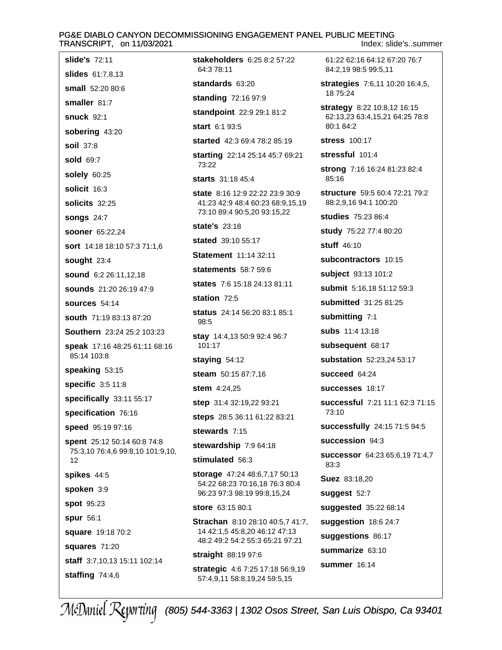#### PG&E DIABLO CANYON DECOMMISSIONING ENGAGEMENT PANEL PUBLIC MEETING TRANSCRIPT, on 11/03/2021 Index: slide's..summer

slide's 72:11 slides 61:7.8.13 small 52:20 80:6 smaller 81:7 **snuck 92:1** sobering 43:20 soil 37:8 sold 69:7 solely 60:25 solicit 16:3 solicits 32:25 songs  $24:7$ sooner 65:22.24 sort 14:18 18:10 57:3 71:1.6 sought 23:4 sound 6:2 26:11,12,18 sounds 21:20 26:19 47:9 sources 54:14 south 71:19 83:13 87:20 Southern 23:24 25:2 103:23 speak 17:16 48:25 61:11 68:16 85:14 103:8 speaking 53:15 specific 3:5 11:8 specifically 33:11 55:17 specification 76:16 speed 95:19 97:16 spent 25:12 50:14 60:8 74:8 75:3,10 76:4,6 99:8,10 101:9,10,  $12$ spikes 44:5 spoken 3:9 spot 95:23 spur 56:1 square 19:18 70:2 squares 71:20 staff 3:7,10,13 15:11 102:14 staffing  $74:4,6$ 

stakeholders 6:25 8:2 57:22 64:3 78:11 standards 63:20 **standing 72:16 97:9** standpoint 22:9 29:1 81:2 start 6:1 93:5 started 42:3 69:4 78:2 85:19 starting 22:14 25:14 45:7 69:21 73:22 starts 31:18 45:4 state 8:16 12:9 22:22 23:9 30:9 41:23 42:9 48:4 60:23 68:9,15,19 73:10 89:4 90:5,20 93:15,22 state's 23:18 stated 39:10 55:17 **Statement** 11:14 32:11 **statements** 58:7 59:6 states 7:6 15:18 24:13 81:11 station 72:5 status 24:14 56:20 83:1 85:1 98:5 stay 14:4,13 50:9 92:4 96:7 101:17 staying  $54:12$ steam 50:15 87:7,16 stem 4:24,25 step 31:4 32:19,22 93:21 steps 28:5 36:11 61:22 83:21 stewards 7:15 stewardship 7:9 64:18 stimulated 56:3 storage 47:24 48:6,7,17 50:13 54:22 68:23 70:16,18 76:3 80:4 96:23 97:3 98:19 99:8,15,24 store 63:15 80:1 **Strachan** 8:10 28:10 40:5,7 41:7, 14 42:1.5 45:8.20 46:12 47:13 48:2 49:2 54:2 55:3 65:21 97:21 straight 88:19 97:6 strategic 4:6 7:25 17:18 56:9,19 57:4,9,11 58:8,19,24 59:5,15

18 75:24 strategy 8:22 10:8,12 16:15 62:13,23 63:4,15,21 64:25 78:8 80:1 84:2 **stress** 100:17 stressful 101:4 strong 7:16 16:24 81:23 82:4 85:16 structure 59:5 60:4 72:21 79:2 88:2.9.16 94:1 100:20 studies 75:23 86:4 study 75:22 77:4 80:20 stuff 46:10 subcontractors 10:15 subject 93:13 101:2 submit 5:16,18 51:12 59:3 submitted 31:25 81:25 submitting 7:1 subs 11:4 13:18 subsequent 68:17 substation 52:23.24 53:17 succeed 64:24 successes 18:17 successful 7:21 11:1 62:3 71:15 73:10 successfully 24:15 71:5 94:5 succession 94:3 successor 64:23 65:6,19 71:4,7  $83:3$ **Suez** 83:18,20 suggest 52:7 suggested 35:22 68:14 suggestion  $18.624:7$ suggestions 86:17 summarize 63:10 **summer** 16:14

61:22 62:16 64:12 67:20 76:7

strategies 7:6,11 10:20 16:4,5,

84:2.19 98:5 99:5.11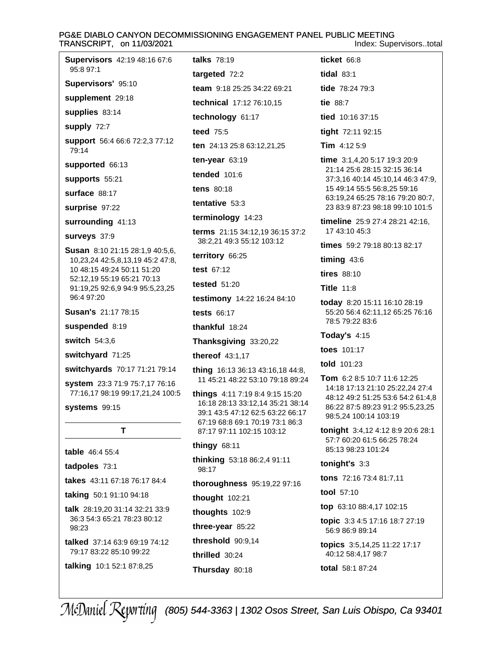#### PG&E DIABLO CANYON DECOMMISSIONING ENGAGEMENT PANEL PUBLIC MEETING TRANSCRIPT, on 11/03/2021 Index: Supervisors..total

**Supervisors** 42:19 48:16 67:6 talks 78:19 ticket 66:8 95:8 97:1 tidal  $83:1$ targeted 72:2 Supervisors' 95:10 team 9:18 25:25 34:22 69:21 tide 78:24 79:3 supplement 29:18 technical 17:12 76:10,15 supplies 83:14 technology 61:17 supply 72:7 teed 75:5 support 56:4 66:6 72:2,3 77:12 ten 24:13 25:8 63:12,21,25 79:14 ten-year  $63:19$ supported 66:13 **tended** 101:6 supports 55:21 tens 80:18 surface 88:17 tentative 53:3 surprise 97:22 terminology 14:23 terms 21:15 34:12.19 36:15 37:2 38:2,21 49:3 55:12 103:12 territory 66:25 test 67:12 tested  $51:20$ testimony 14:22 16:24 84:10 tests 66:17 thankful 18:24 Thanksgiving 33:20,22 thereof 43:1,17 thing 16:13 36:13 43:16,18 44:8, 11 45:21 48:22 53:10 79:18 89:24 system 23:3 71:9 75:7,17 76:16 77:16,17 98:19 99:17,21,24 100:5 **things** 4:11 7:19 8:4 9:15 15:20 16:18 28:13 33:12,14 35:21 38:14 39:1 43:5 47:12 62:5 63:22 66:17 67:19 68:8 69:1 70:19 73:1 86:3 T. 87:17 97:11 102:15 103:12 thingy  $68:11$ table 46:4 55:4 thinking 53:18 86:2,4 91:11 98:17 thoroughness 95:19,22 97:16 taking 50:1 91:10 94:18 thought  $102:21$ talk 28:19,20 31:14 32:21 33:9 thoughts 102:9

three-year 85:22

threshold 90:9,14

Thursday 80:18

thrilled 30:24

tie 88:7 tied 10:16 37:15 tight 72:11 92:15 Tim  $4:125:9$ time 3:1,4,20 5:17 19:3 20:9 21:14 25:6 28:15 32:15 36:14 37:3,16 40:14 45:10,14 46:3 47:9, 15 49:14 55:5 56:8,25 59:16 63:19,24 65:25 78:16 79:20 80:7, 23 83:9 87:23 98:18 99:10 101:5 timeline 25:9 27:4 28:21 42:16, 17 43:10 45:3 times 59:2 79:18 80:13 82:17 timing  $43:6$  $tires 88:10$ **Title 11:8** today 8:20 15:11 16:10 28:19 55:20 56:4 62:11,12 65:25 76:16 78:5 79:22 83:6 Today's  $4:15$ toes 101:17 told 101:23 Tom 6:2 8:5 10:7 11:6 12:25 14:18 17:13 21:10 25:22,24 27:4 48:12 49:2 51:25 53:6 54:2 61:4,8 86:22 87:5 89:23 91:2 95:5,23,25 98:5,24 100:14 103:19

tonight 3:4,12 4:12 8:9 20:6 28:1 57:7 60:20 61:5 66:25 78:24 85:13.98:23.101:24

tonight's  $3:3$ 

tons 72:16 73:4 81:7,11

tool 57:10

top 63:10 88:4,17 102:15

**topic** 3:3 4:5 17:16 18:7 27:19 56:9 86:9 89:14

topics 3:5,14,25 11:22 17:17 40:12 58:4,17 98:7

total 58:1 87:24

# (805) 544-3363 | 1302 Osos Street, San Luis Obispo, Ca 93401

surrounding 41:13 surveys 37:9 **Susan** 8:10 21:15 28:1,9 40:5,6, 10,23,24 42:5,8,13,19 45:2 47:8, 10 48:15 49:24 50:11 51:20 52:12,19 55:19 65:21 70:13 91:19,25 92:6,9 94:9 95:5,23,25 96:4 97:20 **Susan's 21:17 78:15** suspended 8:19 switch 54:3,6 switchyard 71:25 switchyards 70:17 71:21 79:14

systems 99:15

tadpoles 73:1

takes 43:11 67:18 76:17 84:4

36:3 54:3 65:21 78:23 80:12 98:23

talked 37:14 63:9 69:19 74:12 79:17 83:22 85:10 99:22

talking 10:1 52:1 87:8,25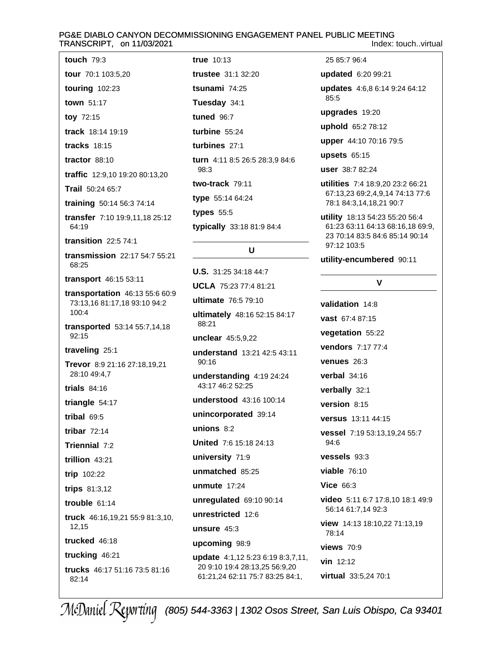# PG&E DIABLO CANYON DECOMMISSIONING ENGAGEMENT PANEL PUBLIC MEETING

|  | Index: touchvirtual |
|--|---------------------|

| RANSCRIPT, on 11/03/2021                                                |          |
|-------------------------------------------------------------------------|----------|
| touch $79:3$                                                            | tr       |
| tour 70:1 103:5,20                                                      | tr       |
| touring $102:23$                                                        | ts       |
| town 51:17                                                              | Τ        |
| toy 72:15                                                               | tı       |
| track 18:14 19:19                                                       | tι       |
| <b>tracks</b> 18:15                                                     | tι       |
| tractor $88:10$                                                         | tι       |
| traffic 12:9,10 19:20 80:13,20                                          |          |
| Trail 50:24 65:7                                                        | tv       |
| training 50:14 56:3 74:14                                               | ty       |
| transfer 7:10 19:9,11,18 25:12<br>64:19                                 | ty<br>ty |
| transition $22:574:1$                                                   |          |
| transmission 22:17 54:7 55:21<br>68:25                                  | Ù        |
| transport 46:15 53:11                                                   | U        |
| transportation 46:13 55:6 60:9<br>73:13,16 81:17,18 93:10 94:2<br>100:4 | ul<br>ul |
| transported 53:14 55:7,14,18<br>92:15                                   | i<br>u   |
| traveling 25:1                                                          | u        |
| Trevor 8:9 21:16 27:18,19,21<br>28:10 49:4,7                            | u        |
| trials $84:16$                                                          |          |
| triangle 54:17                                                          | u        |
| tribal 69:5                                                             | u        |
| tribar $72:14$                                                          | u        |
| Triennial 7:2                                                           | U        |
| trillion 43:21                                                          | u        |
| trip 102:22                                                             | u        |
| trips 81:3,12                                                           | u        |
| trouble $61:14$                                                         | u        |
| truck 46:16,19,21 55:9 81:3,10,                                         | u        |

12.15

trucked 46:18

trucking 46:21 trucks 46:17 51:16 73:5 81:16 82:14

**ue** 10:13 ustee 31:1 32:20 s**unami** 74:25 uesday 34:1  $10e<sub>0</sub>$  96:7  $$  $$ **urn** 4:11 8:5 26:5 28:3,9 84:6 98:3 vo-track 79:11 pe 55:14 64:24 pes 55:5 pically 33:18 81:9 84:4

# $\mathbf{U}$

**S.** 31:25 34:18 44:7 CLA 75:23 77:4 81:21 **Itimate** 76:5 79:10 Itimately 48:16 52:15 84:17 88:21 nclear 45:5.9.22 nderstand 13:21 42:5 43:11 90:16 nderstanding 4:19 24:24 43:17 46:2 52:25 nderstood 43:16 100:14 nincorporated 39:14  $nions 8:2$ nited 7:6 15:18 24:13 niversity 71:9 nmatched 85:25 **nmute** 17:24 nregulated 69:10 90:14 nrestricted 12:6 unsure 45:3 upcoming 98:9 update 4:1,12 5:23 6:19 8:3,7,11, 20 9:10 19:4 28:13,25 56:9,20 61:21,24 62:11 75:7 83:25 84:1,

25 85:7 96:4

updated 6:20 99:21

updates 4:6.8 6:14 9:24 64:12 85:5

upgrades 19:20

uphold 65:2 78:12

upper 44:10 70:16 79:5

upsets  $65:15$ 

user 38:7 82:24

utilities 7:4 18:9,20 23:2 66:21 67:13,23 69:2,4,9,14 74:13 77:6 78:1 84:3,14,18,21 90:7

utility 18:13 54:23 55:20 56:4 61:23 63:11 64:13 68:16,18 69:9, 23 70:14 83:5 84:6 85:14 90:14 97:12 103:5

utility-encumbered 90:11

# $\mathbf v$

validation 14:8 vast 67:4 87:15 vegetation 55:22 vendors 7:17 77:4 venues 26:3 verbal 34:16 verbally 32:1 version 8:15 versus 13:11 44:15 vessel 7:19 53:13,19,24 55:7 94:6 vessels 93:3 **viable 76:10 Vice 66:3** video 5:11 6:7 17:8,10 18:1 49:9 56:14 61:7,14 92:3 view 14:13 18:10,22 71:13,19 78:14 **views** 70:9 vin 12:12 virtual 33:5,24 70:1